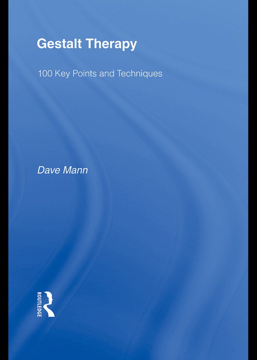## **Gestalt Therapy**

100 Key Points and Techniques

**Dave Mann** 

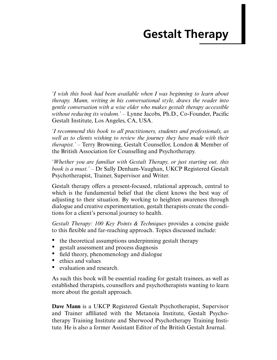### **Gestalt Therapy**

*'I wish this book had been available when I was beginning to learn about therapy. Mann, writing in his conversational style, draws the reader into gentle conversation with a wise elder who makes gestalt therapy accessible without reducing its wisdom.' –* Lynne Jacobs, Ph.D., Co-Founder, Pacific Gestalt Institute, Los Angeles, CA, USA.

*'I recommend this book to all practitioners, students and professionals, as well as to clients wishing to review the journey they have made with their therapist.' –* Terry Browning, Gestalt Counsellor, London & Member of the British Association for Counselling and Psychotherapy.

*'Whether you are familiar with Gestalt Therapy, or just starting out, this book is a must.' –* Dr Sally Denham-Vaughan, UKCP Registered Gestalt Psychotherapist, Trainer, Supervisor and Writer.

Gestalt therapy offers a present-focused, relational approach, central to which is the fundamental belief that the client knows the best way of adjusting to their situation. By working to heighten awareness through dialogue and creative experimentation, gestalt therapists create the conditions for a client's personal journey to health.

*Gestalt Therapy: 100 Key Points & Techniques* provides a concise guide to this flexible and far-reaching approach. Topics discussed include:

- the theoretical assumptions underpinning gestalt therapy
- gestalt assessment and process diagnosis
- field theory, phenomenology and dialogue
- ethics and values
- evaluation and research.

As such this book will be essential reading for gestalt trainees, as well as established therapists, counsellors and psychotherapists wanting to learn more about the gestalt approach.

**Dave Mann** is a UKCP Registered Gestalt Psychotherapist, Supervisor and Trainer affiliated with the Metanoia Institute, Gestalt Psychotherapy Training Institute and Sherwood Psychotherapy Training Institute. He is also a former Assistant Editor of the British Gestalt Journal.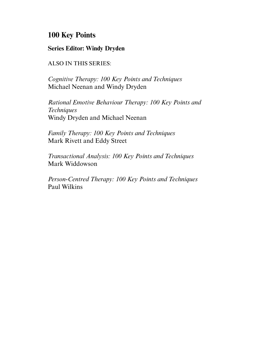### **100 Key Points**

#### **Series Editor: Windy Dryden**

#### ALSO IN THIS SERIES:

*Cognitive Therapy: 100 Key Points and Techniques* Michael Neenan and Windy Dryden

*Rational Emotive Behaviour Therapy: 100 Key Points and Techniques* Windy Dryden and Michael Neenan

*Family Therapy: 100 Key Points and Techniques* Mark Rivett and Eddy Street

*Transactional Analysis: 100 Key Points and Techniques* Mark Widdowson

*Person-Centred Therapy: 100 Key Points and Techniques* Paul Wilkins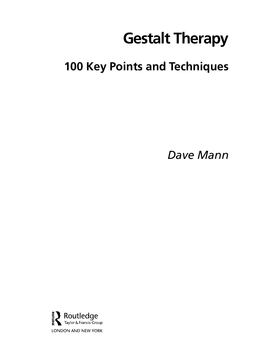## **Gestalt Therapy**

## **100 Key Points and Techniques**

*Dave Mann*

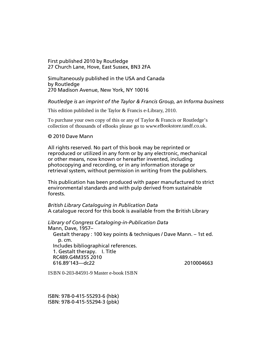First published 2010 by Routledge 27 Church Lane, Hove, East Sussex, BN3 2FA

Simultaneously published in the USA and Canada by Routledge 270 Madison Avenue, New York, NY 10016

#### *Routledge is an imprint of the Taylor & Francis Group, an Informa business*

This edition published in the Taylor & Francis e-Library, 2010.

To purchase your own copy of this or any of Taylor & Francis or Routledge's collection of thousands of eBooks please go to www.eBookstore.tandf.co.uk.

#### © 2010 Dave Mann

All rights reserved. No part of this book may be reprinted or reproduced or utilized in any form or by any electronic, mechanical or other means, now known or hereafter invented, including photocopying and recording, or in any information storage or retrieval system, without permission in writing from the publishers.

This publication has been produced with paper manufactured to strict environmental standards and with pulp derived from sustainable forests.

*British Library Cataloguing in Publication Data* A catalogue record for this book is available from the British Library

*Library of Congress Cataloging-in-Publication Data* Mann, Dave, 1957– Gestalt therapy : 100 key points & techniques / Dave Mann. – 1st ed. p. cm. Includes bibliographical references. 1. Gestalt therapy. I. Title RC489.G4M355 2010 616.89′143—dc22 2010004663

ISBN 0-203-84591-9 Master e-book ISBN

ISBN: 978-0-415-55293-6 (hbk) ISBN: 978-0-415-55294-3 (pbk)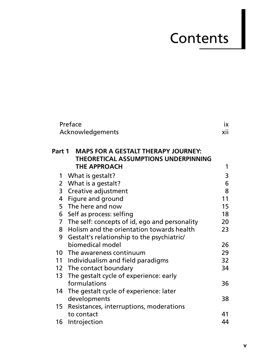## **Contents**

|        | Preface<br>Acknowledgements                                                               | iх<br>xii |
|--------|-------------------------------------------------------------------------------------------|-----------|
| Part 1 | <b>MAPS FOR A GESTALT THERAPY JOURNEY:</b><br><b>THEORETICAL ASSUMPTIONS UNDERPINNING</b> |           |
|        | <b>THE APPROACH</b>                                                                       | 1         |
| 1      | What is gestalt?                                                                          | 3         |
| 2      | What is a gestalt?                                                                        | 6         |
| 3      | Creative adjustment                                                                       | 8         |
| 4      | Figure and ground                                                                         | 11        |
|        | 5 The here and now                                                                        | 15        |
| 6      | Self as process: selfing                                                                  | 18        |
| 7      | The self: concepts of id, ego and personality                                             | 20        |
| 8      | Holism and the orientation towards health                                                 | 23        |
| 9      | Gestalt's relationship to the psychiatric/                                                |           |
|        | biomedical model                                                                          | 26        |
|        | 10 The awareness continuum                                                                | 29        |
|        | 11 Individualism and field paradigms                                                      | 32        |
|        | 12 The contact boundary                                                                   | 34        |
| 13     | The gestalt cycle of experience: early                                                    |           |
|        | formulations                                                                              | 36        |
| 14     | The gestalt cycle of experience: later                                                    |           |
|        | developments                                                                              | 38        |
| 15     | Resistances, interruptions, moderations                                                   |           |
|        | to contact                                                                                | 41        |
| 16     | Introjection                                                                              | 44        |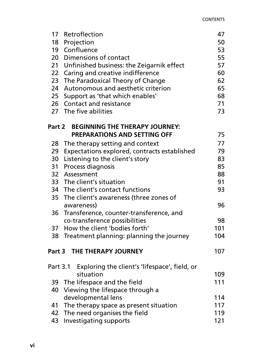| 17       | Retroflection                                 | 47  |
|----------|-----------------------------------------------|-----|
| 18       | Projection                                    | 50  |
| 19       | Confluence                                    | 53  |
| 20       | Dimensions of contact                         | 55  |
| 21       | Unfinished business: the Zeigarnik effect     | 57  |
| 22       | Caring and creative indifference              | 60  |
| 23       | The Paradoxical Theory of Change              | 62  |
| 24       | Autonomous and aesthetic criterion            | 65  |
| 25       | Support as 'that which enables'               | 68  |
| 26       | Contact and resistance                        | 71  |
| 27       | The five abilities                            | 73  |
| Part 2   | <b>BEGINNING THE THERAPY JOURNEY:</b>         |     |
|          | PREPARATIONS AND SETTING OFF                  | 75  |
| 28       | The therapy setting and context               | 77  |
| 29       | Expectations explored, contracts established  | 79  |
| 30       | Listening to the client's story               | 83  |
| 31       | Process diagnosis                             | 85  |
| 32       | Assessment                                    | 88  |
| 33       | The client's situation                        | 91  |
|          | 34 The client's contact functions             | 93  |
| 35       | The client's awareness (three zones of        |     |
|          | awareness)                                    | 96  |
| 36       | Transference, counter-transference, and       |     |
|          | co-transference possibilities                 | 98  |
| 37       | How the client 'bodies forth'                 | 101 |
| 38       | Treatment planning: planning the journey      | 104 |
| Part 3   | THE THERAPY JOURNEY                           | 107 |
| Part 3.1 | Exploring the client's 'lifespace', field, or |     |
|          | situation                                     | 109 |
| 39       | The lifespace and the field                   | 111 |
| 40       | Viewing the lifespace through a               |     |
|          | developmental lens                            | 114 |
| 41       | The therapy space as present situation        | 117 |
| 42       | The need organises the field                  | 119 |
| 43       | <b>Investigating supports</b>                 | 121 |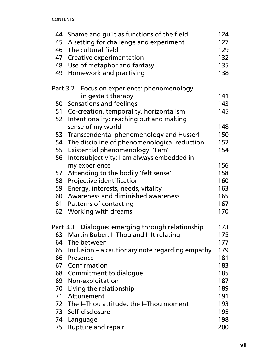| 44       | Shame and quilt as functions of the field       | 124 |
|----------|-------------------------------------------------|-----|
| 45       | A setting for challenge and experiment          | 127 |
| 46       | The cultural field                              | 129 |
| 47       | Creative experimentation                        | 132 |
| 48       | Use of metaphor and fantasy                     | 135 |
| 49       | Homework and practising                         | 138 |
| Part 3.2 | Focus on experience: phenomenology              |     |
|          | in gestalt therapy                              | 141 |
| 50       | Sensations and feelings                         | 143 |
| 51       | Co-creation, temporality, horizontalism         | 145 |
| 52       | Intentionality: reaching out and making         |     |
|          | sense of my world                               | 148 |
| 53       | Transcendental phenomenology and Husserl        | 150 |
| 54       | The discipline of phenomenological reduction    | 152 |
| 55       | Existential phenomenology: 'I am'               | 154 |
| 56       | Intersubjectivity: I am always embedded in      |     |
|          | my experience                                   | 156 |
| 57       | Attending to the bodily 'felt sense'            | 158 |
| 58       | Projective identification                       | 160 |
| 59       | Energy, interests, needs, vitality              | 163 |
| 60       | Awareness and diminished awareness              | 165 |
| 61       | Patterns of contacting                          | 167 |
| 62       | Working with dreams                             | 170 |
| Part 3.3 | Dialogue: emerging through relationship         | 173 |
| 63       | Martin Buber: I-Thou and I-It relating          | 175 |
| 64       | The between                                     | 177 |
| 65       | Inclusion – a cautionary note regarding empathy | 179 |
| 66       | Presence                                        | 181 |
| 67       | Confirmation                                    | 183 |
| 68       | Commitment to dialogue                          | 185 |
| 69       | Non-exploitation                                | 187 |
| 70       | Living the relationship                         | 189 |
| 71       | Attunement                                      | 191 |
| 72       | The I-Thou attitude, the I-Thou moment          | 193 |
| 73       | Self-disclosure                                 | 195 |
| 74       | Language                                        | 198 |
| 75       | Rupture and repair                              | 200 |
|          |                                                 |     |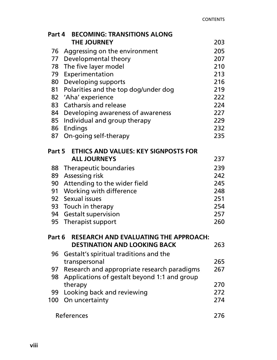| Part 4     | <b>BECOMING: TRANSITIONS ALONG</b>           |     |
|------------|----------------------------------------------|-----|
|            | <b>THE JOURNEY</b>                           | 203 |
| 76         | Aggressing on the environment                | 205 |
|            | 77 Developmental theory                      | 207 |
| 78         | The five layer model                         | 210 |
| 79         | Experimentation                              | 213 |
| 80         | Developing supports                          | 216 |
| 81         | Polarities and the top dog/under dog         | 219 |
| 82         | 'Aha' experience                             | 222 |
| 83         | Catharsis and release                        | 224 |
| 84         | Developing awareness of awareness            | 227 |
| 85         | Individual and group therapy                 | 229 |
| 86         | Endings                                      | 232 |
| 87         | On-going self-therapy                        | 235 |
| Part 5     | ETHICS AND VALUES: KEY SIGNPOSTS FOR         |     |
|            | <b>ALL JOURNEYS</b>                          | 237 |
| 88         | Therapeutic boundaries                       | 239 |
| 89         | Assessing risk                               | 242 |
| 90         | Attending to the wider field                 | 245 |
| 91         | Working with difference                      | 248 |
| 92         | Sexual issues                                | 251 |
| 93         | Touch in therapy                             | 254 |
| 94         | <b>Gestalt supervision</b>                   | 257 |
| 95         | Therapist support                            | 260 |
| Part 6     | <b>RESEARCH AND EVALUATING THE APPROACH:</b> |     |
|            | <b>DESTINATION AND LOOKING BACK</b>          | 263 |
| 96         | Gestalt's spiritual traditions and the       |     |
|            | transpersonal                                | 265 |
| 97         | Research and appropriate research paradigms  | 267 |
| 98         | Applications of gestalt beyond 1:1 and group |     |
|            | therapy                                      | 270 |
| 99         | Looking back and reviewing                   | 272 |
| 100        | On uncertainty                               | 274 |
|            |                                              |     |
| References |                                              | 276 |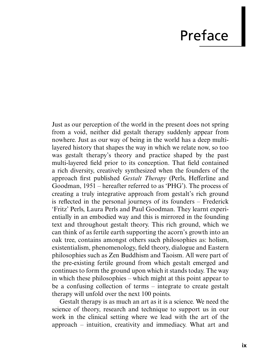## Preface

<span id="page-9-0"></span>Just as our perception of the world in the present does not spring from a void, neither did gestalt therapy suddenly appear from nowhere. Just as our way of being in the world has a deep multilayered history that shapes the way in which we relate now, so too was gestalt therapy's theory and practice shaped by the past multi-layered field prior to its conception. That field contained a rich diversity, creatively synthesized when the founders of the approach first published *Gestalt Therapy* (Perls, Hefferline and Goodman, 1951 – hereafter referred to as 'PHG'). The process of creating a truly integrative approach from gestalt's rich ground is reflected in the personal journeys of its founders – Frederick 'Fritz' Perls, Laura Perls and Paul Goodman. They learnt experientially in an embodied way and this is mirrored in the founding text and throughout gestalt theory. This rich ground, which we can think of as fertile earth supporting the acorn's growth into an oak tree, contains amongst others such philosophies as: holism, existentialism, phenomenology, field theory, dialogue and Eastern philosophies such as Zen Buddhism and Taoism. All were part of the pre-existing fertile ground from which gestalt emerged and continues to form the ground upon which it stands today. The way in which these philosophies – which might at this point appear to be a confusing collection of terms – integrate to create gestalt therapy will unfold over the next 100 points.

Gestalt therapy is as much an art as it is a science. We need the science of theory, research and technique to support us in our work in the clinical setting where we lead with the art of the approach – intuition, creativity and immediacy. What art and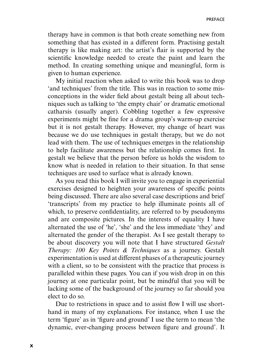therapy have in common is that both create something new from something that has existed in a different form. Practising gestalt therapy is like making art: the artist's flair is supported by the scientific knowledge needed to create the paint and learn the method. In creating something unique and meaningful, form is given to human experience.

My initial reaction when asked to write this book was to drop 'and techniques' from the title. This was in reaction to some misconceptions in the wider field about gestalt being all about techniques such as talking to 'the empty chair' or dramatic emotional catharsis (usually anger). Cobbling together a few expressive experiments might be fine for a drama group's warm-up exercise but it is not gestalt therapy. However, my change of heart was because we do use techniques in gestalt therapy, but we do not lead with them. The use of techniques emerges in the relationship to help facilitate awareness but the relationship comes first. In gestalt we believe that the person before us holds the wisdom to know what is needed in relation to their situation. In that sense techniques are used to surface what is already known.

As you read this book I will invite you to engage in experiential exercises designed to heighten your awareness of specific points being discussed. There are also several case descriptions and brief 'transcripts' from my practice to help illuminate points all of which, to preserve confidentiality, are referred to by pseudonyms and are composite pictures. In the interests of equality I have alternated the use of 'he', 'she' and the less immediate 'they' and alternated the gender of the therapist. As I see gestalt therapy to be about discovery you will note that I have structured *Gestalt Therapy: 100 Key Points & Techniques* as a journey. Gestalt experimentation is used at different phases of a therapeutic journey with a client, so to be consistent with the practice that process is paralleled within these pages. You can if you wish drop in on this journey at one particular point, but be mindful that you will be lacking some of the background of the journey so far should you elect to do so.

Due to restrictions in space and to assist flow I will use shorthand in many of my explanations. For instance, when I use the term 'figure' as in 'figure and ground' I use the term to mean 'the dynamic, ever-changing process between figure and ground'. It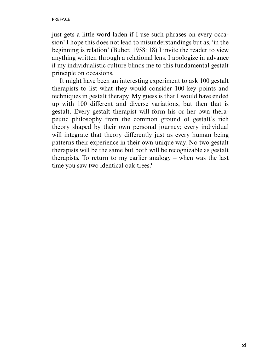#### PREFACE

just gets a little word laden if I use such phrases on every occasion! I hope this does not lead to misunderstandings but as, 'in the beginning is relation' (Buber, 1958: 18) I invite the reader to view anything written through a relational lens. I apologize in advance if my individualistic culture blinds me to this fundamental gestalt principle on occasions.

It might have been an interesting experiment to ask 100 gestalt therapists to list what they would consider 100 key points and techniques in gestalt therapy. My guess is that I would have ended up with 100 different and diverse variations, but then that is gestalt. Every gestalt therapist will form his or her own therapeutic philosophy from the common ground of gestalt's rich theory shaped by their own personal journey; every individual will integrate that theory differently just as every human being patterns their experience in their own unique way. No two gestalt therapists will be the same but both will be recognizable as gestalt therapists. To return to my earlier analogy – when was the last time you saw two identical oak trees?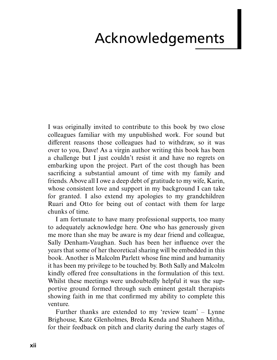## <span id="page-12-0"></span>Acknowledgements

I was originally invited to contribute to this book by two close colleagues familiar with my unpublished work. For sound but different reasons those colleagues had to withdraw, so it was over to you, Dave! As a virgin author writing this book has been a challenge but I just couldn't resist it and have no regrets on embarking upon the project. Part of the cost though has been sacrificing a substantial amount of time with my family and friends. Above all I owe a deep debt of gratitude to my wife, Karin, whose consistent love and support in my background I can take for granted. I also extend my apologies to my grandchildren Ruari and Otto for being out of contact with them for large chunks of time.

I am fortunate to have many professional supports, too many to adequately acknowledge here. One who has generously given me more than she may be aware is my dear friend and colleague, Sally Denham-Vaughan. Such has been her influence over the years that some of her theoretical sharing will be embedded in this book. Another is Malcolm Parlett whose fine mind and humanity it has been my privilege to be touched by. Both Sally and Malcolm kindly offered free consultations in the formulation of this text. Whilst these meetings were undoubtedly helpful it was the supportive ground formed through such eminent gestalt therapists showing faith in me that confirmed my ability to complete this venture.

Further thanks are extended to my 'review team' – Lynne Brighouse, Kate Glenholmes, Breda Kenda and Shaheen Mitha, for their feedback on pitch and clarity during the early stages of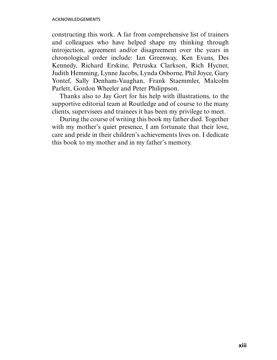constructing this work. A far from comprehensive list of trainers and colleagues who have helped shape my thinking through introjection, agreement and/or disagreement over the years in chronological order include: Ian Greenway, Ken Evans, Des Kennedy, Richard Erskine, Petruska Clarkson, Rich Hycner, Judith Hemming, Lynne Jacobs, Lynda Osborne, Phil Joyce, Gary Yontef, Sally Denham-Vaughan, Frank Staemmler, Malcolm Parlett, Gordon Wheeler and Peter Philippson.

Thanks also to Jay Gort for his help with illustrations, to the supportive editorial team at Routledge and of course to the many clients, supervisees and trainees it has been my privilege to meet.

During the course of writing this book my father died. Together with my mother's quiet presence, I am fortunate that their love, care and pride in their children's achievements lives on. I dedicate this book to my mother and in my father's memory.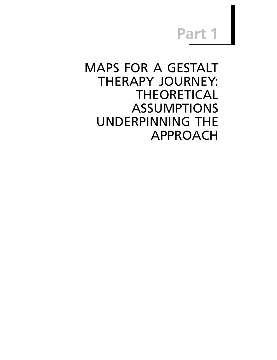**Part 1**

### <span id="page-15-0"></span>MAPS FOR A GESTALT THERAPY JOURNEY: THEORETICAL ASSUMPTIONS UNDERPINNING THE APPROACH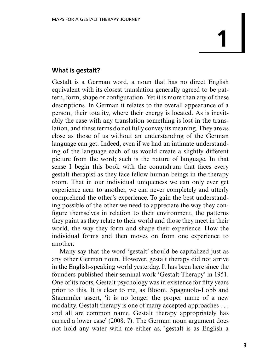# **1**

#### <span id="page-17-0"></span>**What is gestalt?**

Gestalt is a German word, a noun that has no direct English equivalent with its closest translation generally agreed to be pattern, form, shape or configuration. Yet it is more than any of these descriptions. In German it relates to the overall appearance of a person, their totality, where their energy is located. As is inevitably the case with any translation something is lost in the translation, and these terms do not fully convey its meaning. They are as close as those of us without an understanding of the German language can get. Indeed, even if we had an intimate understanding of the language each of us would create a slightly different picture from the word; such is the nature of language. In that sense I begin this book with the conundrum that faces every gestalt therapist as they face fellow human beings in the therapy room. That in our individual uniqueness we can only ever get experience near to another, we can never completely and utterly comprehend the other's experience. To gain the best understanding possible of the other we need to appreciate the way they configure themselves in relation to their environment, the patterns they paint as they relate to their world and those they meet in their world, the way they form and shape their experience. How the individual forms and then moves on from one experience to another.

Many say that the word 'gestalt' should be capitalized just as any other German noun. However, gestalt therapy did not arrive in the English-speaking world yesterday. It has been here since the founders published their seminal work 'Gestalt Therapy' in 1951. One of its roots, Gestalt psychology was in existence for fifty years prior to this. It is clear to me, as Bloom, Spagnuolo-Lobb and Staemmler assert, 'it is no longer the proper name of a new modality. Gestalt therapy is one of many accepted approaches . . . and all are common name. Gestalt therapy appropriately has earned a lower case' (2008: 7). The German noun argument does not hold any water with me either as, 'gestalt is as English a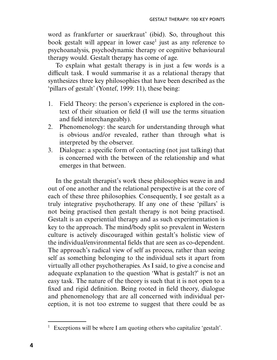word as frankfurter or sauerkraut' (ibid). So, throughout this book gestalt will appear in lower case<sup>1</sup> just as any reference to psychoanalysis, psychodynamic therapy or cognitive behavioural therapy would. Gestalt therapy has come of age.

To explain what gestalt therapy is in just a few words is a difficult task. I would summarise it as a relational therapy that synthesizes three key philosophies that have been described as the 'pillars of gestalt' (Yontef, 1999: 11), these being:

- 1. Field Theory: the person's experience is explored in the context of their situation or field (I will use the terms situation and field interchangeably).
- 2. Phenomenology: the search for understanding through what is obvious and/or revealed, rather than through what is interpreted by the observer.
- 3. Dialogue: a specific form of contacting (not just talking) that is concerned with the between of the relationship and what emerges in that between.

In the gestalt therapist's work these philosophies weave in and out of one another and the relational perspective is at the core of each of these three philosophies. Consequently, I see gestalt as a truly integrative psychotherapy. If any one of these 'pillars' is not being practised then gestalt therapy is not being practised. Gestalt is an experiential therapy and as such experimentation is key to the approach. The mind/body split so prevalent in Western culture is actively discouraged within gestalt's holistic view of the individual/environmental fields that are seen as co-dependent. The approach's radical view of self as process, rather than seeing self as something belonging to the individual sets it apart from virtually all other psychotherapies. As I said, to give a concise and adequate explanation to the question 'What is gestalt?' is not an easy task. The nature of the theory is such that it is not open to a fixed and rigid definition. Being rooted in field theory, dialogue and phenomenology that are all concerned with individual perception, it is not too extreme to suggest that there could be as

<sup>&</sup>lt;sup>1</sup> Exceptions will be where I am quoting others who capitalize 'gestalt'.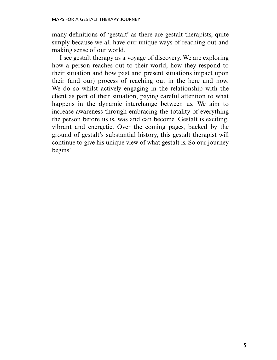many definitions of 'gestalt' as there are gestalt therapists, quite simply because we all have our unique ways of reaching out and making sense of our world.

I see gestalt therapy as a voyage of discovery. We are exploring how a person reaches out to their world, how they respond to their situation and how past and present situations impact upon their (and our) process of reaching out in the here and now. We do so whilst actively engaging in the relationship with the client as part of their situation, paying careful attention to what happens in the dynamic interchange between us. We aim to increase awareness through embracing the totality of everything the person before us is, was and can become. Gestalt is exciting, vibrant and energetic. Over the coming pages, backed by the ground of gestalt's substantial history, this gestalt therapist will continue to give his unique view of what gestalt is. So our journey begins!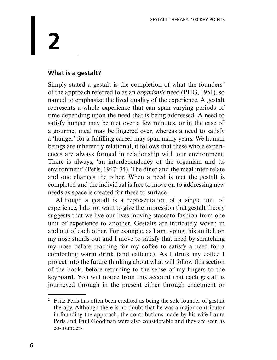# <span id="page-20-0"></span>**2**

#### **What is a gestalt?**

Simply stated a gestalt is the completion of what the founders<sup>2</sup> of the approach referred to as an *organismic* need (PHG, 1951), so named to emphasize the lived quality of the experience. A gestalt represents a whole experience that can span varying periods of time depending upon the need that is being addressed. A need to satisfy hunger may be met over a few minutes, or in the case of a gourmet meal may be lingered over, whereas a need to satisfy a 'hunger' for a fulfilling career may span many years. We human beings are inherently relational, it follows that these whole experiences are always formed in relationship with our environment. There is always, 'an interdependency of the organism and its environment' (Perls, 1947: 34). The diner and the meal inter-relate and one changes the other. When a need is met the gestalt is completed and the individual is free to move on to addressing new needs as space is created for these to surface.

Although a gestalt is a representation of a single unit of experience, I do not want to give the impression that gestalt theory suggests that we live our lives moving staccato fashion from one unit of experience to another. Gestalts are intricately woven in and out of each other. For example, as I am typing this an itch on my nose stands out and I move to satisfy that need by scratching my nose before reaching for my coffee to satisfy a need for a comforting warm drink (and caffeine). As I drink my coffee I project into the future thinking about what will follow this section of the book, before returning to the sense of my fingers to the keyboard. You will notice from this account that each gestalt is journeyed through in the present either through enactment or

<sup>&</sup>lt;sup>2</sup> Fritz Perls has often been credited as being the sole founder of gestalt therapy. Although there is no doubt that he was a major contributor in founding the approach, the contributions made by his wife Laura Perls and Paul Goodman were also considerable and they are seen as co-founders.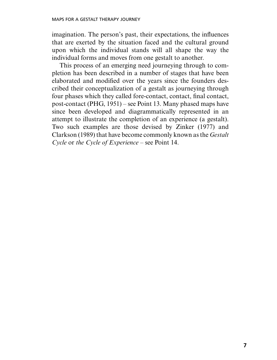imagination. The person's past, their expectations, the influences that are exerted by the situation faced and the cultural ground upon which the individual stands will all shape the way the individual forms and moves from one gestalt to another.

This process of an emerging need journeying through to completion has been described in a number of stages that have been elaborated and modified over the years since the founders described their conceptualization of a gestalt as journeying through four phases which they called fore-contact, contact, final contact, post-contact (PHG, 1951) – see Point 13. Many phased maps have since been developed and diagrammatically represented in an attempt to illustrate the completion of an experience (a gestalt). Two such examples are those devised by Zinker (1977) and Clarkson (1989) that have become commonly known as the *Gestalt Cycle* or *the Cycle of Experience* – see Point 14.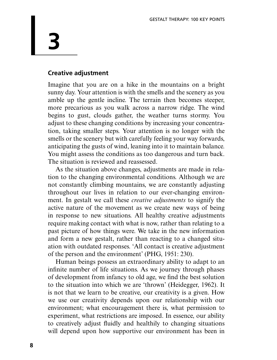## <span id="page-22-0"></span>**3**

#### **Creative adjustment**

Imagine that you are on a hike in the mountains on a bright sunny day. Your attention is with the smells and the scenery as you amble up the gentle incline. The terrain then becomes steeper, more precarious as you walk across a narrow ridge. The wind begins to gust, clouds gather, the weather turns stormy. You adjust to these changing conditions by increasing your concentration, taking smaller steps. Your attention is no longer with the smells or the scenery but with carefully feeling your way forwards, anticipating the gusts of wind, leaning into it to maintain balance. You might assess the conditions as too dangerous and turn back. The situation is reviewed and reassessed.

As the situation above changes, adjustments are made in relation to the changing environmental conditions. Although we are not constantly climbing mountains, we are constantly adjusting throughout our lives in relation to our ever-changing environment. In gestalt we call these *creative adjustments* to signify the active nature of the movement as we create new ways of being in response to new situations. All healthy creative adjustments require making contact with what is now, rather than relating to a past picture of how things were. We take in the new information and form a new gestalt, rather than reacting to a changed situation with outdated responses. 'All contact is creative adjustment of the person and the environment' (PHG, 1951: 230).

Human beings possess an extraordinary ability to adapt to an infinite number of life situations. As we journey through phases of development from infancy to old age, we find the best solution to the situation into which we are 'thrown' (Heidegger, 1962). It is not that we learn to be creative, our creativity is a given. How we use our creativity depends upon our relationship with our environment; what encouragement there is, what permission to experiment, what restrictions are imposed. In essence, our ability to creatively adjust fluidly and healthily to changing situations will depend upon how supportive our environment has been in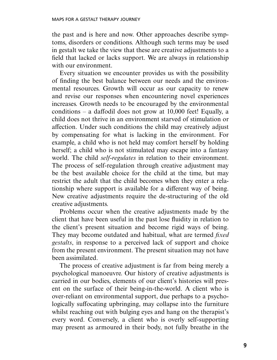the past and is here and now. Other approaches describe symptoms, disorders or conditions. Although such terms may be used in gestalt we take the view that these are creative adjustments to a field that lacked or lacks support. We are always in relationship with our environment.

Every situation we encounter provides us with the possibility of finding the best balance between our needs and the environmental resources. Growth will occur as our capacity to renew and revise our responses when encountering novel experiences increases. Growth needs to be encouraged by the environmental conditions – a daffodil does not grow at 10,000 feet! Equally, a child does not thrive in an environment starved of stimulation or affection. Under such conditions the child may creatively adjust by compensating for what is lacking in the environment. For example, a child who is not held may comfort herself by holding herself; a child who is not stimulated may escape into a fantasy world. The child *self-regulates* in relation to their environment. The process of self-regulation through creative adjustment may be the best available choice for the child at the time, but may restrict the adult that the child becomes when they enter a relationship where support is available for a different way of being. New creative adjustments require the de-structuring of the old creative adjustments.

Problems occur when the creative adjustments made by the client that have been useful in the past lose fluidity in relation to the client's present situation and become rigid ways of being. They may become outdated and habitual, what are termed *fixed gestalts*, in response to a perceived lack of support and choice from the present environment. The present situation may not have been assimilated.

The process of creative adjustment is far from being merely a psychological manoeuvre. Our history of creative adjustments is carried in our bodies, elements of our client's histories will present on the surface of their being-in-the-world. A client who is over-reliant on environmental support, due perhaps to a psychologically suffocating upbringing, may collapse into the furniture whilst reaching out with bulging eyes and hang on the therapist's every word. Conversely, a client who is overly self-supporting may present as armoured in their body, not fully breathe in the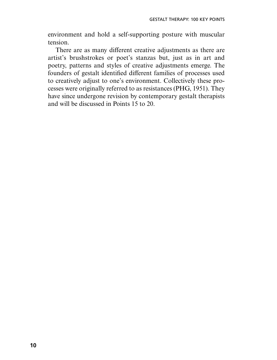environment and hold a self-supporting posture with muscular tension.

There are as many different creative adjustments as there are artist's brushstrokes or poet's stanzas but, just as in art and poetry, patterns and styles of creative adjustments emerge. The founders of gestalt identified different families of processes used to creatively adjust to one's environment. Collectively these processes were originally referred to as resistances (PHG, 1951). They have since undergone revision by contemporary gestalt therapists and will be discussed in Points 15 to 20.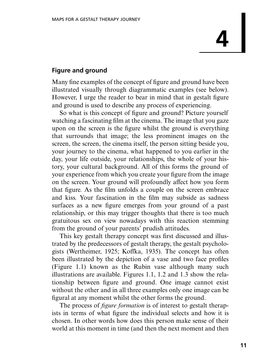#### <span id="page-25-0"></span>**Figure and ground**

Many fine examples of the concept of figure and ground have been illustrated visually through diagrammatic examples (see below). However, I urge the reader to bear in mind that in gestalt figure and ground is used to describe any process of experiencing.

So what is this concept of figure and ground? Picture yourself watching a fascinating film at the cinema. The image that you gaze upon on the screen is the figure whilst the ground is everything that surrounds that image; the less prominent images on the screen, the screen, the cinema itself, the person sitting beside you, your journey to the cinema, what happened to you earlier in the day, your life outside, your relationships, the whole of your history, your cultural background. All of this forms the ground of your experience from which you create your figure from the image on the screen. Your ground will profoundly affect how you form that figure. As the film unfolds a couple on the screen embrace and kiss. Your fascination in the film may subside as sadness surfaces as a new figure emerges from your ground of a past relationship, or this may trigger thoughts that there is too much gratuitous sex on view nowadays with this reaction stemming from the ground of your parents' prudish attitudes.

This key gestalt therapy concept was first discussed and illustrated by the predecessors of gestalt therapy, the gestalt psychologists (Wertheimer, 1925; Koffka, 1935). The concept has often been illustrated by the depiction of a vase and two face profiles (Figure 1.1) known as the Rubin vase although many such illustrations are available. Figures 1.1, 1.2 and 1.3 show the relationship between figure and ground. One image cannot exist without the other and in all three examples only one image can be figural at any moment whilst the other forms the ground.

The process of *figure formation* is of interest to gestalt therapists in terms of what figure the individual selects and how it is chosen. In other words how does this person make sense of their world at this moment in time (and then the next moment and then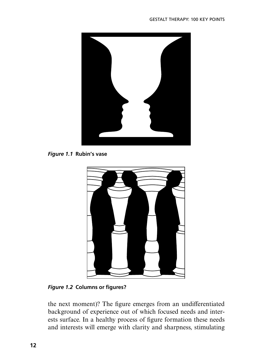

*Figure 1.1* **Rubin's vase**



*Figure 1.2* **Columns or figures?**

the next moment)? The figure emerges from an undifferentiated background of experience out of which focused needs and interests surface. In a healthy process of figure formation these needs and interests will emerge with clarity and sharpness, stimulating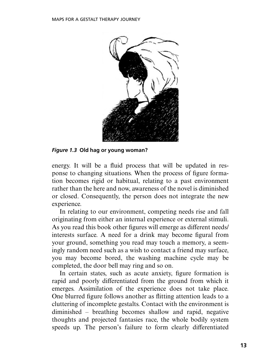

*Figure 1.3* **Old hag or young woman?**

energy. It will be a fluid process that will be updated in response to changing situations. When the process of figure formation becomes rigid or habitual, relating to a past environment rather than the here and now, awareness of the novel is diminished or closed. Consequently, the person does not integrate the new experience.

In relating to our environment, competing needs rise and fall originating from either an internal experience or external stimuli. As you read this book other figures will emerge as different needs/ interests surface. A need for a drink may become figural from your ground, something you read may touch a memory, a seemingly random need such as a wish to contact a friend may surface, you may become bored, the washing machine cycle may be completed, the door bell may ring and so on.

In certain states, such as acute anxiety, figure formation is rapid and poorly differentiated from the ground from which it emerges. Assimilation of the experience does not take place. One blurred figure follows another as flitting attention leads to a cluttering of incomplete gestalts. Contact with the environment is diminished – breathing becomes shallow and rapid, negative thoughts and projected fantasies race, the whole bodily system speeds up. The person's failure to form clearly differentiated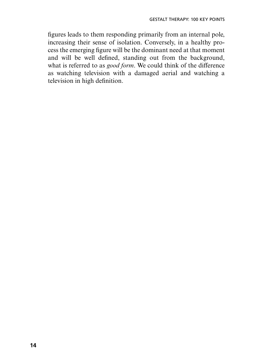figures leads to them responding primarily from an internal pole, increasing their sense of isolation. Conversely, in a healthy process the emerging figure will be the dominant need at that moment and will be well defined, standing out from the background, what is referred to as *good form*. We could think of the difference as watching television with a damaged aerial and watching a television in high definition.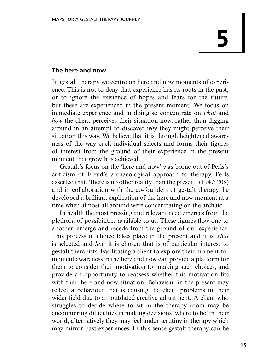# **5**

#### <span id="page-29-0"></span>**The here and now**

In gestalt therapy we centre on here and now moments of experience. This is not to deny that experience has its roots in the past, or to ignore the existence of hopes and fears for the future, but these are experienced in the present moment. We focus on immediate experience and in doing so concentrate on *what* and *how* the client perceives their situation now, rather than digging around in an attempt to discover *why* they might perceive their situation this way. We believe that it is through heightened awareness of the way each individual selects and forms their figures of interest from the ground of their experience in the present moment that growth is achieved.

Gestalt's focus on the 'here and now' was borne out of Perls's criticism of Freud's archaeological approach to therapy. Perls asserted that, 'there is no other reality than the present' (1947: 208) and in collaboration with the co-founders of gestalt therapy, he developed a brilliant explication of the here and now moment at a time when almost all around were concentrating on the archaic.

In health the most pressing and relevant need emerges from the plethora of possibilities available to us. These figures flow one to another, emerge and recede from the ground of our experience. This process of choice takes place in the present and it is *what* is selected and *how* it is chosen that is of particular interest to gestalt therapists. Facilitating a client to explore their moment-tomoment awareness in the here and now can provide a platform for them to consider their motivation for making such choices, and provide an opportunity to reassess whether this motivation fits with their here and now situation. Behaviour in the present may reflect a behaviour that is causing the client problems in their wider field due to an outdated creative adjustment. A client who struggles to decide where to sit in the therapy room may be encountering difficulties in making decisions 'where to be' in their world, alternatively they may feel under scrutiny in therapy which may mirror past experiences. In this sense gestalt therapy can be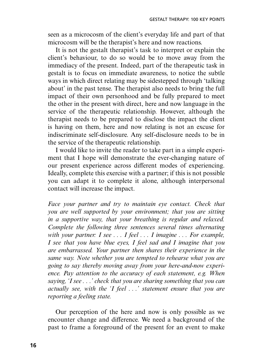seen as a microcosm of the client's everyday life and part of that microcosm will be the therapist's here and now reactions.

It is not the gestalt therapist's task to interpret or explain the client's behaviour, to do so would be to move away from the immediacy of the present. Indeed, part of the therapeutic task in gestalt is to focus on immediate awareness, to notice the subtle ways in which direct relating may be sidestepped through 'talking about' in the past tense. The therapist also needs to bring the full impact of their own personhood and be fully prepared to meet the other in the present with direct, here and now language in the service of the therapeutic relationship. However, although the therapist needs to be prepared to disclose the impact the client is having on them, here and now relating is not an excuse for indiscriminate self-disclosure. Any self-disclosure needs to be in the service of the therapeutic relationship.

I would like to invite the reader to take part in a simple experiment that I hope will demonstrate the ever-changing nature of our present experience across different modes of experiencing. Ideally, complete this exercise with a partner; if this is not possible you can adapt it to complete it alone, although interpersonal contact will increase the impact.

*Face your partner and try to maintain eye contact. Check that you are well supported by your environment; that you are sitting in a supportive way, that your breathing is regular and relaxed. Complete the following three sentences several times alternating with your partner: I see . . . I feel . . . I imagine . . . For example, I see that you have blue eyes, I feel sad and I imagine that you are embarrassed. Your partner then shares their experience in the same way. Note whether you are tempted to rehearse what you are going to say thereby moving away from your here-and-now experience. Pay attention to the accuracy of each statement, e.g. When saying, 'I see . . .' check that you are sharing something that you can actually see, with the 'I feel . . .' statement ensure that you are reporting a feeling state.*

Our perception of the here and now is only possible as we encounter change and difference. We need a background of the past to frame a foreground of the present for an event to make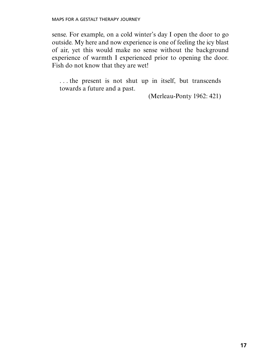sense. For example, on a cold winter's day I open the door to go outside. My here and now experience is one of feeling the icy blast of air, yet this would make no sense without the background experience of warmth I experienced prior to opening the door. Fish do not know that they are wet!

. . . the present is not shut up in itself, but transcends towards a future and a past.

(Merleau-Ponty 1962: 421)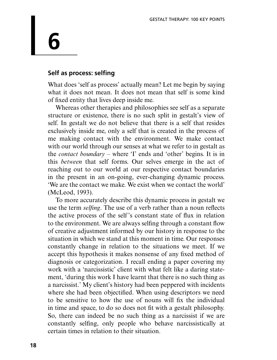## <span id="page-32-0"></span>**6**

#### **Self as process: selfing**

What does 'self as process' actually mean? Let me begin by saying what it does not mean. It does not mean that self is some kind of fixed entity that lives deep inside me.

Whereas other therapies and philosophies see self as a separate structure or existence, there is no such split in gestalt's view of self. In gestalt we do not believe that there is a self that resides exclusively inside me, only a self that is created in the process of me making contact with the environment. We make contact with our world through our senses at what we refer to in gestalt as the *contact boundary* – where 'I' ends and 'other' begins. It is in this *between* that self forms. Our selves emerge in the act of reaching out to our world at our respective contact boundaries in the present in an on-going, ever-changing dynamic process. 'We are the contact we make. We exist when we contact the world' (McLeod, 1993).

To more accurately describe this dynamic process in gestalt we use the term *selfing*. The use of a verb rather than a noun reflects the active process of the self's constant state of flux in relation to the environment. We are always selfing through a constant flow of creative adjustment informed by our history in response to the situation in which we stand at this moment in time. Our responses constantly change in relation to the situations we meet. If we accept this hypothesis it makes nonsense of any fixed method of diagnosis or categorization. I recall ending a paper covering my work with a 'narcissistic' client with what felt like a daring statement, 'during this work I have learnt that there is no such thing as a narcissist.' My client's history had been peppered with incidents where she had been objectified. When using descriptors we need to be sensitive to how the use of nouns will fix the individual in time and space, to do so does not fit with a gestalt philosophy. So, there can indeed be no such thing as a narcissist if we are constantly selfing, only people who behave narcissistically at certain times in relation to their situation.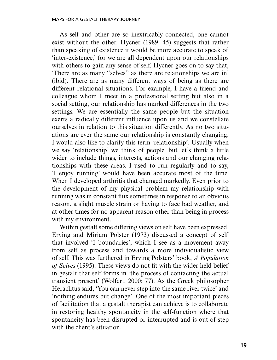As self and other are so inextricably connected, one cannot exist without the other. Hycner (1989: 45) suggests that rather than speaking of existence it would be more accurate to speak of 'inter-existence,' for we are all dependent upon our relationships with others to gain any sense of self. Hycner goes on to say that, 'There are as many "selves" as there are relationships we are in' (ibid). There are as many different ways of being as there are different relational situations. For example, I have a friend and colleague whom I meet in a professional setting but also in a social setting, our relationship has marked differences in the two settings. We are essentially the same people but the situation exerts a radically different influence upon us and we constellate ourselves in relation to this situation differently. As no two situations are ever the same our relationship is constantly changing. I would also like to clarify this term 'relationship'. Usually when we say 'relationship' we think of people, but let's think a little wider to include things, interests, actions and our changing relationships with these areas. I used to run regularly and to say, 'I enjoy running' would have been accurate most of the time. When I developed arthritis that changed markedly. Even prior to the development of my physical problem my relationship with running was in constant flux sometimes in response to an obvious reason, a slight muscle strain or having to face bad weather, and at other times for no apparent reason other than being in process with my environment.

Within gestalt some differing views on self have been expressed. Erving and Miriam Polster (1973) discussed a concept of self that involved 'I boundaries', which I see as a movement away from self as process and towards a more individualistic view of self. This was furthered in Erving Polsters' book, *A Population of Selves* (1995). These views do not fit with the wider held belief in gestalt that self forms in 'the process of contacting the actual transient present' (Wolfert, 2000: 77). As the Greek philosopher Heraclitus said, 'You can never step into the same river twice' and 'nothing endures but change'. One of the most important pieces of facilitation that a gestalt therapist can achieve is to collaborate in restoring healthy spontaneity in the self-function where that spontaneity has been disrupted or interrupted and is out of step with the client's situation.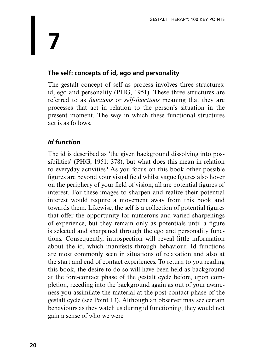# <span id="page-34-0"></span>**7**

#### **The self: concepts of id, ego and personality**

The gestalt concept of self as process involves three structures: id, ego and personality (PHG, 1951). These three structures are referred to as *functions* or *self-functions* meaning that they are processes that act in relation to the person's situation in the present moment. The way in which these functional structures act is as follows.

### *Id function*

The id is described as 'the given background dissolving into possibilities' (PHG, 1951: 378), but what does this mean in relation to everyday activities? As you focus on this book other possible figures are beyond your visual field whilst vague figures also hover on the periphery of your field of vision; all are potential figures of interest. For these images to sharpen and realize their potential interest would require a movement away from this book and towards them. Likewise, the self is a collection of potential figures that offer the opportunity for numerous and varied sharpenings of experience, but they remain only as potentials until a figure is selected and sharpened through the ego and personality functions. Consequently, introspection will reveal little information about the id, which manifests through behaviour. Id functions are most commonly seen in situations of relaxation and also at the start and end of contact experiences. To return to you reading this book, the desire to do so will have been held as background at the fore-contact phase of the gestalt cycle before, upon completion, receding into the background again as out of your awareness you assimilate the material at the post-contact phase of the gestalt cycle (see Point 13). Although an observer may see certain behaviours as they watch us during id functioning, they would not gain a sense of who we were.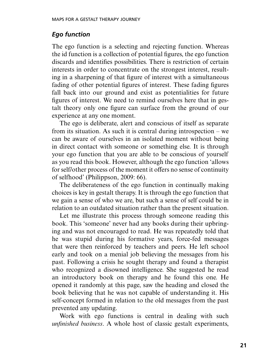### *Ego function*

The ego function is a selecting and rejecting function. Whereas the id function is a collection of potential figures, the ego function discards and identifies possibilities. There is restriction of certain interests in order to concentrate on the strongest interest, resulting in a sharpening of that figure of interest with a simultaneous fading of other potential figures of interest. These fading figures fall back into our ground and exist as potentialities for future figures of interest. We need to remind ourselves here that in gestalt theory only one figure can surface from the ground of our experience at any one moment.

The ego is deliberate, alert and conscious of itself as separate from its situation. As such it is central during introspection – we can be aware of ourselves in an isolated moment without being in direct contact with someone or something else. It is through your ego function that you are able to be conscious of yourself as you read this book. However, although the ego function 'allows for self/other process of the moment it offers no sense of continuity of selfhood' (Philippson, 2009: 66).

The deliberateness of the ego function in continually making choices is key in gestalt therapy. It is through the ego function that we gain a sense of who we are, but such a sense of self could be in relation to an outdated situation rather than the present situation.

Let me illustrate this process through someone reading this book. This 'someone' never had any books during their upbringing and was not encouraged to read. He was repeatedly told that he was stupid during his formative years, force-fed messages that were then reinforced by teachers and peers. He left school early and took on a menial job believing the messages from his past. Following a crisis he sought therapy and found a therapist who recognized a disowned intelligence. She suggested he read an introductory book on therapy and he found this one. He opened it randomly at this page, saw the heading and closed the book believing that he was not capable of understanding it. His self-concept formed in relation to the old messages from the past prevented any updating.

Work with ego functions is central in dealing with such *unfinished business*. A whole host of classic gestalt experiments,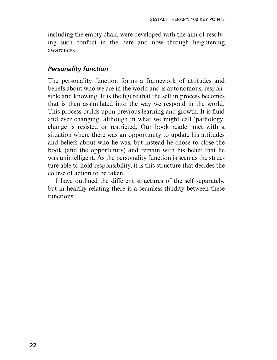including the empty chair, were developed with the aim of resolving such conflict in the here and now through heightening awareness.

#### *Personality function*

The personality function forms a framework of attitudes and beliefs about who we are in the world and is autonomous, responsible and knowing. It is the figure that the self in process becomes that is then assimilated into the way we respond in the world. This process builds upon previous learning and growth. It is fluid and ever changing, although in what we might call 'pathology' change is resisted or restricted. Our book reader met with a situation where there was an opportunity to update his attitudes and beliefs about who he was, but instead he chose to close the book (and the opportunity) and remain with his belief that he was unintelligent. As the personality function is seen as the structure able to hold responsibility, it is this structure that decides the course of action to be taken.

I have outlined the different structures of the self separately, but in healthy relating there is a seamless fluidity between these functions.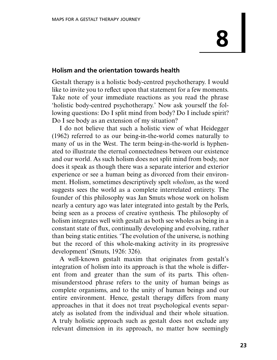#### **Holism and the orientation towards health**

Gestalt therapy is a holistic body-centred psychotherapy. I would like to invite you to reflect upon that statement for a few moments. Take note of your immediate reactions as you read the phrase 'holistic body-centred psychotherapy.' Now ask yourself the following questions: Do I split mind from body? Do I include spirit? Do I see body as an extension of my situation?

I do not believe that such a holistic view of what Heidegger (1962) referred to as our being-in-the-world comes naturally to many of us in the West. The term being-in-the-world is hyphenated to illustrate the eternal connectedness between our existence and our world. As such holism does not split mind from body, nor does it speak as though there was a separate interior and exterior experience or see a human being as divorced from their environment. Holism, sometimes descriptively spelt *wholism*, as the word suggests sees the world as a complete interrelated entirety. The founder of this philosophy was Jan Smuts whose work on holism nearly a century ago was later integrated into gestalt by the Perls, being seen as a process of creative synthesis. The philosophy of holism integrates well with gestalt as both see wholes as being in a constant state of flux, continually developing and evolving, rather than being static entities. 'The evolution of the universe, is nothing but the record of this whole-making activity in its progressive development' (Smuts, 1926: 326).

A well-known gestalt maxim that originates from gestalt's integration of holism into its approach is that the whole is different from and greater than the sum of its parts. This oftenmisunderstood phrase refers to the unity of human beings as complete organisms, and to the unity of human beings and our entire environment. Hence, gestalt therapy differs from many approaches in that it does not treat psychological events separately as isolated from the individual and their whole situation. A truly holistic approach such as gestalt does not exclude any relevant dimension in its approach, no matter how seemingly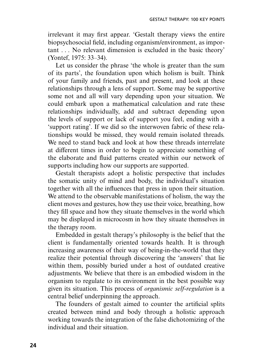irrelevant it may first appear. 'Gestalt therapy views the entire biopsychosocial field, including organism/environment, as important . . . No relevant dimension is excluded in the basic theory' (Yontef, 1975: 33–34).

Let us consider the phrase 'the whole is greater than the sum of its parts', the foundation upon which holism is built. Think of your family and friends, past and present, and look at these relationships through a lens of support. Some may be supportive some not and all will vary depending upon your situation. We could embark upon a mathematical calculation and rate these relationships individually, add and subtract depending upon the levels of support or lack of support you feel, ending with a 'support rating'. If we did so the interwoven fabric of these relationships would be missed, they would remain isolated threads. We need to stand back and look at how these threads interrelate at different times in order to begin to appreciate something of the elaborate and fluid patterns created within our network of supports including how our supports are supported.

Gestalt therapists adopt a holistic perspective that includes the somatic unity of mind and body, the individual's situation together with all the influences that press in upon their situation. We attend to the observable manifestations of holism, the way the client moves and gestures, how they use their voice, breathing, how they fill space and how they situate themselves in the world which may be displayed in microcosm in how they situate themselves in the therapy room.

Embedded in gestalt therapy's philosophy is the belief that the client is fundamentally oriented towards health. It is through increasing awareness of their way of being-in-the-world that they realize their potential through discovering the 'answers' that lie within them, possibly buried under a host of outdated creative adjustments. We believe that there is an embodied wisdom in the organism to regulate to its environment in the best possible way given its situation. This process of *organismic self-regulation* is a central belief underpinning the approach.

The founders of gestalt aimed to counter the artificial splits created between mind and body through a holistic approach working towards the integration of the false dichotomizing of the individual and their situation.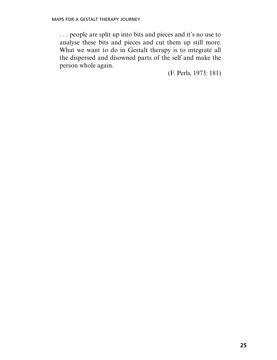. . . people are split up into bits and pieces and it's no use to analyse these bits and pieces and cut them up still more. What we want to do in Gestalt therapy is to integrate all the dispersed and disowned parts of the self and make the person whole again.

(F. Perls, 1973: 181)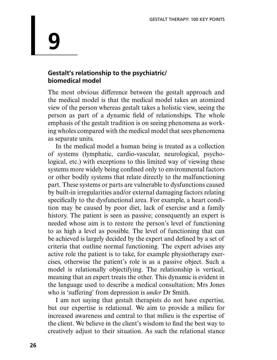#### **Gestalt's relationship to the psychiatric/ biomedical model**

The most obvious difference between the gestalt approach and the medical model is that the medical model takes an atomized view of the person whereas gestalt takes a holistic view, seeing the person as part of a dynamic field of relationships. The whole emphasis of the gestalt tradition is on seeing phenomena as working wholes compared with the medical model that sees phenomena as separate units.

In the medical model a human being is treated as a collection of systems (lymphatic, cardio-vascular, neurological, psychological, etc.) with exceptions to this limited way of viewing these systems more widely being confined only to environmental factors or other bodily systems that relate directly to the malfunctioning part. These systems or parts are vulnerable to dysfunctions caused by built-in irregularities and/or external damaging factors relating specifically to the dysfunctional area. For example, a heart condition may be caused by poor diet, lack of exercise and a family history. The patient is seen as passive; consequently an expert is needed whose aim is to restore the person's level of functioning to as high a level as possible. The level of functioning that can be achieved is largely decided by the expert and defined by a set of criteria that outline normal functioning. The expert advises any active role the patient is to take, for example physiotherapy exercises, otherwise the patient's role is as a passive object. Such a model is relationally objectifying. The relationship is vertical, meaning that an expert treats the other. This dynamic is evident in the language used to describe a medical consultation; Mrs Jones who is 'suffering' from depression is *under* Dr Smith.

I am not saying that gestalt therapists do not have expertise, but our expertise is relational. We aim to provide a milieu for increased awareness and central to that milieu is the expertise of the client. We believe in the client's wisdom to find the best way to creatively adjust to their situation. As such the relational stance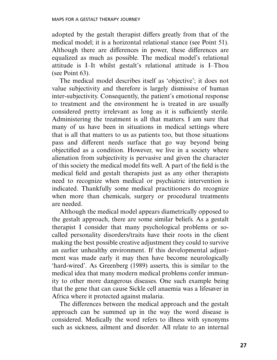adopted by the gestalt therapist differs greatly from that of the medical model; it is a horizontal relational stance (see Point 51). Although there are differences in power, these differences are equalized as much as possible. The medical model's relational attitude is I–It whilst gestalt's relational attitude is I–Thou (see Point 63).

The medical model describes itself as 'objective'; it does not value subjectivity and therefore is largely dismissive of human inter-subjectivity. Consequently, the patient's emotional response to treatment and the environment he is treated in are usually considered pretty irrelevant as long as it is sufficiently sterile. Administering the treatment is all that matters. I am sure that many of us have been in situations in medical settings where that is all that matters to us as patients too, but those situations pass and different needs surface that go way beyond being objectified as a condition. However, we live in a society where alienation from subjectivity is pervasive and given the character of this society the medical model fits well. A part of the field is the medical field and gestalt therapists just as any other therapists need to recognize when medical or psychiatric intervention is indicated. Thankfully some medical practitioners do recognize when more than chemicals, surgery or procedural treatments are needed.

Although the medical model appears diametrically opposed to the gestalt approach, there are some similar beliefs. As a gestalt therapist I consider that many psychological problems or socalled personality disorders/traits have their roots in the client making the best possible creative adjustment they could to survive an earlier unhealthy environment. If this developmental adjustment was made early it may then have become neurologically 'hard-wired'. As Greenberg (1989) asserts, this is similar to the medical idea that many modern medical problems confer immunity to other more dangerous diseases. One such example being that the gene that can cause Sickle cell anaemia was a lifesaver in Africa where it protected against malaria.

The differences between the medical approach and the gestalt approach can be summed up in the way the word disease is considered. Medically the word refers to illness with synonyms such as sickness, ailment and disorder. All relate to an internal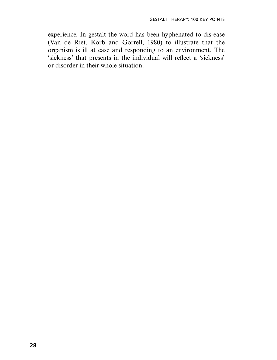experience. In gestalt the word has been hyphenated to dis-ease (Van de Riet, Korb and Gorrell, 1980) to illustrate that the organism is ill at ease and responding to an environment. The 'sickness' that presents in the individual will reflect a 'sickness' or disorder in their whole situation.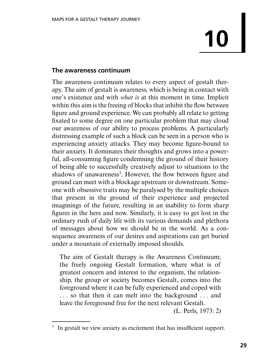#### **The awareness continuum**

The awareness continuum relates to every aspect of gestalt therapy. The aim of gestalt is awareness, which is being in contact with one's existence and with *what is* at this moment in time. Implicit within this aim is the freeing of blocks that inhibit the flow between figure and ground experience. We can probably all relate to getting fixated to some degree on one particular problem that may cloud our awareness of our ability to process problems. A particularly distressing example of such a block can be seen in a person who is experiencing anxiety attacks. They may become figure-bound to their anxiety. It dominates their thoughts and grows into a powerful, all-consuming figure condemning the ground of their history of being able to successfully creatively adjust to situations to the shadows of unawareness<sup>3</sup>. However, the flow between figure and ground can meet with a blockage upstream or downstream. Someone with obsessive traits may be paralysed by the multiple choices that present in the ground of their experience and projected imaginings of the future, resulting in an inability to form sharp figures in the here and now. Similarly, it is easy to get lost in the ordinary rush of daily life with its various demands and plethora of messages about how we should be in the world. As a consequence awareness of our desires and aspirations can get buried under a mountain of externally imposed shoulds.

The aim of Gestalt therapy is the Awareness Continuum; the freely ongoing Gestalt formation, where what is of greatest concern and interest to the organism, the relationship, the group or society becomes Gestalt, comes into the foreground where it can be fully experienced and coped with . . . so that then it can melt into the background . . . and leave the foreground free for the next relevant Gestalt.

(L. Perls, 1973: 2)

<sup>&</sup>lt;sup>3</sup> In gestalt we view anxiety as excitement that has insufficient support.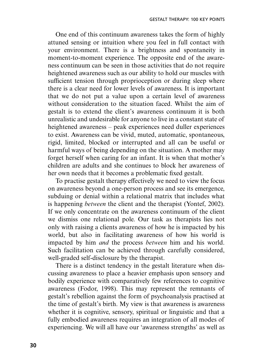One end of this continuum awareness takes the form of highly attuned sensing or intuition where you feel in full contact with your environment. There is a brightness and spontaneity in moment-to-moment experience. The opposite end of the awareness continuum can be seen in those activities that do not require heightened awareness such as our ability to hold our muscles with sufficient tension through proprioception or during sleep where there is a clear need for lower levels of awareness. It is important that we do not put a value upon a certain level of awareness without consideration to the situation faced. Whilst the aim of gestalt is to extend the client's awareness continuum it is both unrealistic and undesirable for anyone to live in a constant state of heightened awareness – peak experiences need duller experiences to exist. Awareness can be vivid, muted, automatic, spontaneous, rigid, limited, blocked or interrupted and all can be useful or harmful ways of being depending on the situation. A mother may forget herself when caring for an infant. It is when that mother's children are adults and she continues to block her awareness of her own needs that it becomes a problematic fixed gestalt.

To practise gestalt therapy effectively we need to view the focus on awareness beyond a one-person process and see its emergence, subduing or denial within a relational matrix that includes what is happening *between* the client and the therapist (Yontef, 2002). If we only concentrate on the awareness continuum of the client we dismiss one relational pole. Our task as therapists lies not only with raising a clients awareness of how he is impacted by his world, but also in facilitating awareness of how his world is impacted by him *and* the process *between* him and his world. Such facilitation can be achieved through carefully considered, well-graded self-disclosure by the therapist.

There is a distinct tendency in the gestalt literature when discussing awareness to place a heavier emphasis upon sensory and bodily experience with comparatively few references to cognitive awareness (Fodor, 1998). This may represent the remnants of gestalt's rebellion against the form of psychoanalysis practised at the time of gestalt's birth. My view is that awareness is awareness whether it is cognitive, sensory, spiritual or linguistic and that a fully embodied awareness requires an integration of all modes of experiencing. We will all have our 'awareness strengths' as well as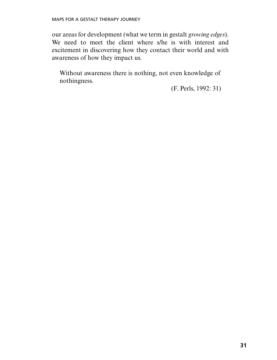our areas for development (what we term in gestalt *growing edges*). We need to meet the client where s/he is with interest and excitement in discovering how they contact their world and with awareness of how they impact us.

Without awareness there is nothing, not even knowledge of nothingness.

(F. Perls, 1992: 31)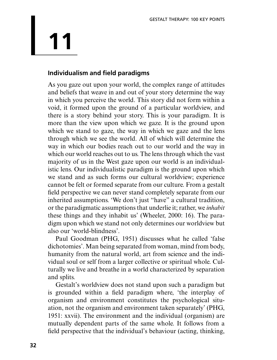#### **Individualism and field paradigms**

As you gaze out upon your world, the complex range of attitudes and beliefs that weave in and out of your story determine the way in which you perceive the world. This story did not form within a void, it formed upon the ground of a particular worldview, and there is a story behind your story. This is your paradigm. It is more than the view upon which we gaze. It is the ground upon which we stand to gaze, the way in which we gaze and the lens through which we see the world. All of which will determine the way in which our bodies reach out to our world and the way in which our world reaches out to us. The lens through which the vast majority of us in the West gaze upon our world is an individualistic lens. Our individualistic paradigm is the ground upon which we stand and as such forms our cultural worldview; experience cannot be felt or formed separate from our culture. From a gestalt field perspective we can never stand completely separate from our inherited assumptions. 'We don't just "have" a cultural tradition, or the paradigmatic assumptions that underlie it; rather, we *inhabit* these things and they inhabit us' (Wheeler, 2000: 16). The paradigm upon which we stand not only determines our worldview but also our 'world-blindness'.

Paul Goodman (PHG, 1951) discusses what he called 'false dichotomies'. Man being separated from woman, mind from body, humanity from the natural world, art from science and the individual soul or self from a larger collective or spiritual whole. Culturally we live and breathe in a world characterized by separation and splits.

Gestalt's worldview does not stand upon such a paradigm but is grounded within a field paradigm where, 'the interplay of organism and environment constitutes the psychological situation, not the organism and environment taken separately' (PHG, 1951: xxvii). The environment and the individual (organism) are mutually dependent parts of the same whole. It follows from a field perspective that the individual's behaviour (acting, thinking,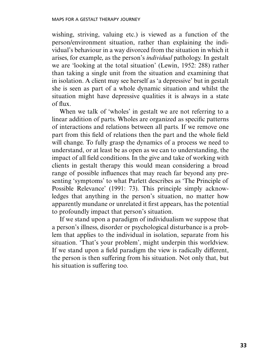wishing, striving, valuing etc.) is viewed as a function of the person/environment situation, rather than explaining the individual's behaviour in a way divorced from the situation in which it arises, for example, as the person's *individual* pathology. In gestalt we are 'looking at the total situation' (Lewin, 1952: 288) rather than taking a single unit from the situation and examining that in isolation. A client may see herself as 'a depressive' but in gestalt she is seen as part of a whole dynamic situation and whilst the situation might have depressive qualities it is always in a state of flux.

When we talk of 'wholes' in gestalt we are not referring to a linear addition of parts. Wholes are organized as specific patterns of interactions and relations between all parts. If we remove one part from this field of relations then the part and the whole field will change. To fully grasp the dynamics of a process we need to understand, or at least be as open as we can to understanding, the impact of all field conditions. In the give and take of working with clients in gestalt therapy this would mean considering a broad range of possible influences that may reach far beyond any presenting 'symptoms' to what Parlett describes as 'The Principle of Possible Relevance' (1991: 73). This principle simply acknowledges that anything in the person's situation, no matter how apparently mundane or unrelated it first appears, has the potential to profoundly impact that person's situation.

If we stand upon a paradigm of individualism we suppose that a person's illness, disorder or psychological disturbance is a problem that applies to the individual in isolation, separate from his situation. 'That's your problem', might underpin this worldview. If we stand upon a field paradigm the view is radically different, the person is then suffering from his situation. Not only that, but his situation is suffering too.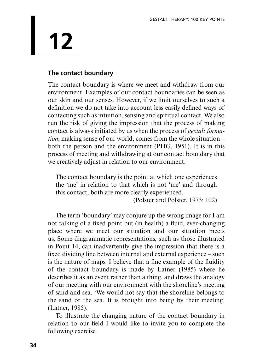#### **The contact boundary**

The contact boundary is where we meet and withdraw from our environment. Examples of our contact boundaries can be seen as our skin and our senses. However, if we limit ourselves to such a definition we do not take into account less easily defined ways of contacting such as intuition, sensing and spiritual contact. We also run the risk of giving the impression that the process of making contact is always initiated by us when the process of *gestalt formation*, making sense of our world, comes from the whole situation – both the person and the environment (PHG, 1951). It is in this process of meeting and withdrawing at our contact boundary that we creatively adjust in relation to our environment.

The contact boundary is the point at which one experiences the 'me' in relation to that which is not 'me' and through this contact, both are more clearly experienced.

(Polster and Polster, 1973: 102)

The term 'boundary' may conjure up the wrong image for I am not talking of a fixed point but (in health) a fluid, ever-changing place where we meet our situation and our situation meets us. Some diagrammatic representations, such as those illustrated in Point 14, can inadvertently give the impression that there is a fixed dividing line between internal and external experience – such is the nature of maps. I believe that a fine example of the fluidity of the contact boundary is made by Latner (1985) where he describes it as an event rather than a thing, and draws the analogy of our meeting with our environment with the shoreline's meeting of sand and sea. 'We would not say that the shoreline belongs to the sand or the sea. It is brought into being by their meeting' (Latner, 1985).

To illustrate the changing nature of the contact boundary in relation to our field I would like to invite you to complete the following exercise.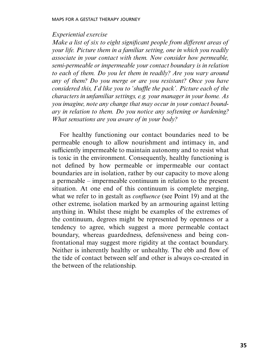#### *Experiential exercise*

*Make a list of six to eight significant people from different areas of your life. Picture them in a familiar setting, one in which you readily associate in your contact with them. Now consider how permeable, semi-permeable or impermeable your contact boundary is in relation to each of them. Do you let them in readily? Are you wary around any of them? Do you merge or are you resistant? Once you have considered this, I'd like you to 'shuffle the pack'. Picture each of the characters in unfamiliar settings, e.g. your manager in your home. As you imagine, note any change that may occur in your contact boundary in relation to them. Do you notice any softening or hardening? What sensations are you aware of in your body?*

For healthy functioning our contact boundaries need to be permeable enough to allow nourishment and intimacy in, and sufficiently impermeable to maintain autonomy and to resist what is toxic in the environment. Consequently, healthy functioning is not defined by how permeable or impermeable our contact boundaries are in isolation, rather by our capacity to move along a permeable – impermeable continuum in relation to the present situation. At one end of this continuum is complete merging, what we refer to in gestalt as *confluence* (see Point 19) and at the other extreme, isolation marked by an armouring against letting anything in. Whilst these might be examples of the extremes of the continuum, degrees might be represented by openness or a tendency to agree, which suggest a more permeable contact boundary, whereas guardedness, defensiveness and being confrontational may suggest more rigidity at the contact boundary. Neither is inherently healthy or unhealthy. The ebb and flow of the tide of contact between self and other is always co-created in the between of the relationship.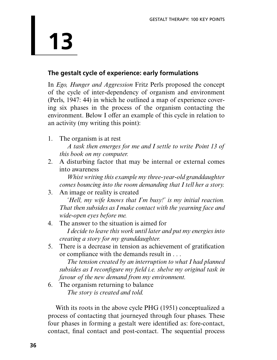#### **The gestalt cycle of experience: early formulations**

In *Ego, Hunger and Aggression* Fritz Perls proposed the concept of the cycle of inter-dependency of organism and environment (Perls, 1947: 44) in which he outlined a map of experience covering six phases in the process of the organism contacting the environment. Below I offer an example of this cycle in relation to an activity (my writing this point):

- 1. The organism is at rest *A task then emerges for me and I settle to write Point 13 of this book on my computer.*
- 2. A disturbing factor that may be internal or external comes into awareness

*Whist writing this example my three-year-old granddaughter comes bouncing into the room demanding that I tell her a story.*

- 3. An image or reality is created *'Hell, my wife knows that I'm busy!' is my initial reaction. That then subsides as I make contact with the yearning face and wide-open eyes before me.*
- 4. The answer to the situation is aimed for *I decide to leave this work until later and put my energies into creating a story for my granddaughter.*
- 5. There is a decrease in tension as achievement of gratification or compliance with the demands result in...

*The tension created by an interruption to what I had planned subsides as I reconfigure my field i.e. shelve my original task in favour of the new demand from my environment.*

6. The organism returning to balance *The story is created and told.*

With its roots in the above cycle PHG (1951) conceptualized a process of contacting that journeyed through four phases. These four phases in forming a gestalt were identified as: fore-contact, contact, final contact and post-contact. The sequential process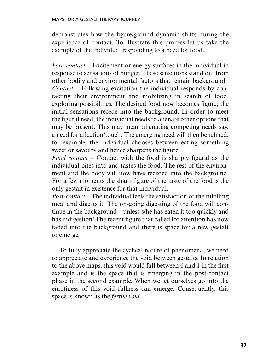demonstrates how the figure/ground dynamic shifts during the experience of contact. To illustrate this process let us take the example of the individual responding to a need for food.

*Fore-contact –* Excitement or energy surfaces in the individual in response to sensations of hunger. These sensations stand out from other bodily and environmental factors that remain background. *Contact –* Following excitation the individual responds by contacting their environment and mobilizing in search of food, exploring possibilities. The desired food now becomes figure; the initial sensations recede into the background. In order to meet the figural need, the individual needs to alienate other options that may be present. This may mean alienating competing needs say, a need for affection/touch. The emerging need will then be refined; for example, the individual chooses between eating something sweet or savoury and hence sharpens the figure.

*Final contact –* Contact with the food is sharply figural as the individual bites into and tastes the food. The rest of the environment and the body will now have receded into the background. For a few moments the sharp figure of the taste of the food is the only gestalt in existence for that individual.

*Post-contact –* The individual feels the satisfaction of the fulfilling meal and digests it. The on-going digesting of the food will continue in the background – unless s/he has eaten it too quickly and has indigestion! The recent figure that called for attention has now faded into the background and there is space for a new gestalt to emerge.

To fully appreciate the cyclical nature of phenomena, we need to appreciate and experience the void between gestalts. In relation to the above maps, this void would fall between 6 and 1 in the first example and is the space that is emerging in the post-contact phase in the second example. When we let ourselves go into the emptiness of this void fullness can emerge. Consequently, this space is known as the *fertile void*.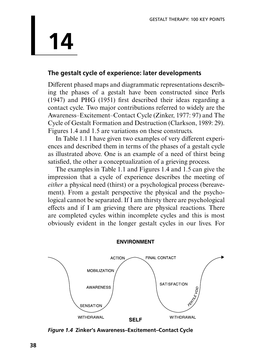#### **The gestalt cycle of experience: later developments**

Different phased maps and diagrammatic representations describing the phases of a gestalt have been constructed since Perls (1947) and PHG (1951) first described their ideas regarding a contact cycle. Two major contributions referred to widely are the Awareness–Excitement–Contact Cycle (Zinker, 1977: 97) and The Cycle of Gestalt Formation and Destruction (Clarkson, 1989: 29). Figures 1.4 and 1.5 are variations on these constructs.

In Table 1.1 I have given two examples of very different experiences and described them in terms of the phases of a gestalt cycle as illustrated above. One is an example of a need of thirst being satisfied, the other a conceptualization of a grieving process.

The examples in Table 1.1 and Figures 1.4 and 1.5 can give the impression that a cycle of experience describes the meeting of *either* a physical need (thirst) or a psychological process (bereavement). From a gestalt perspective the physical and the psychological cannot be separated. If I am thirsty there are psychological effects and if I am grieving there are physical reactions. There are completed cycles within incomplete cycles and this is most obviously evident in the longer gestalt cycles in our lives. For



#### **ENVIRONMENT**

*Figure 1.4* **Zinker's Awareness–Excitement–Contact Cycle**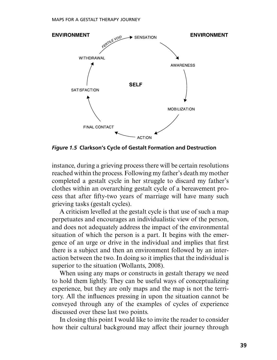

*Figure 1.5* **Clarkson's Cycle of Gestalt Formation and Destruction**

instance, during a grieving process there will be certain resolutions reached within the process. Following my father's death my mother completed a gestalt cycle in her struggle to discard my father's clothes within an overarching gestalt cycle of a bereavement process that after fifty-two years of marriage will have many such grieving tasks (gestalt cycles).

A criticism levelled at the gestalt cycle is that use of such a map perpetuates and encourages an individualistic view of the person, and does not adequately address the impact of the environmental situation of which the person is a part. It begins with the emergence of an urge or drive in the individual and implies that first there is a subject and then an environment followed by an interaction between the two. In doing so it implies that the individual is superior to the situation (Wollants, 2008).

When using any maps or constructs in gestalt therapy we need to hold them lightly. They can be useful ways of conceptualizing experience, but they are only maps and the map is not the territory. All the influences pressing in upon the situation cannot be conveyed through any of the examples of cycles of experience discussed over these last two points.

In closing this point I would like to invite the reader to consider how their cultural background may affect their journey through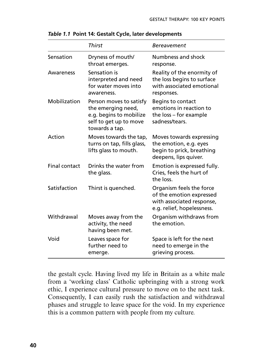|                      | Thirst                                                                                                               | Bereavement                                                                                                     |
|----------------------|----------------------------------------------------------------------------------------------------------------------|-----------------------------------------------------------------------------------------------------------------|
| Sensation            | Dryness of mouth/<br>throat emerges.                                                                                 | Numbness and shock<br>response.                                                                                 |
| Awareness            | Sensation is<br>interpreted and need<br>for water moves into<br>awareness.                                           | Reality of the enormity of<br>the loss begins to surface<br>with associated emotional<br>responses.             |
| Mobilization         | Person moves to satisfy<br>the emerging need,<br>e.g. begins to mobilize<br>self to get up to move<br>towards a tap. | Begins to contact<br>emotions in reaction to<br>the loss - for example<br>sadness/tears.                        |
| Action               | Moves towards the tap,<br>turns on tap, fills glass,<br>lifts glass to mouth.                                        | Moves towards expressing<br>the emotion, e.g. eyes<br>begin to prick, breathing<br>deepens, lips quiver.        |
| <b>Final contact</b> | Drinks the water from<br>the glass.                                                                                  | Emotion is expressed fully.<br>Cries, feels the hurt of<br>the loss.                                            |
| Satisfaction         | Thirst is quenched.                                                                                                  | Organism feels the force<br>of the emotion expressed<br>with associated response,<br>e.g. relief, hopelessness. |
| Withdrawal           | Moves away from the<br>activity, the need<br>having been met.                                                        | Organism withdraws from<br>the emotion.                                                                         |
| Void                 | Leaves space for<br>further need to<br>emerge.                                                                       | Space is left for the next<br>need to emerge in the<br>grieving process.                                        |

*Table 1.1* **Point 14: Gestalt Cycle, later developments**

the gestalt cycle. Having lived my life in Britain as a white male from a 'working class' Catholic upbringing with a strong work ethic, I experience cultural pressure to move on to the next task. Consequently, I can easily rush the satisfaction and withdrawal phases and struggle to leave space for the void. In my experience this is a common pattern with people from my culture.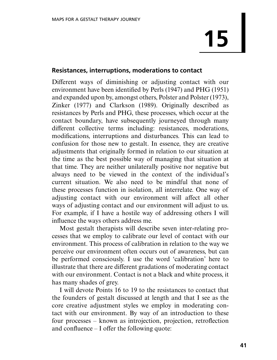#### **Resistances, interruptions, moderations to contact**

Different ways of diminishing or adjusting contact with our environment have been identified by Perls (1947) and PHG (1951) and expanded upon by, amongst others, Polster and Polster (1973), Zinker (1977) and Clarkson (1989). Originally described as resistances by Perls and PHG, these processes, which occur at the contact boundary, have subsequently journeyed through many different collective terms including: resistances, moderations, modifications, interruptions and disturbances. This can lead to confusion for those new to gestalt. In essence, they are creative adjustments that originally formed in relation to our situation at the time as the best possible way of managing that situation at that time. They are neither unilaterally positive nor negative but always need to be viewed in the context of the individual's current situation. We also need to be mindful that none of these processes function in isolation, all interrelate. One way of adjusting contact with our environment will affect all other ways of adjusting contact and our environment will adjust to us. For example, if I have a hostile way of addressing others I will influence the ways others address me.

Most gestalt therapists will describe seven inter-relating processes that we employ to calibrate our level of contact with our environment. This process of calibration in relation to the way we perceive our environment often occurs out of awareness, but can be performed consciously. I use the word 'calibration' here to illustrate that there are different gradations of moderating contact with our environment. Contact is not a black and white process, it has many shades of grey.

I will devote Points 16 to 19 to the resistances to contact that the founders of gestalt discussed at length and that I see as the core creative adjustment styles we employ in moderating contact with our environment. By way of an introduction to these four processes – known as introjection, projection, retroflection and confluence – I offer the following quote: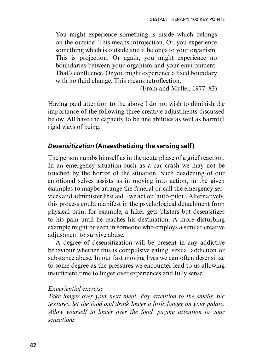You might experience something is inside which belongs on the outside. This means introjection. Or, you experience something which is outside and it belongs to your organism. This is projection. Or again, you might experience no boundaries between your organism and your environment. That's confluence. Or you might experience a fixed boundary with no fluid change. This means retroflection.

(From and Muller, 1977: 83)

Having paid attention to the above I do not wish to diminish the importance of the following three creative adjustments discussed below. All have the capacity to be fine abilities as well as harmful rigid ways of being.

#### *Desensitization* **(Anaesthetizing the sensing self)**

The person numbs himself as in the acute phase of a grief reaction. In an emergency situation such as a car crash we may not be touched by the horror of the situation. Such deadening of our emotional selves assists us in moving into action, in the given examples to maybe arrange the funeral or call the emergency services and administer first aid – we act on 'auto-pilot'. Alternatively, this process could manifest in the psychological detachment from physical pain; for example, a hiker gets blisters but desensitizes to his pain until he reaches his destination. A more disturbing example might be seen in someone who employs a similar creative adjustment to survive abuse.

A degree of desensitization will be present in any addictive behaviour whether this is compulsive eating, sexual addiction or substance abuse. In our fast moving lives we can often desensitize to some degree as the pressures we encounter lead to us allowing insufficient time to linger over experiences and fully sense.

#### *Experiential exercise*

*Take longer over your next meal. Pay attention to the smells, the textures, let the food and drink linger a little longer on your palate. Allow yourself to linger over the food, paying attention to your sensations.*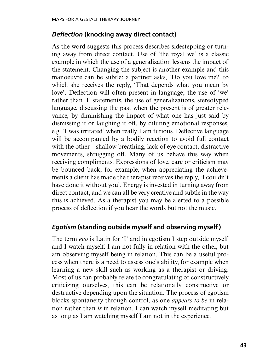#### *Deflection* **(knocking away direct contact)**

As the word suggests this process describes sidestepping or turning away from direct contact. Use of 'the royal we' is a classic example in which the use of a generalization lessens the impact of the statement. Changing the subject is another example and this manoeuvre can be subtle: a partner asks, 'Do you love me?' to which she receives the reply, 'That depends what you mean by love'. Deflection will often present in language; the use of 'we' rather than 'I' statements, the use of generalizations, stereotyped language, discussing the past when the present is of greater relevance, by diminishing the impact of what one has just said by dismissing it or laughing it off, by diluting emotional responses, e.g. 'I was irritated' when really I am furious. Deflective language will be accompanied by a bodily reaction to avoid full contact with the other – shallow breathing, lack of eye contact, distractive movements, shrugging off. Many of us behave this way when receiving compliments. Expressions of love, care or criticism may be bounced back, for example, when appreciating the achievements a client has made the therapist receives the reply, 'I couldn't have done it without you'. Energy is invested in turning away from direct contact, and we can all be very creative and subtle in the way this is achieved. As a therapist you may be alerted to a possible process of deflection if you hear the words but not the music.

#### *Egotism* **(standing outside myself and observing myself )**

The term *ego* is Latin for 'I' and in egotism I step outside myself and I watch myself. I am not fully in relation with the other, but am observing myself being in relation. This can be a useful process when there is a need to assess one's ability, for example when learning a new skill such as working as a therapist or driving. Most of us can probably relate to congratulating or constructively criticizing ourselves, this can be relationally constructive or destructive depending upon the situation. The process of egotism blocks spontaneity through control, as one *appears to be* in relation rather than *is* in relation. I can watch myself meditating but as long as I am watching myself I am not in the experience.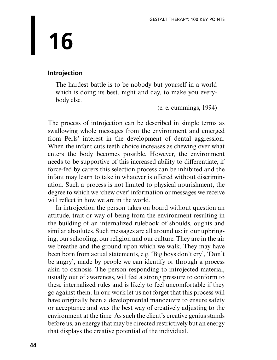#### **Introjection**

The hardest battle is to be nobody but yourself in a world which is doing its best, night and day, to make you everybody else.

(e. e. cummings, 1994)

The process of introjection can be described in simple terms as swallowing whole messages from the environment and emerged from Perls' interest in the development of dental aggression. When the infant cuts teeth choice increases as chewing over what enters the body becomes possible. However, the environment needs to be supportive of this increased ability to differentiate, if force-fed by carers this selection process can be inhibited and the infant may learn to take in whatever is offered without discrimination. Such a process is not limited to physical nourishment, the degree to which we 'chew over' information or messages we receive will reflect in how we are in the world.

In introjection the person takes on board without question an attitude, trait or way of being from the environment resulting in the building of an internalized rulebook of shoulds, oughts and similar absolutes. Such messages are all around us: in our upbringing, our schooling, our religion and our culture. They are in the air we breathe and the ground upon which we walk. They may have been born from actual statements, e.g. 'Big boys don't cry', 'Don't be angry', made by people we can identify or through a process akin to osmosis. The person responding to introjected material, usually out of awareness, will feel a strong pressure to conform to these internalized rules and is likely to feel uncomfortable if they go against them. In our work let us not forget that this process will have originally been a developmental manoeuvre to ensure safety or acceptance and was the best way of creatively adjusting to the environment at the time. As such the client's creative genius stands before us, an energy that may be directed restrictively but an energy that displays the creative potential of the individual.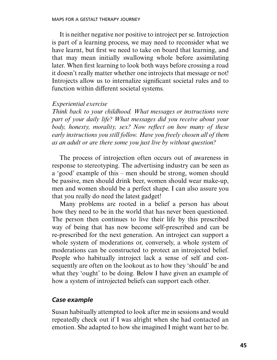#### MAPS FOR A GESTALT THERAPY JOURNEY

It is neither negative nor positive to introject per se. Introjection is part of a learning process, we may need to reconsider what we have learnt, but first we need to take on board that learning, and that may mean initially swallowing whole before assimilating later. When first learning to look both ways before crossing a road it doesn't really matter whether one introjects that message or not! Introjects allow us to internalize significant societal rules and to function within different societal systems.

#### *Experiential exercise*

*Think back to your childhood. What messages or instructions were part of your daily life? What messages did you receive about your body, honesty, morality, sex? Now reflect on how many of these early instructions you still follow. Have you freely chosen all of them as an adult or are there some you just live by without question?*

The process of introjection often occurs out of awareness in response to stereotyping. The advertising industry can be seen as a 'good' example of this – men should be strong, women should be passive, men should drink beer, women should wear make-up, men and women should be a perfect shape. I can also assure you that you really do need the latest gadget!

Many problems are rooted in a belief a person has about how they need to be in the world that has never been questioned. The person then continues to live their life by this prescribed way of being that has now become self-prescribed and can be re-prescribed for the next generation. An introject can support a whole system of moderations or, conversely, a whole system of moderations can be constructed to protect an introjected belief. People who habitually introject lack a sense of self and consequently are often on the lookout as to how they 'should' be and what they 'ought' to be doing. Below I have given an example of how a system of introjected beliefs can support each other.

#### *Case example*

Susan habitually attempted to look after me in sessions and would repeatedly check out if I was alright when she had contacted an emotion. She adapted to how she imagined I might want her to be.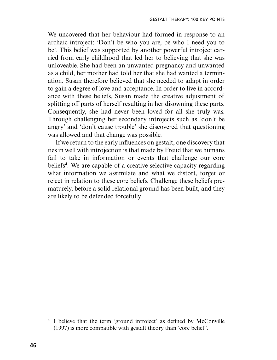We uncovered that her behaviour had formed in response to an archaic introject; 'Don't be who you are, be who I need you to be'. This belief was supported by another powerful introject carried from early childhood that led her to believing that she was unloveable. She had been an unwanted pregnancy and unwanted as a child, her mother had told her that she had wanted a termination. Susan therefore believed that she needed to adapt in order to gain a degree of love and acceptance. In order to live in accordance with these beliefs, Susan made the creative adjustment of splitting off parts of herself resulting in her disowning these parts. Consequently, she had never been loved for all she truly was. Through challenging her secondary introjects such as 'don't be angry' and 'don't cause trouble' she discovered that questioning was allowed and that change was possible.

If we return to the early influences on gestalt, one discovery that ties in well with introjection is that made by Freud that we humans fail to take in information or events that challenge our core beliefs<sup>4</sup>. We are capable of a creative selective capacity regarding what information we assimilate and what we distort, forget or reject in relation to these core beliefs. Challenge these beliefs prematurely, before a solid relational ground has been built, and they are likely to be defended forcefully.

<sup>4</sup> I believe that the term 'ground introject' as defined by McConville (1997) is more compatible with gestalt theory than 'core belief'.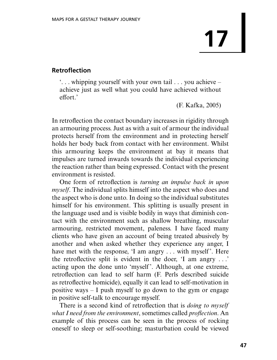#### **Retroflection**

 $\therefore$  whipping yourself with your own tail  $\therefore$  you achieve – achieve just as well what you could have achieved without effort.'

(F. Kafka, 2005)

In retroflection the contact boundary increases in rigidity through an armouring process. Just as with a suit of armour the individual protects herself from the environment and in protecting herself holds her body back from contact with her environment. Whilst this armouring keeps the environment at bay it means that impulses are turned inwards towards the individual experiencing the reaction rather than being expressed. Contact with the present environment is resisted.

One form of retroflection is *turning an impulse back in upon myself*. The individual splits himself into the aspect who does and the aspect who is done unto. In doing so the individual substitutes himself for his environment. This splitting is usually present in the language used and is visible bodily in ways that diminish contact with the environment such as shallow breathing, muscular armouring, restricted movement, paleness. I have faced many clients who have given an account of being treated abusively by another and when asked whether they experience any anger, I have met with the response, 'I am angry . . . with myself'. Here the retroflective split is evident in the doer, 'I am angry . . .' acting upon the done unto 'myself'. Although, at one extreme, retroflection can lead to self harm (F. Perls described suicide as retroflective homicide), equally it can lead to self-motivation in positive ways – I push myself to go down to the gym or engage in positive self-talk to encourage myself.

There is a second kind of retroflection that is *doing to myself what I need from the environment*, sometimes called *proflection*. An example of this process can be seen in the process of rocking oneself to sleep or self-soothing; masturbation could be viewed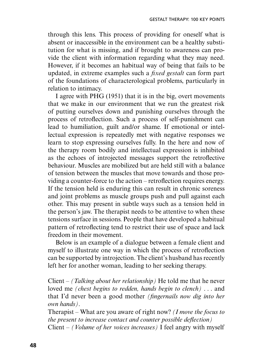through this lens. This process of providing for oneself what is absent or inaccessible in the environment can be a healthy substitution for what is missing, and if brought to awareness can provide the client with information regarding what they may need. However, if it becomes an habitual way of being that fails to be updated, in extreme examples such a *fixed gestalt* can form part of the foundations of characterological problems, particularly in relation to intimacy.

I agree with PHG (1951) that it is in the big, overt movements that we make in our environment that we run the greatest risk of putting ourselves down and punishing ourselves through the process of retroflection. Such a process of self-punishment can lead to humiliation, guilt and/or shame. If emotional or intellectual expression is repeatedly met with negative responses we learn to stop expressing ourselves fully. In the here and now of the therapy room bodily and intellectual expression is inhibited as the echoes of introjected messages support the retroflective behaviour. Muscles are mobilized but are held still with a balance of tension between the muscles that move towards and those providing a counter-force to the action – retroflection requires energy. If the tension held is enduring this can result in chronic soreness and joint problems as muscle groups push and pull against each other. This may present in subtle ways such as a tension held in the person's jaw. The therapist needs to be attentive to when these tensions surface in sessions. People that have developed a habitual pattern of retroflecting tend to restrict their use of space and lack freedom in their movement.

Below is an example of a dialogue between a female client and myself to illustrate one way in which the process of retroflection can be supported by introjection. The client's husband has recently left her for another woman, leading to her seeking therapy.

Client – *(Talking about her relationship)* He told me that he never loved me *(chest begins to redden, hands begin to clench)* . . . and that I'd never been a good mother *(fingernails now dig into her own hands)*.

Therapist – What are you aware of right now? *(I move the focus to the present to increase contact and counter possible deflection)* Client – *(Volume of her voices increases)* I feel angry with myself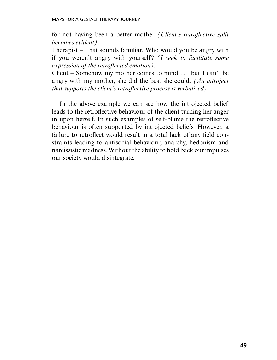for not having been a better mother *(Client's retroflective split becomes evident)*.

Therapist – That sounds familiar. Who would you be angry with if you weren't angry with yourself? *(I seek to facilitate some expression of the retroflected emotion)*.

Client – Somehow my mother comes to mind . . . but I can't be angry with my mother, she did the best she could. *(An introject that supports the client's retroflective process is verbalized)*.

In the above example we can see how the introjected belief leads to the retroflective behaviour of the client turning her anger in upon herself. In such examples of self-blame the retroflective behaviour is often supported by introjected beliefs. However, a failure to retroflect would result in a total lack of any field constraints leading to antisocial behaviour, anarchy, hedonism and narcissistic madness. Without the ability to hold back our impulses our society would disintegrate.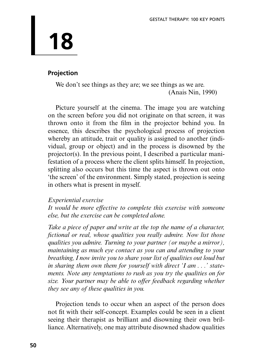#### **Projection**

We don't see things as they are; we see things as we are. (Anais Nin, 1990)

Picture yourself at the cinema. The image you are watching on the screen before you did not originate on that screen, it was thrown onto it from the film in the projector behind you. In essence, this describes the psychological process of projection whereby an attitude, trait or quality is assigned to another (individual, group or object) and in the process is disowned by the projector(s). In the previous point, I described a particular manifestation of a process where the client splits himself. In projection, splitting also occurs but this time the aspect is thrown out onto 'the screen' of the environment. Simply stated, projection is seeing in others what is present in myself.

#### *Experiential exercise*

*It would be more effective to complete this exercise with someone else, but the exercise can be completed alone.*

*Take a piece of paper and write at the top the name of a character, fictional or real, whose qualities you really admire. Now list those qualities you admire. Turning to your partner (or maybe a mirror), maintaining as much eye contact as you can and attending to your breathing, I now invite you to share your list of qualities out loud but in sharing them own them for yourself with direct 'I am . . .' statements. Note any temptations to rush as you try the qualities on for size. Your partner may be able to offer feedback regarding whether they see any of these qualities in you.*

Projection tends to occur when an aspect of the person does not fit with their self-concept. Examples could be seen in a client seeing their therapist as brilliant and disowning their own brilliance. Alternatively, one may attribute disowned shadow qualities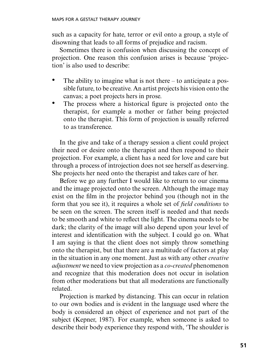such as a capacity for hate, terror or evil onto a group, a style of disowning that leads to all forms of prejudice and racism.

Sometimes there is confusion when discussing the concept of projection. One reason this confusion arises is because 'projection' is also used to describe:

- The ability to imagine what is not there  $-$  to anticipate a possible future, to be creative. An artist projects his vision onto the canvas; a poet projects hers in prose.
- The process where a historical figure is projected onto the therapist, for example a mother or father being projected onto the therapist. This form of projection is usually referred to as transference.

In the give and take of a therapy session a client could project their need or desire onto the therapist and then respond to their projection. For example, a client has a need for love and care but through a process of introjection does not see herself as deserving. She projects her need onto the therapist and takes care of her.

Before we go any further I would like to return to our cinema and the image projected onto the screen. Although the image may exist on the film in the projector behind you (though not in the form that you see it), it requires a whole set of *field conditions* to be seen on the screen. The screen itself is needed and that needs to be smooth and white to reflect the light. The cinema needs to be dark; the clarity of the image will also depend upon your level of interest and identification with the subject. I could go on. What I am saying is that the client does not simply throw something onto the therapist, but that there are a multitude of factors at play in the situation in any one moment. Just as with any other *creative adjustment* we need to view projection as a *co-created* phenomenon and recognize that this moderation does not occur in isolation from other moderations but that all moderations are functionally related.

Projection is marked by distancing. This can occur in relation to our own bodies and is evident in the language used where the body is considered an object of experience and not part of the subject (Kepner, 1987). For example, when someone is asked to describe their body experience they respond with, 'The shoulder is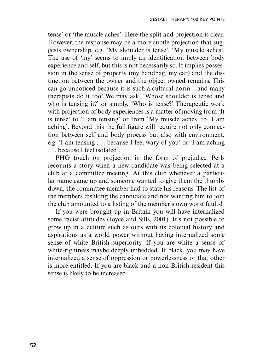tense' or 'the muscle aches'. Here the split and projection is clear. However, the response may be a more subtle projection that suggests ownership, e.g. 'My shoulder is tense', 'My muscle aches'. The use of 'my' seems to imply an identification between body experience and self, but this is not necessarily so. It implies possession in the sense of property (my handbag, my car) and the distinction between the owner and the object owned remains. This can go unnoticed because it is such a cultural norm – and many therapists do it too! We may ask, 'Whose shoulder is tense and who is tensing it?' or simply, 'Who is tense?' Therapeutic work with projection of body experiences is a matter of moving from 'It is tense' to 'I am tensing' or from 'My muscle aches' to 'I am aching'. Beyond this the full figure will require not only connection between self and body process but also with environment, e.g. 'I am tensing . . . because I feel wary of you' or 'I am aching . . . because I feel isolated'.

PHG touch on projection in the form of prejudice. Perls recounts a story when a new candidate was being selected at a club at a committee meeting. At this club whenever a particular name came up and someone wanted to give them the thumbs down, the committee member had to state his reasons. The list of the members disliking the candidate and not wanting him to join the club amounted to a listing of the member's own worst faults!

If you were brought up in Britain you will have internalized some racist attitudes (Joyce and Sills, 2001). It's not possible to grow up in a culture such as ours with its colonial history and aspirations as a world power without having internalized some sense of white British superiority. If you are white a sense of white-rightness maybe deeply imbedded. If black, you may have internalized a sense of oppression or powerlessness or that other is more entitled. If you are black and a non-British resident this sense is likely to be increased.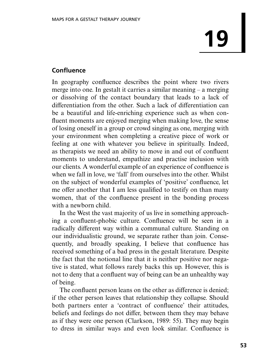#### **Confluence**

In geography confluence describes the point where two rivers merge into one. In gestalt it carries a similar meaning – a merging or dissolving of the contact boundary that leads to a lack of differentiation from the other. Such a lack of differentiation can be a beautiful and life-enriching experience such as when confluent moments are enjoyed merging when making love, the sense of losing oneself in a group or crowd singing as one, merging with your environment when completing a creative piece of work or feeling at one with whatever you believe in spiritually. Indeed, as therapists we need an ability to move in and out of confluent moments to understand, empathize and practise inclusion with our clients. A wonderful example of an experience of confluence is when we fall in love, we 'fall' from ourselves into the other. Whilst on the subject of wonderful examples of 'positive' confluence, let me offer another that I am less qualified to testify on than many women, that of the confluence present in the bonding process with a newborn child.

In the West the vast majority of us live in something approaching a confluent-phobic culture. Confluence will be seen in a radically different way within a communal culture. Standing on our individualistic ground, we separate rather than join. Consequently, and broadly speaking, I believe that confluence has received something of a bad press in the gestalt literature. Despite the fact that the notional line that it is neither positive nor negative is stated, what follows rarely backs this up. However, this is not to deny that a confluent way of being can be an unhealthy way of being.

The confluent person leans on the other as difference is denied; if the other person leaves that relationship they collapse. Should both partners enter a 'contract of confluence' their attitudes, beliefs and feelings do not differ, between them they may behave as if they were one person (Clarkson, 1989: 55). They may begin to dress in similar ways and even look similar. Confluence is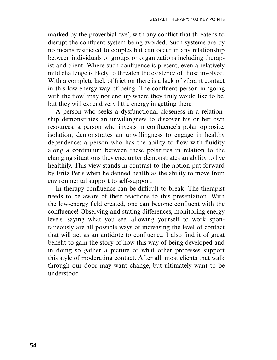marked by the proverbial 'we', with any conflict that threatens to disrupt the confluent system being avoided. Such systems are by no means restricted to couples but can occur in any relationship between individuals or groups or organizations including therapist and client. Where such confluence is present, even a relatively mild challenge is likely to threaten the existence of those involved. With a complete lack of friction there is a lack of vibrant contact in this low-energy way of being. The confluent person in 'going with the flow' may not end up where they truly would like to be, but they will expend very little energy in getting there.

A person who seeks a dysfunctional closeness in a relationship demonstrates an unwillingness to discover his or her own resources; a person who invests in confluence's polar opposite, isolation, demonstrates an unwillingness to engage in healthy dependence; a person who has the ability to flow with fluidity along a continuum between these polarities in relation to the changing situations they encounter demonstrates an ability to live healthily. This view stands in contrast to the notion put forward by Fritz Perls when he defined health as the ability to move from environmental support to self-support.

In therapy confluence can be difficult to break. The therapist needs to be aware of their reactions to this presentation. With the low-energy field created, one can become confluent with the confluence! Observing and stating differences, monitoring energy levels, saying what you see, allowing yourself to work spontaneously are all possible ways of increasing the level of contact that will act as an antidote to confluence. I also find it of great benefit to gain the story of how this way of being developed and in doing so gather a picture of what other processes support this style of moderating contact. After all, most clients that walk through our door may want change, but ultimately want to be understood.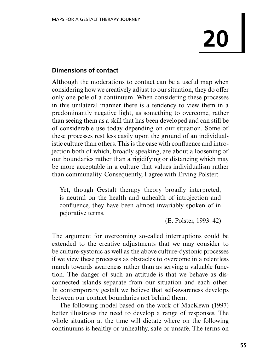#### **Dimensions of contact**

Although the moderations to contact can be a useful map when considering how we creatively adjust to our situation, they do offer only one pole of a continuum. When considering these processes in this unilateral manner there is a tendency to view them in a predominantly negative light, as something to overcome, rather than seeing them as a skill that has been developed and can still be of considerable use today depending on our situation. Some of these processes rest less easily upon the ground of an individualistic culture than others. This is the case with confluence and introjection both of which, broadly speaking, are about a loosening of our boundaries rather than a rigidifying or distancing which may be more acceptable in a culture that values individualism rather than communality. Consequently, I agree with Erving Polster:

Yet, though Gestalt therapy theory broadly interpreted, is neutral on the health and unhealth of introjection and confluence, they have been almost invariably spoken of in pejorative terms.

(E. Polster, 1993: 42)

The argument for overcoming so-called interruptions could be extended to the creative adjustments that we may consider to be culture-systonic as well as the above culture-dystonic processes if we view these processes as obstacles to overcome in a relentless march towards awareness rather than as serving a valuable function. The danger of such an attitude is that we behave as disconnected islands separate from our situation and each other. In contemporary gestalt we believe that self-awareness develops between our contact boundaries not behind them.

The following model based on the work of MacKewn (1997) better illustrates the need to develop a range of responses. The whole situation at the time will dictate where on the following continuums is healthy or unhealthy, safe or unsafe. The terms on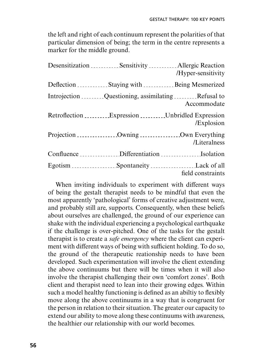the left and right of each continuum represent the polarities of that particular dimension of being; the term in the centre represents a marker for the middle ground.

| Desensitization ___________ Sensitivity ___________ Allergic Reaction | /Hyper-sensitivity |
|-----------------------------------------------------------------------|--------------------|
| Deflection  Staying with  Being Mesmerized                            |                    |
| Introjection Questioning, assimilating Refusal to                     | Accommodate        |
| Retroflection Expression  Unbridled Expression                        | /Explosion         |
| Projection _______________Owning _____________Own Everything          | /Literalness       |
| Confluence _____________ Differentiation ______________ Isolation     |                    |
|                                                                       | field constraints  |

When inviting individuals to experiment with different ways of being the gestalt therapist needs to be mindful that even the most apparently 'pathological' forms of creative adjustment were, and probably still are, supports. Consequently, when these beliefs about ourselves are challenged, the ground of our experience can shake with the individual experiencing a psychological earthquake if the challenge is over-pitched. One of the tasks for the gestalt therapist is to create a *safe emergency* where the client can experiment with different ways of being with sufficient holding. To do so, the ground of the therapeutic reationship needs to have been developed. Such experimentation will involve the client extending the above continuums but there will be times when it will also involve the therapist challenging their own 'comfort zones'. Both client and therapist need to lean into their growing edges. Within such a model healthy functioning is defined as an abiltiy to flexibly move along the above continuums in a way that is congruent for the person in relation to their situation. The greater our capacity to extend our ability to move along these continuums with awareness, the healthier our relationship with our world becomes.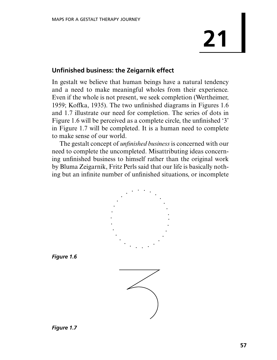#### **Unfinished business: the Zeigarnik effect**

In gestalt we believe that human beings have a natural tendency and a need to make meaningful wholes from their experience. Even if the whole is not present, we seek completion (Wertheimer, 1959; Koffka, 1935). The two unfinished diagrams in Figures 1.6 and 1.7 illustrate our need for completion. The series of dots in Figure 1.6 will be perceived as a complete circle, the unfinished '3' in Figure 1.7 will be completed. It is a human need to complete to make sense of our world.

The gestalt concept of *unfinished business* is concerned with our need to complete the uncompleted. Misattributing ideas concerning unfinished business to himself rather than the original work by Bluma Zeigarnik, Fritz Perls said that our life is basically nothing but an infinite number of unfinished situations, or incomplete







*Figure 1.7*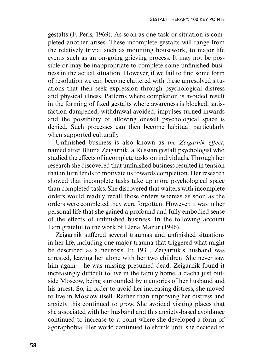gestalts (F. Perls, 1969). As soon as one task or situation is completed another arises. These incomplete gestalts will range from the relatively trivial such as mounting housework, to major life events such as an on-going grieving process. It may not be possible or may be inappropriate to complete some unfinished business in the actual situation. However, if we fail to find some form of resolution we can become cluttered with these unresolved situations that then seek expression through psychological distress and physical illness. Patterns where completion is avoided result in the forming of fixed gestalts where awareness is blocked, satisfaction dampened, withdrawal avoided, impulses turned inwards and the possibility of allowing oneself psychological space is denied. Such processes can then become habitual particularly when supported culturally.

Unfinished business is also known as *the Zeigarnik effect*, named after Bluma Zeigarnik, a Russian gestalt psychologist who studied the effects of incomplete tasks on individuals. Through her research she discovered that unfinished business resulted in tension that in turn tends to motivate us towards completion. Her research showed that incomplete tasks take up more psychological space than completed tasks. She discovered that waiters with incomplete orders would readily recall those orders whereas as soon as the orders were completed they were forgotten. However, it was in her personal life that she gained a profound and fully embodied sense of the effects of unfinished business. In the following account I am grateful to the work of Elena Mazur (1996).

Zeigarnik suffered several traumas and unfinished situations in her life, including one major trauma that triggered what might be described as a neurosis. In 1931, Zeigarnik's husband was arrested, leaving her alone with her two children. She never saw him again – he was missing presumed dead. Zeigarnik found it increasingly difficult to live in the family home, a dacha just outside Moscow, being surrounded by memories of her husband and his arrest. So, in order to avoid her increasing distress, she moved to live in Moscow itself. Rather than improving her distress and anxiety this continued to grow. She avoided visiting places that she associated with her husband and this anxiety-based avoidance continued to increase to a point where she developed a form of agoraphobia. Her world continued to shrink until she decided to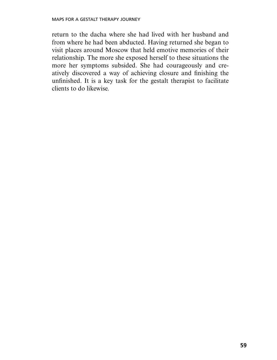return to the dacha where she had lived with her husband and from where he had been abducted. Having returned she began to visit places around Moscow that held emotive memories of their relationship. The more she exposed herself to these situations the more her symptoms subsided. She had courageously and creatively discovered a way of achieving closure and finishing the unfinished. It is a key task for the gestalt therapist to facilitate clients to do likewise.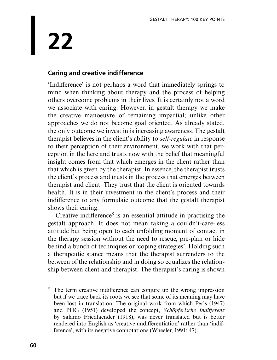#### **Caring and creative indifference**

'Indifference' is not perhaps a word that immediately springs to mind when thinking about therapy and the process of helping others overcome problems in their lives. It is certainly not a word we associate with caring. However, in gestalt therapy we make the creative manoeuvre of remaining impartial; unlike other approaches we do not become goal oriented. As already stated, the only outcome we invest in is increasing awareness. The gestalt therapist believes in the client's ability to *self-regulate* in response to their perception of their environment, we work with that perception in the here and trusts now with the belief that meaningful insight comes from that which emerges in the client rather than that which is given by the therapist. In essence, the therapist trusts the client's process and trusts in the process that emerges between therapist and client. They trust that the client is oriented towards health. It is in their investment in the client's process and their indifference to any formulaic outcome that the gestalt therapist shows their caring.

Creative indifference<sup>5</sup> is an essential attitude in practising the gestalt approach. It does not mean taking a couldn't-care-less attitude but being open to each unfolding moment of contact in the therapy session without the need to rescue, pre-plan or hide behind a bunch of techniques or 'coping strategies'. Holding such a therapeutic stance means that the therapist surrenders to the between of the relationship and in doing so equalizes the relationship between client and therapist. The therapist's caring is shown

<sup>&</sup>lt;sup>5</sup> The term creative indifference can conjure up the wrong impression but if we trace back its roots we see that some of its meaning may have been lost in translation. The original work from which Perls (1947) and PHG (1951) developed the concept, *Schöpferische Indifferenz* by Salamo Friedlaender (1918), was never translated but is better rendered into English as 'creative undifferentiation' rather than 'indifference', with its negative connotations (Wheeler, 1991: 47).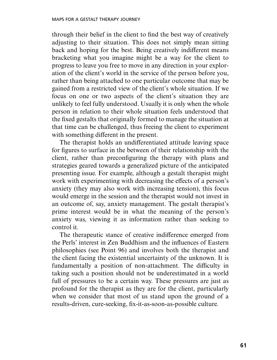through their belief in the client to find the best way of creatively adjusting to their situation. This does not simply mean sitting back and hoping for the best. Being creatively indifferent means bracketing what you imagine might be a way for the client to progress to leave you free to move in any direction in your exploration of the client's world in the service of the person before you, rather than being attached to one particular outcome that may be gained from a restricted view of the client's whole situation. If we focus on one or two aspects of the client's situation they are unlikely to feel fully understood. Usually it is only when the whole person in relation to their whole situation feels understood that the fixed gestalts that originally formed to manage the situation at that time can be challenged, thus freeing the client to experiment with something different in the present.

The therapist holds an undifferentiated attitude leaving space for figures to surface in the between of their relationship with the client, rather than preconfiguring the therapy with plans and strategies geared towards a generalized picture of the anticipated presenting issue. For example, although a gestalt therapist might work with experimenting with decreasing the effects of a person's anxiety (they may also work with increasing tension), this focus would emerge in the session and the therapist would not invest in an outcome of, say, anxiety management. The gestalt therapist's prime interest would be in what the meaning of the person's anxiety was, viewing it as information rather than seeking to control it.

The therapeutic stance of creative indifference emerged from the Perls' interest in Zen Buddhism and the influences of Eastern philosophies (see Point 96) and involves both the therapist and the client facing the existential uncertainty of the unknown. It is fundamentally a position of non-attachment. The difficulty in taking such a position should not be underestimated in a world full of pressures to be a certain way. These pressures are just as profound for the therapist as they are for the client, particularly when we consider that most of us stand upon the ground of a results-driven, cure-seeking, fix-it-as-soon-as-possible culture.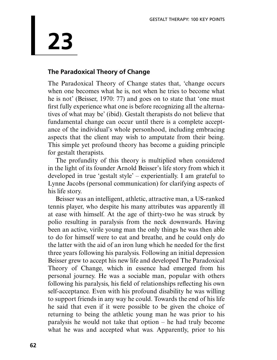#### **The Paradoxical Theory of Change**

The Paradoxical Theory of Change states that, 'change occurs when one becomes what he is, not when he tries to become what he is not' (Beisser, 1970: 77) and goes on to state that 'one must first fully experience what one is before recognizing all the alternatives of what may be' (ibid). Gestalt therapists do not believe that fundamental change can occur until there is a complete acceptance of the individual's whole personhood, including embracing aspects that the client may wish to amputate from their being. This simple yet profound theory has become a guiding principle for gestalt therapists.

The profundity of this theory is multiplied when considered in the light of its founder Arnold Beisser's life story from which it developed in true 'gestalt style' – experientially. I am grateful to Lynne Jacobs (personal communication) for clarifying aspects of his life story.

Beisser was an intelligent, athletic, attractive man, a US-ranked tennis player, who despite his many attributes was apparently ill at ease with himself. At the age of thirty-two he was struck by polio resulting in paralysis from the neck downwards. Having been an active, virile young man the only things he was then able to do for himself were to eat and breathe, and he could only do the latter with the aid of an iron lung which he needed for the first three years following his paralysis. Following an initial depression Beisser grew to accept his new life and developed The Paradoxical Theory of Change, which in essence had emerged from his personal journey. He was a sociable man, popular with others following his paralysis, his field of relationships reflecting his own self-acceptance. Even with his profound disability he was willing to support friends in any way he could. Towards the end of his life he said that even if it were possible to be given the choice of returning to being the athletic young man he was prior to his paralysis he would not take that option – he had truly become what he was and accepted what was. Apparently, prior to his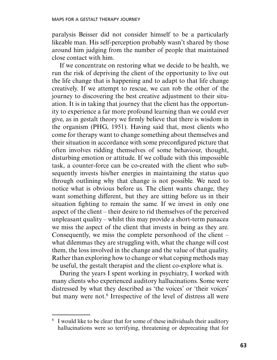paralysis Beisser did not consider himself to be a particularly likeable man. His self-perception probably wasn't shared by those around him judging from the number of people that maintained close contact with him.

If we concentrate on restoring what we decide to be health, we run the risk of depriving the client of the opportunity to live out the life change that is happening and to adapt to that life change creatively. If we attempt to rescue, we can rob the other of the journey to discovering the best creative adjustment to their situation. It is in taking that journey that the client has the opportunity to experience a far more profound learning than we could ever give, as in gestalt theory we firmly believe that there is wisdom in the organism (PHG, 1951). Having said that, most clients who come for therapy want to change something about themselves and their situation in accordance with some preconfigured picture that often involves ridding themselves of some behaviour, thought, disturbing emotion or attitude. If we collude with this impossible task, a counter-force can be co-created with the client who subsequently invests his/her energies in maintaining the status quo through outlining why that change is not possible. We need to notice what is obvious before us. The client wants change, they want something different, but they are sitting before us in their situation fighting to remain the same. If we invest in only one aspect of the client – their desire to rid themselves of the perceived unpleasant quality – whilst this may provide a short-term panacea we miss the aspect of the client that invests in being as they are. Consequently, we miss the complete personhood of the client – what dilemmas they are struggling with, what the change will cost them, the loss involved in the change and the value of that quality. Rather than exploring how to change or what coping methods may be useful, the gestalt therapist and the client co-explore what is.

During the years I spent working in psychiatry, I worked with many clients who experienced auditory hallucinations. Some were distressed by what they described as 'the voices' or 'their voices' but many were not.<sup>6</sup> Irrespective of the level of distress all were

<sup>6</sup> I would like to be clear that for some of these individuals their auditory hallucinations were so terrifying, threatening or deprecating that for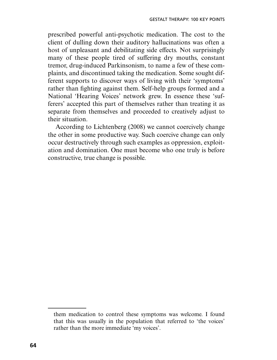prescribed powerful anti-psychotic medication. The cost to the client of dulling down their auditory hallucinations was often a host of unpleasant and debilitating side effects. Not surprisingly many of these people tired of suffering dry mouths, constant tremor, drug-induced Parkinsonism, to name a few of these complaints, and discontinued taking the medication. Some sought different supports to discover ways of living with their 'symptoms' rather than fighting against them. Self-help groups formed and a National 'Hearing Voices' network grew. In essence these 'sufferers' accepted this part of themselves rather than treating it as separate from themselves and proceeded to creatively adjust to their situation.

According to Lichtenberg (2008) we cannot coercively change the other in some productive way. Such coercive change can only occur destructively through such examples as oppression, exploitation and domination. One must become who one truly is before constructive, true change is possible.

them medication to control these symptoms was welcome. I found that this was usually in the population that referred to 'the voices' rather than the more immediate 'my voices'.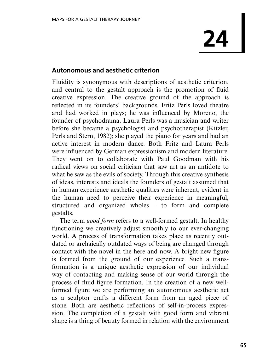#### **Autonomous and aesthetic criterion**

Fluidity is synonymous with descriptions of aesthetic criterion, and central to the gestalt approach is the promotion of fluid creative expression. The creative ground of the approach is reflected in its founders' backgrounds. Fritz Perls loved theatre and had worked in plays; he was influenced by Moreno, the founder of psychodrama. Laura Perls was a musician and writer before she became a psychologist and psychotherapist (Kitzler, Perls and Stern, 1982); she played the piano for years and had an active interest in modern dance. Both Fritz and Laura Perls were influenced by German expressionism and modern literature. They went on to collaborate with Paul Goodman with his radical views on social criticism that saw art as an antidote to what he saw as the evils of society. Through this creative synthesis of ideas, interests and ideals the founders of gestalt assumed that in human experience aesthetic qualities were inherent, evident in the human need to perceive their experience in meaningful, structured and organized wholes – to form and complete gestalts.

The term *good form* refers to a well-formed gestalt. In healthy functioning we creatively adjust smoothly to our ever-changing world. A process of transformation takes place as recently outdated or archaically outdated ways of being are changed through contact with the novel in the here and now. A bright new figure is formed from the ground of our experience. Such a transformation is a unique aesthetic expression of our individual way of contacting and making sense of our world through the process of fluid figure formation. In the creation of a new wellformed figure we are performing an autonomous aesthetic act as a sculptor crafts a different form from an aged piece of stone. Both are aesthetic reflections of self-in-process expression. The completion of a gestalt with good form and vibrant shape is a thing of beauty formed in relation with the environment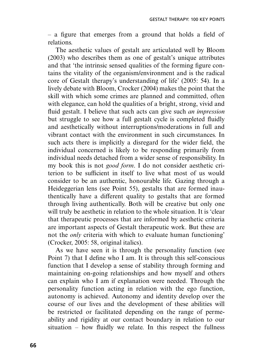– a figure that emerges from a ground that holds a field of relations.

The aesthetic values of gestalt are articulated well by Bloom (2003) who describes them as one of gestalt's unique attributes and that 'the intrinsic sensed qualities of the forming figure contains the vitality of the organism/environment and is the radical core of Gestalt therapy's understanding of life' (2005: 54). In a lively debate with Bloom, Crocker (2004) makes the point that the skill with which some crimes are planned and committed, often with elegance, can hold the qualities of a bright, strong, vivid and fluid gestalt. I believe that such acts can give such *an impression* but struggle to see how a full gestalt cycle is completed fluidly and aesthetically without interruptions/moderations in full and vibrant contact with the environment in such circumstances. In such acts there is implicitly a disregard for the wider field, the individual concerned is likely to be responding primarily from individual needs detached from a wider sense of responsibility. In my book this is not *good form*. I do not consider aesthetic criterion to be sufficient in itself to live what most of us would consider to be an authentic, honourable life. Gazing through a Heideggerian lens (see Point 55), gestalts that are formed inauthentically have a different quality to gestalts that are formed through living authentically. Both will be creative but only one will truly be aesthetic in relation to the whole situation. It is 'clear that therapeutic processes that are informed by aesthetic criteria are important aspects of Gestalt therapeutic work. But these are not the *only* criteria with which to evaluate human functioning' (Crocker, 2005: 58, original italics).

As we have seen it is through the personality function (see Point 7) that I define who I am. It is through this self-conscious function that I develop a sense of stability through forming and maintaining on-going relationships and how myself and others can explain who I am if explanation were needed. Through the personality function acting in relation with the ego function, autonomy is achieved. Autonomy and identity develop over the course of our lives and the development of these abilities will be restricted or facilitated depending on the range of permeability and rigidity at our contact boundary in relation to our situation – how fluidly we relate. In this respect the fullness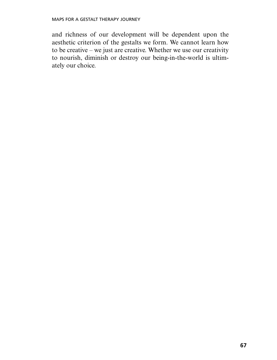and richness of our development will be dependent upon the aesthetic criterion of the gestalts we form. We cannot learn how to be creative – we just are creative. Whether we use our creativity to nourish, diminish or destroy our being-in-the-world is ultimately our choice.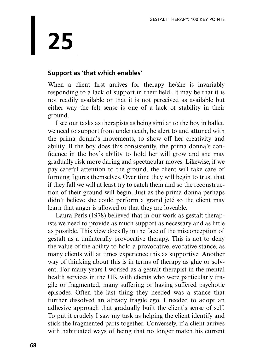#### **Support as 'that which enables'**

When a client first arrives for therapy he/she is invariably responding to a lack of support in their field. It may be that it is not readily available or that it is not perceived as available but either way the felt sense is one of a lack of stability in their ground.

I see our tasks as therapists as being similar to the boy in ballet, we need to support from underneath, be alert to and attuned with the prima donna's movements, to show off her creativity and ability. If the boy does this consistently, the prima donna's confidence in the boy's ability to hold her will grow and she may gradually risk more daring and spectacular moves. Likewise, if we pay careful attention to the ground, the client will take care of forming figures themselves. Over time they will begin to trust that if they fall we will at least try to catch them and so the reconstruction of their ground will begin. Just as the prima donna perhaps didn't believe she could perform a grand jeté so the client may learn that anger is allowed or that they are loveable.

Laura Perls (1978) believed that in our work as gestalt therapists we need to provide as much support as necessary and as little as possible. This view does fly in the face of the misconception of gestalt as a unilaterally provocative therapy. This is not to deny the value of the ability to hold a provocative, evocative stance, as many clients will at times experience this as supportive. Another way of thinking about this is in terms of therapy as glue or solvent. For many years I worked as a gestalt therapist in the mental health services in the UK with clients who were particularly fragile or fragmented, many suffering or having suffered psychotic episodes. Often the last thing they needed was a stance that further dissolved an already fragile ego. I needed to adopt an adhesive approach that gradually built the client's sense of self. To put it crudely I saw my task as helping the client identify and stick the fragmented parts together. Conversely, if a client arrives with habituated ways of being that no longer match his current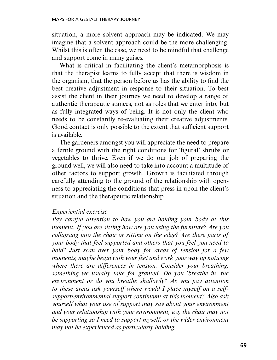situation, a more solvent approach may be indicated. We may imagine that a solvent approach could be the more challenging. Whilst this is often the case, we need to be mindful that challenge and support come in many guises.

What is critical in facilitating the client's metamorphosis is that the therapist learns to fully accept that there is wisdom in the organism, that the person before us has the ability to find the best creative adjustment in response to their situation. To best assist the client in their journey we need to develop a range of authentic therapeutic stances, not as roles that we enter into, but as fully integrated ways of being. It is not only the client who needs to be constantly re-evaluating their creative adjustments. Good contact is only possible to the extent that sufficient support is available.

The gardeners amongst you will appreciate the need to prepare a fertile ground with the right conditions for 'figural' shrubs or vegetables to thrive. Even if we do our job of preparing the ground well, we will also need to take into account a multitude of other factors to support growth. Growth is facilitated through carefully attending to the ground of the relationship with openness to appreciating the conditions that press in upon the client's situation and the therapeutic relationship.

#### *Experiential exercise*

*Pay careful attention to how you are holding your body at this moment. If you are sitting how are you using the furniture? Are you collapsing into the chair or sitting on the edge? Are there parts of your body that feel supported and others that you feel you need to hold? Just scan over your body for areas of tension for a few moments, maybe begin with your feet and work your way up noticing where there are differences in tension. Consider your breathing, something we usually take for granted. Do you 'breathe in' the environment or do you breathe shallowly? As you pay attention to these areas ask yourself where would I place myself on a selfsupport/environmental support continuum at this moment? Also ask yourself what your use of support may say about your environment and your relationship with your environment, e.g. the chair may not be supporting so I need to support myself, or the wider environment may not be experienced as particularly holding.*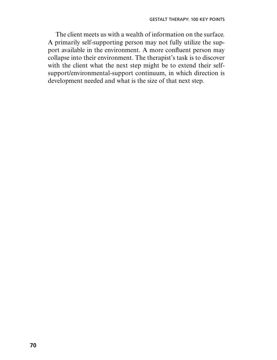The client meets us with a wealth of information on the surface. A primarily self-supporting person may not fully utilize the support available in the environment. A more confluent person may collapse into their environment. The therapist's task is to discover with the client what the next step might be to extend their selfsupport/environmental-support continuum, in which direction is development needed and what is the size of that next step.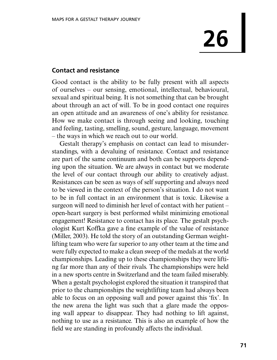#### **Contact and resistance**

Good contact is the ability to be fully present with all aspects of ourselves – our sensing, emotional, intellectual, behavioural, sexual and spiritual being. It is not something that can be brought about through an act of will. To be in good contact one requires an open attitude and an awareness of one's ability for resistance. How we make contact is through seeing and looking, touching and feeling, tasting, smelling, sound, gesture, language, movement – the ways in which we reach out to our world.

Gestalt therapy's emphasis on contact can lead to misunderstandings, with a devaluing of resistance. Contact and resistance are part of the same continuum and both can be supports depending upon the situation. We are always in contact but we moderate the level of our contact through our ability to creatively adjust. Resistances can be seen as ways of self supporting and always need to be viewed in the context of the person's situation. I do not want to be in full contact in an environment that is toxic. Likewise a surgeon will need to diminish her level of contact with her patient – open-heart surgery is best performed whilst minimizing emotional engagement! Resistance to contact has its place. The gestalt psychologist Kurt Koffka gave a fine example of the value of resistance (Miller, 2003). He told the story of an outstanding German weightlifting team who were far superior to any other team at the time and were fully expected to make a clean sweep of the medals at the world championships. Leading up to these championships they were lifting far more than any of their rivals. The championships were held in a new sports centre in Switzerland and the team failed miserably. When a gestalt psychologist explored the situation it transpired that prior to the championships the weightlifting team had always been able to focus on an opposing wall and power against this 'fix'. In the new arena the light was such that a glare made the opposing wall appear to disappear. They had nothing to lift against, nothing to use as a resistance. This is also an example of how the field we are standing in profoundly affects the individual.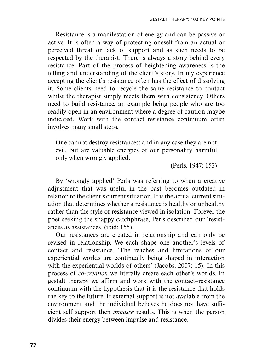Resistance is a manifestation of energy and can be passive or active. It is often a way of protecting oneself from an actual or perceived threat or lack of support and as such needs to be respected by the therapist. There is always a story behind every resistance. Part of the process of heightening awareness is the telling and understanding of the client's story. In my experience accepting the client's resistance often has the effect of dissolving it. Some clients need to recycle the same resistance to contact whilst the therapist simply meets them with consistency. Others need to build resistance, an example being people who are too readily open in an environment where a degree of caution maybe indicated. Work with the contact–resistance continuum often involves many small steps.

One cannot destroy resistances; and in any case they are not evil, but are valuable energies of our personality harmful only when wrongly applied.

(Perls, 1947: 153)

By 'wrongly applied' Perls was referring to when a creative adjustment that was useful in the past becomes outdated in relation to the client's current situation. It is the actual current situation that determines whether a resistance is healthy or unhealthy rather than the style of resistance viewed in isolation. Forever the poet seeking the snappy catchphrase, Perls described our 'resistances as assistances' (ibid: 155).

Our resistances are created in relationship and can only be revised in relationship. We each shape one another's levels of contact and resistance. 'The reaches and limitations of our experiential worlds are continually being shaped in interaction with the experiential worlds of others' (Jacobs, 2007: 15). In this process of *co-creation* we literally create each other's worlds. In gestalt therapy we affirm and work with the contact–resistance continuum with the hypothesis that it is the resistance that holds the key to the future. If external support is not available from the environment and the individual believes he does not have sufficient self support then *impasse* results. This is when the person divides their energy between impulse and resistance.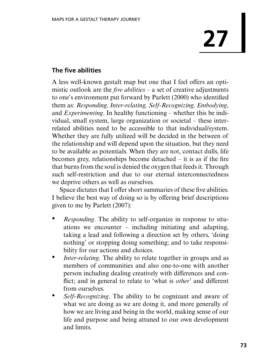#### **The five abilities**

A less well-known gestalt map but one that I feel offers an optimistic outlook are the *five abilities* – a set of creative adjustments to one's environment put forward by Parlett (2000) who identified them as: *Responding, Inter-relating, Self-Recognizing, Embodying*, and *Experimenting*. In healthy functioning – whether this be individual, small system, large organization or societal – these interrelated abilities need to be accessible to that individual/system. Whether they are fully utilized will be decided in the between of the relationship and will depend upon the situation, but they need to be available as potentials. When they are not, contact dulls, life becomes grey, relationships become detached – it is as if the fire that burns from the soul is denied the oxygen that feeds it. Through such self-restriction and due to our eternal interconnectedness we deprive others as well as ourselves.

Space dictates that I offer short summaries of these five abilities. I believe the best way of doing so is by offering brief descriptions given to me by Parlett (2007):

- *Responding*. The ability to self-organize in response to situations we encounter – including initiating and adapting, taking a lead and following a direction set by others, 'doing nothing' or stopping doing something; and to take responsibility for our actions and choices.
- *Inter-relating*. The ability to relate together in groups and as members of communities and also one-to-one with another person including dealing creatively with differences and conflict; and in general to relate to 'what is *other*' and different from ourselves.
- *Self-Recognizing*. The ability to be cognizant and aware of what we are doing as we are doing it, and more generally of how we are living and being in the world, making sense of our life and purpose and being attuned to our own development and limits.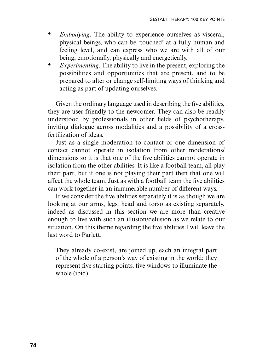- *Embodying*. The ability to experience ourselves as visceral, physical beings, who can be 'touched' at a fully human and feeling level, and can express who we are with all of our being, emotionally, physically and energetically.
- *Experimenting*. The ability to live in the present, exploring the possibilities and opportunities that are present, and to be prepared to alter or change self-limiting ways of thinking and acting as part of updating ourselves.

Given the ordinary language used in describing the five abilities, they are user friendly to the newcomer. They can also be readily understood by professionals in other fields of psychotherapy, inviting dialogue across modalities and a possibility of a crossfertilization of ideas.

Just as a single moderation to contact or one dimension of contact cannot operate in isolation from other moderations/ dimensions so it is that one of the five abilities cannot operate in isolation from the other abilities. It is like a football team, all play their part, but if one is not playing their part then that one will affect the whole team. Just as with a football team the five abilities can work together in an innumerable number of different ways.

If we consider the five abilities separately it is as though we are looking at our arms, legs, head and torso as existing separately, indeed as discussed in this section we are more than creative enough to live with such an illusion/delusion as we relate to our situation. On this theme regarding the five abilities I will leave the last word to Parlett.

They already co-exist, are joined up, each an integral part of the whole of a person's way of existing in the world; they represent five starting points, five windows to illuminate the whole (ibid).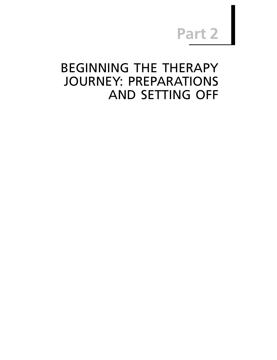

### BEGINNING THE THERAPY JOURNEY: PREPARATIONS AND SETTING OFF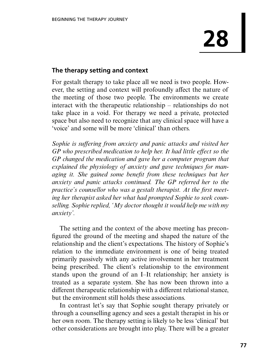#### **The therapy setting and context**

For gestalt therapy to take place all we need is two people. However, the setting and context will profoundly affect the nature of the meeting of those two people. The environments we create interact with the therapeutic relationship – relationships do not take place in a void. For therapy we need a private, protected space but also need to recognize that any clinical space will have a 'voice' and some will be more 'clinical' than others.

*Sophie is suffering from anxiety and panic attacks and visited her GP who prescribed medication to help her. It had little effect so the GP changed the medication and gave her a computer program that explained the physiology of anxiety and gave techniques for managing it. She gained some benefit from these techniques but her anxiety and panic attacks continued. The GP referred her to the practice's counsellor who was a gestalt therapist. At the first meeting her therapist asked her what had prompted Sophie to seek counselling. Sophie replied, 'My doctor thought it would help me with my anxiety'.*

The setting and the context of the above meeting has preconfigured the ground of the meeting and shaped the nature of the relationship and the client's expectations. The history of Sophie's relation to the immediate environment is one of being treated primarily passively with any active involvement in her treatment being prescribed. The client's relationship to the environment stands upon the ground of an I–It relationship; her anxiety is treated as a separate system. She has now been thrown into a different therapeutic relationship with a different relational stance, but the environment still holds these associations.

In contrast let's say that Sophie sought therapy privately or through a counselling agency and sees a gestalt therapist in his or her own room. The therapy setting is likely to be less 'clinical' but other considerations are brought into play. There will be a greater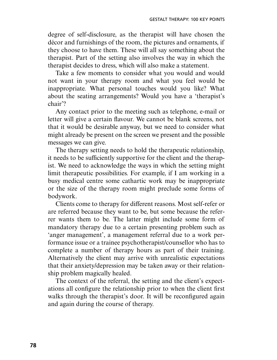degree of self-disclosure, as the therapist will have chosen the décor and furnishings of the room, the pictures and ornaments, if they choose to have them. These will all say something about the therapist. Part of the setting also involves the way in which the therapist decides to dress, which will also make a statement.

Take a few moments to consider what you would and would not want in your therapy room and what you feel would be inappropriate. What personal touches would you like? What about the seating arrangements? Would you have a 'therapist's chair'?

Any contact prior to the meeting such as telephone, e-mail or letter will give a certain flavour. We cannot be blank screens, not that it would be desirable anyway, but we need to consider what might already be present on the screen we present and the possible messages we can give.

The therapy setting needs to hold the therapeutic relationship, it needs to be sufficiently supportive for the client and the therapist. We need to acknowledge the ways in which the setting might limit therapeutic possibilities. For example, if I am working in a busy medical centre some cathartic work may be inappropriate or the size of the therapy room might preclude some forms of bodywork.

Clients come to therapy for different reasons. Most self-refer or are referred because they want to be, but some because the referrer wants them to be. The latter might include some form of mandatory therapy due to a certain presenting problem such as 'anger management', a management referral due to a work performance issue or a trainee psychotherapist/counsellor who has to complete a number of therapy hours as part of their training. Alternatively the client may arrive with unrealistic expectations that their anxiety/depression may be taken away or their relationship problem magically healed.

The context of the referral, the setting and the client's expectations all configure the relationship prior to when the client first walks through the therapist's door. It will be reconfigured again and again during the course of therapy.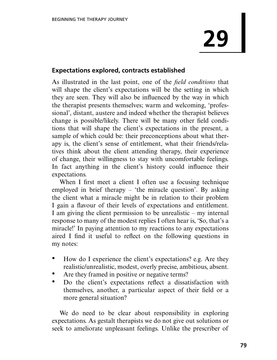#### **Expectations explored, contracts established**

As illustrated in the last point, one of the *field conditions* that will shape the client's expectations will be the setting in which they are seen. They will also be influenced by the way in which the therapist presents themselves; warm and welcoming, 'professional', distant, austere and indeed whether the therapist believes change is possible/likely. There will be many other field conditions that will shape the client's expectations in the present, a sample of which could be: their preconceptions about what therapy is, the client's sense of entitlement, what their friends/relatives think about the client attending therapy, their experience of change, their willingness to stay with uncomfortable feelings. In fact anything in the client's history could influence their expectations.

When I first meet a client I often use a focusing technique employed in brief therapy – 'the miracle question'. By asking the client what a miracle might be in relation to their problem I gain a flavour of their levels of expectations and entitlement. I am giving the client permission to be unrealistic – my internal response to many of the modest replies I often hear is, 'So, that's a miracle!' In paying attention to my reactions to any expectations aired I find it useful to reflect on the following questions in my notes:

- How do I experience the client's expectations? e.g. Are they realistic/unrealistic, modest, overly precise, ambitious, absent.
- Are they framed in positive or negative terms?
- Do the client's expectations reflect a dissatisfaction with themselves, another, a particular aspect of their field or a more general situation?

We do need to be clear about responsibility in exploring expectations. As gestalt therapists we do not give out solutions or seek to ameliorate unpleasant feelings. Unlike the prescriber of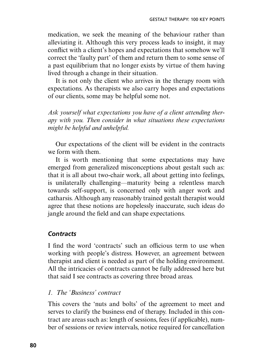medication, we seek the meaning of the behaviour rather than alleviating it. Although this very process leads to insight, it may conflict with a client's hopes and expectations that somehow we'll correct the 'faulty part' of them and return them to some sense of a past equilibrium that no longer exists by virtue of them having lived through a change in their situation.

It is not only the client who arrives in the therapy room with expectations. As therapists we also carry hopes and expectations of our clients, some may be helpful some not.

*Ask yourself what expectations you have of a client attending therapy with you. Then consider in what situations these expectations might be helpful and unhelpful.*

Our expectations of the client will be evident in the contracts we form with them.

It is worth mentioning that some expectations may have emerged from generalized misconceptions about gestalt such as: that it is all about two-chair work, all about getting into feelings, is unilaterally challenging—maturity being a relentless march towards self-support, is concerned only with anger work and catharsis. Although any reasonably trained gestalt therapist would agree that these notions are hopelessly inaccurate, such ideas do jangle around the field and can shape expectations.

#### *Contracts*

I find the word 'contracts' such an officious term to use when working with people's distress. However, an agreement between therapist and client is needed as part of the holding environment. All the intricacies of contracts cannot be fully addressed here but that said I see contracts as covering three broad areas.

#### *1. The 'Business' contract*

This covers the 'nuts and bolts' of the agreement to meet and serves to clarify the business end of therapy. Included in this contract are areas such as: length of sessions, fees (if applicable), number of sessions or review intervals, notice required for cancellation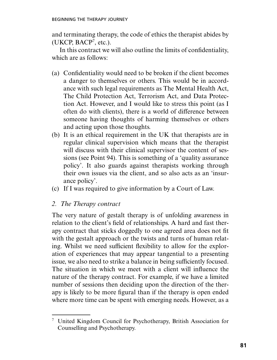and terminating therapy, the code of ethics the therapist abides by (UKCP, BACP<sup>7</sup>, etc.).

In this contract we will also outline the limits of confidentiality, which are as follows:

- (a) Confidentiality would need to be broken if the client becomes a danger to themselves or others. This would be in accordance with such legal requirements as The Mental Health Act, The Child Protection Act, Terrorism Act, and Data Protection Act. However, and I would like to stress this point (as I often do with clients), there is a world of difference between someone having thoughts of harming themselves or others and acting upon those thoughts.
- (b) It is an ethical requirement in the UK that therapists are in regular clinical supervision which means that the therapist will discuss with their clinical supervisor the content of sessions (see Point 94). This is something of a 'quality assurance policy'. It also guards against therapists working through their own issues via the client, and so also acts as an 'insurance policy'.
- (c) If I was required to give information by a Court of Law.

#### *2. The Therapy contract*

The very nature of gestalt therapy is of unfolding awareness in relation to the client's field of relationships. A hard and fast therapy contract that sticks doggedly to one agreed area does not fit with the gestalt approach or the twists and turns of human relating. Whilst we need sufficient flexibility to allow for the exploration of experiences that may appear tangential to a presenting issue, we also need to strike a balance in being sufficiently focused. The situation in which we meet with a client will influence the nature of the therapy contract. For example, if we have a limited number of sessions then deciding upon the direction of the therapy is likely to be more figural than if the therapy is open ended where more time can be spent with emerging needs. However, as a

<sup>7</sup> United Kingdom Council for Psychotherapy, British Association for Counselling and Psychotherapy.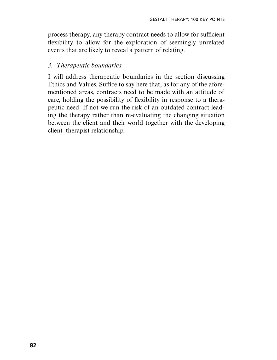process therapy, any therapy contract needs to allow for sufficient flexibility to allow for the exploration of seemingly unrelated events that are likely to reveal a pattern of relating.

#### *3. Therapeutic boundaries*

I will address therapeutic boundaries in the section discussing Ethics and Values. Suffice to say here that, as for any of the aforementioned areas, contracts need to be made with an attitude of care, holding the possibility of flexibility in response to a therapeutic need. If not we run the risk of an outdated contract leading the therapy rather than re-evaluating the changing situation between the client and their world together with the developing client–therapist relationship.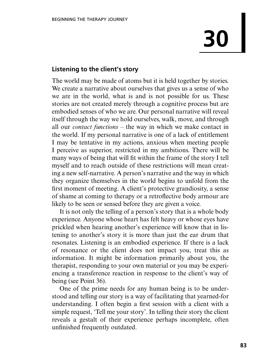#### **Listening to the client's story**

The world may be made of atoms but it is held together by stories. We create a narrative about ourselves that gives us a sense of who we are in the world, what is and is not possible for us. These stories are not created merely through a cognitive process but are embodied senses of who we are. Our personal narrative will reveal itself through the way we hold ourselves, walk, move, and through all our *contact functions* – the way in which we make contact in the world. If my personal narrative is one of a lack of entitlement I may be tentative in my actions, anxious when meeting people I perceive as superior, restricted in my ambitions. There will be many ways of being that will fit within the frame of the story I tell myself and to reach outside of these restrictions will mean creating a new self-narrative. A person's narrative and the way in which they organize themselves in the world begins to unfold from the first moment of meeting. A client's protective grandiosity, a sense of shame at coming to therapy or a retroflective body armour are likely to be seen or sensed before they are given a voice.

It is not only the telling of a person's story that is a whole body experience. Anyone whose heart has felt heavy or whose eyes have prickled when hearing another's experience will know that in listening to another's story it is more than just the ear drum that resonates. Listening is an embodied experience. If there is a lack of resonance or the client does not impact you, treat this as information. It might be information primarily about you, the therapist, responding to your own material or you may be experiencing a transference reaction in response to the client's way of being (see Point 36).

One of the prime needs for any human being is to be understood and telling our story is a way of facilitating that yearned-for understanding. I often begin a first session with a client with a simple request, 'Tell me your story'. In telling their story the client reveals a gestalt of their experience perhaps incomplete, often unfinished frequently outdated.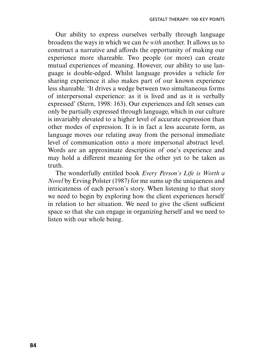Our ability to express ourselves verbally through language broadens the ways in which we can *be with* another. It allows us to construct a narrative and affords the opportunity of making our experience more shareable. Two people (or more) can create mutual experiences of meaning. However, our ability to use language is double-edged. Whilst language provides a vehicle for sharing experience it also makes part of our known experience less shareable. 'It drives a wedge between two simultaneous forms of interpersonal experience: as it is lived and as it is verbally expressed' (Stern, 1998: 163). Our experiences and felt senses can only be partially expressed through language, which in our culture is invariably elevated to a higher level of accurate expression than other modes of expression. It is in fact a less accurate form, as language moves our relating away from the personal immediate level of communication onto a more impersonal abstract level. Words are an approximate description of one's experience and may hold a different meaning for the other yet to be taken as truth.

The wonderfully entitled book *Every Person's Life is Worth a Novel* by Erving Polster (1987) for me sums up the uniqueness and intricateness of each person's story. When listening to that story we need to begin by exploring how the client experiences herself in relation to her situation. We need to give the client sufficient space so that she can engage in organizing herself and we need to listen with our whole being.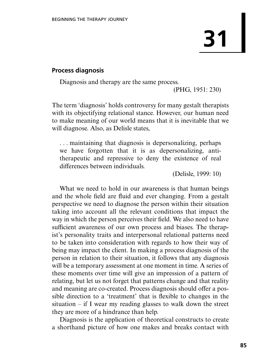#### **Process diagnosis**

Diagnosis and therapy are the same process.

(PHG, 1951: 230)

The term 'diagnosis' holds controversy for many gestalt therapists with its objectifying relational stance. However, our human need to make meaning of our world means that it is inevitable that we will diagnose. Also, as Delisle states,

. . . maintaining that diagnosis is depersonalizing, perhaps we have forgotten that it is as depersonalizing, antitherapeutic and repressive to deny the existence of real differences between individuals.

(Delisle, 1999: 10)

What we need to hold in our awareness is that human beings and the whole field are fluid and ever changing. From a gestalt perspective we need to diagnose the person within their situation taking into account all the relevant conditions that impact the way in which the person perceives their field. We also need to have sufficient awareness of our own process and biases. The therapist's personality traits and interpersonal relational patterns need to be taken into consideration with regards to how their way of being may impact the client. In making a process diagnosis of the person in relation to their situation, it follows that any diagnosis will be a temporary assessment at one moment in time. A series of these moments over time will give an impression of a pattern of relating, but let us not forget that patterns change and that reality and meaning are co-created. Process diagnosis should offer a possible direction to a 'treatment' that is flexible to changes in the situation – if I wear my reading glasses to walk down the street they are more of a hindrance than help.

Diagnosis is the application of theoretical constructs to create a shorthand picture of how one makes and breaks contact with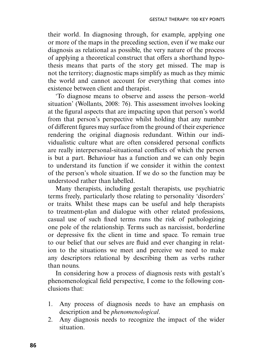their world. In diagnosing through, for example, applying one or more of the maps in the preceding section, even if we make our diagnosis as relational as possible, the very nature of the process of applying a theoretical construct that offers a shorthand hypothesis means that parts of the story get missed. The map is not the territory; diagnostic maps simplify as much as they mimic the world and cannot account for everything that comes into existence between client and therapist.

'To diagnose means to observe and assess the person–world situation' (Wollants, 2008: 76). This assessment involves looking at the figural aspects that are impacting upon that person's world from that person's perspective whilst holding that any number of different figures may surface from the ground of their experience rendering the original diagnosis redundant. Within our individualistic culture what are often considered personal conflicts are really interpersonal-situational conflicts of which the person is but a part. Behaviour has a function and we can only begin to understand its function if we consider it within the context of the person's whole situation. If we do so the function may be understood rather than labelled.

Many therapists, including gestalt therapists, use psychiatric terms freely, particularly those relating to personality 'disorders' or traits. Whilst these maps can be useful and help therapists to treatment-plan and dialogue with other related professions, casual use of such fixed terms runs the risk of pathologizing one pole of the relationship. Terms such as narcissist, borderline or depressive fix the client in time and space. To remain true to our belief that our selves are fluid and ever changing in relation to the situations we meet and perceive we need to make any descriptors relational by describing them as verbs rather than nouns.

In considering how a process of diagnosis rests with gestalt's phenomenological field perspective, I come to the following conclusions that:

- 1. Any process of diagnosis needs to have an emphasis on description and be *phenomenological*.
- 2. Any diagnosis needs to recognize the impact of the wider situation.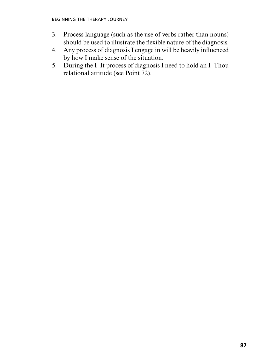#### BEGINNING THE THERAPY JOURNEY

- 3. Process language (such as the use of verbs rather than nouns) should be used to illustrate the flexible nature of the diagnosis.
- 4. Any process of diagnosis I engage in will be heavily influenced by how I make sense of the situation.
- 5. During the I–It process of diagnosis I need to hold an I–Thou relational attitude (see Point 72).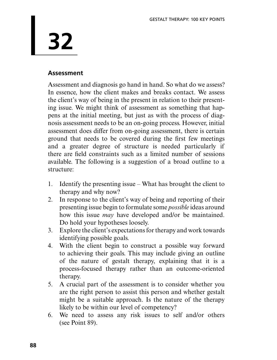#### **Assessment**

Assessment and diagnosis go hand in hand. So what do we assess? In essence, how the client makes and breaks contact. We assess the client's way of being in the present in relation to their presenting issue. We might think of assessment as something that happens at the initial meeting, but just as with the process of diagnosis assessment needs to be an on-going process. However, initial assessment does differ from on-going assessment, there is certain ground that needs to be covered during the first few meetings and a greater degree of structure is needed particularly if there are field constraints such as a limited number of sessions available. The following is a suggestion of a broad outline to a structure:

- 1. Identify the presenting issue What has brought the client to therapy and why now?
- 2. In response to the client's way of being and reporting of their presenting issue begin to formulate some *possible* ideas around how this issue *may* have developed and/or be maintained. Do hold your hypotheses loosely.
- 3. Explore the client's expectations for therapy and work towards identifying possible goals.
- 4. With the client begin to construct a possible way forward to achieving their goals. This may include giving an outline of the nature of gestalt therapy, explaining that it is a process-focused therapy rather than an outcome-oriented therapy.
- 5. A crucial part of the assessment is to consider whether you are the right person to assist this person and whether gestalt might be a suitable approach. Is the nature of the therapy likely to be within our level of competency?
- 6. We need to assess any risk issues to self and/or others (see Point 89).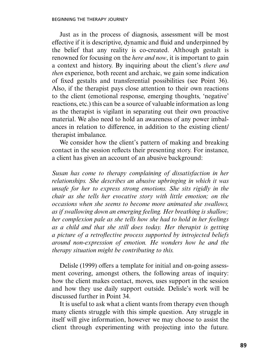Just as in the process of diagnosis, assessment will be most effective if it is descriptive, dynamic and fluid and underpinned by the belief that any reality is co-created. Although gestalt is renowned for focusing on the *here and now*, it is important to gain a context and history. By inquiring about the client's *there and then* experience, both recent and archaic, we gain some indication of fixed gestalts and transferential possibilities (see Point 36). Also, if the therapist pays close attention to their own reactions to the client (emotional response, emerging thoughts, 'negative' reactions, etc.) this can be a source of valuable information as long as the therapist is vigilant in separating out their own proactive material. We also need to hold an awareness of any power imbalances in relation to difference, in addition to the existing client/ therapist imbalance.

We consider how the client's pattern of making and breaking contact in the session reflects their presenting story. For instance, a client has given an account of an abusive background:

*Susan has come to therapy complaining of dissatisfaction in her relationships. She describes an abusive upbringing in which it was unsafe for her to express strong emotions. She sits rigidly in the chair as she tells her evocative story with little emotion; on the occasions when she seems to become more animated she swallows, as if swallowing down an emerging feeling. Her breathing is shallow; her complexion pale as she tells how she had to hold in her feelings as a child and that she still does today. Her therapist is getting a picture of a retroflective process supported by introjected beliefs around non-expression of emotion. He wonders how he and the therapy situation might be contributing to this.*

Delisle (1999) offers a template for initial and on-going assessment covering, amongst others, the following areas of inquiry: how the client makes contact, moves, uses support in the session and how they use daily support outside. Delisle's work will be discussed further in Point 34.

It is useful to ask what a client wants from therapy even though many clients struggle with this simple question. Any struggle in itself will give information, however we may choose to assist the client through experimenting with projecting into the future.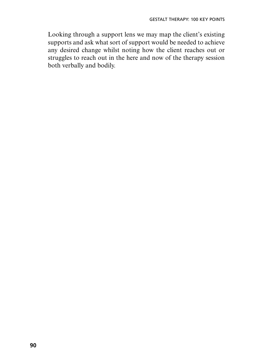Looking through a support lens we may map the client's existing supports and ask what sort of support would be needed to achieve any desired change whilst noting how the client reaches out or struggles to reach out in the here and now of the therapy session both verbally and bodily.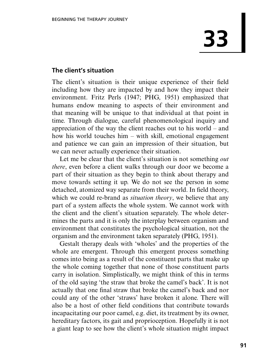#### **The client's situation**

The client's situation is their unique experience of their field including how they are impacted by and how they impact their environment. Fritz Perls (1947; PHG, 1951) emphasized that humans endow meaning to aspects of their environment and that meaning will be unique to that individual at that point in time. Through dialogue, careful phenomenological inquiry and appreciation of the way the client reaches out to his world – and how his world touches him – with skill, emotional engagement and patience we can gain an impression of their situation, but we can never actually experience their situation.

Let me be clear that the client's situation is not something *out there*, even before a client walks through our door we become a part of their situation as they begin to think about therapy and move towards setting it up. We do not see the person in some detached, atomized way separate from their world. In field theory, which we could re-brand as *situation theory*, we believe that any part of a system affects the whole system. We cannot work with the client and the client's situation separately. The whole determines the parts and it is only the interplay between organism and environment that constitutes the psychological situation, not the organism and the environment taken separately (PHG, 1951).

Gestalt therapy deals with 'wholes' and the properties of the whole are emergent. Through this emergent process something comes into being as a result of the constituent parts that make up the whole coming together that none of those constituent parts carry in isolation. Simplistically, we might think of this in terms of the old saying 'the straw that broke the camel's back'. It is not actually that one final straw that broke the camel's back and nor could any of the other 'straws' have broken it alone. There will also be a host of other field conditions that contribute towards incapacitating our poor camel, e.g. diet, its treatment by its owner, hereditary factors, its gait and proprioception. Hopefully it is not a giant leap to see how the client's whole situation might impact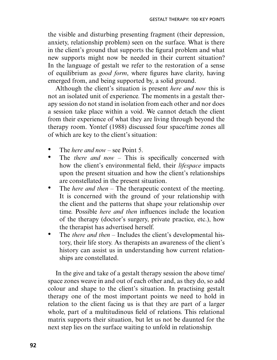the visible and disturbing presenting fragment (their depression, anxiety, relationship problem) seen on the surface. What is there in the client's ground that supports the figural problem and what new supports might now be needed in their current situation? In the language of gestalt we refer to the restoration of a sense of equilibrium as *good form*, where figures have clarity, having emerged from, and being supported by, a solid ground.

Although the client's situation is present *here and now* this is not an isolated unit of experience. The moments in a gestalt therapy session do not stand in isolation from each other and nor does a session take place within a void. We cannot detach the client from their experience of what they are living through beyond the therapy room. Yontef (1988) discussed four space/time zones all of which are key to the client's situation:

- The *here and now* see Point 5.
- The *there and now* This is specifically concerned with how the client's environmental field, their *lifespace* impacts upon the present situation and how the client's relationships are constellated in the present situation.
- The *here and then* The therapeutic context of the meeting. It is concerned with the ground of your relationship with the client and the patterns that shape your relationship over time. Possible *here and then* influences include the location of the therapy (doctor's surgery, private practice, etc.), how the therapist has advertised herself.
- The *there and then* Includes the client's developmental history, their life story. As therapists an awareness of the client's history can assist us in understanding how current relationships are constellated.

In the give and take of a gestalt therapy session the above time/ space zones weave in and out of each other and, as they do, so add colour and shape to the client's situation. In practising gestalt therapy one of the most important points we need to hold in relation to the client facing us is that they are part of a larger whole, part of a multitudinous field of relations. This relational matrix supports their situation, but let us not be daunted for the next step lies on the surface waiting to unfold in relationship.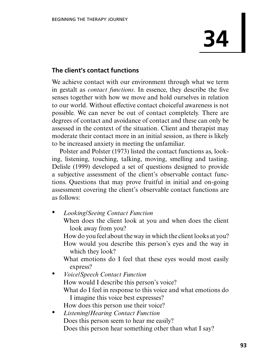#### **The client's contact functions**

We achieve contact with our environment through what we term in gestalt as *contact functions*. In essence, they describe the five senses together with how we move and hold ourselves in relation to our world. Without effective contact choiceful awareness is not possible. We can never be out of contact completely. There are degrees of contact and avoidance of contact and these can only be assessed in the context of the situation. Client and therapist may moderate their contact more in an initial session, as there is likely to be increased anxiety in meeting the unfamiliar.

Polster and Polster (1973) listed the contact functions as, looking, listening, touching, talking, moving, smelling and tasting. Delisle (1999) developed a set of questions designed to provide a subjective assessment of the client's observable contact functions. Questions that may prove fruitful in initial and on-going assessment covering the client's observable contact functions are as follows:

• *Looking/Seeing Contact Function*

When does the client look at you and when does the client look away from you?

How do you feel about the way in which the client looks at you? How would you describe this person's eyes and the way in which they look?

What emotions do I feel that these eyes would most easily express?

• *Voice/Speech Contact Function* How would I describe this person's voice? What do I feel in response to this voice and what emotions do I imagine this voice best expresses? How does this person use their voice?

• *Listening/Hearing Contact Function* Does this person seem to hear me easily? Does this person hear something other than what I say?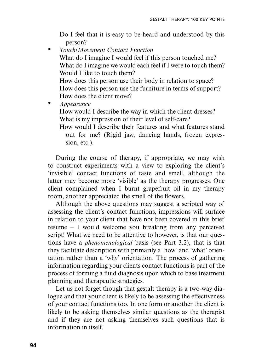Do I feel that it is easy to be heard and understood by this person?

• *Touch/Movement Contact Function* What do I imagine I would feel if this person touched me? What do I imagine we would each feel if I were to touch them? Would I like to touch them? How does this person use their body in relation to space? How does this person use the furniture in terms of support?

How does the client move?

• *Appearance*

How would I describe the way in which the client dresses? What is my impression of their level of self-care?

How would I describe their features and what features stand out for me? (Rigid jaw, dancing hands, frozen expression, etc.).

During the course of therapy, if appropriate, we may wish to construct experiments with a view to exploring the client's 'invisible' contact functions of taste and smell, although the latter may become more 'visible' as the therapy progresses. One client complained when I burnt grapefruit oil in my therapy room, another appreciated the smell of the flowers.

Although the above questions may suggest a scripted way of assessing the client's contact functions, impressions will surface in relation to your client that have not been covered in this brief resume – I would welcome you breaking from any perceived script! What we need to be attentive to however, is that our questions have a *phenomenological* basis (see Part 3.2), that is that they facilitate description with primarily a 'how' and 'what' orientation rather than a 'why' orientation. The process of gathering information regarding your clients contact functions is part of the process of forming a fluid diagnosis upon which to base treatment planning and therapeutic strategies.

Let us not forget though that gestalt therapy is a two-way dialogue and that your client is likely to be assessing the effectiveness of your contact functions too. In one form or another the client is likely to be asking themselves similar questions as the therapist and if they are not asking themselves such questions that is information in itself.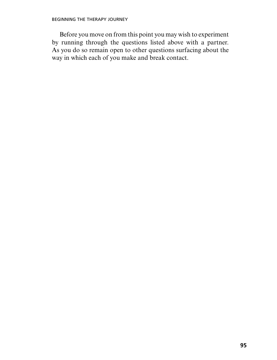#### BEGINNING THE THERAPY JOURNEY

Before you move on from this point you may wish to experiment by running through the questions listed above with a partner. As you do so remain open to other questions surfacing about the way in which each of you make and break contact.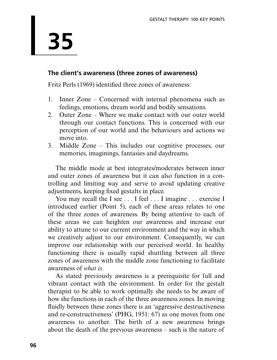### **The client's awareness (three zones of awareness)**

Fritz Perls (1969) identified three zones of awareness:

- 1. Inner Zone Concerned with internal phenomena such as feelings, emotions, dream world and bodily sensations.
- 2. Outer Zone Where we make contact with our outer world through our contact functions. This is concerned with our perception of our world and the behaviours and actions we move into.
- 3. Middle Zone This includes our cognitive processes, our memories, imaginings, fantasies and daydreams.

The middle mode at best integrates/moderates between inner and outer zones of awareness but it can also function in a controlling and limiting way and serve to avoid updating creative adjustments, keeping fixed gestalts in place.

You may recall the I see . . . I feel . . . I imagine . . . exercise I introduced earlier (Point 5), each of these areas relates to one of the three zones of awareness. By being attentive to each of these areas we can heighten our awareness and increase our ability to attune to our current environment and the way in which we creatively adjust to our environment. Consequently, we can improve our relationship with our perceived world. In healthy functioning there is usually rapid shuttling between all three zones of awareness with the middle zone functioning to facilitate awareness of *what is*.

As stated previously awareness is a prerequisite for full and vibrant contact with the environment. In order for the gestalt therapist to be able to work optimally she needs to be aware of how she functions in each of the three awareness zones. In moving fluidly between these zones there is an 'aggressive destructiveness and re-constructiveness' (PHG, 1951: 67) as one moves from one awareness to another. The birth of a new awareness brings about the death of the previous awareness – such is the nature of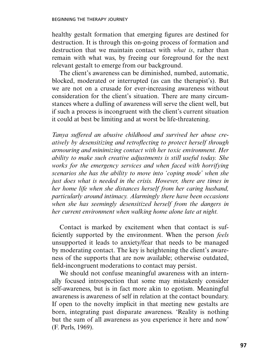healthy gestalt formation that emerging figures are destined for destruction. It is through this on-going process of formation and destruction that we maintain contact with *what is*, rather than remain with what was, by freeing our foreground for the next relevant gestalt to emerge from our background.

The client's awareness can be diminished, numbed, automatic, blocked, moderated or interrupted (as can the therapist's). But we are not on a crusade for ever-increasing awareness without consideration for the client's situation. There are many circumstances where a dulling of awareness will serve the client well, but if such a process is incongruent with the client's current situation it could at best be limiting and at worst be life-threatening.

*Tanya suffered an abusive childhood and survived her abuse creatively by desensitizing and retroflecting to protect herself through armouring and minimizing contact with her toxic environment. Her ability to make such creative adjustments is still useful today. She works for the emergency services and when faced with horrifying scenarios she has the ability to move into 'coping mode' when she just does what is needed in the crisis. However, there are times in her home life when she distances herself from her caring husband, particularly around intimacy. Alarmingly there have been occasions when she has seemingly desensitized herself from the dangers in her current environment when walking home alone late at night.*

Contact is marked by excitement when that contact is sufficiently supported by the environment. When the person *feels* unsupported it leads to anxiety/fear that needs to be managed by moderating contact. The key is heightening the client's awareness of the supports that are now available; otherwise outdated, field-incongruent moderations to contact may persist.

We should not confuse meaningful awareness with an internally focused introspection that some may mistakenly consider self-awareness, but is in fact more akin to egotism. Meaningful awareness is awareness of self in relation at the contact boundary. If open to the novelty implicit in that meeting new gestalts are born, integrating past disparate awareness. 'Reality is nothing but the sum of all awareness as you experience it here and now' (F. Perls, 1969).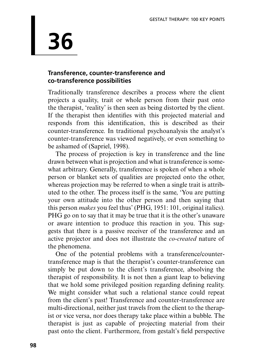### **Transference, counter-transference and co-transference possibilities**

Traditionally transference describes a process where the client projects a quality, trait or whole person from their past onto the therapist, 'reality' is then seen as being distorted by the client. If the therapist then identifies with this projected material and responds from this identification, this is described as their counter-transference. In traditional psychoanalysis the analyst's counter-transference was viewed negatively, or even something to be ashamed of (Sapriel, 1998).

The process of projection is key in transference and the line drawn between what is projection and what is transference is somewhat arbitrary. Generally, transference is spoken of when a whole person or blanket sets of qualities are projected onto the other, whereas projection may be referred to when a single trait is attributed to the other. The process itself is the same, 'You are putting your own attitude into the other person and then saying that this person *makes* you feel thus' (PHG, 1951: 101, original italics). PHG go on to say that it may be true that it is the other's unaware or aware intention to produce this reaction in you. This suggests that there is a passive receiver of the transference and an active projector and does not illustrate the *co-created* nature of the phenomena.

One of the potential problems with a transference/countertransference map is that the therapist's counter-transference can simply be put down to the client's transference, absolving the therapist of responsibility. It is not then a giant leap to believing that we hold some privileged position regarding defining reality. We might consider what such a relational stance could repeat from the client's past! Transference and counter-transference are multi-directional, neither just travels from the client to the therapist or vice versa, nor does therapy take place within a bubble. The therapist is just as capable of projecting material from their past onto the client. Furthermore, from gestalt's field perspective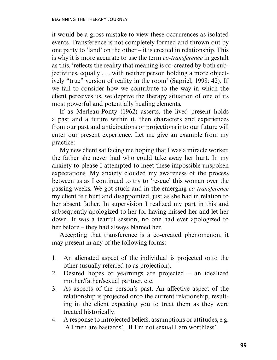it would be a gross mistake to view these occurrences as isolated events. Transference is not completely formed and thrown out by one party to 'land' on the other – it is created in relationship. This is why it is more accurate to use the term *co-transference* in gestalt as this, 'reflects the reality that meaning is co-created by both subjectivities, equally . . . with neither person holding a more objectively "true" version of reality in the room' (Sapriel, 1998: 42). If we fail to consider how we contribute to the way in which the client perceives us, we deprive the therapy situation of one of its most powerful and potentially healing elements.

If as Merleau-Ponty (1962) asserts, the lived present holds a past and a future within it, then characters and experiences from our past and anticipations or projections into our future will enter our present experience. Let me give an example from my practice:

My new client sat facing me hoping that I was a miracle worker, the father she never had who could take away her hurt. In my anxiety to please I attempted to meet these impossible unspoken expectations. My anxiety clouded my awareness of the process between us as I continued to try to 'rescue' this woman over the passing weeks. We got stuck and in the emerging *co-transference* my client felt hurt and disappointed, just as she had in relation to her absent father. In supervision I realized my part in this and subsequently apologized to her for having missed her and let her down. It was a tearful session, no one had ever apologized to her before – they had always blamed her.

Accepting that transference is a co-created phenomenon, it may present in any of the following forms:

- 1. An alienated aspect of the individual is projected onto the other (usually referred to as projection).
- 2. Desired hopes or yearnings are projected an idealized mother/father/sexual partner, etc.
- 3. As aspects of the person's past. An affective aspect of the relationship is projected onto the current relationship, resulting in the client expecting you to treat them as they were treated historically.
- 4. A response to introjected beliefs, assumptions or attitudes, e.g. 'All men are bastards', 'If I'm not sexual I am worthless'.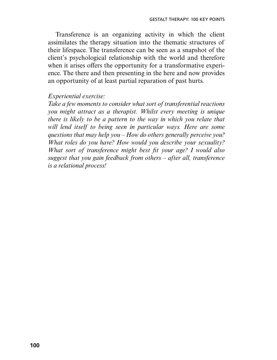Transference is an organizing activity in which the client assimilates the therapy situation into the thematic structures of their lifespace. The transference can be seen as a snapshot of the client's psychological relationship with the world and therefore when it arises offers the opportunity for a transformative experience. The there and then presenting in the here and now provides an opportunity of at least partial reparation of past hurts.

#### *Experiential exercise:*

*Take a few moments to consider what sort of transferential reactions you might attract as a therapist. Whilst every meeting is unique there is likely to be a pattern to the way in which you relate that will lend itself to being seen in particular ways. Here are some questions that may help you – How do others generally perceive you? What roles do you have? How would you describe your sexuality? What sort of transference might best fit your age? I would also suggest that you gain feedback from others – after all, transference is a relational process!*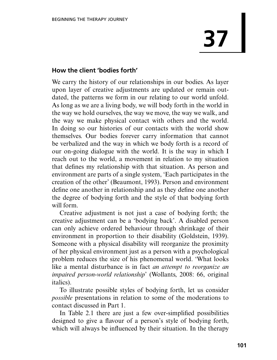### **How the client 'bodies forth'**

We carry the history of our relationships in our bodies. As layer upon layer of creative adjustments are updated or remain outdated, the patterns we form in our relating to our world unfold. As long as we are a living body, we will body forth in the world in the way we hold ourselves, the way we move, the way we walk, and the way we make physical contact with others and the world. In doing so our histories of our contacts with the world show themselves. Our bodies forever carry information that cannot be verbalized and the way in which we body forth is a record of our on-going dialogue with the world. It is the way in which I reach out to the world, a movement in relation to my situation that defines my relationship with that situation. As person and environment are parts of a single system, 'Each participates in the creation of the other' (Beaumont, 1993). Person and environment define one another in relationship and as they define one another the degree of bodying forth and the style of that bodying forth will form.

Creative adjustment is not just a case of bodying forth; the creative adjustment can be a 'bodying back'. A disabled person can only achieve ordered behaviour through shrinkage of their environment in proportion to their disability (Goldstein, 1939). Someone with a physical disability will reorganize the proximity of her physical environment just as a person with a psychological problem reduces the size of his phenomenal world. 'What looks like a mental disturbance is in fact *an attempt to reorganize an impaired person-world relationship*' (Wollants, 2008: 66, original italics).

To illustrate possible styles of bodying forth, let us consider *possible* presentations in relation to some of the moderations to contact discussed in Part 1.

In Table 2.1 there are just a few over-simplified possibilities designed to give a flavour of a person's style of bodying forth, which will always be influenced by their situation. In the therapy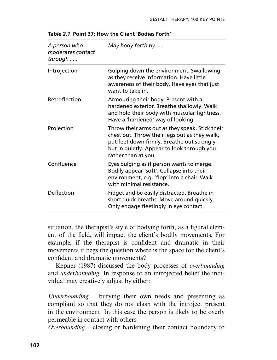| A person who<br>moderates contact<br>through $\dots$ | May body forth by $\dots$                                                                                                                                                                                           |
|------------------------------------------------------|---------------------------------------------------------------------------------------------------------------------------------------------------------------------------------------------------------------------|
| Introjection                                         | Gulping down the environment. Swallowing<br>as they receive information. Have little<br>awareness of their body. Have eyes that just<br>want to take in.                                                            |
| Retroflection                                        | Armouring their body. Present with a<br>hardened exterior. Breathe shallowly. Walk<br>and hold their body with muscular tightness.<br>Have a 'hardened' way of looking.                                             |
| Projection                                           | Throw their arms out as they speak. Stick their<br>chest out. Throw their legs out as they walk,<br>put feet down firmly. Breathe out strongly<br>but in quietly. Appear to look through you<br>rather than at you. |
| Confluence                                           | Eyes bulging as if person wants to merge.<br>Bodily appear 'soft'. Collapse into their<br>environment, e.g. 'flop' into a chair. Walk<br>with minimal resistance.                                                   |
| Deflection                                           | Fidget and be easily distracted. Breathe in<br>short quick breaths. Move around quickly.<br>Only engage fleetingly in eye contact.                                                                                  |

*Table 2.1* **Point 37: How the Client 'Bodies Forth'**

situation, the therapist's style of bodying forth, as a figural element of the field, will impact the client's bodily movements. For example, if the therapist is confident and dramatic in their movements it begs the question where is the space for the client's confident and dramatic movements?

Kepner (1987) discussed the body processes of *overbounding* and *underbounding*. In response to an introjected belief the individual may creatively adjust by either:

*Underbounding –* burying their own needs and presenting as compliant so that they do not clash with the introject present in the environment. In this case the person is likely to be overly permeable in contact with others.

*Overbounding –* closing or hardening their contact boundary to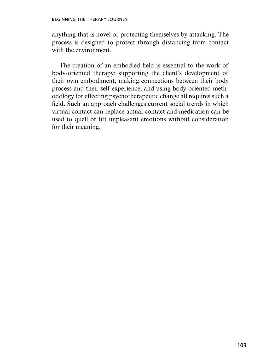anything that is novel or protecting themselves by attacking. The process is designed to protect through distancing from contact with the environment.

The creation of an embodied field is essential to the work of body-oriented therapy; supporting the client's development of their own embodiment; making connections between their body process and their self-experience; and using body-oriented methodology for effecting psychotherapeutic change all requires such a field. Such an approach challenges current social trends in which virtual contact can replace actual contact and medication can be used to quell or lift unpleasant emotions without consideration for their meaning.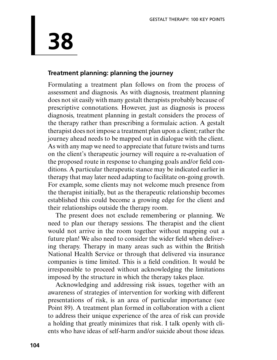### **Treatment planning: planning the journey**

Formulating a treatment plan follows on from the process of assessment and diagnosis. As with diagnosis, treatment planning does not sit easily with many gestalt therapists probably because of prescriptive connotations. However, just as diagnosis is process diagnosis, treatment planning in gestalt considers the process of the therapy rather than prescribing a formulaic action. A gestalt therapist does not impose a treatment plan upon a client; rather the journey ahead needs to be mapped out in dialogue with the client. As with any map we need to appreciate that future twists and turns on the client's therapeutic journey will require a re-evaluation of the proposed route in response to changing goals and/or field conditions. A particular therapeutic stance may be indicated earlier in therapy that may later need adapting to facilitate on-going growth. For example, some clients may not welcome much presence from the therapist initially, but as the therapeutic relationship becomes established this could become a growing edge for the client and their relationships outside the therapy room.

The present does not exclude remembering or planning. We need to plan our therapy sessions. The therapist and the client would not arrive in the room together without mapping out a future plan! We also need to consider the wider field when delivering therapy. Therapy in many areas such as within the British National Health Service or through that delivered via insurance companies is time limited. This is a field condition. It would be irresponsible to proceed without acknowledging the limitations imposed by the structure in which the therapy takes place.

Acknowledging and addressing risk issues, together with an awareness of strategies of intervention for working with different presentations of risk, is an area of particular importance (see Point 89). A treatment plan formed in collaboration with a client to address their unique experience of the area of risk can provide a holding that greatly minimizes that risk. I talk openly with clients who have ideas of self-harm and/or suicide about those ideas.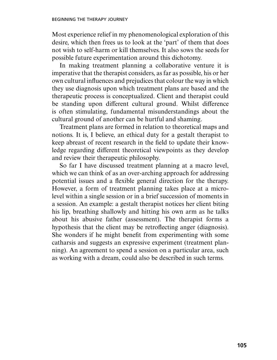Most experience relief in my phenomenological exploration of this desire, which then frees us to look at the 'part' of them that does not wish to self-harm or kill themselves. It also sows the seeds for possible future experimentation around this dichotomy.

In making treatment planning a collaborative venture it is imperative that the therapist considers, as far as possible, his or her own cultural influences and prejudices that colour the way in which they use diagnosis upon which treatment plans are based and the therapeutic process is conceptualized. Client and therapist could be standing upon different cultural ground. Whilst difference is often stimulating, fundamental misunderstandings about the cultural ground of another can be hurtful and shaming.

Treatment plans are formed in relation to theoretical maps and notions. It is, I believe, an ethical duty for a gestalt therapist to keep abreast of recent research in the field to update their knowledge regarding different theoretical viewpoints as they develop and review their therapeutic philosophy.

So far I have discussed treatment planning at a macro level, which we can think of as an over-arching approach for addressing potential issues and a flexible general direction for the therapy. However, a form of treatment planning takes place at a microlevel within a single session or in a brief succession of moments in a session. An example: a gestalt therapist notices her client biting his lip, breathing shallowly and hitting his own arm as he talks about his abusive father (assessment). The therapist forms a hypothesis that the client may be retroflecting anger (diagnosis). She wonders if he might benefit from experimenting with some catharsis and suggests an expressive experiment (treatment planning). An agreement to spend a session on a particular area, such as working with a dream, could also be described in such terms.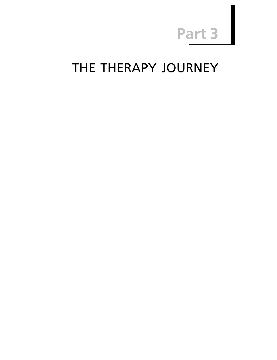

### THE THERAPY JOURNEY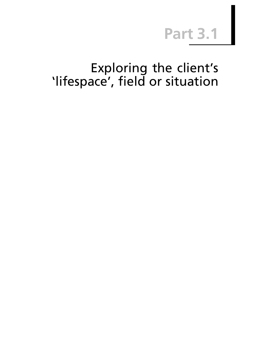

### Exploring the client's 'lifespace' , field or situation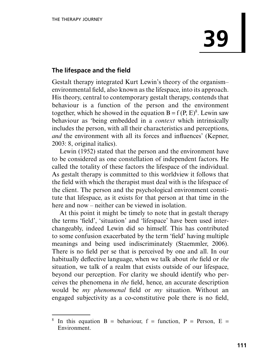### **The lifespace and the field**

Gestalt therapy integrated Kurt Lewin's theory of the organism– environmental field, also known as the lifespace, into its approach. His theory, central to contemporary gestalt therapy, contends that behaviour is a function of the person and the environment together, which he showed in the equation  $B = f(P, E)^8$ . Lewin saw behaviour as 'being embedded in a *context* which intrinsically includes the person, with all their characteristics and perceptions, *and* the environment with all its forces and influences' (Kepner, 2003: 8, original italics).

Lewin (1952) stated that the person and the environment have to be considered as one constellation of independent factors. He called the totality of these factors the lifespace of the individual. As gestalt therapy is committed to this worldview it follows that the field with which the therapist must deal with is the lifespace of the client. The person and the psychological environment constitute that lifespace, as it exists for that person at that time in the here and now – neither can be viewed in isolation.

At this point it might be timely to note that in gestalt therapy the terms 'field', 'situation' and 'lifespace' have been used interchangeably, indeed Lewin did so himself. This has contributed to some confusion exacerbated by the term 'field' having multiple meanings and being used indiscriminately (Staemmler, 2006). There is no field per se that is perceived by one and all. In our habitually deflective language, when we talk about *the* field or *the* situation, we talk of a realm that exists outside of our lifespace, beyond our perception. For clarity we should identify who perceives the phenomena in *the* field, hence, an accurate description would be *my phenomenal* field or *my* situation. Without an engaged subjectivity as a co-constitutive pole there is no field,

<sup>&</sup>lt;sup>8</sup> In this equation B = behaviour, f = function, P = Person, E = Environment.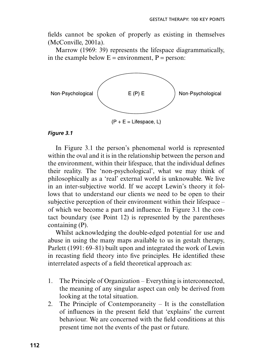fields cannot be spoken of properly as existing in themselves (McConville, 2001a).

Marrow (1969: 39) represents the lifespace diagrammatically, in the example below  $E =$  environment,  $P =$  person:



#### *Figure 3.1*

In Figure 3.1 the person's phenomenal world is represented within the oval and it is in the relationship between the person and the environment, within their lifespace, that the individual defines their reality. The 'non-psychological', what we may think of philosophically as a 'real' external world is unknowable. We live in an inter-subjective world. If we accept Lewin's theory it follows that to understand our clients we need to be open to their subjective perception of their environment within their lifespace – of which we become a part and influence. In Figure 3.1 the contact boundary (see Point 12) is represented by the parentheses containing (P).

Whilst acknowledging the double-edged potential for use and abuse in using the many maps available to us in gestalt therapy, Parlett (1991: 69–81) built upon and integrated the work of Lewin in recasting field theory into five principles. He identified these interrelated aspects of a field theoretical approach as:

- 1. The Principle of Organization Everything is interconnected, the meaning of any singular aspect can only be derived from looking at the total situation.
- 2. The Principle of Contemporaneity It is the constellation of influences in the present field that 'explains' the current behaviour. We are concerned with the field conditions at this present time not the events of the past or future.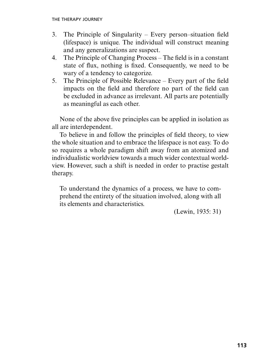- 3. The Principle of Singularity Every person–situation field (lifespace) is unique. The individual will construct meaning and any generalizations are suspect.
- 4. The Principle of Changing Process The field is in a constant state of flux, nothing is fixed. Consequently, we need to be wary of a tendency to categorize.
- 5. The Principle of Possible Relevance Every part of the field impacts on the field and therefore no part of the field can be excluded in advance as irrelevant. All parts are potentially as meaningful as each other.

None of the above five principles can be applied in isolation as all are interdependent.

To believe in and follow the principles of field theory, to view the whole situation and to embrace the lifespace is not easy. To do so requires a whole paradigm shift away from an atomized and individualistic worldview towards a much wider contextual worldview. However, such a shift is needed in order to practise gestalt therapy.

To understand the dynamics of a process, we have to comprehend the entirety of the situation involved, along with all its elements and characteristics.

(Lewin, 1935: 31)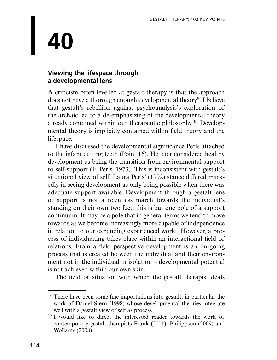### **Viewing the lifespace through a developmental lens**

A criticism often levelled at gestalt therapy is that the approach does not have a thorough enough developmental theory<sup>9</sup>. I believe that gestalt's rebellion against psychoanalysis's exploration of the archaic led to a de-emphasizing of the developmental theory already contained within our therapeutic philosophy<sup>10</sup>. Developmental theory is implicitly contained within field theory and the lifespace.

I have discussed the developmental significance Perls attached to the infant cutting teeth (Point 16). He later considered healthy development as being the transition from environmental support to self-support (F. Perls, 1973). This is inconsistent with gestalt's situational view of self. Laura Perls' (1992) stance differed markedly in seeing development as only being possible when there was adequate support available. Development through a gestalt lens of support is not a relentless march towards the individual's standing on their own two feet; this is but one pole of a support continuum. It may be a pole that in general terms we tend to move towards as we become increasingly more capable of independence in relation to our expanding experienced world. However, a process of individuating takes place within an interactional field of relations. From a field perspective development is an on-going process that is created between the individual and their environment not in the individual in isolation – developmental potential is not achieved within our own skin.

The field or situation with which the gestalt therapist deals

<sup>9</sup> There have been some fine importations into gestalt, in particular the work of Daniel Stern (1998) whose developmental theories integrate well with a gestalt view of self as process.

<sup>&</sup>lt;sup>10</sup> I would like to direct the interested reader towards the work of contemporary gestalt therapists Frank (2001), Philippson (2009) and Wollants (2008).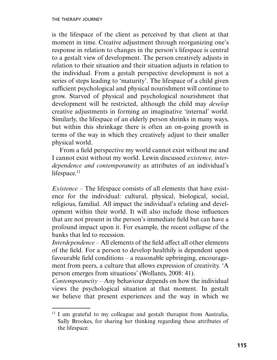is the lifespace of the client as perceived by that client at that moment in time. Creative adjustment through reorganizing one's response in relation to changes in the person's lifespace is central to a gestalt view of development. The person creatively adjusts in relation to their situation and their situation adjusts in relation to the individual. From a gestalt perspective development is not a series of steps leading to 'maturity'. The lifespace of a child given sufficient psychological and physical nourishment will continue to grow. Starved of physical and psychological nourishment that development will be restricted, although the child may *develop* creative adjustments in forming an imaginative 'internal' world. Similarly, the lifespace of an elderly person shrinks in many ways, but within this shrinkage there is often an on-going growth in terms of the way in which they creatively adjust to their smaller physical world.

From a field perspective my world cannot exist without me and I cannot exist without my world. Lewin discussed *existence, interdependence and contemporaneity* as attributes of an individual's lifespace.<sup>11</sup>

*Existence –* The lifespace consists of all elements that have existence for the individual: cultural, physical, biological, social, religious, familial. All impact the individual's relating and development within their world. It will also include those influences that are not present in the person's immediate field but can have a profound impact upon it. For example, the recent collapse of the banks that led to recession.

*Interdependence –* All elements of the field affect all other elements of the field. For a person to develop healthily is dependent upon favourable field conditions – a reasonable upbringing, encouragement from peers, a culture that allows expression of creativity. 'A person emerges from situations' (Wollants, 2008: 41).

*Contemporaneity –* Any behaviour depends on how the individual views the psychological situation at that moment. In gestalt we believe that present experiences and the way in which we

<sup>&</sup>lt;sup>11</sup> I am grateful to my colleague and gestalt therapist from Australia, Sally Brookes, for sharing her thinking regarding these attributes of the lifespace.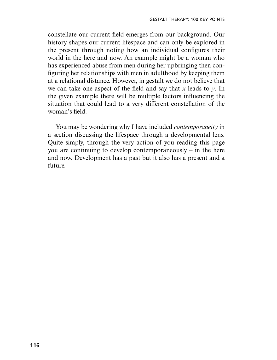constellate our current field emerges from our background. Our history shapes our current lifespace and can only be explored in the present through noting how an individual configures their world in the here and now. An example might be a woman who has experienced abuse from men during her upbringing then configuring her relationships with men in adulthood by keeping them at a relational distance. However, in gestalt we do not believe that we can take one aspect of the field and say that *x* leads to *y*. In the given example there will be multiple factors influencing the situation that could lead to a very different constellation of the woman's field.

You may be wondering why I have included *contemporaneity* in a section discussing the lifespace through a developmental lens. Quite simply, through the very action of you reading this page you are continuing to develop contemporaneously – in the here and now. Development has a past but it also has a present and a future.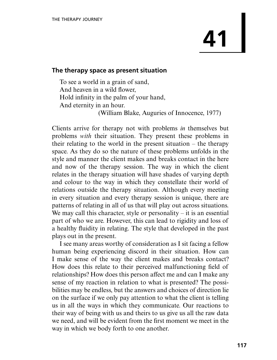#### **The therapy space as present situation**

To see a world in a grain of sand, And heaven in a wild flower, Hold infinity in the palm of your hand, And eternity in an hour. (William Blake, Auguries of Innocence, 1977)

Clients arrive for therapy not with problems *in* themselves but problems *with* their situation. They present these problems in their relating to the world in the present situation – the therapy space. As they do so the nature of these problems unfolds in the style and manner the client makes and breaks contact in the here and now of the therapy session. The way in which the client relates in the therapy situation will have shades of varying depth and colour to the way in which they constellate their world of relations outside the therapy situation. Although every meeting in every situation and every therapy session is unique, there are patterns of relating in all of us that will play out across situations. We may call this character, style or personality  $-$  it is an essential part of who we are. However, this can lead to rigidity and loss of a healthy fluidity in relating. The style that developed in the past plays out in the present.

I see many areas worthy of consideration as I sit facing a fellow human being experiencing discord in their situation. How can I make sense of the way the client makes and breaks contact? How does this relate to their perceived malfunctioning field of relationships? How does this person affect me and can I make any sense of my reaction in relation to what is presented? The possibilities may be endless, but the answers and choices of direction lie on the surface if we only pay attention to what the client is telling us in all the ways in which they communicate. Our reactions to their way of being with us and theirs to us give us all the raw data we need, and will be evident from the first moment we meet in the way in which we body forth to one another.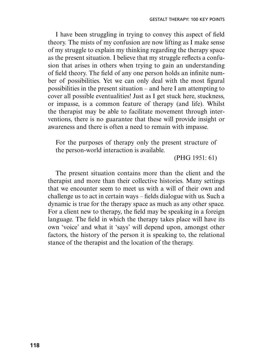I have been struggling in trying to convey this aspect of field theory. The mists of my confusion are now lifting as I make sense of my struggle to explain my thinking regarding the therapy space as the present situation. I believe that my struggle reflects a confusion that arises in others when trying to gain an understanding of field theory. The field of any one person holds an infinite number of possibilities. Yet we can only deal with the most figural possibilities in the present situation – and here I am attempting to cover all possible eventualities! Just as I get stuck here, stuckness, or impasse, is a common feature of therapy (and life). Whilst the therapist may be able to facilitate movement through interventions, there is no guarantee that these will provide insight or awareness and there is often a need to remain with impasse.

For the purposes of therapy only the present structure of the person-world interaction is available.

(PHG 1951: 61)

The present situation contains more than the client and the therapist and more than their collective histories. Many settings that we encounter seem to meet us with a will of their own and challenge us to act in certain ways – fields dialogue with us. Such a dynamic is true for the therapy space as much as any other space. For a client new to therapy, the field may be speaking in a foreign language. The field in which the therapy takes place will have its own 'voice' and what it 'says' will depend upon, amongst other factors, the history of the person it is speaking to, the relational stance of the therapist and the location of the therapy.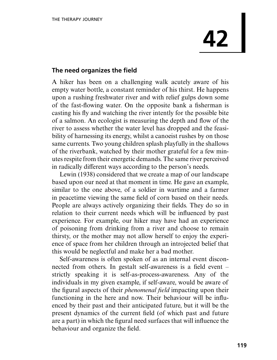### **The need organizes the field**

A hiker has been on a challenging walk acutely aware of his empty water bottle, a constant reminder of his thirst. He happens upon a rushing freshwater river and with relief gulps down some of the fast-flowing water. On the opposite bank a fisherman is casting his fly and watching the river intently for the possible bite of a salmon. An ecologist is measuring the depth and flow of the river to assess whether the water level has dropped and the feasibility of harnessing its energy, whilst a canoeist rushes by on those same currents. Two young children splash playfully in the shallows of the riverbank, watched by their mother grateful for a few minutes respite from their energetic demands. The same river perceived in radically different ways according to the person's needs.

Lewin (1938) considered that we create a map of our landscape based upon our need at that moment in time. He gave an example, similar to the one above, of a soldier in wartime and a farmer in peacetime viewing the same field of corn based on their needs. People are always actively organizing their fields. They do so in relation to their current needs which will be influenced by past experience. For example, our hiker may have had an experience of poisoning from drinking from a river and choose to remain thirsty, or the mother may not allow herself to enjoy the experience of space from her children through an introjected belief that this would be neglectful and make her a bad mother.

Self-awareness is often spoken of as an internal event disconnected from others. In gestalt self-awareness is a field event – strictly speaking it is self-as-process-awareness. Any of the individuals in my given example, if self-aware, would be aware of the figural aspects of their *phenomenal field* impacting upon their functioning in the here and now. Their behaviour will be influenced by their past and their anticipated future, but it will be the present dynamics of the current field (of which past and future are a part) in which the figural need surfaces that will influence the behaviour and organize the field.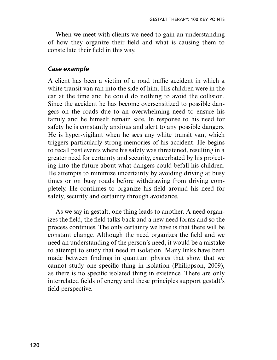When we meet with clients we need to gain an understanding of how they organize their field and what is causing them to constellate their field in this way.

#### *Case example*

A client has been a victim of a road traffic accident in which a white transit van ran into the side of him. His children were in the car at the time and he could do nothing to avoid the collision. Since the accident he has become oversensitized to possible dangers on the roads due to an overwhelming need to ensure his family and he himself remain safe. In response to his need for safety he is constantly anxious and alert to any possible dangers. He is hyper-vigilant when he sees any white transit van, which triggers particularly strong memories of his accident. He begins to recall past events where his safety was threatened, resulting in a greater need for certainty and security, exacerbated by his projecting into the future about what dangers could befall his children. He attempts to minimize uncertainty by avoiding driving at busy times or on busy roads before withdrawing from driving completely. He continues to organize his field around his need for safety, security and certainty through avoidance.

As we say in gestalt, one thing leads to another. A need organizes the field, the field talks back and a new need forms and so the process continues. The only certainty we have is that there will be constant change. Although the need organizes the field and we need an understanding of the person's need, it would be a mistake to attempt to study that need in isolation. Many links have been made between findings in quantum physics that show that we cannot study one specific thing in isolation (Philippson, 2009), as there is no specific isolated thing in existence. There are only interrelated fields of energy and these principles support gestalt's field perspective.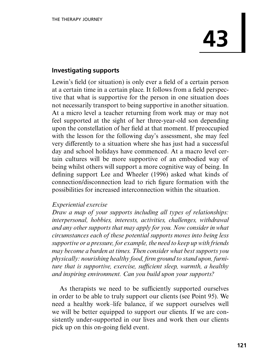### **Investigating supports**

Lewin's field (or situation) is only ever a field of a certain person at a certain time in a certain place. It follows from a field perspective that what is supportive for the person in one situation does not necessarily transport to being supportive in another situation. At a micro level a teacher returning from work may or may not feel supported at the sight of her three-year-old son depending upon the constellation of her field at that moment. If preoccupied with the lesson for the following day's assessment, she may feel very differently to a situation where she has just had a successful day and school holidays have commenced. At a macro level certain cultures will be more supportive of an embodied way of being whilst others will support a more cognitive way of being. In defining support Lee and Wheeler (1996) asked what kinds of connection/disconnection lead to rich figure formation with the possibilities for increased interconnection within the situation.

#### *Experiential exercise*

*Draw a map of your supports including all types of relationships: interpersonal, hobbies, interests, activities, challenges, withdrawal and any other supports that may apply for you. Now consider in what circumstances each of these potential supports moves into being less supportive or a pressure, for example, the need to keep up with friends may become a burden at times. Then consider what best supports you physically: nourishing healthy food, firm ground to stand upon, furniture that is supportive, exercise, sufficient sleep, warmth, a healthy and inspiring environment. Can you build upon your supports?*

As therapists we need to be sufficiently supported ourselves in order to be able to truly support our clients (see Point 95). We need a healthy work–life balance, if we support ourselves well we will be better equipped to support our clients. If we are consistently under-supported in our lives and work then our clients pick up on this on-going field event.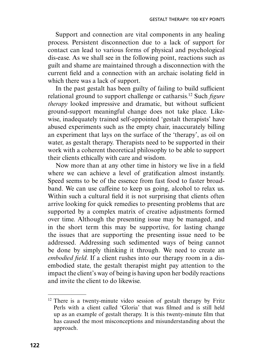Support and connection are vital components in any healing process. Persistent disconnection due to a lack of support for contact can lead to various forms of physical and psychological dis-ease. As we shall see in the following point, reactions such as guilt and shame are maintained through a disconnection with the current field and a connection with an archaic isolating field in which there was a lack of support.

In the past gestalt has been guilty of failing to build sufficient relational ground to support challenge or catharsis.12 Such *figure therapy* looked impressive and dramatic, but without sufficient ground-support meaningful change does not take place. Likewise, inadequately trained self-appointed 'gestalt therapists' have abused experiments such as the empty chair, inaccurately billing an experiment that lays on the surface of the 'therapy', as oil on water, as gestalt therapy. Therapists need to be supported in their work with a coherent theoretical philosophy to be able to support their clients ethically with care and wisdom.

Now more than at any other time in history we live in a field where we can achieve a level of gratification almost instantly. Speed seems to be of the essence from fast food to faster broadband. We can use caffeine to keep us going, alcohol to relax us. Within such a cultural field it is not surprising that clients often arrive looking for quick remedies to presenting problems that are supported by a complex matrix of creative adjustments formed over time. Although the presenting issue may be managed, and in the short term this may be supportive, for lasting change the issues that are supporting the presenting issue need to be addressed. Addressing such sedimented ways of being cannot be done by simply thinking it through. We need to create an *embodied field*. If a client rushes into our therapy room in a disembodied state, the gestalt therapist might pay attention to the impact the client's way of being is having upon her bodily reactions and invite the client to do likewise.

 $12$  There is a twenty-minute video session of gestalt therapy by Fritz Perls with a client called 'Gloria' that was filmed and is still held up as an example of gestalt therapy. It is this twenty-minute film that has caused the most misconceptions and misunderstanding about the approach.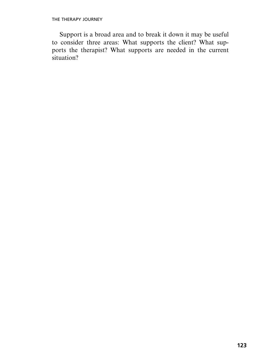Support is a broad area and to break it down it may be useful to consider three areas: What supports the client? What supports the therapist? What supports are needed in the current situation?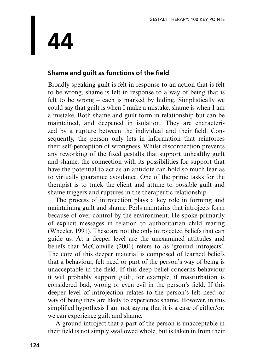### **Shame and guilt as functions of the field**

Broadly speaking guilt is felt in response to an action that is felt to be wrong, shame is felt in response to a way of being that is felt to be wrong – each is marked by hiding. Simplistically we could say that guilt is when I make a mistake, shame is when I am a mistake. Both shame and guilt form in relationship but can be maintained, and deepened in isolation. They are characterized by a rupture between the individual and their field. Consequently, the person only lets in information that reinforces their self-perception of wrongness. Whilst disconnection prevents any reworking of the fixed gestalts that support unhealthy guilt and shame, the connection with its possibilities for support that have the potential to act as an antidote can hold so much fear as to virtually guarantee avoidance. One of the prime tasks for the therapist is to track the client and attune to possible guilt and shame triggers and ruptures in the therapeutic relationship.

The process of introjection plays a key role in forming and maintaining guilt and shame. Perls maintains that introjects form because of over-control by the environment. He spoke primarily of explicit messages in relation to authoritarian child rearing (Wheeler, 1991). These are not the only introjected beliefs that can guide us. At a deeper level are the unexamined attitudes and beliefs that McConville (2001) refers to as 'ground introjects'. The core of this deeper material is composed of learned beliefs that a behaviour, felt need or part of the person's way of being is unacceptable in the field. If this deep belief concerns behaviour it will probably support guilt, for example, if masturbation is considered bad, wrong or even evil in the person's field. If this deeper level of introjection relates to the person's felt need or way of being they are likely to experience shame. However, in this simplified hypothesis I am not saying that it is a case of either/or; we can experience guilt and shame.

A ground introject that a part of the person is unacceptable in their field is not simply swallowed whole, but is taken in from their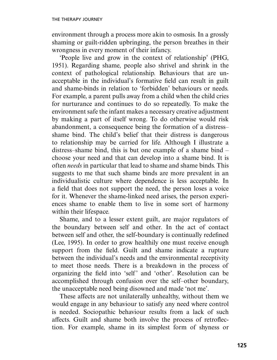environment through a process more akin to osmosis. In a grossly shaming or guilt-ridden upbringing, the person breathes in their wrongness in every moment of their infancy.

'People live and grow in the context of relationship' (PHG, 1951). Regarding shame, people also shrivel and shrink in the context of pathological relationship. Behaviours that are unacceptable in the individual's formative field can result in guilt and shame-binds in relation to 'forbidden' behaviours or needs. For example, a parent pulls away from a child when the child cries for nurturance and continues to do so repeatedly. To make the environment safe the infant makes a necessary creative adjustment by making a part of itself wrong. To do otherwise would risk abandonment, a consequence being the formation of a distress– shame bind. The child's belief that their distress is dangerous to relationship may be carried for life. Although I illustrate a distress–shame bind, this is but one example of a shame bind – choose your need and that can develop into a shame bind. It is often *needs* in particular that lead to shame and shame binds. This suggests to me that such shame binds are more prevalent in an individualistic culture where dependence is less acceptable. In a field that does not support the need, the person loses a voice for it. Whenever the shame-linked need arises, the person experiences shame to enable them to live in some sort of harmony within their lifespace.

Shame, and to a lesser extent guilt, are major regulators of the boundary between self and other. In the act of contact between self and other, the self-boundary is continually redefined (Lee, 1995). In order to grow healthily one must receive enough support from the field. Guilt and shame indicate a rupture between the individual's needs and the environmental receptivity to meet those needs. There is a breakdown in the process of organizing the field into 'self' and 'other'. Resolution can be accomplished through confusion over the self–other boundary, the unacceptable need being disowned and made 'not me'.

These affects are not unilaterally unhealthy, without them we would engage in any behaviour to satisfy any need where control is needed. Sociopathic behaviour results from a lack of such affects. Guilt and shame both involve the process of retroflection. For example, shame in its simplest form of shyness or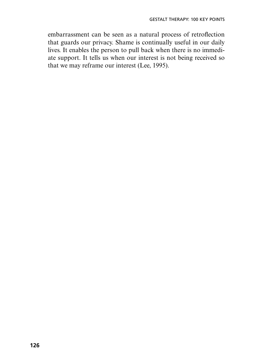embarrassment can be seen as a natural process of retroflection that guards our privacy. Shame is continually useful in our daily lives. It enables the person to pull back when there is no immediate support. It tells us when our interest is not being received so that we may reframe our interest (Lee, 1995).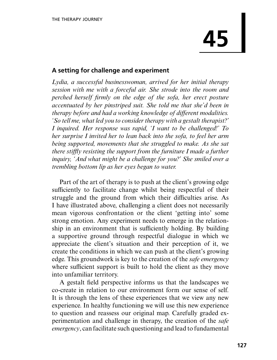### **A setting for challenge and experiment**

*Lydia, a successful businesswoman, arrived for her initial therapy session with me with a forceful air. She strode into the room and perched herself firmly on the edge of the sofa, her erect posture accentuated by her pinstriped suit. She told me that she'd been in therapy before and had a working knowledge of different modalities. 'So tell me, what led you to consider therapy with a gestalt therapist?' I inquired. Her response was rapid, 'I want to be challenged!' To her surprise I invited her to lean back into the sofa, to feel her arm being supported, movements that she struggled to make. As she sat there stiffly resisting the support from the furniture I made a further inquiry, 'And what might be a challenge for you?' She smiled over a trembling bottom lip as her eyes began to water.*

Part of the art of therapy is to push at the client's growing edge sufficiently to facilitate change whilst being respectful of their struggle and the ground from which their difficulties arise. As I have illustrated above, challenging a client does not necessarily mean vigorous confrontation or the client 'getting into' some strong emotion. Any experiment needs to emerge in the relationship in an environment that is sufficiently holding. By building a supportive ground through respectful dialogue in which we appreciate the client's situation and their perception of it, we create the conditions in which we can push at the client's growing edge. This groundwork is key to the creation of the *safe emergency* where sufficient support is built to hold the client as they move into unfamiliar territory.

A gestalt field perspective informs us that the landscapes we co-create in relation to our environment form our sense of self. It is through the lens of these experiences that we view any new experience. In healthy functioning we will use this new experience to question and reassess our original map. Carefully graded experimentation and challenge in therapy, the creation of the *safe emergency*, can facilitate such questioning and lead to fundamental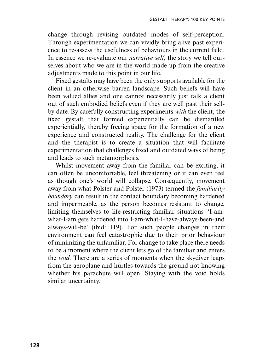change through revising outdated modes of self-perception. Through experimentation we can vividly bring alive past experience to re-assess the usefulness of behaviours in the current field. In essence we re-evaluate our *narrative self*, the story we tell ourselves about who we are in the world made up from the creative adjustments made to this point in our life.

Fixed gestalts may have been the only supports available for the client in an otherwise barren landscape. Such beliefs will have been valued allies and one cannot necessarily just talk a client out of such embodied beliefs even if they are well past their sellby date. By carefully constructing experiments *with* the client, the fixed gestalt that formed experientially can be dismantled experientially, thereby freeing space for the formation of a new experience and constructed reality. The challenge for the client and the therapist is to create a situation that will facilitate experimentation that challenges fixed and outdated ways of being and leads to such metamorphosis.

Whilst movement away from the familiar can be exciting, it can often be uncomfortable, feel threatening or it can even feel as though one's world will collapse. Consequently, movement away from what Polster and Polster (1973) termed the *familiarity boundary* can result in the contact boundary becoming hardened and impermeable, as the person becomes resistant to change, limiting themselves to life-restricting familiar situations. 'I-amwhat-I-am gets hardened into I-am-what-I-have-always-been-and always-will-be' (ibid: 119). For such people changes in their environment can feel catastrophic due to their prior behaviour of minimizing the unfamiliar. For change to take place there needs to be a moment where the client lets go of the familiar and enters the *void*. There are a series of moments when the skydiver leaps from the aeroplane and hurtles towards the ground not knowing whether his parachute will open. Staying with the void holds similar uncertainty.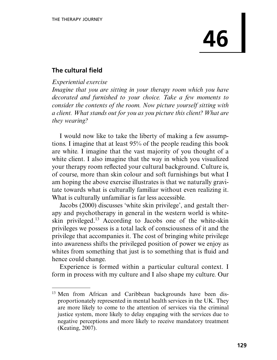### **The cultural field**

#### *Experiential exercise*

*Imagine that you are sitting in your therapy room which you have decorated and furnished to your choice. Take a few moments to consider the contents of the room. Now picture yourself sitting with a client. What stands out for you as you picture this client? What are they wearing?*

I would now like to take the liberty of making a few assumptions. I imagine that at least 95% of the people reading this book are white. I imagine that the vast majority of you thought of a white client. I also imagine that the way in which you visualized your therapy room reflected your cultural background. Culture is, of course, more than skin colour and soft furnishings but what I am hoping the above exercise illustrates is that we naturally gravitate towards what is culturally familiar without even realizing it. What is culturally unfamiliar is far less accessible.

Jacobs (2000) discusses 'white skin privilege', and gestalt therapy and psychotherapy in general in the western world is whiteskin privileged.13 According to Jacobs one of the white-skin privileges we possess is a total lack of consciousness of it and the privilege that accompanies it. The cost of bringing white privilege into awareness shifts the privileged position of power we enjoy as whites from something that just is to something that is fluid and hence could change.

Experience is formed within a particular cultural context. I form in process with my culture and I also shape my culture. Our

<sup>&</sup>lt;sup>13</sup> Men from African and Caribbean backgrounds have been disproportionately represented in mental health services in the UK. They are more likely to come to the attention of services via the criminal justice system, more likely to delay engaging with the services due to negative perceptions and more likely to receive mandatory treatment (Keating, 2007).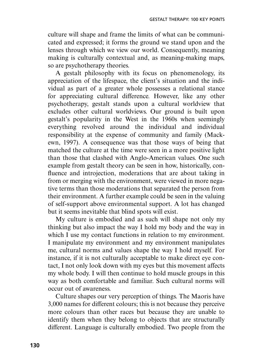culture will shape and frame the limits of what can be communicated and expressed; it forms the ground we stand upon and the lenses through which we view our world. Consequently, meaning making is culturally contextual and, as meaning-making maps, so are psychotherapy theories.

A gestalt philosophy with its focus on phenomenology, its appreciation of the lifespace, the client's situation and the individual as part of a greater whole possesses a relational stance for appreciating cultural difference. However, like any other psychotherapy, gestalt stands upon a cultural worldview that excludes other cultural worldviews. Our ground is built upon gestalt's popularity in the West in the 1960s when seemingly everything revolved around the individual and individual responsibility at the expense of community and family (Mackewn, 1997). A consequence was that those ways of being that matched the culture at the time were seen in a more positive light than those that clashed with Anglo-American values. One such example from gestalt theory can be seen in how, historically, confluence and introjection, moderations that are about taking in from or merging with the environment, were viewed in more negative terms than those moderations that separated the person from their environment. A further example could be seen in the valuing of self-support above environmental support. A lot has changed but it seems inevitable that blind spots will exist.

My culture is embodied and as such will shape not only my thinking but also impact the way I hold my body and the way in which I use my contact functions in relation to my environment. I manipulate my environment and my environment manipulates me, cultural norms and values shape the way I hold myself. For instance, if it is not culturally acceptable to make direct eye contact, I not only look down with my eyes but this movement affects my whole body. I will then continue to hold muscle groups in this way as both comfortable and familiar. Such cultural norms will occur out of awareness.

Culture shapes our very perception of things. The Maoris have 3,000 names for different colours; this is not because they perceive more colours than other races but because they are unable to identify them when they belong to objects that are structurally different. Language is culturally embodied. Two people from the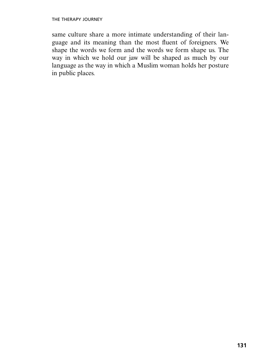same culture share a more intimate understanding of their language and its meaning than the most fluent of foreigners. We shape the words we form and the words we form shape us. The way in which we hold our jaw will be shaped as much by our language as the way in which a Muslim woman holds her posture in public places.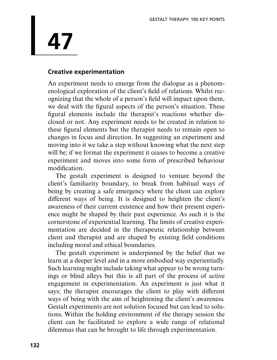#### **Creative experimentation**

An experiment needs to emerge from the dialogue as a phenomenological exploration of the client's field of relations. Whilst recognizing that the whole of a person's field will impact upon them, we deal with the figural aspects of the person's situation. These figural elements include the therapist's reactions whether disclosed or not. Any experiment needs to be created in relation to these figural elements but the therapist needs to remain open to changes in focus and direction. In suggesting an experiment and moving into it we take a step without knowing what the next step will be; if we format the experiment it ceases to become a creative experiment and moves into some form of prescribed behaviour modification.

The gestalt experiment is designed to venture beyond the client's familiarity boundary, to break from habitual ways of being by creating a safe emergency where the client can explore different ways of being. It is designed to heighten the client's awareness of their current existence and how their present experience might be shaped by their past experience. As such it is the cornerstone of experiential learning. The limits of creative experimentation are decided in the therapeutic relationship between client and therapist and are shaped by existing field conditions including moral and ethical boundaries.

The gestalt experiment is underpinned by the belief that we learn at a deeper level and in a more embodied way experientially. Such learning might include taking what appear to be wrong turnings or blind alleys but this is all part of the process of active engagement in experimentation. An experiment is just what it says; the therapist encourages the client to play with different ways of being with the aim of heightening the client's awareness. Gestalt experiments are not solution focused but can lead to solutions. Within the holding environment of the therapy session the client can be facilitated to explore a wide range of relational dilemmas that can be brought to life through experimentation.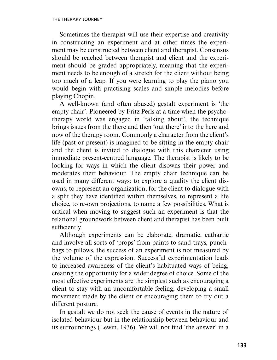Sometimes the therapist will use their expertise and creativity in constructing an experiment and at other times the experiment may be constructed between client and therapist. Consensus should be reached between therapist and client and the experiment should be graded appropriately, meaning that the experiment needs to be enough of a stretch for the client without being too much of a leap. If you were learning to play the piano you would begin with practising scales and simple melodies before playing Chopin.

A well-known (and often abused) gestalt experiment is 'the empty chair'. Pioneered by Fritz Perls at a time when the psychotherapy world was engaged in 'talking about', the technique brings issues from the there and then 'out there' into the here and now of the therapy room. Commonly a character from the client's life (past or present) is imagined to be sitting in the empty chair and the client is invited to dialogue with this character using immediate present-centred language. The therapist is likely to be looking for ways in which the client disowns their power and moderates their behaviour. The empty chair technique can be used in many different ways: to explore a quality the client disowns, to represent an organization, for the client to dialogue with a split they have identified within themselves, to represent a life choice, to re-own projections, to name a few possibilities. What is critical when moving to suggest such an experiment is that the relational groundwork between client and therapist has been built sufficiently.

Although experiments can be elaborate, dramatic, cathartic and involve all sorts of 'props' from paints to sand-trays, punchbags to pillows, the success of an experiment is not measured by the volume of the expression. Successful experimentation leads to increased awareness of the client's habituated ways of being, creating the opportunity for a wider degree of choice. Some of the most effective experiments are the simplest such as encouraging a client to stay with an uncomfortable feeling, developing a small movement made by the client or encouraging them to try out a different posture.

In gestalt we do not seek the cause of events in the nature of isolated behaviour but in the relationship between behaviour and its surroundings (Lewin, 1936). We will not find 'the answer' in a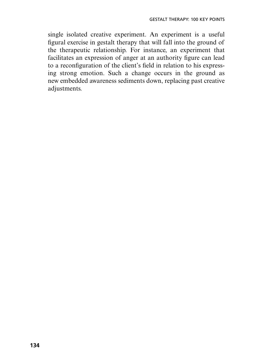single isolated creative experiment. An experiment is a useful figural exercise in gestalt therapy that will fall into the ground of the therapeutic relationship. For instance, an experiment that facilitates an expression of anger at an authority figure can lead to a reconfiguration of the client's field in relation to his expressing strong emotion. Such a change occurs in the ground as new embedded awareness sediments down, replacing past creative adjustments.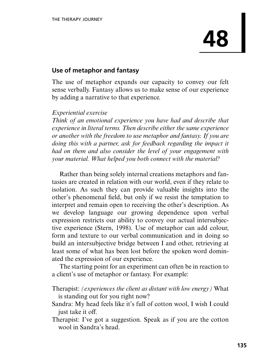#### **Use of metaphor and fantasy**

The use of metaphor expands our capacity to convey our felt sense verbally. Fantasy allows us to make sense of our experience by adding a narrative to that experience.

#### *Experiential exercise*

*Think of an emotional experience you have had and describe that experience in literal terms. Then describe either the same experience or another with the freedom to use metaphor and fantasy. If you are doing this with a partner, ask for feedback regarding the impact it had on them and also consider the level of your engagement with your material. What helped you both connect with the material?*

Rather than being solely internal creations metaphors and fantasies are created in relation with our world, even if they relate to isolation. As such they can provide valuable insights into the other's phenomenal field, but only if we resist the temptation to interpret and remain open to receiving the other's description. As we develop language our growing dependence upon verbal expression restricts our ability to convey our actual intersubjective experience (Stern, 1998). Use of metaphor can add colour, form and texture to our verbal communication and in doing so build an intersubjective bridge between I and other, retrieving at least some of what has been lost before the spoken word dominated the expression of our experience.

The starting point for an experiment can often be in reaction to a client's use of metaphor or fantasy. For example:

Therapist: *(experiences the client as distant with low energy)* What is standing out for you right now?

Sandra: My head feels like it's full of cotton wool, I wish I could just take it off.

Therapist: I've got a suggestion. Speak as if you are the cotton wool in Sandra's head.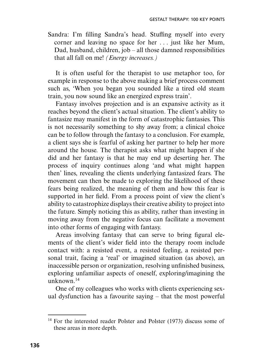Sandra: I'm filling Sandra's head. Stuffing myself into every corner and leaving no space for her . . . just like her Mum, Dad, husband, children, job – all those damned responsibilities that all fall on me! *(Energy increases.)*

It is often useful for the therapist to use metaphor too, for example in response to the above making a brief process comment such as, 'When you began you sounded like a tired old steam train, you now sound like an energized express train'.

Fantasy involves projection and is an expansive activity as it reaches beyond the client's actual situation. The client's ability to fantasize may manifest in the form of catastrophic fantasies. This is not necessarily something to shy away from; a clinical choice can be to follow through the fantasy to a conclusion. For example, a client says she is fearful of asking her partner to help her more around the house. The therapist asks what might happen if she did and her fantasy is that he may end up deserting her. The process of inquiry continues along 'and what might happen then' lines, revealing the clients underlying fantasized fears. The movement can then be made to exploring the likelihood of these fears being realized, the meaning of them and how this fear is supported in her field. From a process point of view the client's ability to catastrophize displays their creative ability to project into the future. Simply noticing this as ability, rather than investing in moving away from the negative focus can facilitate a movement into other forms of engaging with fantasy.

Areas involving fantasy that can serve to bring figural elements of the client's wider field into the therapy room include contact with: a resisted event, a resisted feeling, a resisted personal trait, facing a 'real' or imagined situation (as above), an inaccessible person or organization, resolving unfinished business, exploring unfamiliar aspects of oneself, exploring/imagining the unknown $14$ 

One of my colleagues who works with clients experiencing sexual dysfunction has a favourite saying – that the most powerful

<sup>&</sup>lt;sup>14</sup> For the interested reader Polster and Polster (1973) discuss some of these areas in more depth.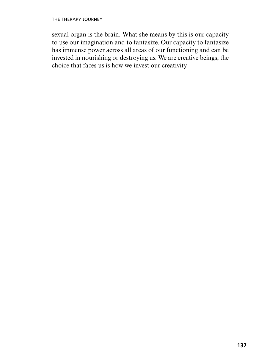sexual organ is the brain. What she means by this is our capacity to use our imagination and to fantasize. Our capacity to fantasize has immense power across all areas of our functioning and can be invested in nourishing or destroying us. We are creative beings; the choice that faces us is how we invest our creativity.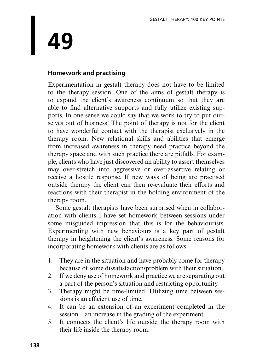#### **Homework and practising**

Experimentation in gestalt therapy does not have to be limited to the therapy session. One of the aims of gestalt therapy is to expand the client's awareness continuum so that they are able to find alternative supports and fully utilize existing supports. In one sense we could say that we work to try to put ourselves out of business! The point of therapy is not for the client to have wonderful contact with the therapist exclusively in the therapy room. New relational skills and abilities that emerge from increased awareness in therapy need practice beyond the therapy space and with such practice there are pitfalls. For example, clients who have just discovered an ability to assert themselves may over-stretch into aggressive or over-assertive relating or receive a hostile response. If new ways of being are practised outside therapy the client can then re-evaluate their efforts and reactions with their therapist in the holding environment of the therapy room.

Some gestalt therapists have been surprised when in collaboration with clients I have set homework between sessions under some misguided impression that this is for the behaviourists. Experimenting with new behaviours is a key part of gestalt therapy in heightening the client's awareness. Some reasons for incorporating homework with clients are as follows:

- 1. They are in the situation and have probably come for therapy because of some dissatisfaction/problem with their situation.
- 2. If we deny use of homework and practice we are separating out a part of the person's situation and restricting opportunity.
- 3. Therapy might be time-limited. Utilizing time between sessions is an efficient use of time.
- 4. It can be an extension of an experiment completed in the session – an increase in the grading of the experiment.
- 5. It connects the client's life outside the therapy room with their life inside the therapy room.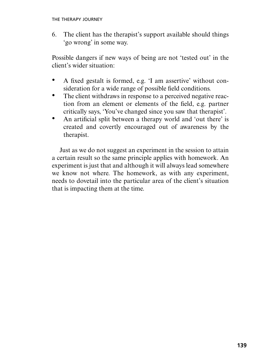6. The client has the therapist's support available should things 'go wrong' in some way.

Possible dangers if new ways of being are not 'tested out' in the client's wider situation:

- A fixed gestalt is formed, e.g. 'I am assertive' without consideration for a wide range of possible field conditions.
- The client withdraws in response to a perceived negative reaction from an element or elements of the field, e.g. partner critically says, 'You've changed since you saw that therapist'.
- An artificial split between a therapy world and 'out there' is created and covertly encouraged out of awareness by the therapist.

Just as we do not suggest an experiment in the session to attain a certain result so the same principle applies with homework. An experiment is just that and although it will always lead somewhere we know not where. The homework, as with any experiment, needs to dovetail into the particular area of the client's situation that is impacting them at the time.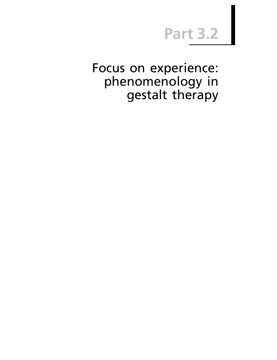

### Focus on experience: phenomenology in gestalt therapy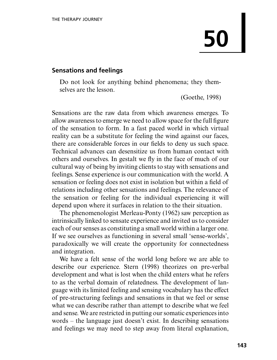#### **Sensations and feelings**

Do not look for anything behind phenomena; they themselves are the lesson.

(Goethe, 1998)

Sensations are the raw data from which awareness emerges. To allow awareness to emerge we need to allow space for the full figure of the sensation to form. In a fast paced world in which virtual reality can be a substitute for feeling the wind against our faces, there are considerable forces in our fields to deny us such space. Technical advances can desensitize us from human contact with others and ourselves. In gestalt we fly in the face of much of our cultural way of being by inviting clients to stay with sensations and feelings. Sense experience is our communication with the world. A sensation or feeling does not exist in isolation but within a field of relations including other sensations and feelings. The relevance of the sensation or feeling for the individual experiencing it will depend upon where it surfaces in relation to the their situation.

The phenomenologist Merleau-Ponty (1962) saw perception as intrinsically linked to sensate experience and invited us to consider each of our senses as constituting a small world within a larger one. If we see ourselves as functioning in several small 'sense-worlds', paradoxically we will create the opportunity for connectedness and integration.

We have a felt sense of the world long before we are able to describe our experience. Stern (1998) theorizes on pre-verbal development and what is lost when the child enters what he refers to as the verbal domain of relatedness. The development of language with its limited feeling and sensing vocabulary has the effect of pre-structuring feelings and sensations in that we feel or sense what we can describe rather than attempt to describe what we feel and sense. We are restricted in putting our somatic experiences into words – the language just doesn't exist. In describing sensations and feelings we may need to step away from literal explanation,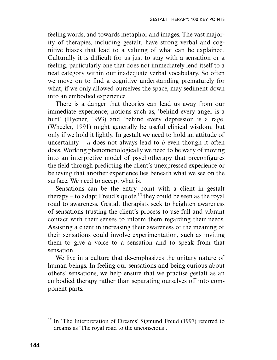feeling words, and towards metaphor and images. The vast majority of therapies, including gestalt, have strong verbal and cognitive biases that lead to a valuing of what can be explained. Culturally it is difficult for us just to stay with a sensation or a feeling, particularly one that does not immediately lend itself to a neat category within our inadequate verbal vocabulary. So often we move on to find a cognitive understanding prematurely for what, if we only allowed ourselves the space, may sediment down into an embodied experience.

There is a danger that theories can lead us away from our immediate experience; notions such as, 'behind every anger is a hurt' (Hycner, 1993) and 'behind every depression is a rage' (Wheeler, 1991) might generally be useful clinical wisdom, but only if we hold it lightly. In gestalt we need to hold an attitude of uncertainty –  $a$  does not always lead to  $b$  even though it often does. Working phenomenologically we need to be wary of moving into an interpretive model of psychotherapy that preconfigures the field through predicting the client's unexpressed experience or believing that another experience lies beneath what we see on the surface. We need to accept what is.

Sensations can be the entry point with a client in gestalt therapy – to adapt Freud's quote,<sup>15</sup> they could be seen as the royal road to awareness. Gestalt therapists seek to heighten awareness of sensations trusting the client's process to use full and vibrant contact with their senses to inform them regarding their needs. Assisting a client in increasing their awareness of the meaning of their sensations could involve experimentation, such as inviting them to give a voice to a sensation and to speak from that sensation.

We live in a culture that de-emphasizes the unitary nature of human beings. In feeling our sensations and being curious about others' sensations, we help ensure that we practise gestalt as an embodied therapy rather than separating ourselves off into component parts.

<sup>&</sup>lt;sup>15</sup> In 'The Interpretation of Dreams' Sigmund Freud (1997) referred to dreams as 'The royal road to the unconscious'.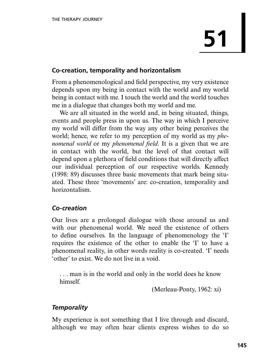#### **Co-creation, temporality and horizontalism**

From a phenomenological and field perspective, my very existence depends upon my being in contact with the world and my world being in contact with me. I touch the world and the world touches me in a dialogue that changes both my world and me.

We are all situated in the world and, in being situated, things, events and people press in upon us. The way in which I perceive my world will differ from the way any other being perceives the world; hence, we refer to my perception of my world as my *phenomenal world* or my *phenomenal field*. It is a given that we are in contact with the world, but the level of that contact will depend upon a plethora of field conditions that will directly affect our individual perception of our respective worlds. Kennedy (1998: 89) discusses three basic movements that mark being situated. These three 'movements' are: co-creation, temporality and horizontalism.

#### *Co-creation*

Our lives are a prolonged dialogue with those around us and with our phenomenal world. We need the existence of others to define ourselves. In the language of phenomenology the 'I' requires the existence of the other to enable the 'I' to have a phenomenal reality, in other words reality is co-created. 'I' needs 'other' to exist. We do not live in a void.

. . . man is in the world and only in the world does he know himself.

(Merleau-Ponty, 1962: xi)

#### *Temporality*

My experience is not something that I live through and discard, although we may often hear clients express wishes to do so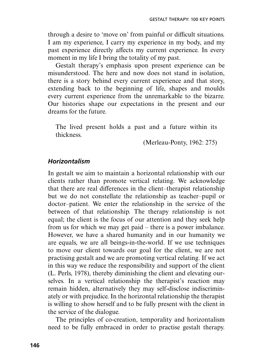through a desire to 'move on' from painful or difficult situations. I am my experience, I carry my experience in my body, and my past experience directly affects my current experience. In every moment in my life I bring the totality of my past.

Gestalt therapy's emphasis upon present experience can be misunderstood. The here and now does not stand in isolation, there is a story behind every current experience and that story, extending back to the beginning of life, shapes and moulds every current experience from the unremarkable to the bizarre. Our histories shape our expectations in the present and our dreams for the future.

The lived present holds a past and a future within its thickness.

(Merleau-Ponty, 1962: 275)

#### *Horizontalism*

In gestalt we aim to maintain a horizontal relationship with our clients rather than promote vertical relating. We acknowledge that there are real differences in the client–therapist relationship but we do not constellate the relationship as teacher–pupil or doctor–patient. We enter the relationship in the service of the between of that relationship. The therapy relationship is not equal; the client is the focus of our attention and they seek help from us for which we may get paid – there is a power imbalance. However, we have a shared humanity and in our humanity we are equals, we are all beings-in-the-world. If we use techniques to move our client towards our goal for the client, we are not practising gestalt and we are promoting vertical relating. If we act in this way we reduce the responsibility and support of the client (L. Perls, 1978), thereby diminishing the client and elevating ourselves. In a vertical relationship the therapist's reaction may remain hidden, alternatively they may self-disclose indiscriminately or with prejudice. In the horizontal relationship the therapist is willing to show herself and to be fully present with the client in the service of the dialogue.

The principles of co-creation, temporality and horizontalism need to be fully embraced in order to practise gestalt therapy.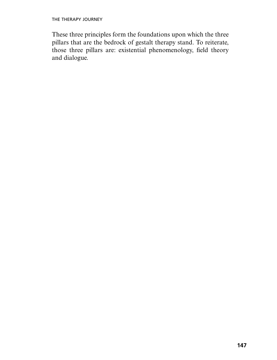THE THERAPY JOURNEY

These three principles form the foundations upon which the three pillars that are the bedrock of gestalt therapy stand. To reiterate, those three pillars are: existential phenomenology, field theory and dialogue.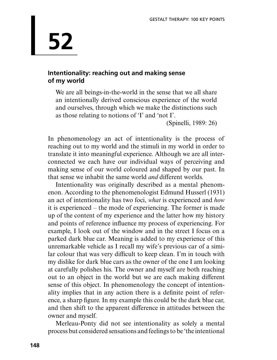#### **Intentionality: reaching out and making sense of my world**

We are all beings-in-the-world in the sense that we all share an intentionally derived conscious experience of the world and ourselves, through which we make the distinctions such as those relating to notions of 'I' and 'not I'.

(Spinelli, 1989: 26)

In phenomenology an act of intentionality is the process of reaching out to my world and the stimuli in my world in order to translate it into meaningful experience. Although we are all interconnected we each have our individual ways of perceiving and making sense of our world coloured and shaped by our past. In that sense we inhabit the same world *and* different worlds.

Intentionality was originally described as a mental phenomenon. According to the phenomenologist Edmund Husserl (1931) an act of intentionality has two foci, *what* is experienced and *how* it is experienced – the mode of experiencing. The former is made up of the content of my experience and the latter how my history and points of reference influence my process of experiencing. For example, I look out of the window and in the street I focus on a parked dark blue car. Meaning is added to my experience of this unremarkable vehicle as I recall my wife's previous car of a similar colour that was very difficult to keep clean. I'm in touch with my dislike for dark blue cars as the owner of the one I am looking at carefully polishes his. The owner and myself are both reaching out to an object in the world but we are each making different sense of this object. In phenomenology the concept of intentionality implies that in any action there is a definite point of reference, a sharp figure. In my example this could be the dark blue car, and then shift to the apparent difference in attitudes between the owner and myself.

Merleau-Ponty did not see intentionality as solely a mental process but considered sensations and feelings to be 'the intentional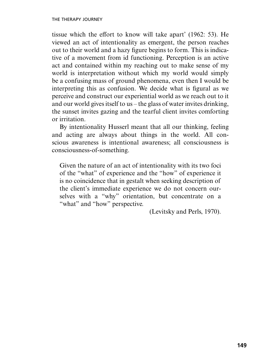tissue which the effort to know will take apart' (1962: 53). He viewed an act of intentionality as emergent, the person reaches out to their world and a hazy figure begins to form. This is indicative of a movement from id functioning. Perception is an active act and contained within my reaching out to make sense of my world is interpretation without which my world would simply be a confusing mass of ground phenomena, even then I would be interpreting this as confusion. We decide what is figural as we perceive and construct our experiential world as we reach out to it and our world gives itself to us – the glass of water invites drinking, the sunset invites gazing and the tearful client invites comforting or irritation.

By intentionality Husserl meant that all our thinking, feeling and acting are always about things in the world. All conscious awareness is intentional awareness; all consciousness is consciousness-of-something.

Given the nature of an act of intentionality with its two foci of the "what" of experience and the "how" of experience it is no coincidence that in gestalt when seeking description of the client's immediate experience we do not concern ourselves with a "why" orientation, but concentrate on a "what" and "how" perspective.

(Levitsky and Perls, 1970).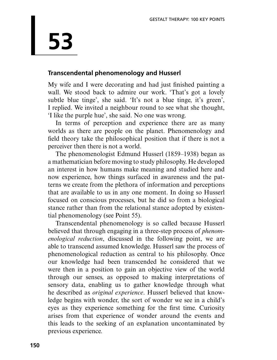#### **Transcendental phenomenology and Husserl**

My wife and I were decorating and had just finished painting a wall. We stood back to admire our work. 'That's got a lovely subtle blue tinge', she said. 'It's not a blue tinge, it's green', I replied. We invited a neighbour round to see what she thought, 'I like the purple hue', she said. No one was wrong.

In terms of perception and experience there are as many worlds as there are people on the planet. Phenomenology and field theory take the philosophical position that if there is not a perceiver then there is not a world.

The phenomenologist Edmund Husserl (1859–1938) began as a mathematician before moving to study philosophy. He developed an interest in how humans make meaning and studied here and now experience, how things surfaced in awareness and the patterns we create from the plethora of information and perceptions that are available to us in any one moment. In doing so Husserl focused on conscious processes, but he did so from a biological stance rather than from the relational stance adopted by existential phenomenology (see Point 55).

Transcendental phenomenology is so called because Husserl believed that through engaging in a three-step process of *phenomenological reduction*, discussed in the following point, we are able to transcend assumed knowledge. Husserl saw the process of phenomenological reduction as central to his philosophy. Once our knowledge had been transcended he considered that we were then in a position to gain an objective view of the world through our senses, as opposed to making interpretations of sensory data, enabling us to gather knowledge through what he described as *original experience*. Husserl believed that knowledge begins with wonder, the sort of wonder we see in a child's eyes as they experience something for the first time. Curiosity arises from that experience of wonder around the events and this leads to the seeking of an explanation uncontaminated by previous experience.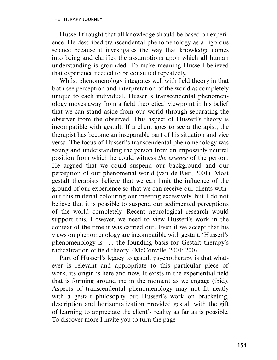Husserl thought that all knowledge should be based on experience. He described transcendental phenomenology as a rigorous science because it investigates the way that knowledge comes into being and clarifies the assumptions upon which all human understanding is grounded. To make meaning Husserl believed that experience needed to be consulted repeatedly.

Whilst phenomenology integrates well with field theory in that both see perception and interpretation of the world as completely unique to each individual, Husserl's transcendental phenomenology moves away from a field theoretical viewpoint in his belief that we can stand aside from our world through separating the observer from the observed. This aspect of Husserl's theory is incompatible with gestalt. If a client goes to see a therapist, the therapist has become an inseparable part of his situation and vice versa. The focus of Husserl's transcendental phenomenology was seeing and understanding the person from an impossibly neutral position from which he could witness *the essence* of the person. He argued that we could suspend our background and our perception of our phenomenal world (van de Riet, 2001). Most gestalt therapists believe that we can limit the influence of the ground of our experience so that we can receive our clients without this material colouring our meeting excessively, but I do not believe that it is possible to suspend our sedimented perceptions of the world completely. Recent neurological research would support this. However, we need to view Husserl's work in the context of the time it was carried out. Even if we accept that his views on phenomenology are incompatible with gestalt, 'Husserl's phenomenology is . . . the founding basis for Gestalt therapy's radicalization of field theory' (McConville, 2001: 200).

Part of Husserl's legacy to gestalt psychotherapy is that whatever is relevant and appropriate to this particular piece of work, its origin is here and now. It exists in the experiential field that is forming around me in the moment as we engage (ibid). Aspects of transcendental phenomenology may not fit neatly with a gestalt philosophy but Husserl's work on bracketing, description and horizontalization provided gestalt with the gift of learning to appreciate the client's reality as far as is possible. To discover more I invite you to turn the page.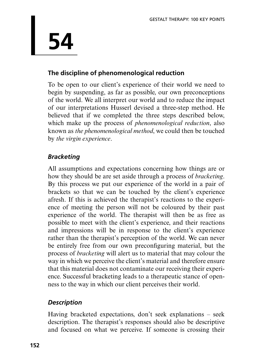#### **The discipline of phenomenological reduction**

To be open to our client's experience of their world we need to begin by suspending, as far as possible, our own preconceptions of the world. We all interpret our world and to reduce the impact of our interpretations Husserl devised a three-step method. He believed that if we completed the three steps described below, which make up the process of *phenomenological reduction*, also known as *the phenomenological method*, we could then be touched by *the virgin experience*.

#### *Bracketing*

All assumptions and expectations concerning how things are or how they should be are set aside through a process of *bracketing*. By this process we put our experience of the world in a pair of brackets so that we can be touched by the client's experience afresh. If this is achieved the therapist's reactions to the experience of meeting the person will not be coloured by their past experience of the world. The therapist will then be as free as possible to meet with the client's experience, and their reactions and impressions will be in response to the client's experience rather than the therapist's perception of the world. We can never be entirely free from our own preconfiguring material, but the process of *bracketing* will alert us to material that may colour the way in which we perceive the client's material and therefore ensure that this material does not contaminate our receiving their experience. Successful bracketing leads to a therapeutic stance of openness to the way in which our client perceives their world.

#### *Description*

Having bracketed expectations, don't seek explanations – seek description. The therapist's responses should also be descriptive and focused on what we perceive. If someone is crossing their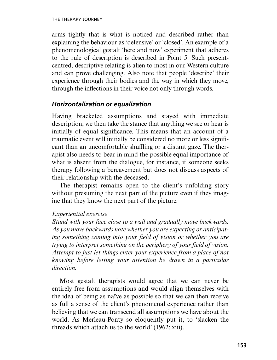arms tightly that is what is noticed and described rather than explaining the behaviour as 'defensive' or 'closed'. An example of a phenomenological gestalt 'here and now' experiment that adheres to the rule of description is described in Point 5. Such presentcentred, descriptive relating is alien to most in our Western culture and can prove challenging. Also note that people 'describe' their experience through their bodies and the way in which they move, through the inflections in their voice not only through words.

#### *Horizontalization or equalization*

Having bracketed assumptions and stayed with immediate description, we then take the stance that anything we see or hear is initially of equal significance. This means that an account of a traumatic event will initially be considered no more or less significant than an uncomfortable shuffling or a distant gaze. The therapist also needs to bear in mind the possible equal importance of what is absent from the dialogue, for instance, if someone seeks therapy following a bereavement but does not discuss aspects of their relationship with the deceased.

The therapist remains open to the client's unfolding story without presuming the next part of the picture even if they imagine that they know the next part of the picture.

#### *Experiential exercise*

*Stand with your face close to a wall and gradually move backwards. As you move backwards note whether you are expecting or anticipating something coming into your field of vision or whether you are trying to interpret something on the periphery of your field of vision. Attempt to just let things enter your experience from a place of not knowing before letting your attention be drawn in a particular direction.*

Most gestalt therapists would agree that we can never be entirely free from assumptions and would align themselves with the idea of being as naïve as possible so that we can then receive as full a sense of the client's phenomenal experience rather than believing that we can transcend all assumptions we have about the world. As Merleau-Ponty so eloquently put it, to 'slacken the threads which attach us to the world' (1962: xiii).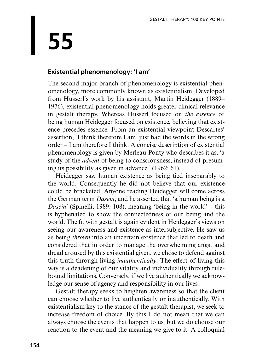#### **Existential phenomenology: 'I am'**

The second major branch of phenomenology is existential phenomenology, more commonly known as existentialism. Developed from Husserl's work by his assistant, Martin Heidegger (1889– 1976), existential phenomenology holds greater clinical relevance in gestalt therapy. Whereas Husserl focused on *the essence* of being human Heidegger focused on existence, believing that existence precedes essence. From an existential viewpoint Descartes' assertion, 'I think therefore I am' just had the words in the wrong order – I am therefore I think. A concise description of existential phenomenology is given by Merleau-Ponty who describes it as, 'a study of the *advent* of being to consciousness, instead of presuming its possibility as given in advance.' (1962: 61).

Heidegger saw human existence as being tied inseparably to the world. Consequently he did not believe that our existence could be bracketed. Anyone reading Heidegger will come across the German term *Dasein*, and he asserted that 'a human being is a *Dasein*' (Spinelli, 1989: 108), meaning 'being-in-the-world' – this is hyphenated to show the connectedness of our being and the world. The fit with gestalt is again evident in Heidegger's views on seeing our awareness and existence as intersubjective. He saw us as being *thrown* into an uncertain existence that led to death and considered that in order to manage the overwhelming angst and dread aroused by this existential given, we chose to defend against this truth through living *inauthentically*. The effect of living this way is a deadening of our vitality and individuality through rulebound limitations. Conversely, if we live authentically we acknowledge our sense of agency and responsibility in our lives.

Gestalt therapy seeks to heighten awareness so that the client can choose whether to live authentically or inauthentically. With existentialism key to the stance of the gestalt therapist, we seek to increase freedom of choice. By this I do not mean that we can always choose the events that happen to us, but we do choose our reaction to the event and the meaning we give to it. A colloquial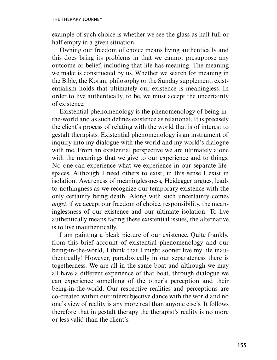example of such choice is whether we see the glass as half full or half empty in a given situation.

Owning our freedom of choice means living authentically and this does bring its problems in that we cannot presuppose any outcome or belief, including that life has meaning. The meaning we make is constructed by us. Whether we search for meaning in the Bible, the Koran, philosophy or the Sunday supplement, existentialism holds that ultimately our existence is meaningless. In order to live authentically, to be, we must accept the uncertainty of existence.

Existential phenomenology is the phenomenology of being-inthe-world and as such defines existence as relational. It is precisely the client's process of relating with the world that is of interest to gestalt therapists. Existential phenomenology is an instrument of inquiry into my dialogue with the world and my world's dialogue with me. From an existential perspective we are ultimately alone with the meanings that we give to our experience and to things. No one can experience what we experience in our separate lifespaces. Although I need others to exist, in this sense I exist in isolation. Awareness of meaninglessness, Heidegger argues, leads to nothingness as we recognize our temporary existence with the only certainty being death. Along with such uncertainty comes *angst*, if we accept our freedom of choice, responsibility, the meaninglessness of our existence and our ultimate isolation. To live authentically means facing these existential issues, the alternative is to live inauthentically.

I am painting a bleak picture of our existence. Quite frankly, from this brief account of existential phenomenology and our being-in-the-world, I think that I might sooner live my life inauthentically! However, paradoxically in our separateness there is togetherness. We are all in the same boat and although we may all have a different experience of that boat, through dialogue we can experience something of the other's perception and their being-in-the-world. Our respective realities and perceptions are co-created within our intersubjective dance with the world and no one's view of reality is any more real than anyone else's. It follows therefore that in gestalt therapy the therapist's reality is no more or less valid than the client's.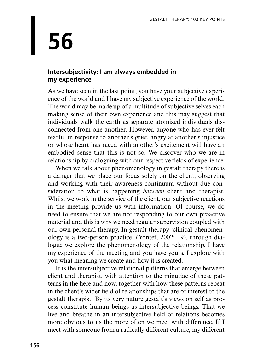#### **Intersubjectivity: I am always embedded in my experience**

As we have seen in the last point, you have your subjective experience of the world and I have my subjective experience of the world. The world may be made up of a multitude of subjective selves each making sense of their own experience and this may suggest that individuals walk the earth as separate atomized individuals disconnected from one another. However, anyone who has ever felt tearful in response to another's grief, angry at another's injustice or whose heart has raced with another's excitement will have an embodied sense that this is not so. We discover who we are in relationship by dialoguing with our respective fields of experience.

When we talk about phenomenology in gestalt therapy there is a danger that we place our focus solely on the client, observing and working with their awareness continuum without due consideration to what is happening *between* client and therapist. Whilst we work in the service of the client, our subjective reactions in the meeting provide us with information. Of course, we do need to ensure that we are not responding to our own proactive material and this is why we need regular supervision coupled with our own personal therapy. In gestalt therapy 'clinical phenomenology is a two-person practice' (Yontef, 2002: 19), through dialogue we explore the phenomenology of the relationship. I have my experience of the meeting and you have yours, I explore with you what meaning we create and how it is created.

It is the intersubjective relational patterns that emerge between client and therapist, with attention to the minutiae of these patterns in the here and now, together with how these patterns repeat in the client's wider field of relationships that are of interest to the gestalt therapist. By its very nature gestalt's views on self as process constitute human beings as intersubjective beings. That we live and breathe in an intersubjective field of relations becomes more obvious to us the more often we meet with difference. If I meet with someone from a radically different culture, my different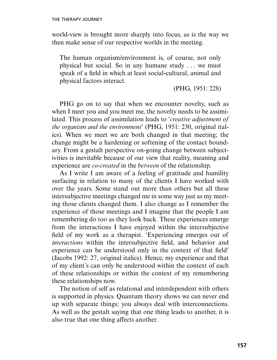world-view is brought more sharply into focus, as is the way we then make sense of our respective worlds in the meeting.

The human organism/environment is, of course, not only physical but social. So in any humane study . . . we must speak of a field in which at least social-cultural, animal and physical factors interact.

(PHG, 1951: 228)

PHG go on to say that when we encounter novelty, such as when I meet you and you meet me, the novelty needs to be assimilated. This process of assimilation leads to '*creative adjustment of the organism and the environment*' (PHG, 1951: 230, original italics). When we meet we are both changed in that meeting; the change might be a hardening or softening of the contact boundary. From a gestalt perspective on-going change between subjectivities is inevitable because of our view that reality, meaning and experience are *co-created* in the *between* of the relationship.

As I write I am aware of a feeling of gratitude and humility surfacing in relation to many of the clients I have worked with over the years. Some stand out more than others but all these intersubjective meetings changed me in some way just as my meeting those clients changed them. I also change as I remember the experience of those meetings and I imagine that the people I am remembering do too as they look back. These experiences emerge from the interactions I have enjoyed within the intersubjective field of my work as a therapist. 'Experiencing emerges out of *interactions* within the intersubjective field, and behavior and experience can be understood only in the context of that field' (Jacobs 1992: 27, original italics). Hence, my experience and that of my client's can only be understood within the context of each of these relationships or within the context of my remembering these relationships now.

The notion of self as relational and interdependent with others is supported in physics. Quantum theory shows we can never end up with separate things; you always deal with interconnections. As well as the gestalt saying that one thing leads to another, it is also true that one thing affects another.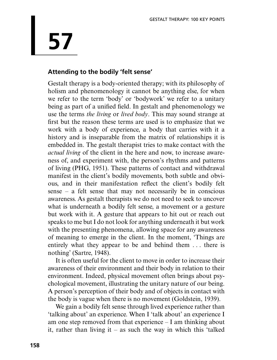#### **Attending to the bodily 'felt sense'**

Gestalt therapy is a body-oriented therapy; with its philosophy of holism and phenomenology it cannot be anything else, for when we refer to the term 'body' or 'bodywork' we refer to a unitary being as part of a unified field. In gestalt and phenomenology we use the terms *the living* or *lived body*. This may sound strange at first but the reason these terms are used is to emphasize that we work with a body of experience, a body that carries with it a history and is inseparable from the matrix of relationships it is embedded in. The gestalt therapist tries to make contact with the *actual living* of the client in the here and now, to increase awareness of, and experiment with, the person's rhythms and patterns of living (PHG, 1951). These patterns of contact and withdrawal manifest in the client's bodily movements, both subtle and obvious, and in their manifestation reflect the client's bodily felt sense – a felt sense that may not necessarily be in conscious awareness. As gestalt therapists we do not need to seek to uncover what is underneath a bodily felt sense, a movement or a gesture but work with it. A gesture that appears to hit out or reach out speaks to me but I do not look for anything underneath it but work with the presenting phenomena, allowing space for any awareness of meaning to emerge in the client. In the moment, 'Things are entirely what they appear to be and behind them . . . there is nothing' (Sartre, 1948).

It is often useful for the client to move in order to increase their awareness of their environment and their body in relation to their environment. Indeed, physical movement often brings about psychological movement, illustrating the unitary nature of our being. A person's perception of their body and of objects in contact with the body is vague when there is no movement (Goldstein, 1939).

We gain a bodily felt sense through lived experience rather than 'talking about' an experience. When I 'talk about' an experience I am one step removed from that experience – I am thinking about it, rather than living it – as such the way in which this 'talked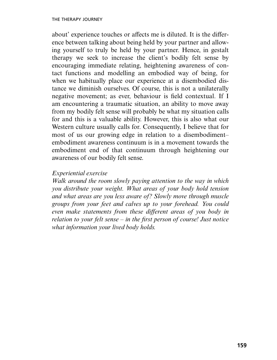about' experience touches or affects me is diluted. It is the difference between talking about being held by your partner and allowing yourself to truly be held by your partner. Hence, in gestalt therapy we seek to increase the client's bodily felt sense by encouraging immediate relating, heightening awareness of contact functions and modelling an embodied way of being, for when we habitually place our experience at a disembodied distance we diminish ourselves. Of course, this is not a unilaterally negative movement; as ever, behaviour is field contextual. If I am encountering a traumatic situation, an ability to move away from my bodily felt sense will probably be what my situation calls for and this is a valuable ability. However, this is also what our Western culture usually calls for. Consequently, I believe that for most of us our growing edge in relation to a disembodiment– embodiment awareness continuum is in a movement towards the embodiment end of that continuum through heightening our awareness of our bodily felt sense.

#### *Experiential exercise*

*Walk around the room slowly paying attention to the way in which you distribute your weight. What areas of your body hold tension and what areas are you less aware of? Slowly move through muscle groups from your feet and calves up to your forehead. You could even make statements from these different areas of you body in relation to your felt sense – in the first person of course! Just notice what information your lived body holds.*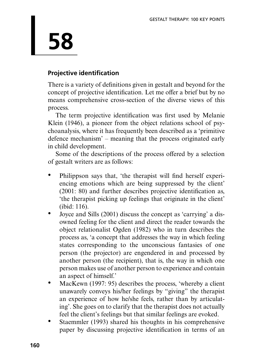#### **Projective identification**

There is a variety of definitions given in gestalt and beyond for the concept of projective identification. Let me offer a brief but by no means comprehensive cross-section of the diverse views of this process.

The term projective identification was first used by Melanie Klein (1946), a pioneer from the object relations school of psychoanalysis, where it has frequently been described as a 'primitive defence mechanism' – meaning that the process originated early in child development.

Some of the descriptions of the process offered by a selection of gestalt writers are as follows:

- Philippson says that, 'the therapist will find herself experiencing emotions which are being suppressed by the client' (2001: 80) and further describes projective identification as, 'the therapist picking up feelings that originate in the client' (ibid: 116).
- Joyce and Sills (2001) discuss the concept as 'carrying' a disowned feeling for the client and direct the reader towards the object relationalist Ogden (1982) who in turn describes the process as, 'a concept that addresses the way in which feeling states corresponding to the unconscious fantasies of one person (the projector) are engendered in and processed by another person (the recipient), that is, the way in which one person makes use of another person to experience and contain an aspect of himself.'
- MacKewn (1997: 95) describes the process, 'whereby a client unawarely conveys his/her feelings by "giving" the therapist an experience of how he/she feels, rather than by articulating'. She goes on to clarify that the therapist does not actually feel the client's feelings but that similar feelings are evoked.
- Staemmler (1993) shared his thoughts in his comprehensive paper by discussing projective identification in terms of an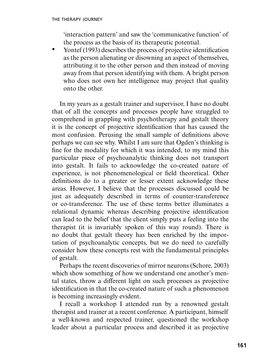'interaction pattern' and saw the 'communicative function' of the process as the basis of its therapeutic potential.

• Yontef (1993) describes the process of projective identification as the person alienating or disowning an aspect of themselves, attributing it to the other person and then instead of moving away from that person identifying with them. A bright person who does not own her intelligence may project that quality onto the other.

In my years as a gestalt trainer and supervisor, I have no doubt that of all the concepts and processes people have struggled to comprehend in grappling with psychotherapy and gestalt theory it is the concept of projective identification that has caused the most confusion. Perusing the small sample of definitions above perhaps we can see why. Whilst I am sure that Ogden's thinking is fine for the modality for which it was intended, to my mind this particular piece of psychoanalytic thinking does not transport into gestalt. It fails to acknowledge the co-created nature of experience, is not phenomenological or field theoretical. Other definitions do to a greater or lesser extent acknowledge these areas. However, I believe that the processes discussed could be just as adequately described in terms of counter-transference or co-transference. The use of these terms better illuminates a relational dynamic whereas describing projective identification can lead to the belief that the client simply puts a feeling into the therapist (it is invariably spoken of this way round). There is no doubt that gestalt theory has been enriched by the importation of psychoanalytic concepts, but we do need to carefully consider how these concepts rest with the fundamental principles of gestalt.

Perhaps the recent discoveries of mirror neurons (Schore, 2003) which show something of how we understand one another's mental states, throw a different light on such processes as projective identification in that the co-created nature of such a phenomenon is becoming increasingly evident.

I recall a workshop I attended run by a renowned gestalt therapist and trainer at a recent conference. A participant, himself a well-known and respected trainer, questioned the workshop leader about a particular process and described it as projective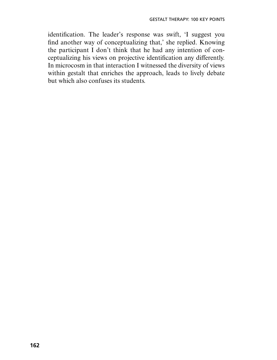identification. The leader's response was swift, 'I suggest you find another way of conceptualizing that,' she replied. Knowing the participant I don't think that he had any intention of conceptualizing his views on projective identification any differently. In microcosm in that interaction I witnessed the diversity of views within gestalt that enriches the approach, leads to lively debate but which also confuses its students.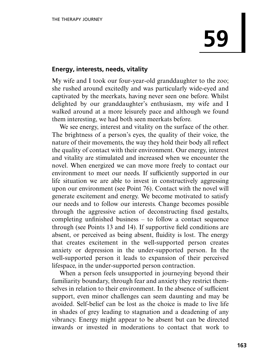#### **Energy, interests, needs, vitality**

My wife and I took our four-year-old granddaughter to the zoo; she rushed around excitedly and was particularly wide-eyed and captivated by the meerkats, having never seen one before. Whilst delighted by our granddaughter's enthusiasm, my wife and I walked around at a more leisurely pace and although we found them interesting, we had both seen meerkats before.

We see energy, interest and vitality on the surface of the other. The brightness of a person's eyes, the quality of their voice, the nature of their movements, the way they hold their body all reflect the quality of contact with their environment. Our energy, interest and vitality are stimulated and increased when we encounter the novel. When energized we can move more freely to contact our environment to meet our needs. If sufficiently supported in our life situation we are able to invest in constructively aggressing upon our environment (see Point 76). Contact with the novel will generate excitement and energy. We become motivated to satisfy our needs and to follow our interests. Change becomes possible through the aggressive action of deconstructing fixed gestalts, completing unfinished business – to follow a contact sequence through (see Points 13 and 14). If supportive field conditions are absent, or perceived as being absent, fluidity is lost. The energy that creates excitement in the well-supported person creates anxiety or depression in the under-supported person. In the well-supported person it leads to expansion of their perceived lifespace, in the under-supported person contraction.

When a person feels unsupported in journeying beyond their familiarity boundary, through fear and anxiety they restrict themselves in relation to their environment. In the absence of sufficient support, even minor challenges can seem daunting and may be avoided. Self-belief can be lost as the choice is made to live life in shades of grey leading to stagnation and a deadening of any vibrancy. Energy might appear to be absent but can be directed inwards or invested in moderations to contact that work to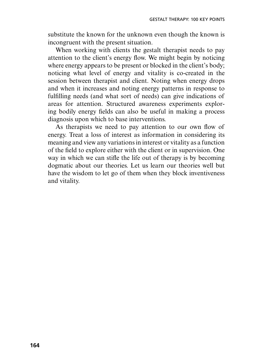substitute the known for the unknown even though the known is incongruent with the present situation.

When working with clients the gestalt therapist needs to pay attention to the client's energy flow. We might begin by noticing where energy appears to be present or blocked in the client's body; noticing what level of energy and vitality is co-created in the session between therapist and client. Noting when energy drops and when it increases and noting energy patterns in response to fulfilling needs (and what sort of needs) can give indications of areas for attention. Structured awareness experiments exploring bodily energy fields can also be useful in making a process diagnosis upon which to base interventions.

As therapists we need to pay attention to our own flow of energy. Treat a loss of interest as information in considering its meaning and view any variations in interest or vitality as a function of the field to explore either with the client or in supervision. One way in which we can stifle the life out of therapy is by becoming dogmatic about our theories. Let us learn our theories well but have the wisdom to let go of them when they block inventiveness and vitality.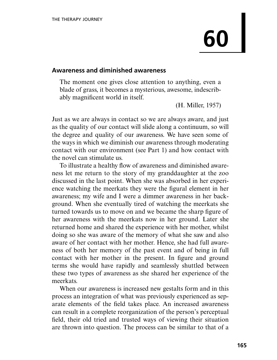#### **Awareness and diminished awareness**

The moment one gives close attention to anything, even a blade of grass, it becomes a mysterious, awesome, indescribably magnificent world in itself.

(H. Miller, 1957)

Just as we are always in contact so we are always aware, and just as the quality of our contact will slide along a continuum, so will the degree and quality of our awareness. We have seen some of the ways in which we diminish our awareness through moderating contact with our environment (see Part 1) and how contact with the novel can stimulate us.

To illustrate a healthy flow of awareness and diminished awareness let me return to the story of my granddaughter at the zoo discussed in the last point. When she was absorbed in her experience watching the meerkats they were the figural element in her awareness; my wife and I were a dimmer awareness in her background. When she eventually tired of watching the meerkats she turned towards us to move on and we became the sharp figure of her awareness with the meerkats now in her ground. Later she returned home and shared the experience with her mother, whilst doing so she was aware of the memory of what she saw and also aware of her contact with her mother. Hence, she had full awareness of both her memory of the past event and of being in full contact with her mother in the present. In figure and ground terms she would have rapidly and seamlessly shuttled between these two types of awareness as she shared her experience of the meerkats.

When our awareness is increased new gestalts form and in this process an integration of what was previously experienced as separate elements of the field takes place. An increased awareness can result in a complete reorganization of the person's perceptual field, their old tried and trusted ways of viewing their situation are thrown into question. The process can be similar to that of a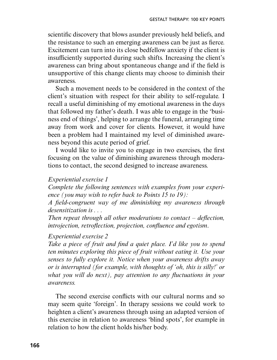scientific discovery that blows asunder previously held beliefs, and the resistance to such an emerging awareness can be just as fierce. Excitement can turn into its close bedfellow anxiety if the client is insufficiently supported during such shifts. Increasing the client's awareness can bring about spontaneous change and if the field is unsupportive of this change clients may choose to diminish their awareness.

Such a movement needs to be considered in the context of the client's situation with respect for their ability to self-regulate. I recall a useful diminishing of my emotional awareness in the days that followed my father's death. I was able to engage in the 'business end of things', helping to arrange the funeral, arranging time away from work and cover for clients. However, it would have been a problem had I maintained my level of diminished awareness beyond this acute period of grief.

I would like to invite you to engage in two exercises, the first focusing on the value of diminishing awareness through moderations to contact, the second designed to increase awareness.

#### *Experiential exercise 1*

*Complete the following sentences with examples from your experience (you may wish to refer back to Points 15 to 19):*

*A field-congruent way of me diminishing my awareness through desensitization is...*

*Then repeat through all other moderations to contact – deflection, introjection, retroflection, projection, confluence and egotism*.

#### *Experiential exercise 2*

*Take a piece of fruit and find a quiet place. I'd like you to spend ten minutes exploring this piece of fruit without eating it. Use your senses to fully explore it. Notice when your awareness drifts away or is interrupted (for example, with thoughts of 'oh, this is silly!' or what you will do next), pay attention to any fluctuations in your awareness.*

The second exercise conflicts with our cultural norms and so may seem quite 'foreign'. In therapy sessions we could work to heighten a client's awareness through using an adapted version of this exercise in relation to awareness 'blind spots', for example in relation to how the client holds his/her body.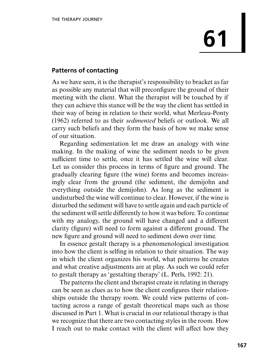### **Patterns of contacting**

As we have seen, it is the therapist's responsibility to bracket as far as possible any material that will preconfigure the ground of their meeting with the client. What the therapist will be touched by if they can achieve this stance will be the way the client has settled in their way of being in relation to their world, what Merleau-Ponty (1962) referred to as their *sedimented* beliefs or outlook. We all carry such beliefs and they form the basis of how we make sense of our situation.

Regarding sedimentation let me draw an analogy with wine making. In the making of wine the sediment needs to be given sufficient time to settle, once it has settled the wine will clear. Let us consider this process in terms of figure and ground. The gradually clearing figure (the wine) forms and becomes increasingly clear from the ground (the sediment, the demijohn and everything outside the demijohn). As long as the sediment is undisturbed the wine will continue to clear. However, if the wine is disturbed the sediment will have to settle again and each particle of the sediment will settle differently to how it was before. To continue with my analogy, the ground will have changed and a different clarity (figure) will need to form against a different ground. The new figure and ground will need to sediment down over time.

In essence gestalt therapy is a phenomenological investigation into how the client is selfing in relation to their situation. The way in which the client organizes his world, what patterns he creates and what creative adjustments are at play. As such we could refer to gestalt therapy as 'gestalting therapy' (L. Perls, 1992: 21).

The patterns the client and therapist create in relating in therapy can be seen as clues as to how the client configures their relationships outside the therapy room. We could view patterns of contacting across a range of gestalt theoretical maps such as those discussed in Part 1. What is crucial in our relational therapy is that we recognize that there are two contacting styles in the room. How I reach out to make contact with the client will affect how they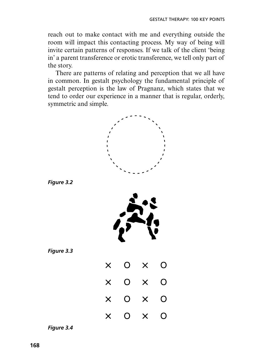reach out to make contact with me and everything outside the room will impact this contacting process. My way of being will invite certain patterns of responses. If we talk of the client 'being in' a parent transference or erotic transference, we tell only part of the story.

There are patterns of relating and perception that we all have in common. In gestalt psychology the fundamental principle of gestalt perception is the law of Pragnanz, which states that we tend to order our experience in a manner that is regular, orderly, symmetric and simple.



*Figure 3.2*



*Figure 3.3*



*Figure 3.4*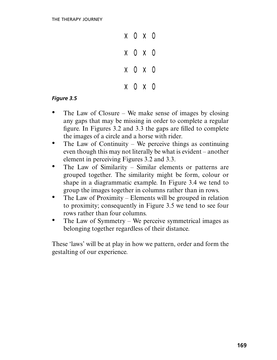

#### *Figure 3.5*

- The Law of Closure We make sense of images by closing any gaps that may be missing in order to complete a regular figure. In Figures 3.2 and 3.3 the gaps are filled to complete the images of a circle and a horse with rider.
- The Law of Continuity We perceive things as continuing even though this may not literally be what is evident – another element in perceiving Figures 3.2 and 3.3.
- The Law of Similarity Similar elements or patterns are grouped together. The similarity might be form, colour or shape in a diagrammatic example. In Figure 3.4 we tend to group the images together in columns rather than in rows.
- The Law of Proximity Elements will be grouped in relation to proximity; consequently in Figure 3.5 we tend to see four rows rather than four columns.
- The Law of Symmetry We perceive symmetrical images as belonging together regardless of their distance.

These 'laws' will be at play in how we pattern, order and form the gestalting of our experience.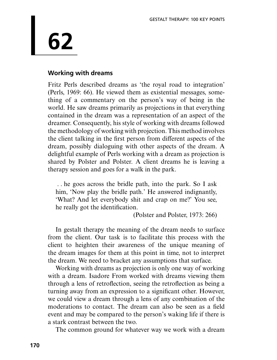#### **Working with dreams**

Fritz Perls described dreams as 'the royal road to integration' (Perls, 1969: 66). He viewed them as existential messages, something of a commentary on the person's way of being in the world. He saw dreams primarily as projections in that everything contained in the dream was a representation of an aspect of the dreamer. Consequently, his style of working with dreams followed the methodology of working with projection. This method involves the client talking in the first person from different aspects of the dream, possibly dialoguing with other aspects of the dream. A delightful example of Perls working with a dream as projection is shared by Polster and Polster. A client dreams he is leaving a therapy session and goes for a walk in the park.

. . he goes across the bridle path, into the park. So I ask him, 'Now play the bridle path.' He answered indignantly, 'What? And let everybody shit and crap on me?' You see, he really got the identification.

(Polster and Polster, 1973: 266)

In gestalt therapy the meaning of the dream needs to surface from the client. Our task is to facilitate this process with the client to heighten their awareness of the unique meaning of the dream images for them at this point in time, not to interpret the dream. We need to bracket any assumptions that surface.

Working with dreams as projection is only one way of working with a dream. Isadore From worked with dreams viewing them through a lens of retroflection, seeing the retroflection as being a turning away from an expression to a significant other. However, we could view a dream through a lens of any combination of the moderations to contact. The dream can also be seen as a field event and may be compared to the person's waking life if there is a stark contrast between the two.

The common ground for whatever way we work with a dream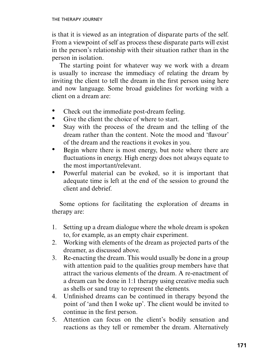#### THE THERAPY JOURNEY

is that it is viewed as an integration of disparate parts of the self. From a viewpoint of self as process these disparate parts will exist in the person's relationship with their situation rather than in the person in isolation.

The starting point for whatever way we work with a dream is usually to increase the immediacy of relating the dream by inviting the client to tell the dream in the first person using here and now language. Some broad guidelines for working with a client on a dream are:

- Check out the immediate post-dream feeling.
- Give the client the choice of where to start.
- Stay with the process of the dream and the telling of the dream rather than the content. Note the mood and 'flavour' of the dream and the reactions it evokes in you.
- Begin where there is most energy, but note where there are fluctuations in energy. High energy does not always equate to the most important/relevant.
- Powerful material can be evoked, so it is important that adequate time is left at the end of the session to ground the client and debrief.

Some options for facilitating the exploration of dreams in therapy are:

- 1. Setting up a dream dialogue where the whole dream is spoken to, for example, as an empty chair experiment.
- 2. Working with elements of the dream as projected parts of the dreamer, as discussed above.
- 3. Re-enacting the dream. This would usually be done in a group with attention paid to the qualities group members have that attract the various elements of the dream. A re-enactment of a dream can be done in 1:1 therapy using creative media such as shells or sand tray to represent the elements.
- 4. Unfinished dreams can be continued in therapy beyond the point of 'and then I woke up'. The client would be invited to continue in the first person.
- 5. Attention can focus on the client's bodily sensation and reactions as they tell or remember the dream. Alternatively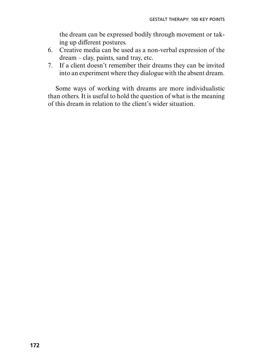the dream can be expressed bodily through movement or taking up different postures.

- 6. Creative media can be used as a non-verbal expression of the dream – clay, paints, sand tray, etc.
- 7. If a client doesn't remember their dreams they can be invited into an experiment where they dialogue with the absent dream.

Some ways of working with dreams are more individualistic than others. It is useful to hold the question of what is the meaning of this dream in relation to the client's wider situation.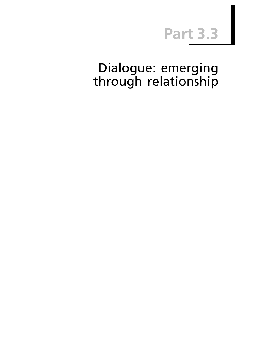

### Dialogue: emerging through relationship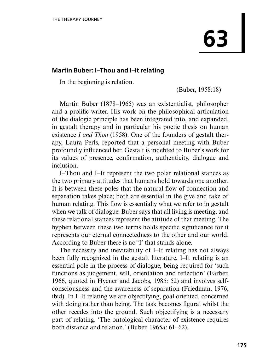### **Martin Buber: I–Thou and I–It relating**

In the beginning is relation.

(Buber, 1958:18)

Martin Buber (1878–1965) was an existentialist, philosopher and a prolific writer. His work on the philosophical articulation of the dialogic principle has been integrated into, and expanded, in gestalt therapy and in particular his poetic thesis on human existence *I and Thou* (1958). One of the founders of gestalt therapy, Laura Perls, reported that a personal meeting with Buber profoundly influenced her. Gestalt is indebted to Buber's work for its values of presence, confirmation, authenticity, dialogue and inclusion.

I–Thou and I–It represent the two polar relational stances as the two primary attitudes that humans hold towards one another. It is between these poles that the natural flow of connection and separation takes place; both are essential in the give and take of human relating. This flow is essentially what we refer to in gestalt when we talk of dialogue. Buber says that all living is meeting, and these relational stances represent the attitude of that meeting. The hyphen between these two terms holds specific significance for it represents our eternal connectedness to the other and our world. According to Buber there is no 'I' that stands alone.

The necessity and inevitability of I–It relating has not always been fully recognized in the gestalt literature. I–It relating is an essential pole in the process of dialogue, being required for 'such functions as judgement, will, orientation and reflection' (Farber, 1966, quoted in Hycner and Jacobs, 1985: 52) and involves selfconsciousness and the awareness of separation (Friedman, 1976, ibid). In I–It relating we are objectifying, goal oriented, concerned with doing rather than being. The task becomes figural whilst the other recedes into the ground. Such objectifying is a necessary part of relating. 'The ontological character of existence requires both distance and relation.' (Buber, 1965a: 61–62).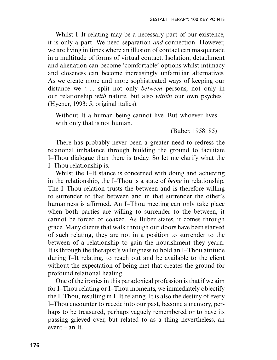Whilst I–It relating may be a necessary part of our existence, it is only a part. We need separation *and* connection. However, we are living in times where an illusion of contact can masquerade in a multitude of forms of virtual contact. Isolation, detachment and alienation can become 'comfortable' options whilst intimacy and closeness can become increasingly unfamiliar alternatives. As we create more and more sophisticated ways of keeping our distance we '. . . split not only *between* persons, not only in our relationship *with* nature, but also *within* our own psyches.' (Hycner, 1993: 5, original italics).

Without It a human being cannot live. But whoever lives with only that is not human.

(Buber, 1958: 85)

There has probably never been a greater need to redress the relational imbalance through building the ground to facilitate I–Thou dialogue than there is today. So let me clarify what the I–Thou relationship is.

Whilst the I–It stance is concerned with doing and achieving in the relationship, the I–Thou is a state of *being* in relationship. The I–Thou relation trusts the between and is therefore willing to surrender to that between and in that surrender the other's humanness is affirmed. An I–Thou meeting can only take place when both parties are willing to surrender to the between, it cannot be forced or coaxed. As Buber states, it comes through grace. Many clients that walk through our doors have been starved of such relating, they are not in a position to surrender to the between of a relationship to gain the nourishment they yearn. It is through the therapist's willingness to hold an I–Thou attitude during I–It relating, to reach out and be available to the client without the expectation of being met that creates the ground for profound relational healing.

One of the ironies in this paradoxical profession is that if we aim for I–Thou relating or I–Thou moments, we immediately objectify the I–Thou, resulting in I–It relating. It is also the destiny of every I–Thou encounter to recede into our past, become a memory, perhaps to be treasured, perhaps vaguely remembered or to have its passing grieved over, but related to as a thing nevertheless, an event – an It.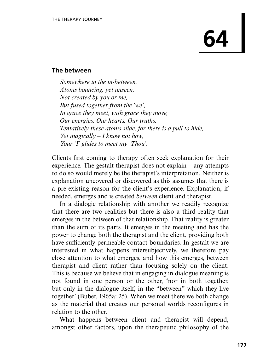### **The between**

*Somewhere in the in-between, Atoms bouncing, yet unseen, Not created by you or me, But fused together from the 'we', In grace they meet, with grace they move, Our energies, Our hearts, Our truths, Tentatively these atoms slide, for there is a pull to hide, Yet magically – I know not how, Your 'I' glides to meet my 'Thou'.*

Clients first coming to therapy often seek explanation for their experience. The gestalt therapist does not explain – any attempts to do so would merely be the therapist's interpretation. Neither is explanation uncovered or discovered as this assumes that there is a pre-existing reason for the client's experience. Explanation, if needed, emerges and is created *between* client and therapist.

In a dialogic relationship with another we readily recognize that there are two realities but there is also a third reality that emerges in the between of that relationship. That reality is greater than the sum of its parts. It emerges in the meeting and has the power to change both the therapist and the client, providing both have sufficiently permeable contact boundaries. In gestalt we are interested in what happens intersubjectively, we therefore pay close attention to what emerges, and how this emerges, between therapist and client rather than focusing solely on the client. This is because we believe that in engaging in dialogue meaning is not found in one person or the other, 'nor in both together, but only in the dialogue itself, in the "between" which they live together' (Buber, 1965a: 25). When we meet there we both change as the material that creates our personal worlds reconfigures in relation to the other.

What happens between client and therapist will depend, amongst other factors, upon the therapeutic philosophy of the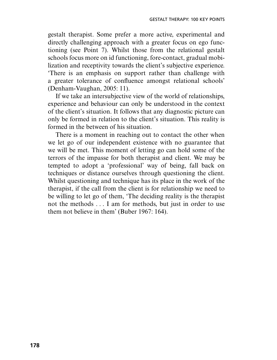gestalt therapist. Some prefer a more active, experimental and directly challenging approach with a greater focus on ego functioning (see Point 7). Whilst those from the relational gestalt schools focus more on id functioning, fore-contact, gradual mobilization and receptivity towards the client's subjective experience. 'There is an emphasis on support rather than challenge with a greater tolerance of confluence amongst relational schools' (Denham-Vaughan, 2005: 11).

If we take an intersubjective view of the world of relationships, experience and behaviour can only be understood in the context of the client's situation. It follows that any diagnostic picture can only be formed in relation to the client's situation. This reality is formed in the between of his situation.

There is a moment in reaching out to contact the other when we let go of our independent existence with no guarantee that we will be met. This moment of letting go can hold some of the terrors of the impasse for both therapist and client. We may be tempted to adopt a 'professional' way of being, fall back on techniques or distance ourselves through questioning the client. Whilst questioning and technique has its place in the work of the therapist, if the call from the client is for relationship we need to be willing to let go of them, 'The deciding reality is the therapist not the methods . . . I am for methods, but just in order to use them not believe in them' (Buber 1967: 164).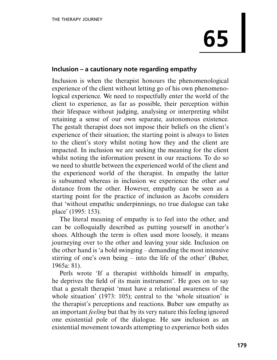### **Inclusion – a cautionary note regarding empathy**

Inclusion is when the therapist honours the phenomenological experience of the client without letting go of his own phenomenological experience. We need to respectfully enter the world of the client to experience, as far as possible, their perception within their lifespace without judging, analysing or interpreting whilst retaining a sense of our own separate, autonomous existence. The gestalt therapist does not impose their beliefs on the client's experience of their situation; the starting point is always to listen to the client's story whilst noting how they and the client are impacted. In inclusion we are seeking the meaning for the client whilst noting the information present in our reactions. To do so we need to shuttle between the experienced world of the client and the experienced world of the therapist. In empathy the latter is subsumed whereas in inclusion we experience the other *and* distance from the other. However, empathy can be seen as a starting point for the practice of inclusion as Jacobs considers that 'without empathic underpinnings, no true dialogue can take place' (1995: 153).

The literal meaning of empathy is to feel into the other, and can be colloquially described as putting yourself in another's shoes. Although the term is often used more loosely, it means journeying over to the other and leaving your side. Inclusion on the other hand is 'a bold swinging – demanding the most intensive stirring of one's own being – into the life of the other' (Buber, 1965a: 81).

Perls wrote 'If a therapist withholds himself in empathy, he deprives the field of its main instrument'. He goes on to say that a gestalt therapist 'must have a relational awareness of the whole situation' (1973: 105); central to the 'whole situation' is the therapist's perceptions and reactions. Buber saw empathy as an important *feeling* but that by its very nature this feeling ignored one existential pole of the dialogue. He saw inclusion as an existential movement towards attempting to experience both sides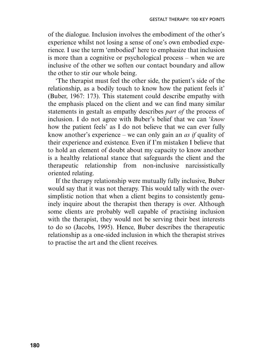of the dialogue. Inclusion involves the embodiment of the other's experience whilst not losing a sense of one's own embodied experience. I use the term 'embodied' here to emphasize that inclusion is more than a cognitive or psychological process – when we are inclusive of the other we soften our contact boundary and allow the other to stir our whole being.

'The therapist must feel the other side, the patient's side of the relationship, as a bodily touch to know how the patient feels it' (Buber, 1967: 173). This statement could describe empathy with the emphasis placed on the client and we can find many similar statements in gestalt as empathy describes *part of* the process of inclusion. I do not agree with Buber's belief that we can '*know* how the patient feels' as I do not believe that we can ever fully know another's experience – we can only gain an *as if* quality of their experience and existence. Even if I'm mistaken I believe that to hold an element of doubt about my capacity to know another is a healthy relational stance that safeguards the client and the therapeutic relationship from non-inclusive narcissistically oriented relating.

If the therapy relationship were mutually fully inclusive, Buber would say that it was not therapy. This would tally with the oversimplistic notion that when a client begins to consistently genuinely inquire about the therapist then therapy is over. Although some clients are probably well capable of practising inclusion with the therapist, they would not be serving their best interests to do so (Jacobs, 1995). Hence, Buber describes the therapeutic relationship as a one-sided inclusion in which the therapist strives to practise the art and the client receives.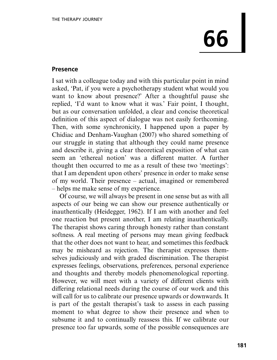#### **Presence**

I sat with a colleague today and with this particular point in mind asked, 'Pat, if you were a psychotherapy student what would you want to know about presence?' After a thoughtful pause she replied, 'I'd want to know what it was.' Fair point, I thought, but as our conversation unfolded, a clear and concise theoretical definition of this aspect of dialogue was not easily forthcoming. Then, with some synchronicity, I happened upon a paper by Chidiac and Denham-Vaughan (2007) who shared something of our struggle in stating that although they could name presence and describe it, giving a clear theoretical exposition of what can seem an 'ethereal notion' was a different matter. A further thought then occurred to me as a result of these two 'meetings': that I am dependent upon others' presence in order to make sense of my world. Their presence – actual, imagined or remembered – helps me make sense of my experience.

Of course, we will always be present in one sense but as with all aspects of our being we can show our presence authentically or inauthentically (Heidegger, 1962). If I am with another and feel one reaction but present another, I am relating inauthentically. The therapist shows caring through honesty rather than constant softness. A real meeting of persons may mean giving feedback that the other does not want to hear, and sometimes this feedback may be misheard as rejection. The therapist expresses themselves judiciously and with graded discrimination. The therapist expresses feelings, observations, preferences, personal experience and thoughts and thereby models phenomenological reporting. However, we will meet with a variety of different clients with differing relational needs during the course of our work and this will call for us to calibrate our presence upwards or downwards. It is part of the gestalt therapist's task to assess in each passing moment to what degree to show their presence and when to subsume it and to continually reassess this. If we calibrate our presence too far upwards, some of the possible consequences are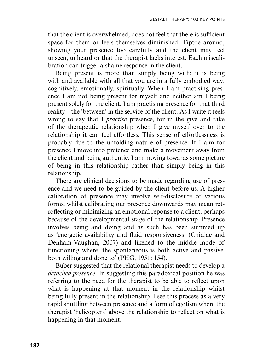that the client is overwhelmed, does not feel that there is sufficient space for them or feels themselves diminished. Tiptoe around, showing your presence too carefully and the client may feel unseen, unheard or that the therapist lacks interest. Each miscalibration can trigger a shame response in the client.

Being present is more than simply being with; it is being with and available with all that you are in a fully embodied way: cognitively, emotionally, spiritually. When I am practising presence I am not being present for myself and neither am I being present solely for the client, I am practising presence for that third reality – the 'between' in the service of the client. As I write it feels wrong to say that I *practise* presence, for in the give and take of the therapeutic relationship when I give myself over to the relationship it can feel effortless. This sense of effortlessness is probably due to the unfolding nature of presence. If I aim for presence I move into pretence and make a movement away from the client and being authentic. I am moving towards some picture of being in this relationship rather than simply being in this relationship.

There are clinical decisions to be made regarding use of presence and we need to be guided by the client before us. A higher calibration of presence may involve self-disclosure of various forms, whilst calibrating our presence downwards may mean retroflecting or minimizing an emotional reponse to a client, perhaps because of the developmental stage of the relationship. Presence involves being and doing and as such has been summed up as 'energetic availability and fluid responsiveness' (Chidiac and Denham-Vaughan, 2007) and likened to the middle mode of functioning where 'the spontaneous is both active and passive, both willing and done to' (PHG, 1951: 154).

Buber suggested that the relational therapist needs to develop a *detached presence*. In suggesting this paradoxical position he was referring to the need for the therapist to be able to reflect upon what is happening at that moment in the relationship whilst being fully present in the relationship. I see this process as a very rapid shuttling between presence and a form of egotism where the therapist 'helicopters' above the relationship to reflect on what is happening in that moment.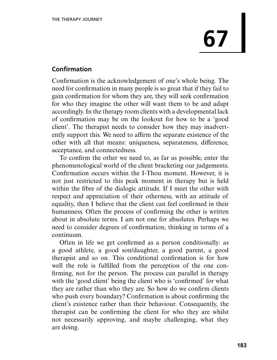### **Confirmation**

Confirmation is the acknowledgement of one's whole being. The need for confirmation in many people is so great that if they fail to gain confirmation for whom they are, they will seek confirmation for who they imagine the other will want them to be and adapt accordingly. In the therapy room clients with a developmental lack of confirmation may be on the lookout for how to be a 'good client'. The therapist needs to consider how they may inadvertently support this. We need to affirm the separate existence of the other with all that means: uniqueness, separateness, difference, acceptance, and connectedness.

To confirm the other we need to, as far as possible, enter the phenomenological world of the client bracketing our judgements. Confirmation occurs within the I-Thou moment. However, it is not just restricted to this peak moment in therapy but is held within the fibre of the dialogic attitude. If I meet the other with respect and appreciation of their otherness, with an attitude of equality, then I believe that the client can feel confirmed in their humanness. Often the process of confirming the other is written about in absolute terms. I am not one for absolutes. Perhaps we need to consider degrees of confirmation, thinking in terms of a continuum.

Often in life we get confirmed as a person conditionally: as a good athlete, a good son/daughter, a good parent, a good therapist and so on. This conditional confirmation is for how well the role is fulfilled from the perception of the one confirming, not for the person. The process can parallel in therapy with the 'good client' being the client who is 'confirmed' for what they are rather than who they are. So how do we confirm clients who push every boundary? Confirmation is about confirming the client's existence rather than their behaviour. Consequently, the therapist can be confirming the client for who they are whilst not necessarily approving, and maybe challenging, what they are doing.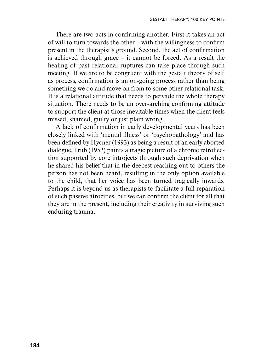There are two acts in confirming another. First it takes an act of will to turn towards the other – with the willingness to confirm present in the therapist's ground. Second, the act of confirmation is achieved through grace – it cannot be forced. As a result the healing of past relational ruptures can take place through such meeting. If we are to be congruent with the gestalt theory of self as process, confirmation is an on-going process rather than being something we do and move on from to some other relational task. It is a relational attitude that needs to pervade the whole therapy situation. There needs to be an over-arching confirming attitude to support the client at those inevitable times when the client feels missed, shamed, guilty or just plain wrong.

A lack of confirmation in early developmental years has been closely linked with 'mental illness' or 'psychopathology' and has been defined by Hycner (1993) as being a result of an early aborted dialogue. Trub (1952) paints a tragic picture of a chronic retroflection supported by core introjects through such deprivation when he shared his belief that in the deepest reaching out to others the person has not been heard, resulting in the only option available to the child, that her voice has been turned tragically inwards. Perhaps it is beyond us as therapists to facilitate a full reparation of such passive atrocities, but we can confirm the client for all that they are in the present, including their creativity in surviving such enduring trauma.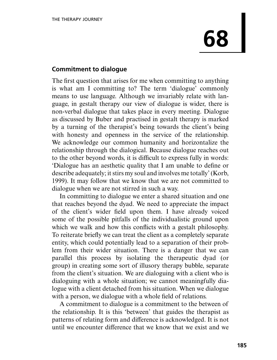### **Commitment to dialogue**

The first question that arises for me when committing to anything is what am I committing to? The term 'dialogue' commonly means to use language. Although we invariably relate with language, in gestalt therapy our view of dialogue is wider, there is non-verbal dialogue that takes place in every meeting. Dialogue as discussed by Buber and practised in gestalt therapy is marked by a turning of the therapist's being towards the client's being with honesty and openness in the service of the relationship. We acknowledge our common humanity and horizontalize the relationship through the dialogical. Because dialogue reaches out to the other beyond words, it is difficult to express fully in words: 'Dialogue has an aesthetic quality that I am unable to define or describe adequately; it stirs my soul and involves me totally' (Korb, 1999). It may follow that we know that we are not committed to dialogue when we are not stirred in such a way.

In committing to dialogue we enter a shared situation and one that reaches beyond the dyad. We need to appreciate the impact of the client's wider field upon them. I have already voiced some of the possible pitfalls of the individualistic ground upon which we walk and how this conflicts with a gestalt philosophy. To reiterate briefly we can treat the client as a completely separate entity, which could potentially lead to a separation of their problem from their wider situation. There is a danger that we can parallel this process by isolating the therapeutic dyad (or group) in creating some sort of illusory therapy bubble, separate from the client's situation. We are dialoguing with a client who is dialoguing with a whole situation; we cannot meaningfully dialogue with a client detached from his situation. When we dialogue with a person, we dialogue with a whole field of relations.

A commitment to dialogue is a commitment to the between of the relationship. It is this 'between' that guides the therapist as patterns of relating form and difference is acknowledged. It is not until we encounter difference that we know that we exist and we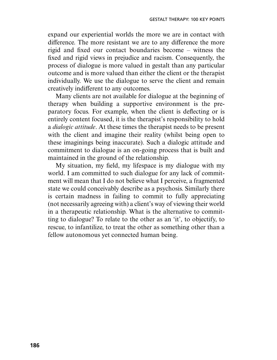expand our experiential worlds the more we are in contact with difference. The more resistant we are to any difference the more rigid and fixed our contact boundaries become – witness the fixed and rigid views in prejudice and racism. Consequently, the process of dialogue is more valued in gestalt than any particular outcome and is more valued than either the client or the therapist individually. We use the dialogue to serve the client and remain creatively indifferent to any outcomes.

Many clients are not available for dialogue at the beginning of therapy when building a supportive environment is the preparatory focus. For example, when the client is deflecting or is entirely content focused, it is the therapist's responsibility to hold a *dialogic attitude*. At these times the therapist needs to be present with the client and imagine their reality (whilst being open to these imaginings being inaccurate). Such a dialogic attitude and commitment to dialogue is an on-going process that is built and maintained in the ground of the relationship.

My situation, my field, my lifespace is my dialogue with my world. I am committed to such dialogue for any lack of commitment will mean that I do not believe what I perceive, a fragmented state we could conceivably describe as a psychosis. Similarly there is certain madness in failing to commit to fully appreciating (not necessarily agreeing with) a client's way of viewing their world in a therapeutic relationship. What is the alternative to committing to dialogue? To relate to the other as an 'it', to objectify, to rescue, to infantilize, to treat the other as something other than a fellow autonomous yet connected human being.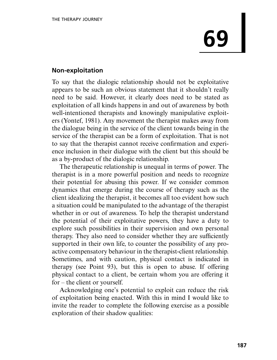### **Non-exploitation**

To say that the dialogic relationship should not be exploitative appears to be such an obvious statement that it shouldn't really need to be said. However, it clearly does need to be stated as exploitation of all kinds happens in and out of awareness by both well-intentioned therapists and knowingly manipulative exploiters (Yontef, 1981). Any movement the therapist makes away from the dialogue being in the service of the client towards being in the service of the therapist can be a form of exploitation. That is not to say that the therapist cannot receive confirmation and experience inclusion in their dialogue with the client but this should be as a by-product of the dialogic relationship.

The therapeutic relationship is unequal in terms of power. The therapist is in a more powerful position and needs to recognize their potential for abusing this power. If we consider common dynamics that emerge during the course of therapy such as the client idealizing the therapist, it becomes all too evident how such a situation could be manipulated to the advantage of the therapist whether in or out of awareness. To help the therapist understand the potential of their exploitative powers, they have a duty to explore such possibilities in their supervision and own personal therapy. They also need to consider whether they are sufficiently supported in their own life, to counter the possibility of any proactive compensatory behaviour in the therapist-client relationship. Sometimes, and with caution, physical contact is indicated in therapy (see Point 93), but this is open to abuse. If offering physical contact to a client, be certain whom you are offering it for – the client or yourself.

Acknowledging one's potential to exploit can reduce the risk of exploitation being enacted. With this in mind I would like to invite the reader to complete the following exercise as a possible exploration of their shadow qualities: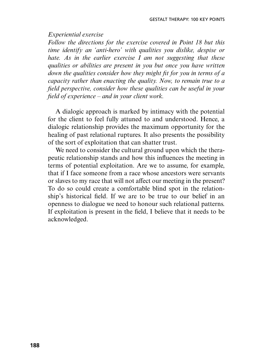#### *Experiential exercise*

*Follow the directions for the exercise covered in Point 18 but this time identify an 'anti-hero' with qualities you dislike, despise or hate. As in the earlier exercise I am not suggesting that these qualities or abilities are present in you but once you have written down the qualities consider how they might fit for you in terms of a capacity rather than enacting the quality. Now, to remain true to a field perspective, consider how these qualities can be useful in your field of experience – and in your client work.*

A dialogic approach is marked by intimacy with the potential for the client to feel fully attuned to and understood. Hence, a dialogic relationship provides the maximum opportunity for the healing of past relational ruptures. It also presents the possibility of the sort of exploitation that can shatter trust.

We need to consider the cultural ground upon which the therapeutic relationship stands and how this influences the meeting in terms of potential exploitation. Are we to assume, for example, that if I face someone from a race whose ancestors were servants or slaves to my race that will not affect our meeting in the present? To do so could create a comfortable blind spot in the relationship's historical field. If we are to be true to our belief in an openness to dialogue we need to honour such relational patterns. If exploitation is present in the field, I believe that it needs to be acknowledged.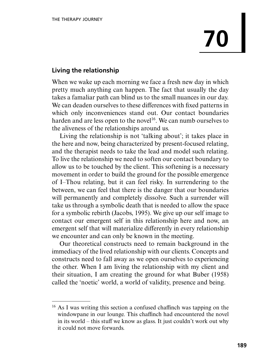### **Living the relationship**

When we wake up each morning we face a fresh new day in which pretty much anything can happen. The fact that usually the day takes a famaliar path can blind us to the small nuances in our day. We can deaden ourselves to these differences with fixed patterns in which only inconveniences stand out. Our contact boundaries harden and are less open to the novel<sup>16</sup>. We can numb ourselves to the aliveness of the relationships around us.

Living the relationship is not 'talking about'; it takes place in the here and now, being characterized by present-focused relating, and the therapist needs to take the lead and model such relating. To live the relationship we need to soften our contact boundary to allow us to be touched by the client. This softening is a necessary movement in order to build the ground for the possible emergence of I–Thou relating, but it can feel risky. In surrendering to the between, we can feel that there is the danger that our boundaries will permanently and completely dissolve. Such a surrender will take us through a symbolic death that is needed to allow the space for a symbolic rebirth (Jacobs, 1995). We give up our self image to contact our emergent self in this relationship here and now, an emergent self that will materialize differently in every relationship we encounter and can only be known in the meeting.

Our theoretical constructs need to remain background in the immediacy of the lived relationship with our clients. Concepts and constructs need to fall away as we open ourselves to experiencing the other. When I am living the relationship with my client and their situation, I am creating the ground for what Buber (1958) called the 'noetic' world, a world of validity, presence and being.

<sup>16</sup> As I was writing this section a confused chaffinch was tapping on the windowpane in our lounge. This chaffinch had encountered the novel in its world – this stuff we know as glass. It just couldn't work out why it could not move forwards.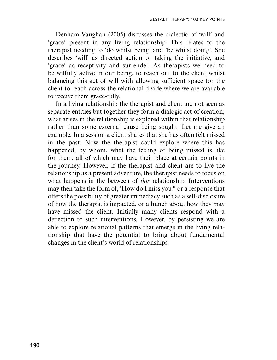Denham-Vaughan (2005) discusses the dialectic of 'will' and 'grace' present in any living relationship. This relates to the therapist needing to 'do whilst being' and 'be whilst doing'. She describes 'will' as directed action or taking the initiative, and 'grace' as receptivity and surrender. As therapists we need to be wilfully active in our being, to reach out to the client whilst balancing this act of will with allowing sufficient space for the client to reach across the relational divide where we are available to receive them grace-fully.

In a living relationship the therapist and client are not seen as separate entities but together they form a dialogic act of creation; what arises in the relationship is explored within that relationship rather than some external cause being sought. Let me give an example. In a session a client shares that she has often felt missed in the past. Now the therapist could explore where this has happened, by whom, what the feeling of being missed is like for them, all of which may have their place at certain points in the journey. However, if the therapist and client are to live the relationship as a present adventure, the therapist needs to focus on what happens in the between of *this* relationship. Interventions may then take the form of, 'How do I miss you?' or a response that offers the possibility of greater immediacy such as a self-disclosure of how the therapist is impacted, or a hunch about how they may have missed the client. Initially many clients respond with a deflection to such interventions. However, by persisting we are able to explore relational patterns that emerge in the living relationship that have the potential to bring about fundamental changes in the client's world of relationships.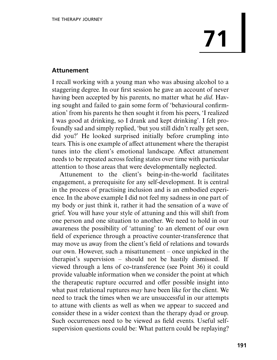### **Attunement**

I recall working with a young man who was abusing alcohol to a staggering degree. In our first session he gave an account of never having been accepted by his parents, no matter what he *did*. Having sought and failed to gain some form of 'behavioural confirmation' from his parents he then sought it from his peers, 'I realized I was good at drinking, so I drank and kept drinking'. I felt profoundly sad and simply replied, 'but you still didn't really get seen, did you?' He looked surprised initially before crumpling into tears. This is one example of affect attunement where the therapist tunes into the client's emotional landscape. Affect attunement needs to be repeated across feeling states over time with particular attention to those areas that were developmentally neglected.

Attunement to the client's being-in-the-world facilitates engagement, a prerequisite for any self-development. It is central in the process of practising inclusion and is an embodied experience. In the above example I did not feel my sadness in one part of my body or just think it, rather it had the sensation of a wave of grief. You will have your style of attuning and this will shift from one person and one situation to another. We need to hold in our awareness the possibility of 'attuning' to an element of our own field of experience through a proactive counter-transference that may move us away from the client's field of relations and towards our own. However, such a misattunement – once unpicked in the therapist's supervision – should not be hastily dismissed. If viewed through a lens of co-transference (see Point 36) it could provide valuable information when we consider the point at which the therapeutic rupture occurred and offer possible insight into what past relational ruptures *may* have been like for the client. We need to track the times when we are unsuccessful in our attempts to attune with clients as well as when we appear to succeed and consider these in a wider context than the therapy dyad or group. Such occurrences need to be viewed as field events. Useful selfsupervision questions could be: What pattern could be replaying?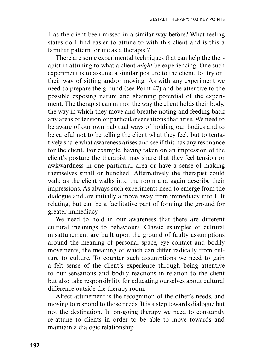Has the client been missed in a similar way before? What feeling states do I find easier to attune to with this client and is this a familiar pattern for me as a therapist?

There are some experimental techniques that can help the therapist in attuning to what a client *might* be experiencing. One such experiment is to assume a similar posture to the client, to 'try on' their way of sitting and/or moving. As with any experiment we need to prepare the ground (see Point 47) and be attentive to the possible exposing nature and shaming potential of the experiment. The therapist can mirror the way the client holds their body, the way in which they move and breathe noting and feeding back any areas of tension or particular sensations that arise. We need to be aware of our own habitual ways of holding our bodies and to be careful not to be telling the client what they feel, but to tentatively share what awareness arises and see if this has any resonance for the client. For example, having taken on an impression of the client's posture the therapist may share that they feel tension or awkwardness in one particular area or have a sense of making themselves small or hunched. Alternatively the therapist could walk as the client walks into the room and again describe their impressions. As always such experiments need to emerge from the dialogue and are initially a move away from immediacy into I–It relating, but can be a facilitative part of forming the ground for greater immediacy.

We need to hold in our awareness that there are different cultural meanings to behaviours. Classic examples of cultural misattunement are built upon the ground of faulty assumptions around the meaning of personal space, eye contact and bodily movements, the meaning of which can differ radically from culture to culture. To counter such assumptions we need to gain a felt sense of the client's experience through being attentive to our sensations and bodily reactions in relation to the client but also take responsibility for educating ourselves about cultural difference outside the therapy room.

Affect attunement is the recognition of the other's needs, and moving to respond to those needs. It is a step towards dialogue but not the destination. In on-going therapy we need to constantly re-attune to clients in order to be able to move towards and maintain a dialogic relationship.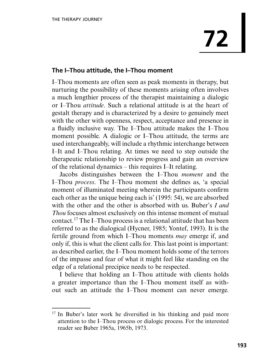#### **The I–Thou attitude, the I–Thou moment**

I–Thou moments are often seen as peak moments in therapy, but nurturing the possibility of these moments arising often involves a much lengthier process of the therapist maintaining a dialogic or I–Thou *attitude*. Such a relational attitude is at the heart of gestalt therapy and is characterized by a desire to genuinely meet with the other with openness, respect, acceptance and presence in a fluidly inclusive way. The I–Thou attitude makes the I–Thou moment possible. A dialogic or I–Thou attitude, the terms are used interchangeably, will include a rhythmic interchange between I–It and I–Thou relating. At times we need to step outside the therapeutic relationship to review progress and gain an overview of the relational dynamics – this requires I–It relating.

Jacobs distinguishes between the I–Thou *moment* and the I–Thou *process*. The I–Thou moment she defines as, 'a special moment of illuminated meeting wherein the participants confirm each other as the unique being each is' (1995: 54), we are absorbed with the other and the other is absorbed with us. Buber's *I and Thou* focuses almost exclusively on this intense moment of mutual contact.17 The I–Thou process is a relational attitude that has been referred to as the dialogical (Hycner, 1985; Yontef, 1993). It is the fertile ground from which I–Thou moments *may* emerge if, and only if, this is what the client calls for. This last point is important: as described earlier, the I–Thou moment holds some of the terrors of the impasse and fear of what it might feel like standing on the edge of a relational precipice needs to be respected.

I believe that holding an I–Thou attitude with clients holds a greater importance than the I–Thou moment itself as without such an attitude the I–Thou moment can never emerge.

<sup>&</sup>lt;sup>17</sup> In Buber's later work he diversified in his thinking and paid more attention to the I–Thou process or dialogic process. For the interested reader see Buber 1965a, 1965b, 1973.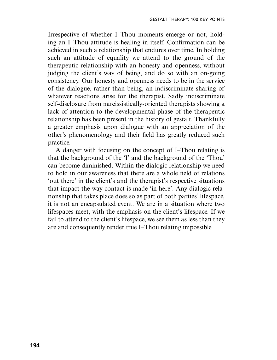Irrespective of whether I–Thou moments emerge or not, holding an I–Thou attitude is healing in itself. Confirmation can be achieved in such a relationship that endures over time. In holding such an attitude of equality we attend to the ground of the therapeutic relationship with an honesty and openness, without judging the client's way of being, and do so with an on-going consistency. Our honesty and openness needs to be in the service of the dialogue, rather than being, an indiscriminate sharing of whatever reactions arise for the therapist. Sadly indiscriminate self-disclosure from narcissistically-oriented therapists showing a lack of attention to the developmental phase of the therapeutic relationship has been present in the history of gestalt. Thankfully a greater emphasis upon dialogue with an appreciation of the other's phenomenology and their field has greatly reduced such practice.

A danger with focusing on the concept of I–Thou relating is that the background of the 'I' and the background of the 'Thou' can become diminished. Within the dialogic relationship we need to hold in our awareness that there are a whole field of relations 'out there' in the client's and the therapist's respective situations that impact the way contact is made 'in here'. Any dialogic relationship that takes place does so as part of both parties' lifespace, it is not an encapsulated event. We are in a situation where two lifespaces meet, with the emphasis on the client's lifespace. If we fail to attend to the client's lifespace, we see them as less than they are and consequently render true I–Thou relating impossible.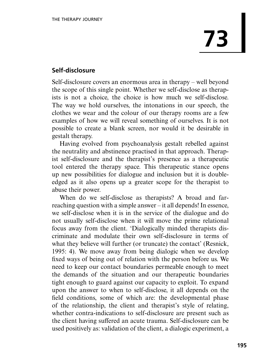### **Self-disclosure**

Self-disclosure covers an enormous area in therapy – well beyond the scope of this single point. Whether we self-disclose as therapists is not a choice, the choice is how much we self-disclose. The way we hold ourselves, the intonations in our speech, the clothes we wear and the colour of our therapy rooms are a few examples of how we will reveal something of ourselves. It is not possible to create a blank screen, nor would it be desirable in gestalt therapy.

Having evolved from psychoanalysis gestalt rebelled against the neutrality and abstinence practised in that approach. Therapist self-disclosure and the therapist's presence as a therapeutic tool entered the therapy space. This therapeutic stance opens up new possibilities for dialogue and inclusion but it is doubleedged as it also opens up a greater scope for the therapist to abuse their power.

When do we self-disclose as therapists? A broad and farreaching question with a simple answer – it all depends! In essence, we self-disclose when it is in the service of the dialogue and do not usually self-disclose when it will move the prime relational focus away from the client. 'Dialogically minded therapists discriminate and modulate their own self-disclosure in terms of what they believe will further (or truncate) the contact' (Resnick, 1995: 4). We move away from being dialogic when we develop fixed ways of being out of relation with the person before us. We need to keep our contact boundaries permeable enough to meet the demands of the situation and our therapeutic boundaries tight enough to guard against our capacity to exploit. To expand upon the answer to when to self-disclose, it all depends on the field conditions, some of which are: the developmental phase of the relationship, the client and therapist's style of relating, whether contra-indications to self-disclosure are present such as the client having suffered an acute trauma. Self-disclosure can be used positively as: validation of the client, a dialogic experiment, a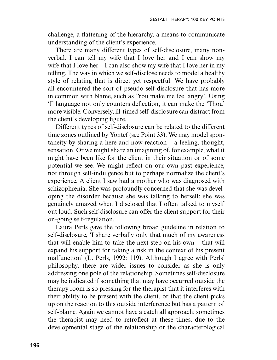challenge, a flattening of the hierarchy, a means to communicate understanding of the client's experience.

There are many different types of self-disclosure, many nonverbal. I can tell my wife that I love her and I can show my wife that I love her  $-$  I can also show my wife that I love her in my telling. The way in which we self-disclose needs to model a healthy style of relating that is direct yet respectful. We have probably all encountered the sort of pseudo self-disclosure that has more in common with blame, such as 'You make me feel angry'. Using 'I' language not only counters deflection, it can make the 'Thou' more visible. Conversely, ill-timed self-disclosure can distract from the client's developing figure.

Different types of self-disclosure can be related to the different time zones outlined by Yontef (see Point 33). We may model spontaneity by sharing a here and now reaction – a feeling, thought, sensation. Or we might share an imagining of, for example, what it might have been like for the client in their situation or of some potential we see. We might reflect on our own past experience, not through self-indulgence but to perhaps normalize the client's experience. A client I saw had a mother who was diagnosed with schizophrenia. She was profoundly concerned that she was developing the disorder because she was talking to herself; she was genuinely amazed when I disclosed that I often talked to myself out loud. Such self-disclosure can offer the client support for their on-going self-regulation.

Laura Perls gave the following broad guideline in relation to self-disclosure, 'I share verbally only that much of my awareness that will enable him to take the next step on his own – that will expand his support for taking a risk in the context of his present malfunction' (L. Perls, 1992: 119). Although I agree with Perls' philosophy, there are wider issues to consider as she is only addressing one pole of the relationship. Sometimes self-disclosure may be indicated if something that may have occurred outside the therapy room is so pressing for the therapist that it interferes with their ability to be present with the client, or that the client picks up on the reaction to this outside interference but has a pattern of self-blame. Again we cannot have a catch all approach; sometimes the therapist may need to retroflect at these times, due to the developmental stage of the relationship or the characterological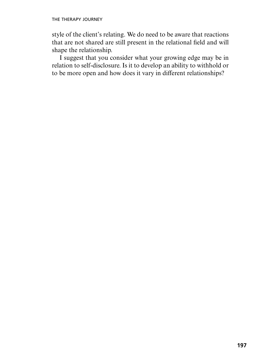style of the client's relating. We do need to be aware that reactions that are not shared are still present in the relational field and will shape the relationship.

I suggest that you consider what your growing edge may be in relation to self-disclosure. Is it to develop an ability to withhold or to be more open and how does it vary in different relationships?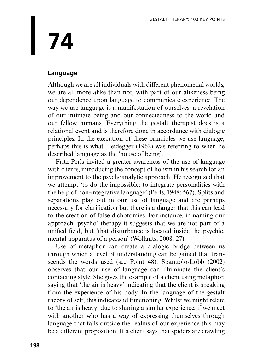### **Language**

Although we are all individuals with different phenomenal worlds, we are all more alike than not, with part of our alikeness being our dependence upon language to communicate experience. The way we use language is a manifestation of ourselves, a revelation of our intimate being and our connectedness to the world and our fellow humans. Everything the gestalt therapist does is a relational event and is therefore done in accordance with dialogic principles. In the execution of these principles we use language; perhaps this is what Heidegger (1962) was referring to when he described language as the 'house of being'.

Fritz Perls invited a greater awareness of the use of language with clients, introducing the concept of holism in his search for an improvement to the psychoanalytic approach. He recognized that we attempt 'to do the impossible: to integrate personalities with the help of non-integrative language' (Perls, 1948: 567). Splits and separations play out in our use of language and are perhaps necessary for clarification but there is a danger that this can lead to the creation of false dichotomies. For instance, in naming our approach 'psycho' therapy it suggests that we are not part of a unified field, but 'that disturbance is located inside the psychic, mental apparatus of a person' (Wollants, 2008: 27).

Use of metaphor can create a dialogic bridge between us through which a level of understanding can be gained that transcends the words used (see Point 48). Spanuolo-Lobb (2002) observes that our use of language can illuminate the client's contacting style. She gives the example of a client using metaphor, saying that 'the air is heavy' indicating that the client is speaking from the experience of his body. In the language of the gestalt theory of self, this indicates id functioning. Whilst we might relate to 'the air is heavy' due to sharing a similar experience, if we meet with another who has a way of expressing themselves through language that falls outside the realms of our experience this may be a different proposition. If a client says that spiders are crawling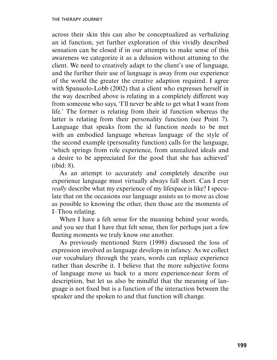across their skin this can also be conceptualized as verbalizing an id function, yet further exploration of this vividly described sensation can be closed if in our attempts to make sense of this awareness we categorize it as a delusion without attuning to the client. We need to creatively adapt to the client's use of language, and the further their use of language is away from our experience of the world the greater the creative adaption required. I agree with Spanuolo-Lobb (2002) that a client who expresses herself in the way described above is relating in a completely different way from someone who says, 'I'll never be able to get what I want from life.' The former is relating from their id function whereas the latter is relating from their personality function (see Point 7). Language that speaks from the id function needs to be met with an embodied language whereas language of the style of the second example (personality function) calls for the language, 'which springs from role experience, from unrealized ideals and a desire to be appreciated for the good that she has achieved' (ibid: 8).

As an attempt to accurately and completely describe our experience language must virtually always fall short. Can I ever *really* describe what my experience of my lifespace is like? I speculate that on the occasions our language assists us to move as close as possible to knowing the other, then those are the moments of I–Thou relating.

When I have a felt sense for the meaning behind your words, and you see that I have that felt sense, then for perhaps just a few fleeting moments we truly know one another.

As previously mentioned Stern (1998) discussed the loss of expression involved as language develops in infancy. As we collect our vocabulary through the years, words can replace experience rather than describe it. I believe that the more subjective forms of language move us back to a more experience-near form of description, but let us also be mindful that the meaning of language is not fixed but is a function of the interaction between the speaker and the spoken to and that function will change.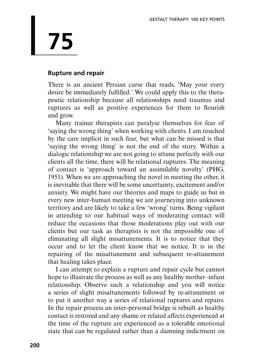#### **Rupture and repair**

There is an ancient Persian curse that reads, 'May your every desire be immediately fulfilled.' We could apply this to the therapeutic relationship because all relationships need traumas and ruptures as well as positive experiences for them to flourish and grow.

Many trainee therapists can paralyse themselves for fear of 'saying the wrong thing' when working with clients. I am touched by the care implicit in such fear, but what can be missed is that 'saying the wrong thing' is not the end of the story. Within a dialogic relationship we are not going to attune perfectly with our clients all the time, there will be relational ruptures. The meaning of contact is 'approach toward an assimilable novelty' (PHG, 1951). When we are approaching the novel in meeting the other, it is inevitable that there will be some uncertainty, excitement and/or anxiety. We might have our theories and maps to guide us but in every new inter-human meeting we are journeying into unknown territory and are likely to take a few 'wrong' turns. Being vigilant in attending to our habitual ways of moderating contact will reduce the occasions that those moderations play out with our clients but our task as therapists is not the impossible one of eliminating all slight misattunements. It is to notice that they occur and to let the client know that we notice. It is in the repairing of the misattunement and subsequent re-attunement that healing takes place.

I can attempt to explain a rupture and repair cycle but cannot hope to illustrate the process as well as any healthy mother–infant relationship. Observe such a relationship and you will notice a series of slight misattunements followed by re-attunement or to put it another way a series of relational ruptures and repairs. In the repair process an inter-personal bridge is rebuilt as healthy contact is restored and any shame or related affects experienced at the time of the rupture are experienced as a tolerable emotional state that can be regulated rather than a damning indictment on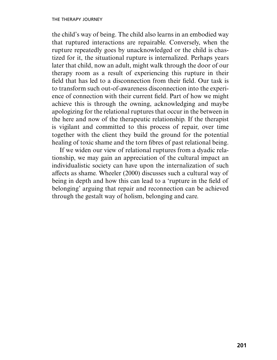the child's way of being. The child also learns in an embodied way that ruptured interactions are repairable. Conversely, when the rupture repeatedly goes by unacknowledged or the child is chastized for it, the situational rupture is internalized. Perhaps years later that child, now an adult, might walk through the door of our therapy room as a result of experiencing this rupture in their field that has led to a disconnection from their field. Our task is to transform such out-of-awareness disconnection into the experience of connection with their current field. Part of how we might achieve this is through the owning, acknowledging and maybe apologizing for the relational ruptures that occur in the between in the here and now of the therapeutic relationship. If the therapist is vigilant and committed to this process of repair, over time together with the client they build the ground for the potential healing of toxic shame and the torn fibres of past relational being.

If we widen our view of relational ruptures from a dyadic relationship, we may gain an appreciation of the cultural impact an individualistic society can have upon the internalization of such affects as shame. Wheeler (2000) discusses such a cultural way of being in depth and how this can lead to a 'rupture in the field of belonging' arguing that repair and reconnection can be achieved through the gestalt way of holism, belonging and care.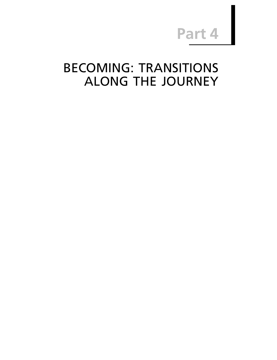

## BECOMING: TRANSITIONS ALONG THE JOURNEY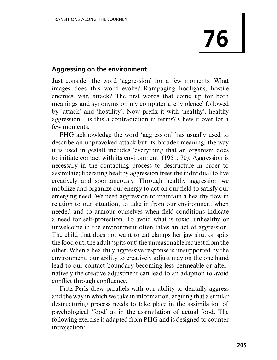### **Aggressing on the environment**

Just consider the word 'aggression' for a few moments. What images does this word evoke? Rampaging hooligans, hostile enemies, war, attack? The first words that come up for both meanings and synonyms on my computer are 'violence' followed by 'attack' and 'hostility'. Now prefix it with 'healthy', healthy aggression – is this a contradiction in terms? Chew it over for a few moments.

PHG acknowledge the word 'aggression' has usually used to describe an unprovoked attack but its broader meaning, the way it is used in gestalt includes 'everything that an organism does to initiate contact with its environment' (1951: 70). Aggression is necessary in the contacting process to destructure in order to assimilate; liberating healthy aggression frees the individual to live creatively and spontaneously. Through healthy aggression we mobilize and organize our energy to act on our field to satisfy our emerging need. We need aggression to maintain a healthy flow in relation to our situation, to take in from our environment when needed and to armour ourselves when field conditions indicate a need for self-protection. To avoid what is toxic, unhealthy or unwelcome in the environment often takes an act of aggression. The child that does not want to eat clamps her jaw shut or spits the food out, the adult 'spits out' the unreasonable request from the other. When a healthily aggressive response is unsupported by the environment, our ability to creatively adjust may on the one hand lead to our contact boundary becoming less permeable or alternatively the creative adjustment can lead to an adaption to avoid conflict through confluence.

Fritz Perls drew parallels with our ability to dentally aggress and the way in which we take in information, arguing that a similar destructuring process needs to take place in the assimilation of psychological 'food' as in the assimilation of actual food. The following exercise is adapted from PHG and is designed to counter introjection: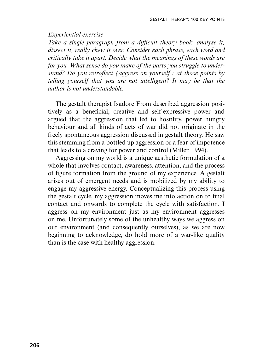### *Experiential exercise*

*Take a single paragraph from a difficult theory book, analyse it, dissect it, really chew it over. Consider each phrase, each word and critically take it apart. Decide what the meanings of these words are for you. What sense do you make of the parts you struggle to understand? Do you retroflect (aggress on yourself ) at those points by telling yourself that you are not intelligent? It may be that the author is not understandable.*

The gestalt therapist Isadore From described aggression positively as a beneficial, creative and self-expressive power and argued that the aggression that led to hostility, power hungry behaviour and all kinds of acts of war did not originate in the freely spontaneous aggression discussed in gestalt theory. He saw this stemming from a bottled up aggression or a fear of impotence that leads to a craving for power and control (Miller, 1994).

Aggressing on my world is a unique aesthetic formulation of a whole that involves contact, awareness, attention, and the process of figure formation from the ground of my experience. A gestalt arises out of emergent needs and is mobilized by my ability to engage my aggressive energy. Conceptualizing this process using the gestalt cycle, my aggression moves me into action on to final contact and onwards to complete the cycle with satisfaction. I aggress on my environment just as my environment aggresses on me. Unfortunately some of the unhealthy ways we aggress on our environment (and consequently ourselves), as we are now beginning to acknowledge, do hold more of a war-like quality than is the case with healthy aggression.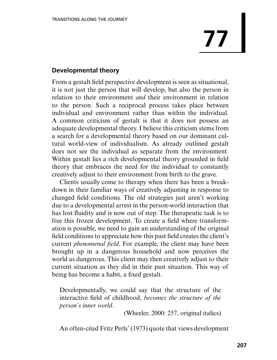### **Developmental theory**

From a gestalt field perspective development is seen as situational, it is not just the person that will develop, but also the person in relation to their environment *and* their environment in relation to the person. Such a reciprocal process takes place between individual and environment rather than within the individual. A common criticism of gestalt is that it does not possess an adequate developmental theory. I believe this criticism stems from a search for a developmental theory based on our dominant cultural world-view of individualism. As already outlined gestalt does not see the individual as separate from the environment. Within gestalt lies a rich developmental theory grounded in field theory that embraces the need for the individual to constantly creatively adjust to their environment from birth to the grave.

Clients usually come to therapy when there has been a breakdown in their familiar ways of creatively adjusting in response to changed field conditions. The old strategies just aren't working due to a developmental arrest in the person-world interaction that has lost fluidity and is now out of step. The therapeutic task is to free this frozen development. To create a field where transformation is possible, we need to gain an understanding of the original field conditions to appreciate how this past field creates the client's current *phenomenal field*. For example, the client may have been brought up in a dangerous household and now perceives the world as dangerous. This client may then creatively adjust to their current situation as they did in their past situation. This way of being has become a habit, a fixed gestalt.

Developmentally, we could say that the structure of the interactive field of childhood, *becomes the structure of the person's inner world*.

(Wheeler, 2000: 257, original italics)

An often-cited Fritz Perls' (1973) quote that views development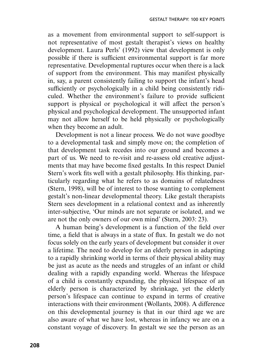as a movement from environmental support to self-support is not representative of most gestalt therapist's views on healthy development. Laura Perls' (1992) view that development is only possible if there is sufficient environmental support is far more representative. Developmental ruptures occur when there is a lack of support from the environment. This may manifest physically in, say, a parent consistently failing to support the infant's head sufficiently or psychologically in a child being consistently ridiculed. Whether the environment's failure to provide sufficient support is physical or psychological it will affect the person's physical and psychological development. The unsupported infant may not allow herself to be held physically or psychologically when they become an adult.

Development is not a linear process. We do not wave goodbye to a developmental task and simply move on; the completion of that development task recedes into our ground and becomes a part of us. We need to re-visit and re-assess old creative adjustments that may have become fixed gestalts. In this respect Daniel Stern's work fits well with a gestalt philosophy. His thinking, particularly regarding what he refers to as domains of relatedness (Stern, 1998), will be of interest to those wanting to complement gestalt's non-linear developmental theory. Like gestalt therapists Stern sees development in a relational context and as inherently inter-subjective, 'Our minds are not separate or isolated, and we are not the only owners of our own mind' (Stern, 2003: 23).

A human being's development is a function of the field over time, a field that is always in a state of flux. In gestalt we do not focus solely on the early years of development but consider it over a lifetime. The need to develop for an elderly person in adapting to a rapidly shrinking world in terms of their physical ability may be just as acute as the needs and struggles of an infant or child dealing with a rapidly expanding world. Whereas the lifespace of a child is constantly expanding, the physical lifespace of an elderly person is characterized by shrinkage, yet the elderly person's lifespace can continue to expand in terms of creative interactions with their environment (Wollants, 2008). A difference on this developmental journey is that in our third age we are also aware of what we have lost, whereas in infancy we are on a constant voyage of discovery. In gestalt we see the person as an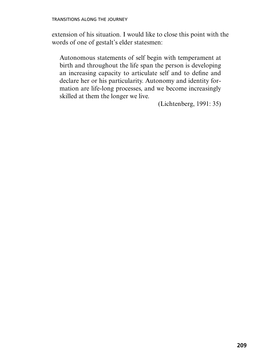extension of his situation. I would like to close this point with the words of one of gestalt's elder statesmen:

Autonomous statements of self begin with temperament at birth and throughout the life span the person is developing an increasing capacity to articulate self and to define and declare her or his particularity. Autonomy and identity formation are life-long processes, and we become increasingly skilled at them the longer we live.

(Lichtenberg, 1991: 35)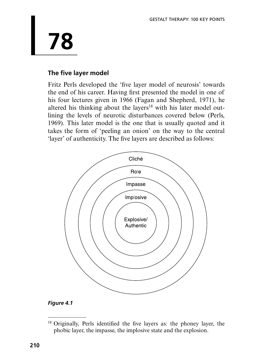## **The five layer model**

Fritz Perls developed the 'five layer model of neurosis' towards the end of his career. Having first presented the model in one of his four lectures given in 1966 (Fagan and Shepherd, 1971), he altered his thinking about the layers<sup>18</sup> with his later model outlining the levels of neurotic disturbances covered below (Perls, 1969). This later model is the one that is usually quoted and it takes the form of 'peeling an onion' on the way to the central 'layer' of authenticity. The five layers are described as follows:



### *Figure 4.1*

<sup>18</sup> Originally, Perls identified the five layers as: the phoney layer, the phobic layer, the impasse, the implosive state and the explosion.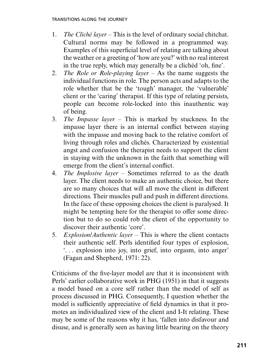- 1. *The Cliché layer* This is the level of ordinary social chitchat. Cultural norms may be followed in a programmed way. Examples of this superficial level of relating are talking about the weather or a greeting of 'how are you?' with no real interest in the true reply, which may generally be a clichéd 'oh, fine'.
- 2. *The Role or Role-playing layer* As the name suggests the individual functions in role. The person acts and adapts to the role whether that be the 'tough' manager, the 'vulnerable' client or the 'caring' therapist. If this type of relating persists, people can become role-locked into this inauthentic way of being.
- 3. *The Impasse layer* This is marked by stuckness. In the impasse layer there is an internal conflict between staying with the impasse and moving back to the relative comfort of living through roles and clichés. Characterized by existential angst and confusion the therapist needs to support the client in staying with the unknown in the faith that something will emerge from the client's internal conflict.
- 4. *The Implosive layer* Sometimes referred to as the death layer. The client needs to make an authentic choice, but there are so many choices that will all move the client in different directions. Their muscles pull and push in different directions. In the face of these opposing choices the client is paralysed. It might be tempting here for the therapist to offer some direction but to do so could rob the client of the opportunity to discover their authentic 'core'.
- 5. *Explosion/Authentic layer* This is where the client contacts their authentic self. Perls identified four types of explosion, '. . . explosion into joy, into grief, into orgasm, into anger' (Fagan and Shepherd, 1971: 22).

Criticisms of the five-layer model are that it is inconsistent with Perls' earlier collaborative work in PHG (1951) in that it suggests a model based on a core self rather than the model of self as process discussed in PHG. Consequently, I question whether the model is sufficiently appreciative of field dynamics in that it promotes an individualized view of the client and I-It relating. These may be some of the reasons why it has, 'fallen into disfavour and disuse, and is generally seen as having little bearing on the theory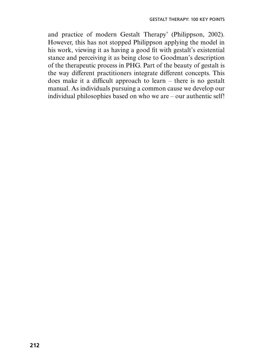and practice of modern Gestalt Therapy' (Philippson, 2002). However, this has not stopped Philippson applying the model in his work, viewing it as having a good fit with gestalt's existential stance and perceiving it as being close to Goodman's description of the therapeutic process in PHG. Part of the beauty of gestalt is the way different practitioners integrate different concepts. This does make it a difficult approach to learn – there is no gestalt manual. As individuals pursuing a common cause we develop our individual philosophies based on who we are – our authentic self!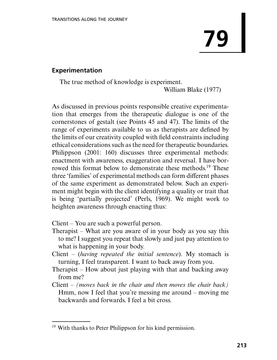### **Experimentation**

The true method of knowledge is experiment. William Blake (1977)

As discussed in previous points responsible creative experimentation that emerges from the therapeutic dialogue is one of the cornerstones of gestalt (see Points 45 and 47). The limits of the range of experiments available to us as therapists are defined by the limits of our creativity coupled with field constraints including ethical considerations such as the need for therapeutic boundaries. Philippson (2001: 160) discusses three experimental methods: enactment with awareness, exaggeration and reversal. I have borrowed this format below to demonstrate these methods.<sup>19</sup> These three 'families' of experimental methods can form different phases of the same experiment as demonstrated below. Such an experiment might begin with the client identifying a quality or trait that is being 'partially projected' (Perls, 1969). We might work to heighten awareness through enacting thus:

Client – You are such a powerful person.

- Therapist What are you aware of in your body as you say this to me? I suggest you repeat that slowly and just pay attention to what is happening in your body.
- Client (*having repeated the initial sentence*). My stomach is turning, I feel transparent. I want to back away from you.
- Therapist How about just playing with that and backing away from me?
- Client *(moves back in the chair and then moves the chair back)* Hmm, now I feel that you're messing me around – moving me backwards and forwards. I feel a bit cross.

<sup>19</sup> With thanks to Peter Philippson for his kind permission.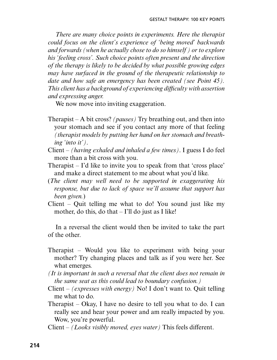*There are many choice points in experiments. Here the therapist could focus on the client's experience of 'being moved' backwards and forwards (when he actually chose to do so himself ) or to explore his 'feeling cross'. Such choice points often present and the direction of the therapy is likely to be decided by what possible growing edges may have surfaced in the ground of the therapeutic relationship to date and how safe an emergency has been created (see Point 45). This client has a background of experiencing difficulty with assertion and expressing anger.*

We now move into inviting exaggeration.

- Therapist A bit cross? *(pauses)* Try breathing out, and then into your stomach and see if you contact any more of that feeling *(therapist models by putting her hand on her stomach and breathing 'into it')*.
- Client *(having exhaled and inhaled a few times)*. I guess I do feel more than a bit cross with you.
- Therapist I'd like to invite you to speak from that 'cross place' and make a direct statement to me about what you'd like.
- (*The client may well need to be supported in exaggerating his response, but due to lack of space we'll assume that support has been given.*)
- Client Quit telling me what to do! You sound just like my mother, do this, do that  $-$  I'll do just as I like!

In a reversal the client would then be invited to take the part of the other.

- Therapist Would you like to experiment with being your mother? Try changing places and talk as if you were her. See what emerges.
- *(It is important in such a reversal that the client does not remain in the same seat as this could lead to boundary confusion.)*
- Client *(expresses with energy)* No! I don't want to. Quit telling me what to do.
- Therapist Okay, I have no desire to tell you what to do. I can really see and hear your power and am really impacted by you. Wow, you're powerful.

Client – *(Looks visibly moved, eyes water)* This feels different.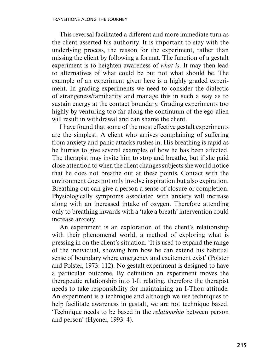This reversal facilitated a different and more immediate turn as the client asserted his authority. It is important to stay with the underlying process, the reason for the experiment, rather than missing the client by following a format. The function of a gestalt experiment is to heighten awareness of *what is*. It may then lead to alternatives of what could be but not what should be. The example of an experiment given here is a highly graded experiment. In grading experiments we need to consider the dialectic of strangeness/familiarity and manage this in such a way as to sustain energy at the contact boundary. Grading experiments too highly by venturing too far along the continuum of the ego-alien will result in withdrawal and can shame the client.

I have found that some of the most effective gestalt experiments are the simplest. A client who arrives complaining of suffering from anxiety and panic attacks rushes in. His breathing is rapid as he hurries to give several examples of how he has been affected. The therapist may invite him to stop and breathe, but if she paid close attention to when the client changes subjects she would notice that he does not breathe out at these points. Contact with the environment does not only involve inspiration but also expiration. Breathing out can give a person a sense of closure or completion. Physiologically symptoms associated with anxiety will increase along with an increased intake of oxygen. Therefore attending only to breathing inwards with a 'take a breath' intervention could increase anxiety.

An experiment is an exploration of the client's relationship with their phenomenal world, a method of exploring what is pressing in on the client's situation. 'It is used to expand the range of the individual, showing him how he can extend his habitual sense of boundary where emergency and excitement exist' (Polster and Polster, 1973: 112). No gestalt experiment is designed to have a particular outcome. By definition an experiment moves the therapeutic relationship into I-It relating, therefore the therapist needs to take responsibility for maintaining an I-Thou attitude. An experiment is a technique and although we use techniques to help facilitate awareness in gestalt, we are not technique based. 'Technique needs to be based in the *relationship* between person and person' (Hycner, 1993: 4).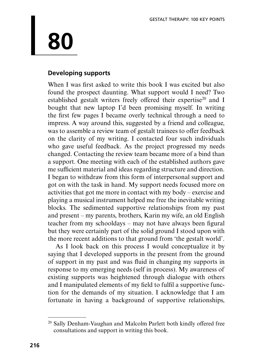### **Developing supports**

When I was first asked to write this book I was excited but also found the prospect daunting. What support would I need? Two established gestalt writers freely offered their expertise<sup>20</sup> and I bought that new laptop I'd been promising myself. In writing the first few pages I became overly technical through a need to impress. A way around this, suggested by a friend and colleague, was to assemble a review team of gestalt trainees to offer feedback on the clarity of my writing. I contacted four such individuals who gave useful feedback. As the project progressed my needs changed. Contacting the review team became more of a bind than a support. One meeting with each of the established authors gave me sufficient material and ideas regarding structure and direction. I began to withdraw from this form of interpersonal support and got on with the task in hand. My support needs focused more on activities that got me more in contact with my body – exercise and playing a musical instrument helped me free the inevitable writing blocks. The sedimented supportive relationships from my past and present – my parents, brothers, Karin my wife, an old English teacher from my schooldays – may not have always been figural but they were certainly part of the solid ground I stood upon with the more recent additions to that ground from 'the gestalt world'.

As I look back on this process I would conceptualize it by saying that I developed supports in the present from the ground of support in my past and was fluid in changing my supports in response to my emerging needs (self in process). My awareness of existing supports was heightened through dialogue with others and I manipulated elements of my field to fulfil a supportive function for the demands of my situation. I acknowledge that I am fortunate in having a background of supportive relationships,

<sup>20</sup> Sally Denham-Vaughan and Malcolm Parlett both kindly offered free consultations and support in writing this book.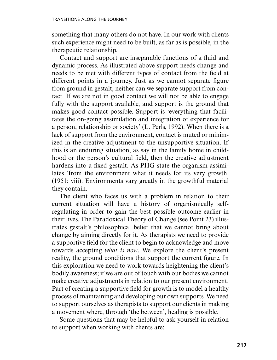something that many others do not have. In our work with clients such experience might need to be built, as far as is possible, in the therapeutic relationship.

Contact and support are inseparable functions of a fluid and dynamic process. As illustrated above support needs change and needs to be met with different types of contact from the field at different points in a journey. Just as we cannot separate figure from ground in gestalt, neither can we separate support from contact. If we are not in good contact we will not be able to engage fully with the support available, and support is the ground that makes good contact possible. Support is 'everything that facilitates the on-going assimilation and integration of experience for a person, relationship or society' (L. Perls, 1992). When there is a lack of support from the environment, contact is muted or minimized in the creative adjustment to the unsupportive situation. If this is an enduring situation, as say in the family home in childhood or the person's cultural field, then the creative adjustment hardens into a fixed gestalt. As PHG state the organism assimilates 'from the environment what it needs for its very growth' (1951: viii). Environments vary greatly in the growthful material they contain.

The client who faces us with a problem in relation to their current situation will have a history of organismically selfregulating in order to gain the best possible outcome earlier in their lives. The Paradoxical Theory of Change (see Point 23) illustrates gestalt's philosophical belief that we cannot bring about change by aiming directly for it. As therapists we need to provide a supportive field for the client to begin to acknowledge and move towards accepting *what is now*. We explore the client's present reality, the ground conditions that support the current figure. In this exploration we need to work towards heightening the client's bodily awareness; if we are out of touch with our bodies we cannot make creative adjustments in relation to our present environment. Part of creating a supportive field for growth is to model a healthy process of maintaining and developing our own supports. We need to support ourselves as therapists to support our clients in making a movement where, through 'the between', healing is possible.

Some questions that may be helpful to ask yourself in relation to support when working with clients are: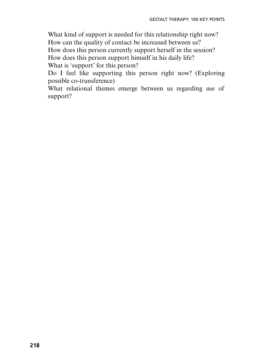What kind of support is needed for this relationship right now? How can the quality of contact be increased between us? How does this person currently support herself in the session? How does this person support himself in his daily life? What is 'support' for this person?

Do I feel like supporting this person right now? (Exploring possible co-transference)

What relational themes emerge between us regarding use of support?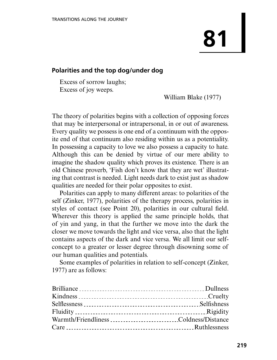### **Polarities and the top dog/under dog**

Excess of sorrow laughs; Excess of joy weeps.

William Blake (1977)

The theory of polarities begins with a collection of opposing forces that may be interpersonal or intrapersonal, in or out of awareness. Every quality we possess is one end of a continuum with the opposite end of that continuum also residing within us as a potentiality. In possessing a capacity to love we also possess a capacity to hate. Although this can be denied by virtue of our mere ability to imagine the shadow quality which proves its existence. There is an old Chinese proverb, 'Fish don't know that they are wet' illustrating that contrast is needed. Light needs dark to exist just as shadow qualities are needed for their polar opposites to exist.

Polarities can apply to many different areas: to polarities of the self (Zinker, 1977), polarities of the therapy process, polarities in styles of contact (see Point 20), polarities in our cultural field. Wherever this theory is applied the same principle holds, that of yin and yang, in that the further we move into the dark the closer we move towards the light and vice versa, also that the light contains aspects of the dark and vice versa. We all limit our selfconcept to a greater or lesser degree through disowning some of our human qualities and potentials.

Some examples of polarities in relation to self-concept (Zinker, 1977) are as follows: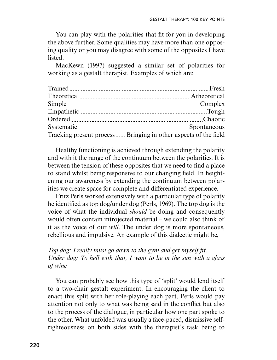You can play with the polarities that fit for you in developing the above further. Some qualities may have more than one opposing quality or you may disagree with some of the opposites I have listed.

MacKewn (1997) suggested a similar set of polarities for working as a gestalt therapist. Examples of which are:

| Tracking present process  Bringing in other aspects of the field |  |
|------------------------------------------------------------------|--|

Healthy functioning is achieved through extending the polarity and with it the range of the continuum between the polarities. It is between the tension of these opposites that we need to find a place to stand whilst being responsive to our changing field. In heightening our awareness by extending the continuum between polarities we create space for complete and differentiated experience.

Fritz Perls worked extensively with a particular type of polarity he identified as top dog/under dog (Perls, 1969). The top dog is the voice of what the individual *should* be doing and consequently would often contain introjected material – we could also think of it as the voice of our *will*. The under dog is more spontaneous, rebellious and impulsive. An example of this dialectic might be,

*Top dog: I really must go down to the gym and get myself fit. Under dog: To hell with that, I want to lie in the sun with a glass of wine.*

You can probably see how this type of 'split' would lend itself to a two-chair gestalt experiment. In encouraging the client to enact this split with her role-playing each part, Perls would pay attention not only to what was being said in the conflict but also to the process of the dialogue, in particular how one part spoke to the other. What unfolded was usually a face-paced, dismissive selfrighteousness on both sides with the therapist's task being to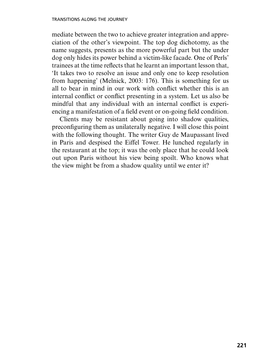mediate between the two to achieve greater integration and appreciation of the other's viewpoint. The top dog dichotomy, as the name suggests, presents as the more powerful part but the under dog only hides its power behind a victim-like facade. One of Perls' trainees at the time reflects that he learnt an important lesson that, 'It takes two to resolve an issue and only one to keep resolution from happening' (Melnick, 2003: 176). This is something for us all to bear in mind in our work with conflict whether this is an internal conflict or conflict presenting in a system. Let us also be mindful that any individual with an internal conflict is experiencing a manifestation of a field event or on-going field condition.

Clients may be resistant about going into shadow qualities, preconfiguring them as unilaterally negative. I will close this point with the following thought. The writer Guy de Maupassant lived in Paris and despised the Eiffel Tower. He lunched regularly in the restaurant at the top; it was the only place that he could look out upon Paris without his view being spoilt. Who knows what the view might be from a shadow quality until we enter it?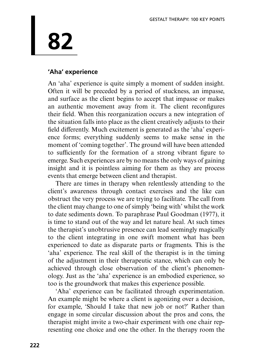### **'Aha' experience**

An 'aha' experience is quite simply a moment of sudden insight. Often it will be preceded by a period of stuckness, an impasse, and surface as the client begins to accept that impasse or makes an authentic movement away from it. The client reconfigures their field. When this reorganization occurs a new integration of the situation falls into place as the client creatively adjusts to their field differently. Much excitement is generated as the 'aha' experience forms; everything suddenly seems to make sense in the moment of 'coming together'. The ground will have been attended to sufficiently for the formation of a strong vibrant figure to emerge. Such experiences are by no means the only ways of gaining insight and it is pointless aiming for them as they are process events that emerge between client and therapist.

There are times in therapy when relentlessly attending to the client's awareness through contact exercises and the like can obstruct the very process we are trying to facilitate. The call from the client may change to one of simply 'being with' whilst the work to date sediments down. To paraphrase Paul Goodman (1977), it is time to stand out of the way and let nature heal. At such times the therapist's unobtrusive presence can lead seemingly magically to the client integrating in one swift moment what has been experienced to date as disparate parts or fragments. This is the 'aha' experience. The real skill of the therapist is in the timing of the adjustment in their therapeutic stance, which can only be achieved through close observation of the client's phenomenology. Just as the 'aha' experience is an embodied experience, so too is the groundwork that makes this experience possible.

'Aha' experience can be facilitated through experimentation. An example might be where a client is agonizing over a decision, for example, 'Should I take that new job or not?' Rather than engage in some circular discussion about the pros and cons, the therapist might invite a two-chair experiment with one chair representing one choice and one the other. In the therapy room the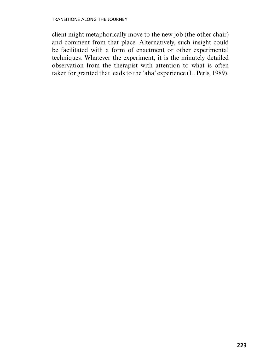#### TRANSITIONS ALONG THE JOURNEY

client might metaphorically move to the new job (the other chair) and comment from that place. Alternatively, such insight could be facilitated with a form of enactment or other experimental techniques. Whatever the experiment, it is the minutely detailed observation from the therapist with attention to what is often taken for granted that leads to the 'aha' experience (L. Perls, 1989).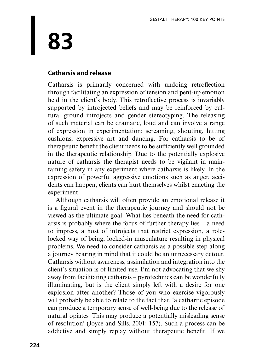### **Catharsis and release**

Catharsis is primarily concerned with undoing retroflection through facilitating an expression of tension and pent-up emotion held in the client's body. This retroflective process is invariably supported by introjected beliefs and may be reinforced by cultural ground introjects and gender stereotyping. The releasing of such material can be dramatic, loud and can involve a range of expression in experimentation: screaming, shouting, hitting cushions, expressive art and dancing. For catharsis to be of therapeutic benefit the client needs to be sufficiently well grounded in the therapeutic relationship. Due to the potentially explosive nature of catharsis the therapist needs to be vigilant in maintaining safety in any experiment where catharsis is likely. In the expression of powerful aggressive emotions such as anger, accidents can happen, clients can hurt themselves whilst enacting the experiment.

Although catharsis will often provide an emotional release it is a figural event in the therapeutic journey and should not be viewed as the ultimate goal. What lies beneath the need for catharsis is probably where the focus of further therapy lies – a need to impress, a host of introjects that restrict expression, a rolelocked way of being, locked-in musculature resulting in physical problems. We need to consider catharsis as a possible step along a journey bearing in mind that it could be an unnecessary detour. Catharsis without awareness, assimilation and integration into the client's situation is of limited use. I'm not advocating that we shy away from facilitating catharsis – pyrotechnics can be wonderfully illuminating, but is the client simply left with a desire for one explosion after another? Those of you who exercise vigorously will probably be able to relate to the fact that, 'a cathartic episode can produce a temporary sense of well-being due to the release of natural opiates. This may produce a potentially misleading sense of resolution' (Joyce and Sills, 2001: 157). Such a process can be addictive and simply replay without therapeutic benefit. If we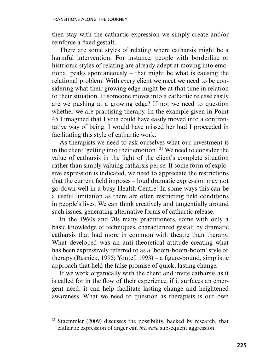then stay with the cathartic expression we simply create and/or reinforce a fixed gestalt.

There are some styles of relating where catharsis might be a harmful intervention. For instance, people with borderline or histrionic styles of relating are already adept at moving into emotional peaks spontaneously – that might be what is causing the relational problem! With every client we meet we need to be considering what their growing edge might be at that time in relation to their situation. If someone moves into a cathartic release easily are we pushing at a growing edge? If not we need to question whether we are practising therapy. In the example given in Point 45 I imagined that Lydia could have easily moved into a confrontative way of being. I would have missed her had I proceeded in facilitating this style of cathartic work.

As therapists we need to ask ourselves what our investment is in the client 'getting into their emotion'. 21 We need to consider the value of catharsis in the light of the client's complete situation rather than simply valuing catharsis per se. If some form of explosive expression is indicated, we need to appreciate the restrictions that the current field imposes – loud dramatic expression may not go down well in a busy Health Centre! In some ways this can be a useful limitation as there are often restricting field conditions in people's lives. We can think creatively and tangentially around such issues, generating alternative forms of cathartic release.

In the 1960s and 70s many practitioners, some with only a basic knowledge of techniques, characterized gestalt by dramatic catharsis that had more in common with theatre than therapy. What developed was an anti-theoretical attitude creating what has been expressively referred to as a 'boom-boom-boom' style of therapy (Resnick, 1995; Yontef, 1993) – a figure-bound, simplistic approach that held the false promise of quick, lasting change.

If we work organically with the client and invite catharsis as it is called for in the flow of their experience, if it surfaces an emergent need, it can help facilitate lasting change and heightened awareness. What we need to question as therapists is our own

<sup>21</sup> Staemmler (2009) discusses the possibility, backed by research, that cathartic expression of anger can *increase* subsequent aggression.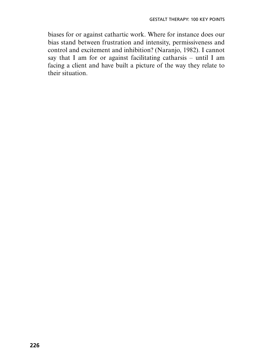biases for or against cathartic work. Where for instance does our bias stand between frustration and intensity, permissiveness and control and excitement and inhibition? (Naranjo, 1982). I cannot say that I am for or against facilitating catharsis – until I am facing a client and have built a picture of the way they relate to their situation.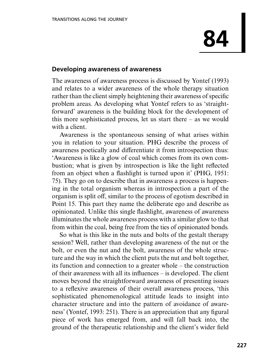### **Developing awareness of awareness**

The awareness of awareness process is discussed by Yontef (1993) and relates to a wider awareness of the whole therapy situation rather than the client simply heightening their awareness of specific problem areas. As developing what Yontef refers to as 'straightforward' awareness is the building block for the development of this more sophisticated process, let us start there – as we would with a client.

Awareness is the spontaneous sensing of what arises within you in relation to your situation. PHG describe the process of awareness poetically and differentiate it from introspection thus: 'Awareness is like a glow of coal which comes from its own combustion; what is given by introspection is like the light reflected from an object when a flashlight is turned upon it' (PHG, 1951: 75). They go on to describe that in awareness a process is happening in the total organism whereas in introspection a part of the organism is split off, similar to the process of egotism described in Point 15. This part they name the deliberate ego and describe as opinionated. Unlike this single flashlight, awareness of awareness illuminates the whole awareness process with a similar glow to that from within the coal, being free from the ties of opinionated bonds.

So what is this like in the nuts and bolts of the gestalt therapy session? Well, rather than developing awareness of the nut or the bolt, or even the nut and the bolt, awareness of the whole structure and the way in which the client puts the nut and bolt together, its function and connection to a greater whole – the construction of their awareness with all its influences – is developed. The client moves beyond the straightforward awareness of presenting issues to a reflexive awareness of their overall awareness process, 'this sophisticated phenomenological attitude leads to insight into character structure and into the pattern of avoidance of awareness' (Yontef, 1993: 251). There is an appreciation that any figural piece of work has emerged from, and will fall back into, the ground of the therapeutic relationship and the client's wider field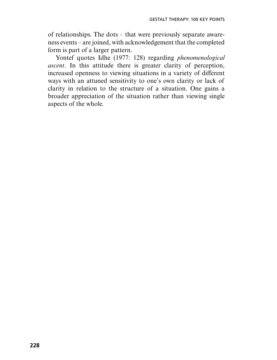of relationships. The dots – that were previously separate awareness events – are joined, with acknowledgement that the completed form is part of a larger pattern.

Yontef quotes Idhe (1977: 128) regarding *phenomenological ascent*. In this attitude there is greater clarity of perception, increased openness to viewing situations in a variety of different ways with an attuned sensitivity to one's own clarity or lack of clarity in relation to the structure of a situation. One gains a broader appreciation of the situation rather than viewing single aspects of the whole.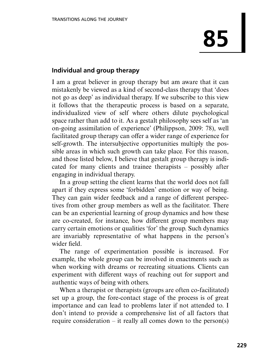## **Individual and group therapy**

I am a great believer in group therapy but am aware that it can mistakenly be viewed as a kind of second-class therapy that 'does not go as deep' as individual therapy. If we subscribe to this view it follows that the therapeutic process is based on a separate, individualized view of self where others dilute psychological space rather than add to it. As a gestalt philosophy sees self as 'an on-going assimilation of experience' (Philippson, 2009: 78), well facilitated group therapy can offer a wider range of experience for self-growth. The intersubjective opportunities multiply the possible areas in which such growth can take place. For this reason, and those listed below, I believe that gestalt group therapy is indicated for many clients and trainee therapists – possibly after engaging in individual therapy.

In a group setting the client learns that the world does not fall apart if they express some 'forbidden' emotion or way of being. They can gain wider feedback and a range of different perspectives from other group members as well as the facilitator. There can be an experiential learning of group dynamics and how these are co-created, for instance, how different group members may carry certain emotions or qualities 'for' the group. Such dynamics are invariably representative of what happens in the person's wider field.

The range of experimentation possible is increased. For example, the whole group can be involved in enactments such as when working with dreams or recreating situations. Clients can experiment with different ways of reaching out for support and authentic ways of being with others.

When a therapist or therapists (groups are often co-facilitated) set up a group, the fore-contact stage of the process is of great importance and can lead to problems later if not attended to. I don't intend to provide a comprehensive list of all factors that require consideration – it really all comes down to the person(s)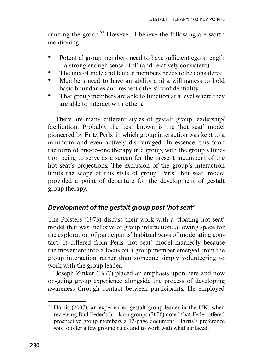running the group.22 However, I believe the following are worth mentioning:

- Potential group members need to have sufficient ego strength – a strong enough sense of 'I' (and relatively consistent).
- The mix of male and female members needs to be considered.<br>• Members need to baye an ability and a willingness to hold
- Members need to have an ability and a willingness to hold basic boundaries and respect others' confidentiality.
- That group members are able to function at a level where they are able to interact with others.

There are many different styles of gestalt group leadership/ facilitation. Probably the best known is the 'hot seat' model pioneered by Fritz Perls, in which group interaction was kept to a minimum and even actively discouraged. In essence, this took the form of one-to-one therapy in a group, with the group's function being to serve as a screen for the present incumbent of the hot seat's projections. The exclusion of the group's interaction limits the scope of this style of group. Perls' 'hot seat' model provided a point of departure for the development of gestalt group therapy.

## *Development of the gestalt group post 'hot seat'*

The Polsters (1973) discuss their work with a 'floating hot seat' model that was inclusive of group interaction, allowing space for the exploration of participants' habitual ways of moderating contact. It differed from Perls 'hot seat' model markedly because the movement into a focus on a group member emerged from the group interaction rather than someone simply volunteering to work with the group leader.

Joseph Zinker (1977) placed an emphasis upon here and now on-going group experience alongside the process of developing awareness through contact between participants. He employed

 $22$  Harris (2007), an experienced gestalt group leader in the UK, when reviewing Bud Feder's book on groups (2006) noted that Feder offered prospective group members a 12-page document. Harris's preference was to offer a few ground rules and to work with what surfaced.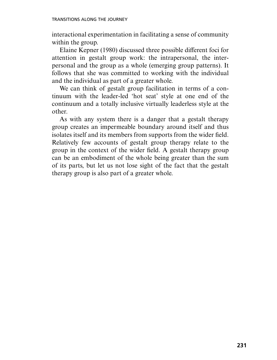interactional experimentation in facilitating a sense of community within the group.

Elaine Kepner (1980) discussed three possible different foci for attention in gestalt group work: the intrapersonal, the interpersonal and the group as a whole (emerging group patterns). It follows that she was committed to working with the individual and the individual as part of a greater whole.

We can think of gestalt group facilitation in terms of a continuum with the leader-led 'hot seat' style at one end of the continuum and a totally inclusive virtually leaderless style at the other.

As with any system there is a danger that a gestalt therapy group creates an impermeable boundary around itself and thus isolates itself and its members from supports from the wider field. Relatively few accounts of gestalt group therapy relate to the group in the context of the wider field. A gestalt therapy group can be an embodiment of the whole being greater than the sum of its parts, but let us not lose sight of the fact that the gestalt therapy group is also part of a greater whole.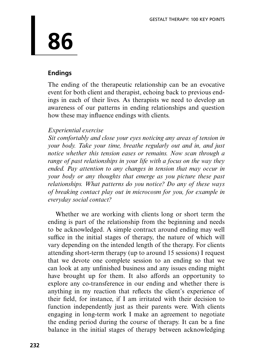## **Endings**

The ending of the therapeutic relationship can be an evocative event for both client and therapist, echoing back to previous endings in each of their lives. As therapists we need to develop an awareness of our patterns in ending relationships and question how these may influence endings with clients.

### *Experiential exercise*

*Sit comfortably and close your eyes noticing any areas of tension in your body. Take your time, breathe regularly out and in, and just notice whether this tension eases or remains. Now scan through a range of past relationships in your life with a focus on the way they ended. Pay attention to any changes in tension that may occur in your body or any thoughts that emerge as you picture these past relationships. What patterns do you notice? Do any of these ways of breaking contact play out in microcosm for you, for example in everyday social contact?*

Whether we are working with clients long or short term the ending is part of the relationship from the beginning and needs to be acknowledged. A simple contract around ending may well suffice in the initial stages of therapy, the nature of which will vary depending on the intended length of the therapy. For clients attending short-term therapy (up to around 15 sessions) I request that we devote one complete session to an ending so that we can look at any unfinished business and any issues ending might have brought up for them. It also affords an opportunity to explore any co-transference in our ending and whether there is anything in my reaction that reflects the client's experience of their field, for instance, if I am irritated with their decision to function independently just as their parents were. With clients engaging in long-term work I make an agreement to negotiate the ending period during the course of therapy. It can be a fine balance in the initial stages of therapy between acknowledging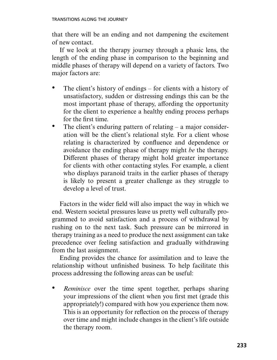that there will be an ending and not dampening the excitement of new contact.

If we look at the therapy journey through a phasic lens, the length of the ending phase in comparison to the beginning and middle phases of therapy will depend on a variety of factors. Two major factors are:

- The client's history of endings for clients with a history of unsatisfactory, sudden or distressing endings this can be the most important phase of therapy, affording the opportunity for the client to experience a healthy ending process perhaps for the first time.
- The client's enduring pattern of relating a major consideration will be the client's relational style. For a client whose relating is characterized by confluence and dependence or avoidance the ending phase of therapy might *be* the therapy. Different phases of therapy might hold greater importance for clients with other contacting styles. For example, a client who displays paranoid traits in the earlier phases of therapy is likely to present a greater challenge as they struggle to develop a level of trust.

Factors in the wider field will also impact the way in which we end. Western societal pressures leave us pretty well culturally programmed to avoid satisfaction and a process of withdrawal by rushing on to the next task. Such pressure can be mirrored in therapy training as a need to produce the next assignment can take precedence over feeling satisfaction and gradually withdrawing from the last assignment.

Ending provides the chance for assimilation and to leave the relationship without unfinished business. To help facilitate this process addressing the following areas can be useful:

• *Reminisce* over the time spent together, perhaps sharing your impressions of the client when you first met (grade this appropriately!) compared with how you experience them now. This is an opportunity for reflection on the process of therapy over time and might include changes in the client's life outside the therapy room.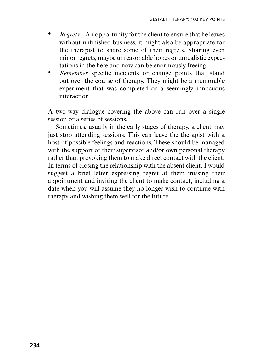- *Regrets* An opportunity for the client to ensure that he leaves without unfinished business, it might also be appropriate for the therapist to share some of their regrets. Sharing even minor regrets, maybe unreasonable hopes or unrealistic expectations in the here and now can be enormously freeing.
- *Remember* specific incidents or change points that stand out over the course of therapy. They might be a memorable experiment that was completed or a seemingly innocuous interaction.

A two-way dialogue covering the above can run over a single session or a series of sessions.

Sometimes, usually in the early stages of therapy, a client may just stop attending sessions. This can leave the therapist with a host of possible feelings and reactions. These should be managed with the support of their supervisor and/or own personal therapy rather than provoking them to make direct contact with the client. In terms of closing the relationship with the absent client, I would suggest a brief letter expressing regret at them missing their appointment and inviting the client to make contact, including a date when you will assume they no longer wish to continue with therapy and wishing them well for the future.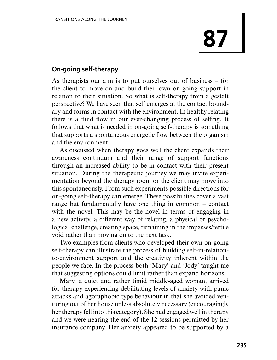### **On-going self-therapy**

As therapists our aim is to put ourselves out of business – for the client to move on and build their own on-going support in relation to their situation. So what is self-therapy from a gestalt perspective? We have seen that self emerges at the contact boundary and forms in contact with the environment. In healthy relating there is a fluid flow in our ever-changing process of selfing. It follows that what is needed in on-going self-therapy is something that supports a spontaneous energetic flow between the organism and the environment.

As discussed when therapy goes well the client expands their awareness continuum and their range of support functions through an increased ability to be in contact with their present situation. During the therapeutic journey we may invite experimentation beyond the therapy room or the client may move into this spontaneously. From such experiments possible directions for on-going self-therapy can emerge. These possibilities cover a vast range but fundamentally have one thing in common – contact with the novel. This may be the novel in terms of engaging in a new activity, a different way of relating, a physical or psychological challenge, creating space, remaining in the impasses/fertile void rather than moving on to the next task.

Two examples from clients who developed their own on-going self-therapy can illustrate the process of building self-in-relationto-environment support and the creativity inherent within the people we face. In the process both 'Mary' and 'Jody' taught me that suggesting options could limit rather than expand horizons.

Mary, a quiet and rather timid middle-aged woman, arrived for therapy experiencing debilitating levels of anxiety with panic attacks and agoraphobic type behaviour in that she avoided venturing out of her house unless absolutely necessary (encouragingly her therapy fell into this category). She had engaged well in therapy and we were nearing the end of the 12 sessions permitted by her insurance company. Her anxiety appeared to be supported by a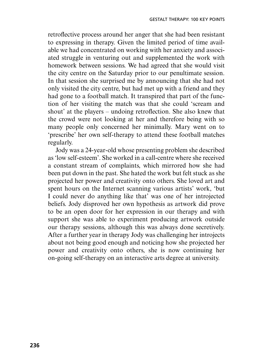retroflective process around her anger that she had been resistant to expressing in therapy. Given the limited period of time available we had concentrated on working with her anxiety and associated struggle in venturing out and supplemented the work with homework between sessions. We had agreed that she would visit the city centre on the Saturday prior to our penultimate session. In that session she surprised me by announcing that she had not only visited the city centre, but had met up with a friend and they had gone to a football match. It transpired that part of the function of her visiting the match was that she could 'scream and shout' at the players – undoing retroflection. She also knew that the crowd were not looking at her and therefore being with so many people only concerned her minimally. Mary went on to 'prescribe' her own self-therapy to attend these football matches regularly.

Jody was a 24-year-old whose presenting problem she described as 'low self-esteem'. She worked in a call-centre where she received a constant stream of complaints, which mirrored how she had been put down in the past. She hated the work but felt stuck as she projected her power and creativity onto others. She loved art and spent hours on the Internet scanning various artists' work, 'but I could never do anything like that' was one of her introjected beliefs. Jody disproved her own hypothesis as artwork did prove to be an open door for her expression in our therapy and with support she was able to experiment producing artwork outside our therapy sessions, although this was always done secretively. After a further year in therapy Jody was challenging her introjects about not being good enough and noticing how she projected her power and creativity onto others, she is now continuing her on-going self-therapy on an interactive arts degree at university.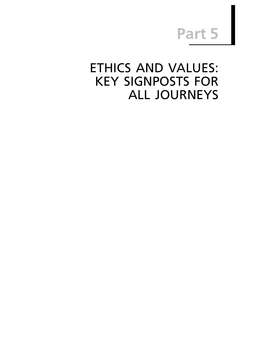

## ETHICS AND VALUES: KEY SIGNPOSTS FOR ALL JOURNEYS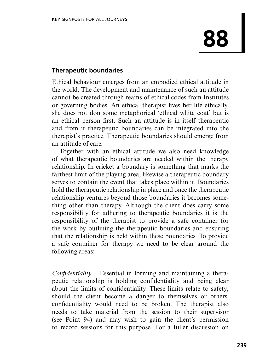#### **Therapeutic boundaries**

Ethical behaviour emerges from an embodied ethical attitude in the world. The development and maintenance of such an attitude cannot be created through reams of ethical codes from Institutes or governing bodies. An ethical therapist lives her life ethically, she does not don some metaphorical 'ethical white coat' but is an ethical person first. Such an attitude is in itself therapeutic and from it therapeutic boundaries can be integrated into the therapist's practice. Therapeutic boundaries should emerge from an attitude of care.

Together with an ethical attitude we also need knowledge of what therapeutic boundaries are needed within the therapy relationship. In cricket a boundary is something that marks the farthest limit of the playing area, likewise a therapeutic boundary serves to contain the event that takes place within it. Boundaries hold the therapeutic relationship in place and once the therapeutic relationship ventures beyond those boundaries it becomes something other than therapy. Although the client does carry some responsibility for adhering to therapeutic boundaries it is the responsibility of the therapist to provide a safe container for the work by outlining the therapeutic boundaries and ensuring that the relationship is held within these boundaries. To provide a safe container for therapy we need to be clear around the following areas:

*Confidentiality* – Essential in forming and maintaining a therapeutic relationship is holding confidentiality and being clear about the limits of confidentiality. These limits relate to safety; should the client become a danger to themselves or others, confidentiality would need to be broken. The therapist also needs to take material from the session to their supervisor (see Point 94) and may wish to gain the client's permission to record sessions for this purpose. For a fuller discussion on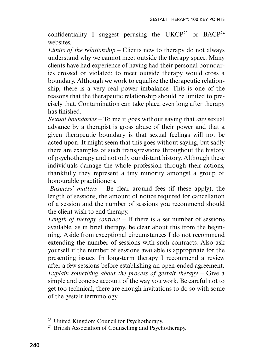confidentiality I suggest perusing the UKCP<sup>23</sup> or BACP<sup>24</sup> websites.

*Limits of the relationship* – Clients new to therapy do not always understand why we cannot meet outside the therapy space. Many clients have had experience of having had their personal boundaries crossed or violated; to meet outside therapy would cross a boundary. Although we work to equalize the therapeutic relationship, there is a very real power imbalance. This is one of the reasons that the therapeutic relationship should be limited to precisely that. Contamination can take place, even long after therapy has finished.

*Sexual boundaries* – To me it goes without saying that *any* sexual advance by a therapist is gross abuse of their power and that a given therapeutic boundary is that sexual feelings will not be acted upon. It might seem that this goes without saying, but sadly there are examples of such transgressions throughout the history of psychotherapy and not only our distant history. Although these individuals damage the whole profession through their actions, thankfully they represent a tiny minority amongst a group of honourable practitioners.

*'Business' matters* – Be clear around fees (if these apply), the length of sessions, the amount of notice required for cancellation of a session and the number of sessions you recommend should the client wish to end therapy.

*Length of therapy contract* – If there is a set number of sessions available, as in brief therapy, be clear about this from the beginning. Aside from exceptional circumstances I do not recommend extending the number of sessions with such contracts. Also ask yourself if the number of sessions available is appropriate for the presenting issues. In long-term therapy I recommend a review after a few sessions before establishing an open-ended agreement. *Explain something about the process of gestalt therapy* – Give a simple and concise account of the way you work. Be careful not to get too technical, there are enough invitations to do so with some of the gestalt terminology.

<sup>23</sup> United Kingdom Council for Psychotherapy.

<sup>24</sup> British Association of Counselling and Psychotherapy.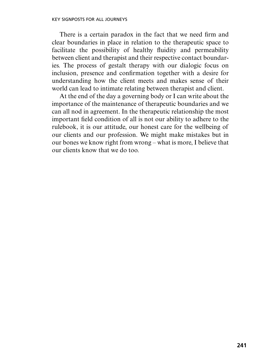There is a certain paradox in the fact that we need firm and clear boundaries in place in relation to the therapeutic space to facilitate the possibility of healthy fluidity and permeability between client and therapist and their respective contact boundaries. The process of gestalt therapy with our dialogic focus on inclusion, presence and confirmation together with a desire for understanding how the client meets and makes sense of their world can lead to intimate relating between therapist and client.

At the end of the day a governing body or I can write about the importance of the maintenance of therapeutic boundaries and we can all nod in agreement. In the therapeutic relationship the most important field condition of all is not our ability to adhere to the rulebook, it is our attitude, our honest care for the wellbeing of our clients and our profession. We might make mistakes but in our bones we know right from wrong – what is more, I believe that our clients know that we do too.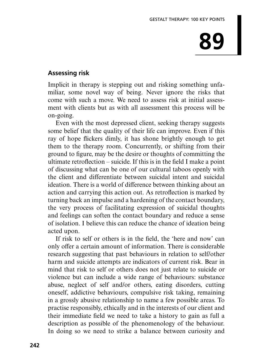#### **Assessing risk**

Implicit in therapy is stepping out and risking something unfamiliar, some novel way of being. Never ignore the risks that come with such a move. We need to assess risk at initial assessment with clients but as with all assessment this process will be on-going.

Even with the most depressed client, seeking therapy suggests some belief that the quality of their life can improve. Even if this ray of hope flickers dimly, it has shone brightly enough to get them to the therapy room. Concurrently, or shifting from their ground to figure, may be the desire or thoughts of committing the ultimate retroflection – suicide. If this is in the field I make a point of discussing what can be one of our cultural taboos openly with the client and differentiate between suicidal intent and suicidal ideation. There is a world of difference between thinking about an action and carrying this action out. As retroflection is marked by turning back an impulse and a hardening of the contact boundary, the very process of facilitating expression of suicidal thoughts and feelings can soften the contact boundary and reduce a sense of isolation. I believe this can reduce the chance of ideation being acted upon.

If risk to self or others is in the field, the 'here and now' can only offer a certain amount of information. There is considerable research suggesting that past behaviours in relation to self/other harm and suicide attempts are indicators of current risk. Bear in mind that risk to self or others does not just relate to suicide or violence but can include a wide range of behaviours: substance abuse, neglect of self and/or others, eating disorders, cutting oneself, addictive behaviours, compulsive risk taking, remaining in a grossly abusive relationship to name a few possible areas. To practise responsibly, ethically and in the interests of our client and their immediate field we need to take a history to gain as full a description as possible of the phenomenology of the behaviour. In doing so we need to strike a balance between curiosity and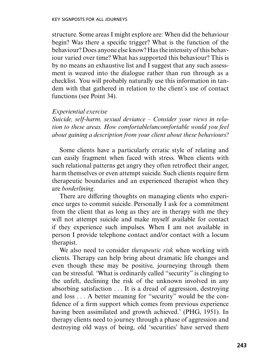structure. Some areas I might explore are: When did the behaviour begin? Was there a specific trigger? What is the function of the behaviour? Does anyone else know? Has the intensity of this behaviour varied over time? What has supported this behaviour? This is by no means an exhaustive list and I suggest that any such assessment is weaved into the dialogue rather than run through as a checklist. You will probably naturally use this information in tandem with that gathered in relation to the client's use of contact functions (see Point 34).

#### *Experiential exercise*

*Suicide, self-harm, sexual deviance – Consider your views in relation to these areas. How comfortable/uncomfortable would you feel about gaining a description from your client about these behaviours?*

Some clients have a particularly erratic style of relating and can easily fragment when faced with stress. When clients with such relational patterns get angry they often retroflect their anger, harm themselves or even attempt suicide. Such clients require firm therapeutic boundaries and an experienced therapist when they are *borderlining*.

There are differing thoughts on managing clients who experience urges to commit suicide. Personally I ask for a commitment from the client that as long as they are in therapy with me they will not attempt suicide and make myself available for contact if they experience such impulses. When I am not available in person I provide telephone contact and/or contact with a locum therapist.

We also need to consider *therapeutic risk* when working with clients. Therapy can help bring about dramatic life changes and even though these may be positive, journeying through them can be stressful. 'What is ordinarily called "security" is clinging to the unfelt, declining the risk of the unknown involved in any absorbing satisfaction . . . It is a dread of aggression, destroying and loss . . . A better meaning for "security" would be the confidence of a firm support which comes from previous experience having been assimilated and growth achieved.' (PHG, 1951). In therapy clients need to journey through a phase of aggression and destroying old ways of being, old 'securities' have served them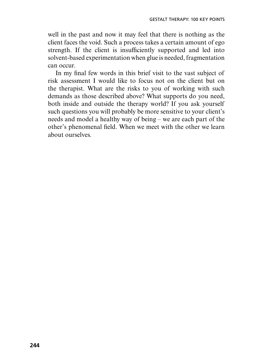well in the past and now it may feel that there is nothing as the client faces the void. Such a process takes a certain amount of ego strength. If the client is insufficiently supported and led into solvent-based experimentation when glue is needed, fragmentation can occur.

In my final few words in this brief visit to the vast subject of risk assessment I would like to focus not on the client but on the therapist. What are the risks to you of working with such demands as those described above? What supports do you need, both inside and outside the therapy world? If you ask yourself such questions you will probably be more sensitive to your client's needs and model a healthy way of being – we are each part of the other's phenomenal field. When we meet with the other we learn about ourselves.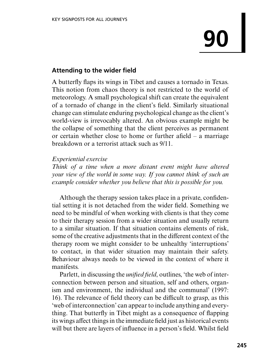#### **Attending to the wider field**

A butterfly flaps its wings in Tibet and causes a tornado in Texas. This notion from chaos theory is not restricted to the world of meteorology. A small psychological shift can create the equivalent of a tornado of change in the client's field. Similarly situational change can stimulate enduring psychological change as the client's world-view is irrevocably altered. An obvious example might be the collapse of something that the client perceives as permanent or certain whether close to home or further afield – a marriage breakdown or a terrorist attack such as 9/11.

#### *Experiential exercise*

*Think of a time when a more distant event might have altered your view of the world in some way. If you cannot think of such an example consider whether you believe that this is possible for you.*

Although the therapy session takes place in a private, confidential setting it is not detached from the wider field. Something we need to be mindful of when working with clients is that they come to their therapy session from a wider situation and usually return to a similar situation. If that situation contains elements of risk, some of the creative adjustments that in the different context of the therapy room we might consider to be unhealthy 'interruptions' to contact, in that wider situation may maintain their safety. Behaviour always needs to be viewed in the context of where it manifests.

Parlett, in discussing the *unified field*, outlines, 'the web of interconnection between person and situation, self and others, organism and environment, the individual and the communal' (1997: 16). The relevance of field theory can be difficult to grasp, as this 'web of interconnection' can appear to include anything and everything. That butterfly in Tibet might as a consequence of flapping its wings affect things in the immediate field just as historical events will but there are layers of influence in a person's field. Whilst field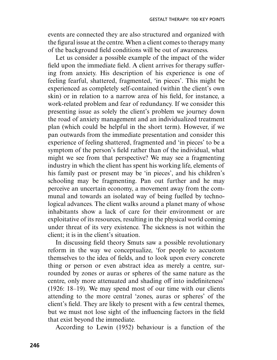events are connected they are also structured and organized with the figural issue at the centre. When a client comes to therapy many of the background field conditions will be out of awareness.

Let us consider a possible example of the impact of the wider field upon the immediate field. A client arrives for therapy suffering from anxiety. His description of his experience is one of feeling fearful, shattered, fragmented, 'in pieces'. This might be experienced as completely self-contained (within the client's own skin) or in relation to a narrow area of his field, for instance, a work-related problem and fear of redundancy. If we consider this presenting issue as solely the client's problem we journey down the road of anxiety management and an individualized treatment plan (which could be helpful in the short term). However, if we pan outwards from the immediate presentation and consider this experience of feeling shattered, fragmented and 'in pieces' to be a symptom of the person's field rather than of the individual, what might we see from that perspective? We may see a fragmenting industry in which the client has spent his working life, elements of his family past or present may be 'in pieces', and his children's schooling may be fragmenting. Pan out further and he may perceive an uncertain economy, a movement away from the communal and towards an isolated way of being fuelled by technological advances. The client walks around a planet many of whose inhabitants show a lack of care for their environment or are exploitative of its resources, resulting in the physical world coming under threat of its very existence. The sickness is not within the client; it is in the client's situation.

In discussing field theory Smuts saw a possible revolutionary reform in the way we conceptualize, 'for people to accustom themselves to the idea of fields, and to look upon every concrete thing or person or even abstract idea as merely a centre, surrounded by zones or auras or spheres of the same nature as the centre, only more attenuated and shading off into indefiniteness' (1926: 18–19). We may spend most of our time with our clients attending to the more central 'zones, auras or spheres' of the client's field. They are likely to present with a few central themes, but we must not lose sight of the influencing factors in the field that exist beyond the immediate.

According to Lewin (1952) behaviour is a function of the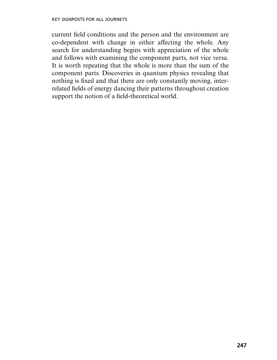#### KEY SIGNPOSTS FOR ALL JOURNEYS

current field conditions and the person and the environment are co-dependent with change in either affecting the whole. Any search for understanding begins with appreciation of the whole and follows with examining the component parts, not vice versa. It is worth repeating that the whole is more than the sum of the component parts. Discoveries in quantum physics revealing that nothing is fixed and that there are only constantly moving, interrelated fields of energy dancing their patterns throughout creation support the notion of a field-theoretical world.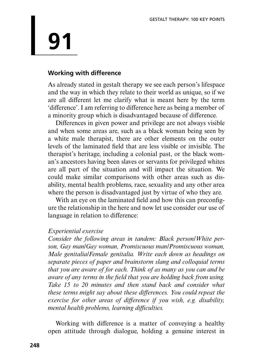#### **Working with difference**

As already stated in gestalt therapy we see each person's lifespace and the way in which they relate to their world as unique, so if we are all different let me clarify what is meant here by the term 'difference'. I am referring to difference here as being a member of a minority group which is disadvantaged because of difference.

Differences in given power and privilege are not always visible and when some areas are, such as a black woman being seen by a white male therapist, there are other elements on the outer levels of the laminated field that are less visible or invisible. The therapist's heritage, including a colonial past, or the black woman's ancestors having been slaves or servants for privileged whites are all part of the situation and will impact the situation. We could make similar comparisons with other areas such as disability, mental health problems, race, sexuality and any other area where the person is disadvantaged just by virtue of who they are.

With an eye on the laminated field and how this can preconfigure the relationship in the here and now let use consider our use of language in relation to difference:

#### *Experiential exercise*

*Consider the following areas in tandem: Black person/White person, Gay man/Gay woman, Promiscuous man/Promiscuous woman, Male genitalia/Female genitalia. Write each down as headings on separate pieces of paper and brainstorm slang and colloquial terms that you are aware of for each. Think of as many as you can and be aware of any terms in the field that you are holding back from using. Take 15 to 20 minutes and then stand back and consider what these terms might say about these differences. You could repeat the exercise for other areas of difference if you wish, e.g. disability, mental health problems, learning difficulties.*

Working with difference is a matter of conveying a healthy open attitude through dialogue, holding a genuine interest in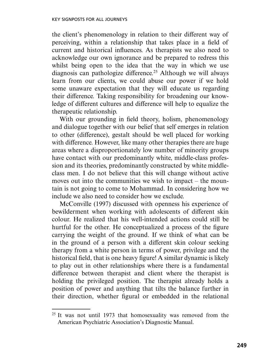the client's phenomenology in relation to their different way of perceiving, within a relationship that takes place in a field of current and historical influences. As therapists we also need to acknowledge our own ignorance and be prepared to redress this whilst being open to the idea that the way in which we use diagnosis can pathologize difference.<sup>25</sup> Although we will always learn from our clients, we could abuse our power if we hold some unaware expectation that they will educate us regarding their difference. Taking responsibility for broadening our knowledge of different cultures and difference will help to equalize the therapeutic relationship.

With our grounding in field theory, holism, phenomenology and dialogue together with our belief that self emerges in relation to other (difference), gestalt should be well placed for working with difference. However, like many other therapies there are huge areas where a disproportionately low number of minority groups have contact with our predominantly white, middle-class profession and its theories, predominantly constructed by white middleclass men. I do not believe that this will change without active moves out into the communities we wish to impact – the mountain is not going to come to Mohammad. In considering how we include we also need to consider how we exclude.

McConville (1997) discussed with openness his experience of bewilderment when working with adolescents of different skin colour. He realized that his well-intended actions could still be hurtful for the other. He conceptualized a process of the figure carrying the weight of the ground. If we think of what can be in the ground of a person with a different skin colour seeking therapy from a white person in terms of power, privilege and the historical field, that is one heavy figure! A similar dynamic is likely to play out in other relationships where there is a fundamental difference between therapist and client where the therapist is holding the privileged position. The therapist already holds a position of power and anything that tilts the balance further in their direction, whether figural or embedded in the relational

 $25$  It was not until 1973 that homosexuality was removed from the American Psychiatric Association's Diagnostic Manual.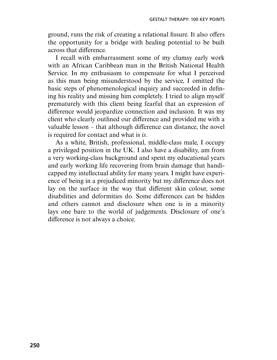ground, runs the risk of creating a relational fissure. It also offers the opportunity for a bridge with healing potential to be built across that difference.

I recall with embarrassment some of my clumsy early work with an African Caribbean man in the British National Health Service. In my enthusiasm to compensate for what I perceived as this man being misunderstood by the service, I omitted the basic steps of phenomenological inquiry and succeeded in defining his reality and missing him completely. I tried to align myself prematurely with this client being fearful that an expression of difference would jeopardize connection and inclusion. It was my client who clearly outlined our difference and provided me with a valuable lesson – that although difference can distance, the novel is required for contact and what is *is*.

As a white, British, professional, middle-class male, I occupy a privileged position in the UK. I also have a disability, am from a very working-class background and spent my educational years and early working life recovering from brain damage that handicapped my intellectual ability for many years. I might have experience of being in a prejudiced minority but my difference does not lay on the surface in the way that different skin colour, some disabilities and deformities do. Some differences can be hidden and others cannot and disclosure when one is in a minority lays one bare to the world of judgements. Disclosure of one's difference is not always a choice.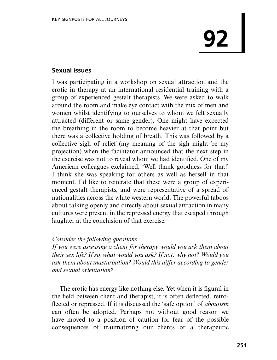#### **Sexual issues**

I was participating in a workshop on sexual attraction and the erotic in therapy at an international residential training with a group of experienced gestalt therapists. We were asked to walk around the room and make eye contact with the mix of men and women whilst identifying to ourselves to whom we felt sexually attracted (different or same gender). One might have expected the breathing in the room to become heavier at that point but there was a collective holding of breath. This was followed by a collective sigh of relief (my meaning of the sigh might be my projection) when the facilitator announced that the next step in the exercise was not to reveal whom we had identified. One of my American colleagues exclaimed, 'Well thank goodness for that!' I think she was speaking for others as well as herself in that moment. I'd like to reiterate that these were a group of experienced gestalt therapists, and were representative of a spread of nationalities across the white western world. The powerful taboos about talking openly and directly about sexual attraction in many cultures were present in the repressed energy that escaped through laughter at the conclusion of that exercise.

#### *Consider the following questions*

*If you were assessing a client for therapy would you ask them about their sex life? If so, what would you ask? If not, why not? Would you ask them about masturbation? Would this differ according to gender and sexual orientation?*

The erotic has energy like nothing else. Yet when it is figural in the field between client and therapist, it is often deflected, retroflected or repressed. If it is discussed the 'safe option' of *aboutism* can often be adopted. Perhaps not without good reason we have moved to a position of caution for fear of the possible consequences of traumatizing our clients or a therapeutic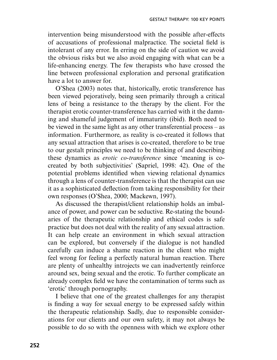intervention being misunderstood with the possible after-effects of accusations of professional malpractice. The societal field is intolerant of any error. In erring on the side of caution we avoid the obvious risks but we also avoid engaging with what can be a life-enhancing energy. The few therapists who have crossed the line between professional exploration and personal gratification have a lot to answer for.

O'Shea (2003) notes that, historically, erotic transference has been viewed pejoratively, being seen primarily through a critical lens of being a resistance to the therapy by the client. For the therapist erotic counter-transference has carried with it the damning and shameful judgement of immaturity (ibid). Both need to be viewed in the same light as any other transferential process – as information. Furthermore, as reality is co-created it follows that any sexual attraction that arises is co-created, therefore to be true to our gestalt principles we need to be thinking of and describing these dynamics as *erotic co-transference* since 'meaning is cocreated by both subjectivities' (Sapriel, 1998: 42). One of the potential problems identified when viewing relational dynamics through a lens of counter-transference is that the therapist can use it as a sophisticated deflection from taking responsibility for their own responses (O'Shea, 2000; Mackewn, 1997).

As discussed the therapist/client relationship holds an imbalance of power, and power can be seductive. Re-stating the boundaries of the therapeutic relationship and ethical codes is safe practice but does not deal with the reality of any sexual attraction. It can help create an environment in which sexual attraction can be explored, but conversely if the dialogue is not handled carefully can induce a shame reaction in the client who might feel wrong for feeling a perfectly natural human reaction. There are plenty of unhealthy introjects we can inadvertently reinforce around sex, being sexual and the erotic. To further complicate an already complex field we have the contamination of terms such as 'erotic' through pornography.

I believe that one of the greatest challenges for any therapist is finding a way for sexual energy to be expressed safely within the therapeutic relationship. Sadly, due to responsible considerations for our clients and our own safety, it may not always be possible to do so with the openness with which we explore other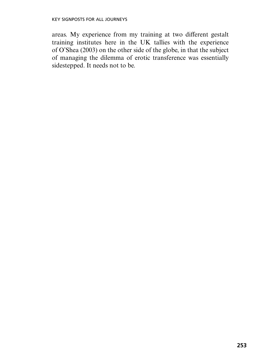areas. My experience from my training at two different gestalt training institutes here in the UK tallies with the experience of O'Shea (2003) on the other side of the globe, in that the subject of managing the dilemma of erotic transference was essentially sidestepped. It needs not to be.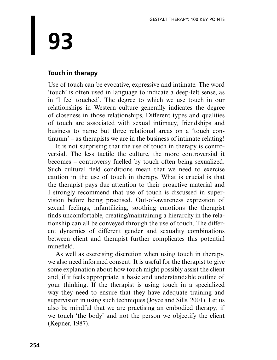#### **Touch in therapy**

Use of touch can be evocative, expressive and intimate. The word 'touch' is often used in language to indicate a deep-felt sense, as in 'I feel touched'. The degree to which we use touch in our relationships in Western culture generally indicates the degree of closeness in those relationships. Different types and qualities of touch are associated with sexual intimacy, friendships and business to name but three relational areas on a 'touch continuum' – as therapists we are in the business of intimate relating!

It is not surprising that the use of touch in therapy is controversial. The less tactile the culture, the more controversial it becomes – controversy fuelled by touch often being sexualized. Such cultural field conditions mean that we need to exercise caution in the use of touch in therapy. What is crucial is that the therapist pays due attention to their proactive material and I strongly recommend that use of touch is discussed in supervision before being practised. Out-of-awareness expression of sexual feelings, infantilizing, soothing emotions the therapist finds uncomfortable, creating/maintaining a hierarchy in the relationship can all be conveyed through the use of touch. The different dynamics of different gender and sexuality combinations between client and therapist further complicates this potential minefield.

As well as exercising discretion when using touch in therapy, we also need informed consent. It is useful for the therapist to give some explanation about how touch might possibly assist the client and, if it feels appropriate, a basic and understandable outline of your thinking. If the therapist is using touch in a specialized way they need to ensure that they have adequate training and supervision in using such techniques (Joyce and Sills, 2001). Let us also be mindful that we are practising an embodied therapy; if we touch 'the body' and not the person we objectify the client (Kepner, 1987).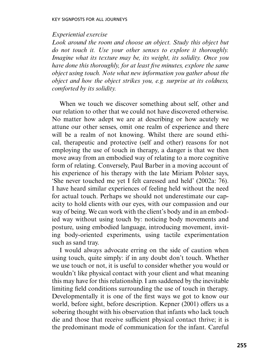#### *Experiential exercise*

*Look around the room and choose an object. Study this object but do not touch it. Use your other senses to explore it thoroughly. Imagine what its texture may be, its weight, its solidity. Once you have done this thoroughly, for at least five minutes, explore the same object using touch. Note what new information you gather about the object and how the object strikes you, e.g. surprise at its coldness, comforted by its solidity.*

When we touch we discover something about self, other and our relation to other that we could not have discovered otherwise. No matter how adept we are at describing or how acutely we attune our other senses, omit one realm of experience and there will be a realm of not knowing. Whilst there are sound ethical, therapeutic and protective (self and other) reasons for not employing the use of touch in therapy, a danger is that we then move away from an embodied way of relating to a more cognitive form of relating. Conversely, Paul Barber in a moving account of his experience of his therapy with the late Miriam Polster says, 'She never touched me yet I felt caressed and held' (2002a: 76). I have heard similar experiences of feeling held without the need for actual touch. Perhaps we should not underestimate our capacity to hold clients with our eyes, with our compassion and our way of being. We can work with the client's body and in an embodied way without using touch by: noticing body movements and posture, using embodied language, introducing movement, inviting body-oriented experiments, using tactile experimentation such as sand tray.

I would always advocate erring on the side of caution when using touch, quite simply: if in any doubt don't touch. Whether we use touch or not, it is useful to consider whether you would or wouldn't like physical contact with your client and what meaning this may have for this relationship. I am saddened by the inevitable limiting field conditions surrounding the use of touch in therapy. Developmentally it is one of the first ways we got to know our world, before sight, before description. Kepner (2001) offers us a sobering thought with his observation that infants who lack touch die and those that receive sufficient physical contact thrive; it is the predominant mode of communication for the infant. Careful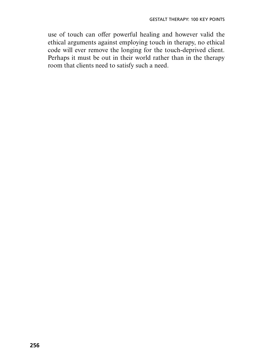use of touch can offer powerful healing and however valid the ethical arguments against employing touch in therapy, no ethical code will ever remove the longing for the touch-deprived client. Perhaps it must be out in their world rather than in the therapy room that clients need to satisfy such a need.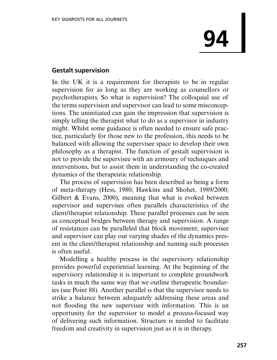#### **Gestalt supervision**

In the UK it is a requirement for therapists to be in regular supervision for as long as they are working as counsellors or psychotherapists. So what is supervision? The colloquial use of the terms supervision and supervisor can lead to some misconceptions. The uninitiated can gain the impression that supervision is simply telling the therapist what to do as a supervisor in industry might. Whilst some guidance is often needed to ensure safe practice, particularly for those new to the profession, this needs to be balanced with allowing the supervisee space to develop their own philosophy as a therapist. The function of gestalt supervision is not to provide the supervisee with an armoury of techniques and interventions, but to assist them in understanding the co-created dynamics of the therapeutic relationship.

The process of supervision has been described as being a form of meta-therapy (Hess, 1980; Hawkins and Shohet, 1989/2000; Gilbert & Evans, 2000), meaning that what is evoked between supervisor and supervisee often parallels characteristics of the client/therapist relationship. These parallel processes can be seen as conceptual bridges between therapy and supervision. A range of resistances can be paralleled that block movement; supervisee and supervisor can play out varying shades of the dynamics present in the client/therapist relationship and naming such processes is often useful.

Modelling a healthy process in the supervisory relationship provides powerful experiential learning. At the beginning of the supervisory relationship it is important to complete groundwork tasks in much the same way that we outline therapeutic boundaries (see Point 88). Another parallel is that the supervisor needs to strike a balance between adequately addressing these areas and not flooding the new supervisee with information. This is an opportunity for the supervisor to model a process-focused way of delivering such information. Structure is needed to facilitate freedom and creativity in supervision just as it is in therapy.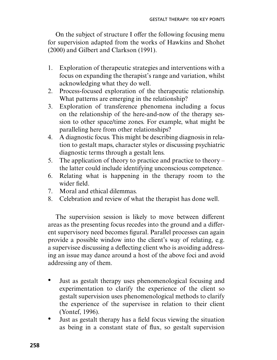On the subject of structure I offer the following focusing menu for supervision adapted from the works of Hawkins and Shohet (2000) and Gilbert and Clarkson (1991).

- 1. Exploration of therapeutic strategies and interventions with a focus on expanding the therapist's range and variation, whilst acknowledging what they do well.
- 2. Process-focused exploration of the therapeutic relationship. What patterns are emerging in the relationship?
- 3. Exploration of transference phenomena including a focus on the relationship of the here-and-now of the therapy session to other space/time zones. For example, what might be paralleling here from other relationships?
- 4. A diagnostic focus. This might be describing diagnosis in relation to gestalt maps, character styles or discussing psychiatric diagnostic terms through a gestalt lens.
- 5. The application of theory to practice and practice to theory  $$ the latter could include identifying unconscious competence.
- 6. Relating what is happening in the therapy room to the wider field.
- 7. Moral and ethical dilemmas.
- 8. Celebration and review of what the therapist has done well.

The supervision session is likely to move between different areas as the presenting focus recedes into the ground and a different supervisory need becomes figural. Parallel processes can again provide a possible window into the client's way of relating, e.g. a supervisee discussing a deflecting client who is avoiding addressing an issue may dance around a host of the above foci and avoid addressing any of them.

- Just as gestalt therapy uses phenomenological focusing and experimentation to clarify the experience of the client so gestalt supervision uses phenomenological methods to clarify the experience of the supervisee in relation to their client (Yontef, 1996).
- Just as gestalt therapy has a field focus viewing the situation as being in a constant state of flux, so gestalt supervision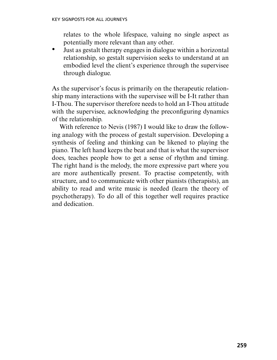relates to the whole lifespace, valuing no single aspect as potentially more relevant than any other.

• Just as gestalt therapy engages in dialogue within a horizontal relationship, so gestalt supervision seeks to understand at an embodied level the client's experience through the supervisee through dialogue.

As the supervisor's focus is primarily on the therapeutic relationship many interactions with the supervisee will be I-It rather than I-Thou. The supervisor therefore needs to hold an I-Thou attitude with the supervisee, acknowledging the preconfiguring dynamics of the relationship.

With reference to Nevis (1987) I would like to draw the following analogy with the process of gestalt supervision. Developing a synthesis of feeling and thinking can be likened to playing the piano. The left hand keeps the beat and that is what the supervisor does, teaches people how to get a sense of rhythm and timing. The right hand is the melody, the more expressive part where you are more authentically present. To practise competently, with structure, and to communicate with other pianists (therapists), an ability to read and write music is needed (learn the theory of psychotherapy). To do all of this together well requires practice and dedication.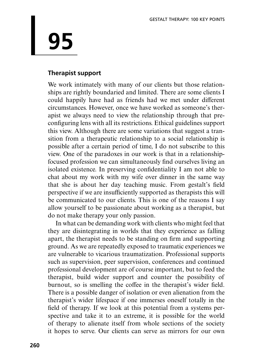#### **Therapist support**

We work intimately with many of our clients but those relationships are rightly boundaried and limited. There are some clients I could happily have had as friends had we met under different circumstances. However, once we have worked as someone's therapist we always need to view the relationship through that preconfiguring lens with all its restrictions. Ethical guidelines support this view. Although there are some variations that suggest a transition from a therapeutic relationship to a social relationship is possible after a certain period of time, I do not subscribe to this view. One of the paradoxes in our work is that in a relationshipfocused profession we can simultaneously find ourselves living an isolated existence. In preserving confidentiality I am not able to chat about my work with my wife over dinner in the same way that she is about her day teaching music. From gestalt's field perspective if we are insufficiently supported as therapists this will be communicated to our clients. This is one of the reasons I say allow yourself to be passionate about working as a therapist, but do not make therapy your only passion.

In what can be demanding work with clients who might feel that they are disintegrating in worlds that they experience as falling apart, the therapist needs to be standing on firm and supporting ground. As we are repeatedly exposed to traumatic experiences we are vulnerable to vicarious traumatization. Professional supports such as supervision, peer supervision, conferences and continued professional development are of course important, but to feed the therapist, build wider support and counter the possibility of burnout, so is smelling the coffee in the therapist's wider field. There is a possible danger of isolation or even alienation from the therapist's wider lifespace if one immerses oneself totally in the field of therapy. If we look at this potential from a systems perspective and take it to an extreme, it is possible for the world of therapy to alienate itself from whole sections of the society it hopes to serve. Our clients can serve as mirrors for our own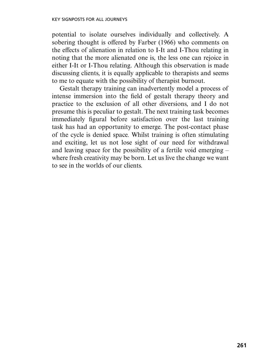potential to isolate ourselves individually and collectively. A sobering thought is offered by Farber (1966) who comments on the effects of alienation in relation to I-It and I-Thou relating in noting that the more alienated one is, the less one can rejoice in either I-It or I-Thou relating. Although this observation is made discussing clients, it is equally applicable to therapists and seems to me to equate with the possibility of therapist burnout.

Gestalt therapy training can inadvertently model a process of intense immersion into the field of gestalt therapy theory and practice to the exclusion of all other diversions, and I do not presume this is peculiar to gestalt. The next training task becomes immediately figural before satisfaction over the last training task has had an opportunity to emerge. The post-contact phase of the cycle is denied space. Whilst training is often stimulating and exciting, let us not lose sight of our need for withdrawal and leaving space for the possibility of a fertile void emerging – where fresh creativity may be born. Let us live the change we want to see in the worlds of our clients.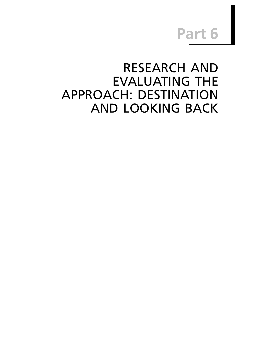

### RESEARCH AND EVALUATING THE APPROACH: DESTINATION AND LOOKING BACK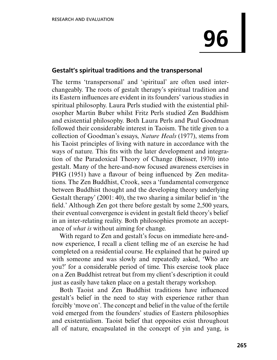#### **Gestalt's spiritual traditions and the transpersonal**

The terms 'transpersonal' and 'spiritual' are often used interchangeably. The roots of gestalt therapy's spiritual tradition and its Eastern influences are evident in its founders' various studies in spiritual philosophy. Laura Perls studied with the existential philosopher Martin Buber whilst Fritz Perls studied Zen Buddhism and existential philosophy. Both Laura Perls and Paul Goodman followed their considerable interest in Taoism. The title given to a collection of Goodman's essays, *Nature Heals* (1977), stems from his Taoist principles of living with nature in accordance with the ways of nature. This fits with the later development and integration of the Paradoxical Theory of Change (Beisser, 1970) into gestalt. Many of the here-and-now focused awareness exercises in PHG (1951) have a flavour of being influenced by Zen meditations. The Zen Buddhist, Crook, sees a 'fundamental convergence between Buddhist thought and the developing theory underlying Gestalt therapy' (2001: 40), the two sharing a similar belief in 'the field.' Although Zen got there before gestalt by some 2,500 years, their eventual convergence is evident in gestalt field theory's belief in an inter-relating reality. Both philosophies promote an acceptance of *what is* without aiming for change.

With regard to Zen and gestalt's focus on immediate here-andnow experience, I recall a client telling me of an exercise he had completed on a residential course. He explained that he paired up with someone and was slowly and repeatedly asked, 'Who are you?' for a considerable period of time. This exercise took place on a Zen Buddhist retreat but from my client's description it could just as easily have taken place on a gestalt therapy workshop.

Both Taoist and Zen Buddhist traditions have influenced gestalt's belief in the need to stay with experience rather than forcibly 'move on'. The concept and belief in the value of the fertile void emerged from the founders' studies of Eastern philosophies and existentialism. Taoist belief that opposites exist throughout all of nature, encapsulated in the concept of yin and yang, is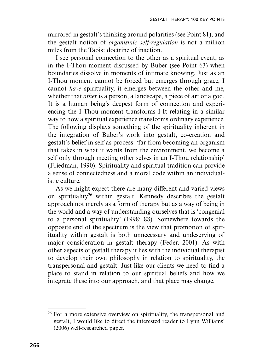mirrored in gestalt's thinking around polarities (see Point 81), and the gestalt notion of *organismic self-regulation* is not a million miles from the Taoist doctrine of inaction.

I see personal connection to the other as a spiritual event, as in the I-Thou moment discussed by Buber (see Point 63) when boundaries dissolve in moments of intimate knowing. Just as an I-Thou moment cannot be forced but emerges through grace, I cannot *have* spirituality, it emerges between the other and me, whether that *other* is a person, a landscape, a piece of art or a god. It is a human being's deepest form of connection and experiencing the I-Thou moment transforms I-It relating in a similar way to how a spiritual experience transforms ordinary experience. The following displays something of the spirituality inherent in the integration of Buber's work into gestalt, co-creation and gestalt's belief in self as process: 'far from becoming an organism that takes in what it wants from the environment, we become a self only through meeting other selves in an I-Thou relationship' (Friedman, 1990). Spirituality and spiritual tradition can provide a sense of connectedness and a moral code within an individualistic culture.

As we might expect there are many different and varied views on spirituality26 within gestalt. Kennedy describes the gestalt approach not merely as a form of therapy but as a way of being in the world and a way of understanding ourselves that is 'congenial to a personal spirituality' (1998: 88). Somewhere towards the opposite end of the spectrum is the view that promotion of spirituality within gestalt is both unnecessary and undeserving of major consideration in gestalt therapy (Feder, 2001). As with other aspects of gestalt therapy it lies with the individual therapist to develop their own philosophy in relation to spirituality, the transpersonal and gestalt. Just like our clients we need to find a place to stand in relation to our spiritual beliefs and how we integrate these into our approach, and that place may change.

<sup>&</sup>lt;sup>26</sup> For a more extensive overview on spirituality, the transpersonal and gestalt, I would like to direct the interested reader to Lynn Williams' (2006) well-researched paper.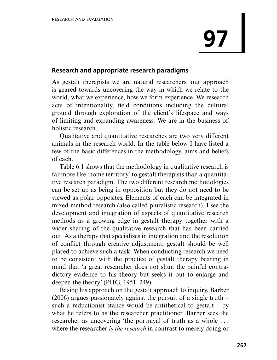#### **Research and appropriate research paradigms**

As gestalt therapists we are natural researchers, our approach is geared towards uncovering the way in which we relate to the world, what we experience, how we form experience. We research acts of intentionality, field conditions including the cultural ground through exploration of the client's lifespace and ways of limiting and expanding awareness. We are in the business of holistic research.

Qualitative and quantitative researches are two very different animals in the research world. In the table below I have listed a few of the basic differences in the methodology, aims and beliefs of each.

Table 6.1 shows that the methodology in qualitative research is far more like 'home territory' to gestalt therapists than a quantitative research paradigm. The two different research methodologies can be set up as being in opposition but they do not need to be viewed as polar opposites. Elements of each can be integrated in mixed-method research (also called pluralistic research). I see the development and integration of aspects of quantitative research methods as a growing edge in gestalt therapy together with a wider sharing of the qualitative research that has been carried out. As a therapy that specializes in integration and the resolution of conflict through creative adjustment, gestalt should be well placed to achieve such a task. When conducting research we need to be consistent with the practice of gestalt therapy bearing in mind that 'a great researcher does not shun the painful contradictory evidence to his theory but seeks it out to enlarge and deepen the theory' (PHG, 1951: 249).

Basing his approach on the gestalt approach to inquiry, Barber (2006) argues passionately against the pursuit of a single truth – such a reductionist stance would be antithetical to gestalt  $-$  by what he refers to as the researcher practitioner. Barber sees the researcher as uncovering 'the portrayal of truth as a whole . . . where the researcher *is the research* in contrast to merely doing or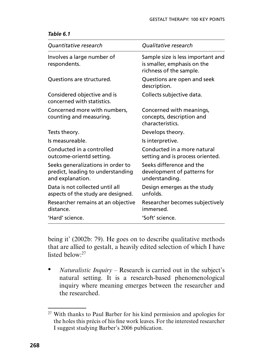| <b>Ouantitative research</b>                                                               | <b>Oualitative research</b>                                                                 |
|--------------------------------------------------------------------------------------------|---------------------------------------------------------------------------------------------|
| Involves a large number of<br>respondents.                                                 | Sample size is less important and<br>is smaller, emphasis on the<br>richness of the sample. |
| Ouestions are structured.                                                                  | Questions are open and seek<br>description.                                                 |
| Considered objective and is<br>concerned with statistics.                                  | Collects subjective data.                                                                   |
| Concerned more with numbers,<br>counting and measuring.                                    | Concerned with meanings,<br>concepts, description and<br>characteristics.                   |
| Tests theory.                                                                              | Develops theory.                                                                            |
| Is measureable.                                                                            | Is interpretive.                                                                            |
| Conducted in a controlled<br>outcome-orientd setting.                                      | Conducted in a more natural<br>setting and is process oriented.                             |
| Seeks generalizations in order to<br>predict, leading to understanding<br>and explanation. | Seeks difference and the<br>development of patterns for<br>understanding.                   |
| Data is not collected until all<br>aspects of the study are designed.                      | Design emerges as the study<br>unfolds.                                                     |
| Researcher remains at an objective<br>distance.                                            | Researcher becomes subjectively<br>immersed.                                                |
| 'Hard' science.                                                                            | 'Soft' science.                                                                             |

#### *Table 6.1*

being it' (2002b: 79). He goes on to describe qualitative methods that are allied to gestalt, a heavily edited selection of which I have listed below<sup>-27</sup>

• *Naturalistic Inquiry* – Research is carried out in the subject's natural setting. It is a research-based phenomenological inquiry where meaning emerges between the researcher and the researched.

<sup>27</sup> With thanks to Paul Barber for his kind permission and apologies for the holes this précis of his fine work leaves. For the interested researcher I suggest studying Barber's 2006 publication.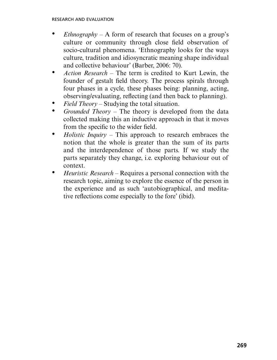- *Ethnography* A form of research that focuses on a group's culture or community through close field observation of socio-cultural phenomena. 'Ethnography looks for the ways culture, tradition and idiosyncratic meaning shape individual and collective behaviour' (Barber, 2006: 70).
- *Action Research* The term is credited to Kurt Lewin, the founder of gestalt field theory. The process spirals through four phases in a cycle, these phases being: planning, acting, observing/evaluating, reflecting (and then back to planning).
- *Field Theory* Studying the total situation.<br>• *Grounded Theory* The theory is develop
- *Grounded Theory* The theory is developed from the data collected making this an inductive approach in that it moves from the specific to the wider field.
- *Holistic Inquiry* This approach to research embraces the notion that the whole is greater than the sum of its parts and the interdependence of those parts. If we study the parts separately they change, i.e. exploring behaviour out of context.
- *Heuristic Research* Requires a personal connection with the research topic, aiming to explore the essence of the person in the experience and as such 'autobiographical, and meditative reflections come especially to the fore' (ibid).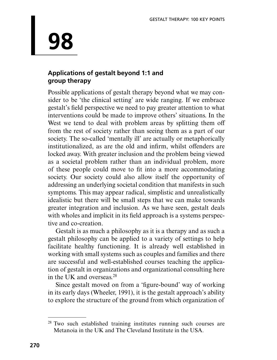#### **Applications of gestalt beyond 1:1 and group therapy**

Possible applications of gestalt therapy beyond what we may consider to be 'the clinical setting' are wide ranging. If we embrace gestalt's field perspective we need to pay greater attention to what interventions could be made to improve others' situations. In the West we tend to deal with problem areas by splitting them off from the rest of society rather than seeing them as a part of our society. The so-called 'mentally ill' are actually or metaphorically institutionalized, as are the old and infirm, whilst offenders are locked away. With greater inclusion and the problem being viewed as a societal problem rather than an individual problem, more of these people could move to fit into a more accommodating society. Our society could also allow itself the opportunity of addressing an underlying societal condition that manifests in such symptoms. This may appear radical, simplistic and unrealistically idealistic but there will be small steps that we can make towards greater integration and inclusion. As we have seen, gestalt deals with wholes and implicit in its field approach is a systems perspective and co-creation.

Gestalt is as much a philosophy as it is a therapy and as such a gestalt philosophy can be applied to a variety of settings to help facilitate healthy functioning. It is already well established in working with small systems such as couples and families and there are successful and well-established courses teaching the application of gestalt in organizations and organizational consulting here in the UK and overseas  $28$ 

Since gestalt moved on from a 'figure-bound' way of working in its early days (Wheeler, 1991), it is the gestalt approach's ability to explore the structure of the ground from which organization of

<sup>&</sup>lt;sup>28</sup> Two such established training institutes running such courses are Metanoia in the UK and The Cleveland Institute in the USA.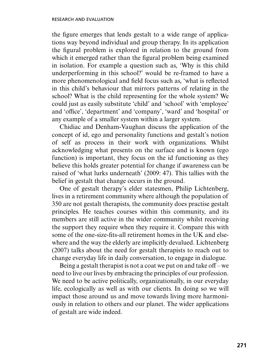the figure emerges that lends gestalt to a wide range of applications way beyond individual and group therapy. In its application the figural problem is explored in relation to the ground from which it emerged rather than the figural problem being examined in isolation. For example a question such as, 'Why is this child underperforming in this school?' would be re-framed to have a more phenomenological and field focus such as, 'what is reflected in this child's behaviour that mirrors patterns of relating in the school? What is the child representing for the whole system? We could just as easily substitute 'child' and 'school' with 'employee' and 'office', 'department' and 'company', 'ward' and 'hospital' or any example of a smaller system within a larger system.

Chidiac and Denham-Vaughan discuss the application of the concept of id, ego and personality functions and gestalt's notion of self as process in their work with organizations. Whilst acknowledging what presents on the surface and is known (ego function) is important, they focus on the id functioning as they believe this holds greater potential for change if awareness can be raised of 'what lurks underneath' (2009: 47). This tallies with the belief in gestalt that change occurs in the ground.

One of gestalt therapy's elder statesmen, Philip Lichtenberg, lives in a retirement community where although the population of 350 are not gestalt therapists, the community does practise gestalt principles. He teaches courses within this community, and its members are still active in the wider community whilst receiving the support they require when they require it. Compare this with some of the one-size-fits-all retirement homes in the UK and elsewhere and the way the elderly are implicitly devalued. Lichtenberg (2007) talks about the need for gestalt therapists to reach out to change everyday life in daily conversation, to engage in dialogue.

Being a gestalt therapist is not a coat we put on and take off – we need to live our lives by embracing the principles of our profession. We need to be active politically, organizationally, in our everyday life, ecologically as well as with our clients. In doing so we will impact those around us and move towards living more harmoniously in relation to others and our planet. The wider applications of gestalt are wide indeed.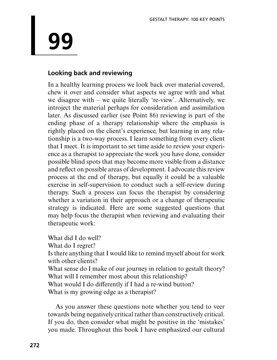#### **Looking back and reviewing**

In a healthy learning process we look back over material covered, chew it over and consider what aspects we agree with and what we disagree with – we quite literally 're-view'. Alternatively, we introject the material perhaps for consideration and assimilation later. As discussed earlier (see Point 86) reviewing is part of the ending phase of a therapy relationship where the emphasis is rightly placed on the client's experience, but learning in any relationship is a two-way process. I learn something from every client that I meet. It is important to set time aside to review your experience as a therapist to appreciate the work you have done, consider possible blind spots that may become more visible from a distance and reflect on possible areas of development. I advocate this review process at the end of therapy, but equally it could be a valuable exercise in self-supervision to conduct such a self-review during therapy. Such a process can focus the therapist by considering whether a variation in their approach or a change of therapeutic strategy is indicated. Here are some suggested questions that may help focus the therapist when reviewing and evaluating their therapeutic work:

What did I do well? What do I regret? Is there anything that I would like to remind myself about for work with other clients? What sense do I make of our journey in relation to gestalt theory? What will I remember most about this relationship? What would I do differently if I had a re-wind button? What is my growing edge as a therapist?

As you answer these questions note whether you tend to veer towards being negatively critical rather than constructively critical. If you do, then consider what might be positive in the 'mistakes' you made. Throughout this book I have emphasized our cultural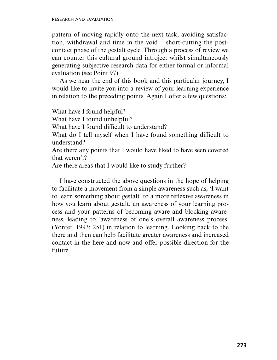pattern of moving rapidly onto the next task, avoiding satisfaction, withdrawal and time in the void – short-cutting the postcontact phase of the gestalt cycle. Through a process of review we can counter this cultural ground introject whilst simultaneously generating subjective research data for either formal or informal evaluation (see Point 97).

As we near the end of this book and this particular journey, I would like to invite you into a review of your learning experience in relation to the preceding points. Again I offer a few questions:

What have I found helpful? What have I found unhelpful? What have I found difficult to understand? What do I tell myself when I have found something difficult to understand? Are there any points that I would have liked to have seen covered that weren't? Are there areas that I would like to study further?

I have constructed the above questions in the hope of helping to facilitate a movement from a simple awareness such as, 'I want to learn something about gestalt' to a more reflexive awareness in how you learn about gestalt, an awareness of your learning process and your patterns of becoming aware and blocking awareness, leading to 'awareness of one's overall awareness process' (Yontef, 1993: 251) in relation to learning. Looking back to the there and then can help facilitate greater awareness and increased contact in the here and now and offer possible direction for the future.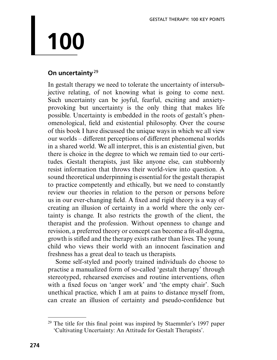## **100**

## **On uncertainty**<sup>29</sup>

In gestalt therapy we need to tolerate the uncertainty of intersubjective relating, of not knowing what is going to come next. Such uncertainty can be joyful, fearful, exciting and anxietyprovoking but uncertainty is the only thing that makes life possible. Uncertainty is embedded in the roots of gestalt's phenomenological, field and existential philosophy. Over the course of this book I have discussed the unique ways in which we all view our worlds – different perceptions of different phenomenal worlds in a shared world. We all interpret, this is an existential given, but there is choice in the degree to which we remain tied to our certitudes. Gestalt therapists, just like anyone else, can stubbornly resist information that throws their world-view into question. A sound theoretical underpinning is essential for the gestalt therapist to practice competently and ethically, but we need to constantly review our theories in relation to the person or persons before us in our ever-changing field. A fixed and rigid theory is a way of creating an illusion of certainty in a world where the only certainty is change. It also restricts the growth of the client, the therapist and the profession. Without openness to change and revision, a preferred theory or concept can become a fit-all dogma, growth is stifled and the therapy exists rather than lives. The young child who views their world with an innocent fascination and freshness has a great deal to teach us therapists.

Some self-styled and poorly trained individuals do choose to practise a manualized form of so-called 'gestalt therapy' through stereotyped, rehearsed exercises and routine interventions, often with a fixed focus on 'anger work' and 'the empty chair'. Such unethical practice, which I am at pains to distance myself from, can create an illusion of certainty and pseudo-confidence but

<sup>&</sup>lt;sup>29</sup> The title for this final point was inspired by Staemmler's 1997 paper 'Cultivating Uncertainty: An Attitude for Gestalt Therapists'.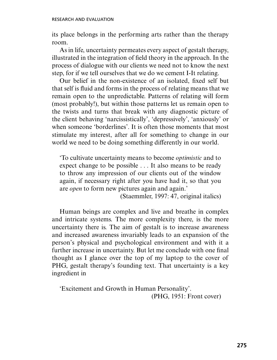its place belongs in the performing arts rather than the therapy room.

As in life, uncertainty permeates every aspect of gestalt therapy, illustrated in the integration of field theory in the approach. In the process of dialogue with our clients we need not to know the next step, for if we tell ourselves that we do we cement I-It relating.

Our belief in the non-existence of an isolated, fixed self but that self is fluid and forms in the process of relating means that we remain open to the unpredictable. Patterns of relating will form (most probably!), but within those patterns let us remain open to the twists and turns that break with any diagnostic picture of the client behaving 'narcissistically', 'depressively', 'anxiously' or when someone 'borderlines'. It is often those moments that most stimulate my interest, after all for something to change in our world we need to be doing something differently in our world.

'To cultivate uncertainty means to become *optimistic* and to expect change to be possible . . . It also means to be ready to throw any impression of our clients out of the window again, if necessary right after you have had it, so that you are *open* to form new pictures again and again.'

(Staemmler, 1997: 47, original italics)

Human beings are complex and live and breathe in complex and intricate systems. The more complexity there, is the more uncertainty there is. The aim of gestalt is to increase awareness and increased awareness invariably leads to an expansion of the person's physical and psychological environment and with it a further increase in uncertainty. But let me conclude with one final thought as I glance over the top of my laptop to the cover of PHG, gestalt therapy's founding text. That uncertainty is a key ingredient in

'Excitement and Growth in Human Personality'. (PHG, 1951: Front cover)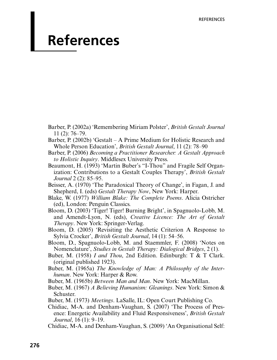## **References**

- Barber, P. (2002a) 'Remembering Miriam Polster', *British Gestalt Journal* 11 (2): 76–79.
- Barber, P. (2002b) 'Gestalt A Prime Medium for Holistic Research and Whole Person Education', *British Gestalt Journal*, 11 (2): 78–90
- Barber, P. (2006) *Becoming a Practitioner Researcher: A Gestalt Approach to Holistic Inquiry*. Middlesex University Press.
- Beaumont, H. (1993) 'Martin Buber's "I-Thou" and Fragile Self Organization: Contributions to a Gestalt Couples Therapy', *British Gestalt Journal* 2 (2): 85–95.
- Beisser, A. (1970) 'The Paradoxical Theory of Change', in Fagan, J. and Shepherd, I. (eds) *Gestalt Therapy Now*, New York: Harper.
- Blake, W. (1977) *William Blake: The Complete Poems*. Alicia Ostricher (ed), London: Penguin Classics.
- Bloom, D. (2003) 'Tiger! Tiger! Burning Bright', in Spagnuolo-Lobb, M. and Amendt-Lyon, N. (eds), *Creative Licence: The Art of Gestalt Therapy*. New York: Springer-Verlag.
- Bloom, D. (2005) 'Revisiting the Aesthetic Criterion A Response to Sylvia Crocker', *British Gestalt Journal*, 14 (1): 54–56.
- Bloom, D., Spagnuolo-Lobb, M. and Staemmler, F. (2008) 'Notes on Nomenclature', *Studies in Gestalt Therapy: Dialogical Bridges*, 2 (1).
- Buber, M. (1958) *I and Thou*, 2nd Edition. Edinburgh: T & T Clark. (original published 1923).
- Buber, M. (1965a) *The Knowledge of Man: A Philosophy of the Interhuman*. New York: Harper & Row.
- Buber, M. (1965b) *Between Man and Man*. New York: MacMillan.
- Buber, M. (1967) *A Believing Humanism: Gleanings*. New York: Simon & Schuster.
- Buber, M. (1973) *Meetings*. LaSalle, IL: Open Court Publishing Co.
- Chidiac, M-A. and Denham-Vaughan, S. (2007) 'The Process of Presence: Energetic Availability and Fluid Responsiveness', *British Gestalt Journal*, 16 (1): 9–19.
- Chidiac, M-A. and Denham-Vaughan, S. (2009) 'An Organisational Self: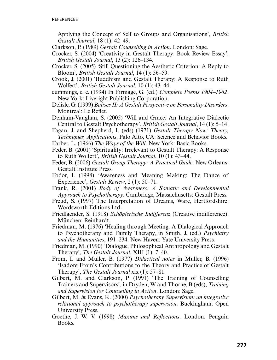Applying the Concept of Self to Groups and Organisations', *British Gestalt Journal*, 18 (1): 42–49.

Clarkson, P. (1989) *Gestalt Counselling in Action*. London: Sage.

- Crocker, S. (2004) 'Creativity in Gestalt Therapy: Book Review Essay', *British Gestalt Journal*, 13 (2): 126–134.
- Crocker, S. (2005) 'Still Questioning the Aesthetic Criterion: A Reply to Bloom', *British Gestalt Journal*, 14 (1): 56–59.
- Crook, J. (2001) 'Buddhism and Gestalt Therapy: A Response to Ruth Wolfert', *British Gestalt Journal*, 10 (1): 43–44.
- cummings, e. e. (1994) In Firmage, G. (ed.) *Complete Poems 1904–1962*. New York: Liveright Publishing Corporation.
- Delisle, G. (1999) *Balises II: A Gestalt Perspective on Personality Disorders*. Montreal: Le Reflet.
- Denham-Vaughan, S. (2005) 'Will and Grace: An Integrative Dialectic Central to Gestalt Psychotherapy', *British Gestalt Journal*, 14 (1): 5–14.
- Fagan, J. and Shepherd, I. (eds) (1971) *Gestalt Therapy Now: Theory, Techniques, Applications*. Palo Alto, CA: Science and Behavior Books.
- Farber, L. (1966) *The Ways of the Will*. New York: Basic Books.
- Feder, B. (2001) 'Spirituality: Irrelevant to Gestalt Therapy: A Response to Ruth Wolfert', *British Gestalt Journal*, 10 (1): 43–44.
- Feder, B. (2006) *Gestalt Group Therapy: A Practical Guide*. New Orleans: Gestalt Institute Press.
- Fodor, I. (1998) 'Awareness and Meaning Making: The Dance of Experience', *Gestalt Review*, 2 (1): 50–71.
- Frank, R. (2001) *Body of Awareness: A Somatic and Developmental Approach to Psychotherapy*. Cambridge, Massachusetts: Gestalt Press.
- Freud, S. (1997) The Interpretation of Dreams, Ware, Hertfordshire: Wordsworth Editions Ltd.
- Friedlaender, S. (1918) *Schöpferische Indifferenz* (Creative indifference). München: Reinhardt.
- Friedman, M. (1976) 'Healing through Meeting: A Dialogical Approach to Psychotherapy and Family Therapy, in Smith, J. (ed.) *Psychiatry and the Humanities*, 191–234. New Haven: Yate University Press.
- Friedman, M. (1990) 'Dialogue, Philosophical Anthropology and Gestalt Therapy', *The Gestalt Journal*, XIII (1): 7–40.
- From, I. and Muller, B. (1977) *Didactical notes* in Muller, B. (1996) 'Isadore From's Contributions to the Theory and Practice of Gestalt Therapy', *The Gestalt Journal* xix (1): 57–81.
- Gilbert, M. and Clarkson, P. (1991) 'The Training of Counselling Trainers and Supervisors', in Dryden, W and Thorne, B (eds), *Training and Supervision for Counselling in Action*. London: Sage.
- Gilbert, M. & Evans, K. (2000) *Psychotherapy Supervision: an integrative relational approach to psychotherapy supervision*. Buckingham: Open University Press.
- Goethe, J. W. V. (1998) *Maxims and Reflections*. London: Penguin Books.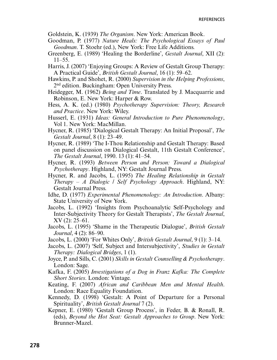- Goldstein, K. (1939) *The Organism*. New York: American Book.
- Goodman, P. (1977) *Nature Heals: The Psychological Essays of Paul Goodman*. T. Stoehr (ed.), New York: Free Life Additions.
- Greenberg, E. (1989) 'Healing the Borderline', *Gestalt Journal*, XII (2): 11–55.
- Harris, J. (2007) 'Enjoying Groups: A Review of Gestalt Group Therapy: A Practical Guide', *British Gestalt Journal*, 16 (1): 59–62.
- Hawkins, P. and Shohet, R. (2000) *Supervision in the Helping Professions*, 2nd edition. Buckingham: Open University Press.
- Heidegger, M. (1962) *Being and Time*. Translated by J. Macquarrie and Robinson, E. New York: Harper & Row.
- Hess, A. K. (ed.) (1980) *Psychotherapy Supervision: Theory, Research and Practice*. New York: Wiley.
- Husserl, E. (1931) *Ideas: General Introduction to Pure Phenomenology*, Vol 1. New York: MacMillan.
- Hycner, R. (1985) 'Dialogical Gestalt Therapy: An Initial Proposal', *The Gestalt Journal*, 8 (1): 23–49.
- Hycner, R. (1989) 'The I-Thou Relationship and Gestalt Therapy: Based on panel discussion on Dialogical Gestalt, 11th Gestalt Conference', *The Gestalt Journal*, 1990. 13 (1): 41–54.
- Hycner, R. (1993) *Between Person and Person: Toward a Dialogical Psychotherapy*. Highland, NY: Gestalt Journal Press.
- Hycner, R. and Jacobs, L. (1995) *The Healing Relationship in Gestalt Therapy – A Dialogic / Self Psychology Approach*. Highland, NY: Gestalt Journal Press.
- Idhe, D. (1977) *Experimental Phenomenology: An Introduction*. Albany: State University of New York.
- Jacobs, L. (1992) 'Insights from Psychoanalytic Self-Psychology and Inter-Subjectivity Theory for Gestalt Therapists', *The Gestalt Journal*, XV (2): 25–61.
- Jacobs, L. (1995) 'Shame in the Therapeutic Dialogue', *British Gestalt Journal*, 4 (2): 86–90.
- Jacobs, L. (2000) 'For Whites Only', *British Gestalt Journal*, 9 (1): 3–14.
- Jacobs, L. (2007) 'Self, Subject and Intersubjectivity', *Studies in Gestalt Therapy: Dialogical Bridges*, 1 (1).
- Joyce, P. and Sills, C. (2001) *Skills in Gestalt Counselling & Psychotherapy*. London: Sage.
- Kafka, F. (2005) *Investigations of a Dog in Franz Kafka: The Complete Short Stories*. London: Vintage.
- Keating, F. (2007) *African and Caribbean Men and Mental Health*. London: Race Equality Foundation.
- Kennedy, D. (1998) 'Gestalt: A Point of Departure for a Personal Spirituality', *British Gestalt Journal* 7 (2).
- Kepner, E. (1980) 'Gestalt Group Process', in Feder, B. & Ronall, R. (eds), *Beyond the Hot Seat: Gestalt Approaches to Group*. New York: Brunner-Mazel.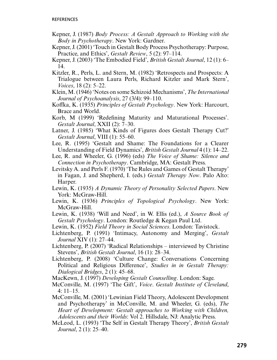- Kepner, J. (1987) *Body Process: A Gestalt Approach to Working with the Body in Psychotherapy*. New York: Gardner.
- Kepner, J. (2001) 'Touch in Gestalt Body Process Psychotherapy: Purpose, Practice, and Ethics', *Gestalt Review*, 5 (2): 97–114.
- Kepner, J. (2003) 'The Embodied Field', *British Gestalt Journal*, 12 (1): 6– 14.
- Kitzler, R., Perls, L. and Stern, M. (1982) 'Retrospects and Prospects: A Trialogue between Laura Perls, Richard Kitzler and Mark Stern', *Voices*, 18 (2): 5–22.
- Klein, M. (1946) 'Notes on some Schizoid Mechanisms', *The International Journal of Psychoanalysis*, 27 (3/4): 99–110.
- Koffka, K. (1935) *Principles of Gestalt Psychology*. New York: Harcourt, Brace and World.
- Korb, M (1999) 'Redefining Maturity and Maturational Processes'. *Gestalt Journal*, XXII (2): 7–30.
- Latner, J. (1985) 'What Kinds of Figures does Gestalt Therapy Cut?' *Gestalt Journal*, VIII (1): 55–60.
- Lee, R. (1995) 'Gestalt and Shame: The Foundations for a Clearer Understanding of Field Dynamics', *British Gestalt Journal* 4 (1): 14–22.
- Lee, R. and Wheeler, G. (1996) (eds) *The Voice of Shame: Silence and Connection in Psychotherapy*. Cambridge, MA: Gestalt Press.
- Levitsky A. and Perls F. (1970) 'The Rules and Games of Gestalt Therapy' in Fagan, J. and Shepherd, I. (eds.) *Gestalt Therapy Now*. Palo Alto: Harper.
- Lewin, K. (1935) *A Dynamic Theory of Personality Selected Papers*. New York: McGraw-Hill.
- Lewin, K. (1936) *Principles of Topological Psychology*. New York: McGraw-Hill.
- Lewin, K. (1938) 'Will and Need', in W. Ellis (ed.), *A Source Book of Gestalt Psychology*. London: Routledge & Kegan Paul Ltd.
- Lewin, K. (1952) *Field Theory in Social Sciences*. London: Tavistock.
- Lichtenberg, P. (1991) 'Intimacy, Autonomy and Merging', *Gestalt Journal* XIV (1): 27–44.
- Lichtenberg, P. (2007) 'Radical Relationships interviewed by Christine Stevens', *British Gestalt Journal*, 16 (1): 28–34.
- Lichtenberg, P. (2008) 'Culture Change: Conversations Concerning Political and Religious Difference', *Studies in in Gestalt Therapy: Dialogical Bridges*, 2 (1): 45–68.
- MacKewn, J. (1997) *Developing Gestalt Counselling*. London: Sage.
- McConville, M. (1997) 'The Gift', *Voice*. *Gestalt Institute of Cleveland*, 4: 11–15.
- McConville, M. (2001) 'Lewinian Field Theory, Adolescent Development and Psychotherapy' in McConville, M. and Wheeler, G. (eds), *The Heart of Development: Gestalt approaches to Working with Children, Adolescents and their Worlds*: Vol 2. Hillsdale, NJ: Analytic Press.
- McLeod, L. (1993) 'The Self in Gestalt Therapy Theory', *British Gestalt Journal*, 2 (1): 25–40.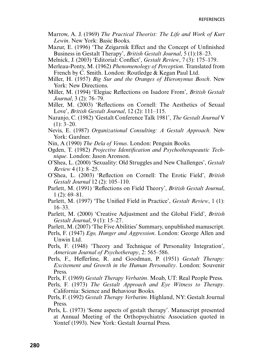- Marrow, A. J. (1969) *The Practical Theorist: The Life and Work of Kurt Lewin*. New York: Basic Books.
- Mazur, E. (1996) 'The Zeigarnik Effect and the Concept of Unfinished Business in Gestalt Therapy', *British Gestalt Journal*, 5 (1):18–23.
- Melnick, J. (2003) 'Editorial: Conflict', *Gestalt Review*, 7 (3): 175–179.
- Merleau-Ponty, M. (1962) *Phenomenology of Perception*. Translated from French by C. Smith. London: Routledge & Kegan Paul Ltd.
- Miller, H. (1957) *Big Sur and the Oranges of Hieronymus Bosch*. New York: New Directions.
- Miller, M. (1994) 'Elegiac Reflections on Isadore From', *British Gestalt Journal*, 3 (2): 76–79.
- Miller, M. (2003) 'Reflections on Cornell: The Aesthetics of Sexual Love', *British Gestalt Journal*, 12 (2): 111–115.
- Naranjo, C. (1982) 'Gestalt Conference Talk 1981', *The Gestalt Journal* V  $(1)$ : 3–20.
- Nevis, E. (1987) *Organizational Consulting: A Gestalt Approach*. New York: Gardner.
- Nin, A (1990) *The Dela of Venus*. London: Penguin Books.
- Ogden, T. (1982) *Projective Identification and Psychotherapeautic Technique*. London: Jason Aronson.
- O'Shea, L. (2000) 'Sexuality: Old Struggles and New Challenges', *Gestalt Review* 4 (1): 8–25.
- O'Shea, L. (2003) 'Reflection on Cornell: The Erotic Field', *British Gestalt Journal* 12 (2): 105–110.
- Parlett, M. (1991) 'Reflections on Field Theory', *British Gestalt Journal*, 1 (2): 69–81.
- Parlett, M. (1997) 'The Unified Field in Practice', *Gestalt Review*, 1 (1): 16–33.
- Parlett, M. (2000) 'Creative Adjustment and the Global Field', *British Gestalt Journal*, 9 (1): 15–27.
- Parlett, M. (2007) 'The Five Abilities' Summary, unpublished manuscript.
- Perls, F. (1947) *Ego, Hunger and Aggression*. London: George Allen and Unwin Ltd.
- Perls, F. (1948) 'Theory and Technique of Personality Integration', *American Journal of Psychotherapy*, 2: 565–586.
- Perls, F., Hefferline, R. and Goodman, P. (1951) *Gestalt Therapy: Excitement and Growth in the Human Personality*. London: Souvenir Press.
- Perls, F. (1969) *Gestalt Therapy Verbatim*. Moab, UT: Real People Press.
- Perls, F. (1973) *The Gestalt Approach and Eye Witness to Therapy*. California: Science and Behaviour Books.
- Perls, F. (1992) *Gestalt Therapy Verbatim*. Highland, NY: Gestalt Journal Press.
- Perls, L. (1973) 'Some aspects of gestalt therapy'. Manuscript presented at Annual Meeting of the Orthopsychiatric Association quoted in Yontef (1993). New York: Gestalt Journal Press.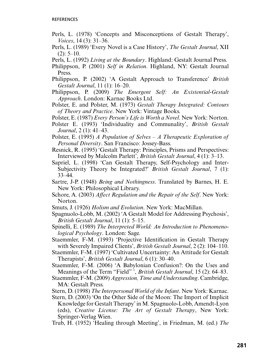- Perls, L. (1978) 'Concepts and Misconceptions of Gestalt Therapy', *Voices*, 14 (3): 31–36.
- Perls, L. (1989) 'Every Novel is a Case History', *The Gestalt Journal*, XII  $(2): 5-10.$
- Perls, L. (1992) *Living at the Boundary*. Highland: Gestalt Journal Press.
- Philippson, P. (2001) *Self in Relation*. Highland, NY: Gestalt Journal Press.
- Philippson, P. (2002) 'A Gestalt Approach to Transference' *British Gestalt Journal*, 11 (1): 16–20.
- Philippson, P. (2009) *The Emergent Self: An Existential-Gestalt Approach*. London: Karnac Books Ltd.
- Polster, E. and Polster, M. (1973) *Gestalt Therapy Integrated: Contours of Theory and Practice*. New York: Vintage Books.
- Polster, E. (1987) *Every Person's Life is Worth a Novel*. New York: Norton.
- Polster E. (1993) 'Individuality and Communality', *British Gestalt Journal*, 2 (1): 41–43.
- Polster, E. (1995) *A Population of Selves A Therapeutic Exploration of Personal Diversity*. San Francisco: Jossey-Bass.
- Resnick, R. (1995) 'Gestalt Therapy: Principles, Prisms and Perspectives: Interviewed by Malcolm Parlett', *British Gestalt Journal*, 4 (1): 3–13.
- Sapriel, L. (1998) 'Can Gestalt Therapy, Self-Psychology and Inter-Subjectivity Theory be Integrated?' *British Gestalt Journal*, 7 (1): 33–44.
- Sartre, J-P. (1948) *Being and Nothingness*. Translated by Barnes, H. E. New York: Philosophical Library.
- Schore, A. (2003) *Affect Regulation and the Repair of the Self*. New York: Norton.
- Smuts, J. (1926) *Holism and Evolution*. New York: MacMillan.
- Spagnuolo-Lobb, M. (2002) 'A Gestalt Model for Addressing Psychosis', *British Gestalt Journal*, 11 (1): 5–15.
- Spinelli, E. (1989) *The Interpreted World: An Introduction to Phenomenological Psychology*. London: Sage.
- Staemmler, F-M. (1993) 'Projective Identification in Gestalt Therapy with Severely Impaired Clients', *British Gestalt Journal*, 2 (2): 104–110.
- Staemmler, F-M. (1997) 'Cultivated Uncertainty: An Attitude for Gestalt Therapists', *British Gestalt Journal*, 6 (1): 30–40.
- Staemmler, F-M. (2006) 'A Babylonian Confusion?: On the Uses and Meanings of the Term "Field" ', *British Gestalt Journal*, 15 (2): 64–83.
- Staemmler, F-M. (2009) *Aggression, Time and Understanding*. Cambridge, MA: Gestalt Press.
- Stern, D. (1998) *The Interpersonal World of the Infant*. New York: Karnac.
- Stern, D. (2003) 'On the Other Side of the Moon: The Import of Implicit Knowledge for Gestalt Therapy' in M. Spagnuolo-Lobb, Amendt-Lyon (eds), *Creative License: The Art of Gestalt Therapy*, New York: Springer-Verlag Wien.
- Trub, H. (1952) 'Healing through Meeting', in Friedman, M. (ed.) *The*